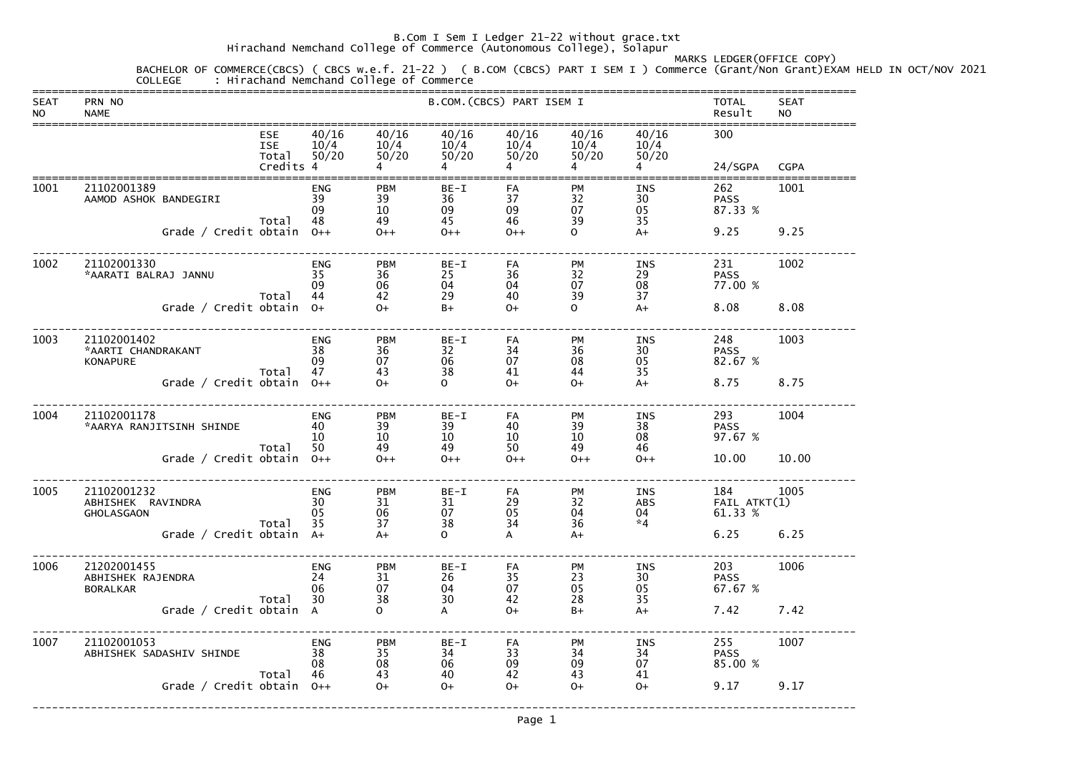Hirachand Nemchand College of Commerce (Autonomous College), Solapur

# MARKS LEDGER(OFFICE COPY)BACHELOR OF COMMERCE(CBCS) ( CBCS w.e.f. 21-22 ) ( B.COM (CBCS) PART I SEM I ) Commerce (Grant/Non Grant)EXAM HELD IN OCT/NOV 2021

 COLLEGE : Hirachand Nemchand College of Commerce ===============================================================================================================================SEAT PRN NO SEAT PRODUCED SEAT B.COM. (CBCS) PART ISEM I TOTAL SEAT NO NAME Result NO =============================================================================================================================== ESE 40/16 40/16 40/16 40/16 40/16 40/16 300 ISE 10/4 10/4 10/4 10/4 10/4 10/4  $50/20$  Total 50/20 50/20 50/20 50/20 50/20 50/20 Credits 4 4 4 4 4 4 24/SGPA CGPA ===============================================================================================================================1001 21102001389 ENG PBM BE-I FA PM INS 262 1001 AAMOD ASHOK BANDEGIRI 39 39 36 37 32 30 PASS 87.33 %  $\rm 09 \qquad \qquad 10 \qquad \qquad 09 \qquad \qquad 09 \qquad \qquad 07 \qquad \qquad 05 \qquad \qquad 87.33 \; \%$  Total 48 49 45 46 39 35  $A+$ Grade / Credit obtain 0++ 0++ 0++ 0++ 0 ++ 0 A+ 9.25 9.25 ------------------------------------------------------------------------------------------------------------------------------- 1002 21102001330 ENG PBM BE-I FA PM INS 231 1002 \*AARATI BALRAJ JANNU 35 36 25 36 32 29 PASS 77.00 %  $\,$  09  $\,$  06  $\,$  04  $\,$  04  $\,$  07  $\,$  08  $\,$  77.00  $\%$  Total 44 42 29 40 39 37  $A+$ Grade / Credit obtain 0+ 0+ B+ 0+ 0 A+ 8.08 8.08 ------------------------------------------------------------------------------------------------------------------------------- 1003 21102001402 ENG PBM BE-I FA PM INS 248 1003 \*AARTI CHANDRAKANT 38 36 32 34 36 30 PASS 82.67 % KONAPURE 09 07 06 07 08 05 82.67 % Total 47 43 38 41 44 35  $A+$ Grade / Credit obtain 0++ 0+ 0 + 0+ 0+ A+ 8.75 8.75 ------------------------------------------------------------------------------------------------------------------------------- 1004 21102001178 ENG PBM BE-I FA PM INS 293 1004 \*AARYA RANJITSINH SHINDE 40 39 39 40 39 38 PASS 97.67 %  $10 \hspace{14mm} 10 \hspace{14mm} 10 \hspace{14mm} 10 \hspace{14mm} 10 \hspace{14mm} 08 \hspace{14mm} 97.67 \hspace{1mm} \%$  Total 50 49 49 50 49 46  $0++$ Grade / Credit obtain O++ O++ O++ O++ O++ O++ 10.00 10.00

| 1005 | 21102001232<br>ABHISHEK<br>RAVINDRA<br><b>GHOLASGAON</b><br>Grade $/$ |               | Total<br>Credit obtain | <b>ENG</b><br>30<br>05<br>35<br>$A+$           | <b>PBM</b><br>31<br>06<br>37<br>$A+$         | $BE-I$<br>31<br>07<br>38<br>$\mathbf O$ | FA<br>29<br>05<br>34<br>A    | PM<br>32<br>04<br>36<br>$A+$        | <b>INS</b><br><b>ABS</b><br>04<br>$*4$ | 184<br>FAIL ATKT(1)<br>61.33 %<br>6.25 | 1005<br>6.25 |
|------|-----------------------------------------------------------------------|---------------|------------------------|------------------------------------------------|----------------------------------------------|-----------------------------------------|------------------------------|-------------------------------------|----------------------------------------|----------------------------------------|--------------|
| 1006 | 21202001455<br>ABHISHEK RAJENDRA<br><b>BORALKAR</b><br>Grade $/$      | Credit obtain | Total                  | <b>ENG</b><br>24<br>06<br>30<br>$\overline{A}$ | <b>PBM</b><br>31<br>07<br>38<br>$\mathbf{O}$ | $BE-I$<br>26<br>04<br>30<br>A           | FA<br>35<br>07<br>42<br>$O+$ | PM<br>23<br>05<br>28<br>$B+$        | <b>INS</b><br>30<br>05<br>35<br>$A+$   | 203<br><b>PASS</b><br>67.67 %<br>7.42  | 1006<br>7.42 |
| 1007 | 21102001053<br>ABHISHEK SADASHIV SHINDE<br>Grade $/$                  | Credit obtain | Total                  | <b>ENG</b><br>38<br>08<br>46<br>$0++$          | <b>PBM</b><br>35<br>08<br>43<br>$O+$         | $BE-I$<br>34<br>06<br>40<br>$O+$        | FA<br>33<br>09<br>42<br>$O+$ | <b>PM</b><br>34<br>09<br>43<br>$O+$ | <b>INS</b><br>34<br>07<br>41<br>$O+$   | 255<br><b>PASS</b><br>85.00 %<br>9.17  | 1007<br>9.17 |
|      |                                                                       |               |                        |                                                |                                              |                                         |                              |                                     |                                        |                                        |              |

-------------------------------------------------------------------------------------------------------------------------------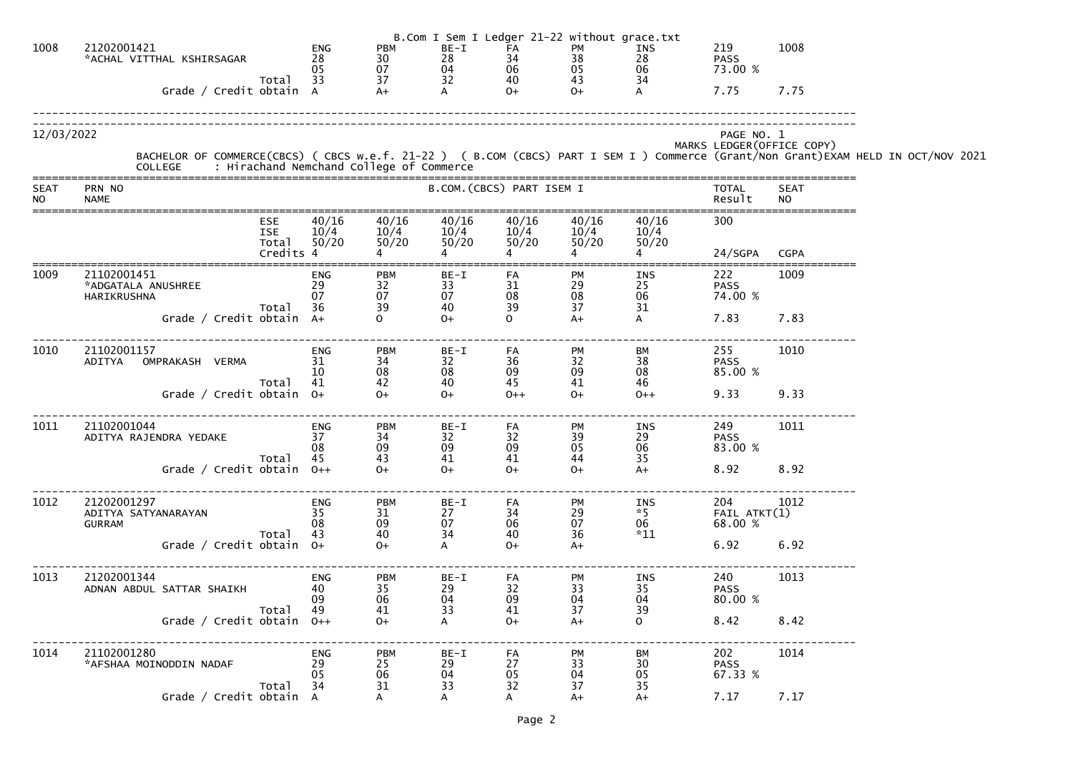|                          |                                                                                                                                                                                            |                                     |                              |                          |                           | B.Com I Sem I Ledger 21-22 without grace.txt |                                   |                                          |                          |  |
|--------------------------|--------------------------------------------------------------------------------------------------------------------------------------------------------------------------------------------|-------------------------------------|------------------------------|--------------------------|---------------------------|----------------------------------------------|-----------------------------------|------------------------------------------|--------------------------|--|
| 1008                     | 21202001421<br>*ACHAL VITTHAL KSHIRSAGAR                                                                                                                                                   | <b>ENG</b><br>28<br>05              | <b>PBM</b><br>30<br>07       | BE-I<br>28<br>04<br>32   | FA<br>34<br>06            | PM<br>38<br>05                               | INS<br>28<br>06                   | 219<br><b>PASS</b><br>73.00 %            | 1008                     |  |
|                          | Total<br>Grade / Credit obtain A                                                                                                                                                           | 33                                  | 37<br>$A+$                   |                          | 40<br>$0+$                | 43<br>$O+$                                   | 34<br>$\overline{A}$              | 7.75                                     | 7.75                     |  |
| 12/03/2022               | BACHELOR OF COMMERCE(CBCS) ( CBCS w.e.f. 21-22 ) ( B.COM (CBCS) PART I SEM I ) Commerce (Grant/Non Grant)EXAM HELD IN OCT/NOV 2021<br>COLLEGE     : Hirachand Nemchand College of Commerce |                                     |                              |                          |                           |                                              |                                   | PAGE NO. 1<br>MARKS LEDGER (OFFICE COPY) |                          |  |
| <b>SEAT</b><br><b>NO</b> | PRN NO<br><b>NAME</b>                                                                                                                                                                      |                                     |                              |                          | B.COM. (CBCS) PART ISEM I |                                              |                                   | <b>TOTAL</b><br>Result                   | <b>SEAT</b><br><b>NO</b> |  |
|                          | <b>ESE</b><br><b>ISE</b><br>Total                                                                                                                                                          | 40/16<br>10/4<br>50/20<br>Credits 4 | 40/16<br>10/4<br>50/20       | 40/16<br>10/4<br>50/20   | 40/16<br>10/4<br>50/20    | 40/16<br>10/4<br>50/20                       | 40/16<br>10/4<br>50/20            | 300<br>24/SGPA                           | <b>CGPA</b>              |  |
| 1009                     | 21102001451<br>*ADGATALA ANUSHREE<br>HARIKRUSHNA                                                                                                                                           | <b>ENG</b><br>29<br>07<br>36        | <b>PBM</b><br>32<br>07       | BE-I<br>33<br>07         | FA<br>31<br>08            | PM<br>29<br>08<br>37                         | INS<br>25<br>06                   | 222<br><b>PASS</b><br>74.00 %            | 1009                     |  |
|                          | Total<br>Grade / Credit obtain A+                                                                                                                                                          |                                     | 39<br>$\Omega$               | 40<br>$O+$               | 39<br>$\Omega$            | $A+$                                         | 31<br>$\mathsf{A}$                | 7.83                                     | 7.83                     |  |
| 1010                     | 21102001157<br>OMPRAKASH VERMA<br>ADITYA                                                                                                                                                   | <b>ENG</b><br>31<br>10<br>41        | <b>PBM</b><br>34<br>08<br>42 | $BE-I$<br>32<br>08<br>40 | FA<br>36<br>09<br>45      | PM<br>32<br>09<br>41                         | BM<br>38<br>08<br>46              | 255<br><b>PASS</b><br>85.00 %            | 1010                     |  |
|                          | Total<br>Grade / Credit obtain $0+$                                                                                                                                                        |                                     | $O+$                         | $O+$                     | $0++$                     | $O+$                                         | $0++$                             | 9.33                                     | 9.33                     |  |
| 1011                     | 21102001044<br>ADITYA RAJENDRA YEDAKE<br>Total                                                                                                                                             | <b>ENG</b><br>37<br>08<br>45        | <b>PBM</b><br>34<br>09<br>43 | $BE-I$<br>32<br>09<br>41 | FA<br>32<br>09<br>41      | <b>PM</b><br>39<br>05<br>44                  | <b>INS</b><br>29<br>06<br>35      | 249<br><b>PASS</b><br>83.00 %            | 1011                     |  |
|                          | Grade / Credit obtain $0++$                                                                                                                                                                |                                     | $O+$                         | $O+$                     | $O+$                      | $O+$                                         | $A+$                              | 8.92                                     | 8.92                     |  |
| 1012                     | 21202001297<br>ADITYA SATYANARAYAN<br><b>GURRAM</b><br>Total                                                                                                                               | <b>ENG</b><br>35<br>08<br>43        | <b>PBM</b><br>31<br>09<br>40 | BE-I<br>27<br>07<br>34   | FA<br>34<br>06<br>40      | PM<br>29<br>07<br>36                         | <b>INS</b><br>$*5$<br>06<br>$*11$ | 204<br>FAIL ATKT(1)<br>68.00 %           | 1012                     |  |
|                          | Grade / Credit obtain 0+                                                                                                                                                                   |                                     | $O+$                         | $\mathsf{A}$             | $O+$                      | $A+$                                         |                                   | 6.92                                     | 6.92                     |  |
| 1013                     | 21202001344<br>ADNAN ABDUL SATTAR SHAIKH<br>Total                                                                                                                                          | <b>ENG</b><br>40<br>09<br>49        | <b>PBM</b><br>35<br>06<br>41 | BE-I<br>29<br>04<br>33   | FA<br>32<br>09<br>41      | PM<br>33<br>04<br>37                         | INS<br>35<br>04<br>39             | 240<br><b>PASS</b><br>80.00 %            | 1013                     |  |
|                          | Grade / Credit obtain $0++$                                                                                                                                                                |                                     | $0+$                         | $\mathsf{A}$             | $O+$                      | $A+$                                         | $\mathsf{O}$                      | 8.42                                     | 8.42                     |  |
| 1014                     | 21102001280<br>*AFSHAA MOINODDIN NADAF<br>Total                                                                                                                                            | <b>ENG</b><br>29<br>05<br>34        | <b>PBM</b><br>25<br>06<br>31 | BE-I<br>29<br>04<br>33   | FA<br>27<br>05<br>32      | PM<br>33<br>04<br>37                         | ВM<br>30<br>05<br>35              | 202<br><b>PASS</b><br>67.33 %            | 1014                     |  |
|                          | Grade / Credit obtain A                                                                                                                                                                    |                                     |                              | A                        | A                         | $A+$                                         | $A+$                              | 7.17                                     | 7.17                     |  |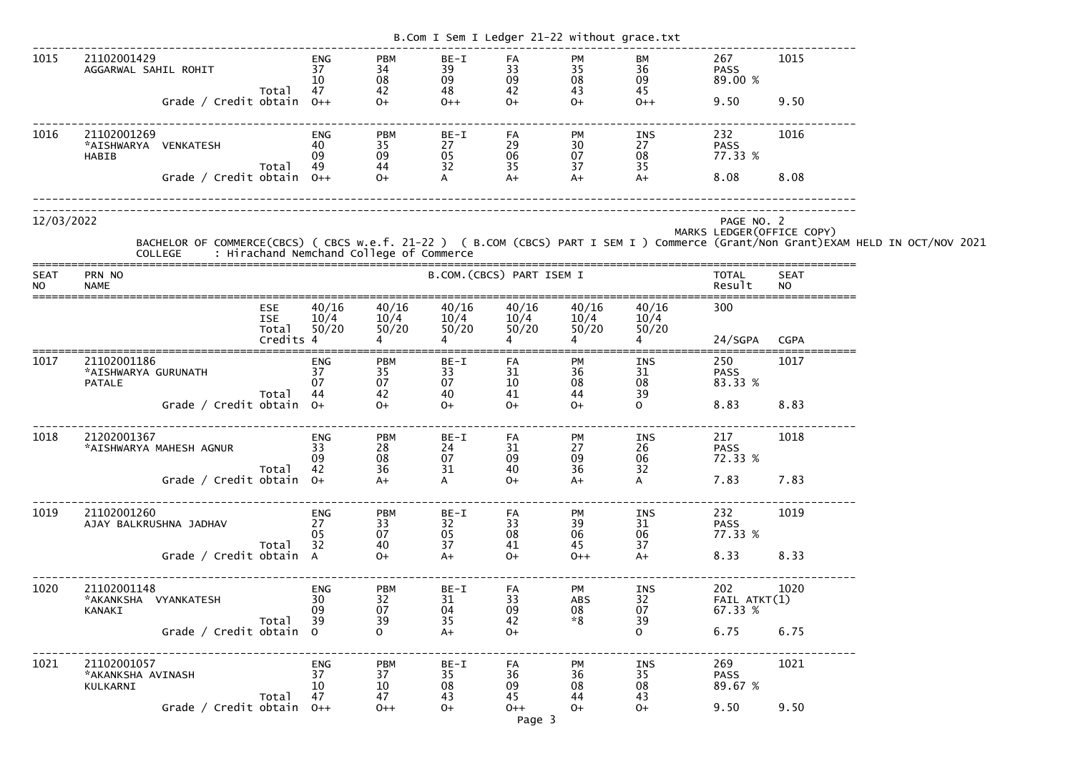|                          |                                                                  |                                   |                              |                                      | B.Com I Sem I Ledger 21-22 without grace.txt |                              |                                    |                                 |                                                                                                             |                            |                                                                                                                                                                                            |
|--------------------------|------------------------------------------------------------------|-----------------------------------|------------------------------|--------------------------------------|----------------------------------------------|------------------------------|------------------------------------|---------------------------------|-------------------------------------------------------------------------------------------------------------|----------------------------|--------------------------------------------------------------------------------------------------------------------------------------------------------------------------------------------|
| 1015                     | 21102001429<br>AGGARWAL SAHIL ROHIT<br>Grade / Credit obtain 0++ | Total                             | ENG<br>37<br>10<br>47        | <b>PBM</b><br>34<br>08<br>42<br>$O+$ | BE-I<br>39<br>09<br>48<br>$0++$              | FA<br>33<br>09<br>42<br>$O+$ | PM<br>35<br>08<br>43<br>$O+$       | ВM<br>36<br>09<br>45<br>$0++$   | 267<br><b>PASS</b><br>89.00 %<br>9.50                                                                       | 1015<br>9.50               |                                                                                                                                                                                            |
| 1016                     | 21102001269<br>*AISHWARYA VENKATESH<br>HABIB                     | Total                             | <b>ENG</b><br>40<br>09<br>49 | <b>PBM</b><br>35<br>09<br>44         | $BE-I$<br>27<br>05<br>32                     | FA<br>29<br>06<br>35         | PM<br>30<br>07<br>37               | INS<br>27<br>08<br>35           | 232<br><b>PASS</b><br>77.33 %                                                                               | 1016                       |                                                                                                                                                                                            |
|                          | Grade / Credit obtain $0++$                                      |                                   |                              | $O+$                                 | A                                            | $A+$                         | $A+$                               | $A+$                            | 8.08                                                                                                        | 8.08                       |                                                                                                                                                                                            |
| 12/03/2022               |                                                                  |                                   |                              |                                      |                                              |                              |                                    |                                 | PAGE NO. 2                                                                                                  | MARKS LEDGER (OFFICE COPY) | BACHELOR OF COMMERCE(CBCS) ( CBCS w.e.f. 21-22 ) ( B.COM (CBCS) PART I SEM I ) Commerce (Grant/Non Grant)EXAM HELD IN OCT/NOV 2021<br>COLLEGE     : Hirachand Nemchand College of Commerce |
| <b>SEAT</b><br><b>NO</b> | PRN NO<br><b>NAME</b>                                            |                                   |                              |                                      |                                              | B.COM. (CBCS) PART ISEM I    |                                    |                                 | <b>TOTAL</b><br>Result                                                                                      | <b>SEAT</b><br><b>NO</b>   |                                                                                                                                                                                            |
|                          |                                                                  | <b>ESE</b><br><b>ISE</b><br>Total | 40/16<br>10/4<br>50/20       | 40/16<br>10/4<br>50/20               | 40/16<br>10/4<br>50/20                       | 40/16<br>10/4<br>50/20       | 40/16<br>10/4<br>50/20             | 40/16<br>10/4<br>50/20          | 300                                                                                                         |                            |                                                                                                                                                                                            |
|                          |                                                                  | Credits 4                         |                              |                                      |                                              |                              |                                    |                                 | 24/SGPA                                                                                                     | <b>CGPA</b>                |                                                                                                                                                                                            |
| 1017                     | 21102001186<br>*AISHWARYA GURUNATH<br><b>PATALE</b>              | Total                             | ENG<br>37<br>07<br>44        | <b>PBM</b><br>35<br>07<br>42         | BE-I<br>33<br>07<br>40                       | FA<br>31<br>10<br>41         | PM<br>36<br>08<br>44               | INS<br>31<br>08<br>39           | 250<br><b>PASS</b><br>83.33 %                                                                               | 1017                       |                                                                                                                                                                                            |
|                          | Grade / Credit obtain $0+$                                       |                                   |                              | $O+$                                 | $O+$                                         | $O+$                         | $O+$                               | $\mathbf{O}$                    | 8.83                                                                                                        | 8.83                       |                                                                                                                                                                                            |
| 1018                     | 21202001367<br>*AISHWARYA MAHESH AGNUR                           | Total 42                          | ENG<br>$\overline{33}$<br>09 | <b>PBM</b><br>28<br>08               | $BE-I$<br>24<br>07<br>31                     | FA<br>31<br>09<br>40         | PM<br>27<br>09<br>36               | INS<br>26<br>06<br>32           | 217<br><b>PASS</b><br>72.33 %                                                                               | 1018                       |                                                                                                                                                                                            |
|                          | Grade / Credit obtain 0+                                         |                                   |                              | $\frac{62}{36}$                      | $\mathsf{A}$                                 | $0+$                         | $A+$                               | $\mathsf{A}$                    | 7.83 7.83                                                                                                   |                            |                                                                                                                                                                                            |
| 1019                     | 21102001260<br>AJAY BALKRUSHNA JADHAV 27                         | Total 32                          | ENG<br>05                    | <b>PBM</b><br>33<br>07               | $BE-I$<br>32<br>05<br>37                     | FA<br>33<br>08<br>41         | PM<br>39<br>06<br>45               | INS<br>31<br>37                 | 232 1019<br><b>PASS</b><br>06 77.33 %                                                                       |                            |                                                                                                                                                                                            |
|                          | Grade / Credit obtain A                                          |                                   |                              | $\frac{40}{0+}$                      | $A+$                                         | $0+$                         | $0++$                              | $A+$                            | 8.33 8.33                                                                                                   |                            |                                                                                                                                                                                            |
| 1020                     | 21102001148<br>KANAKI                                            |                                   | <b>ENG</b><br>09             | <b>PBM</b><br>32<br>07               | BE-I<br>31<br>04<br>35                       | FA<br>33<br>09<br>42         | PM<br>ABS<br>08<br>$*8$            | 39                              | 202 1020<br>$\begin{array}{cc}\n 113 \\  32 \\  07 \\  9\n\end{array}$ 202 16<br>FAIL ATKT(1)<br>07 67.33 V |                            |                                                                                                                                                                                            |
|                          | Total 39<br>Grade / Credit obtain 0                              |                                   |                              | 39<br>$\Omega$                       | $A+$                                         | $O+$                         |                                    | $\overline{O}$                  | 6.75 6.75                                                                                                   |                            |                                                                                                                                                                                            |
| 1021                     | 21102001057<br>*AKANKSHA AVINASH<br>KULKARNI                     | $\frac{1}{37}$<br>Total 47        | ENG                          | <b>PBM</b><br>37<br>$10\,$<br>47     | BE-I<br>35<br>08<br>43                       | FA<br>36<br>09<br>45         | <b>PM</b><br>$\frac{36}{08}$<br>44 | <b>INS</b><br>35<br>08 08<br>43 | 269 — 200<br>PASS<br>89.67 %                                                                                | 1021                       |                                                                                                                                                                                            |
|                          | Grade / Credit obtain $0++$                                      |                                   |                              | $0++$                                | $O+$                                         | $0++$<br>Page 3              | $O+$                               | $0+$                            | 9.50 9.50                                                                                                   |                            |                                                                                                                                                                                            |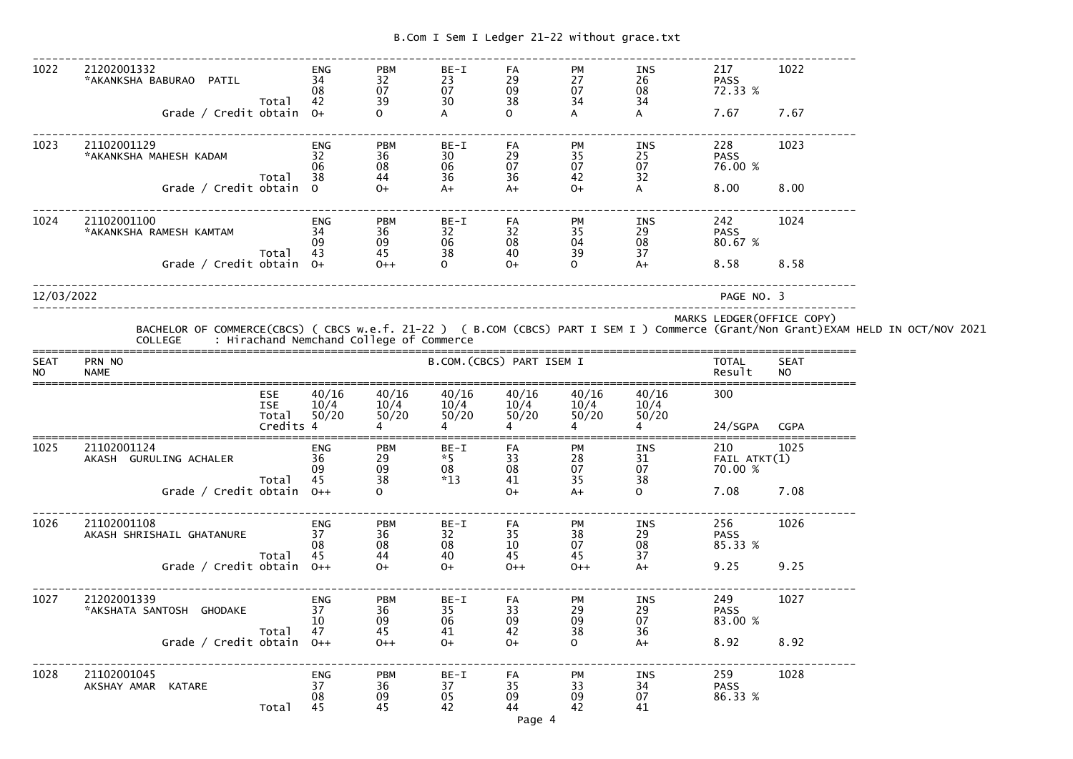| 1022                     | 21202001332<br>*AKANKSHA BABURAO PATIL   | Total                                   | <b>ENG</b><br>34<br>08<br>42 | <b>PBM</b><br>$\frac{32}{07}$<br>39                         | BE-I<br>23<br>07<br>30          | FA<br>29<br>09<br>38   | PM<br>27<br>07<br>34        | INS<br>26<br>08<br>34           | 217<br><b>PASS</b><br>72.33 %  | 1022                      |                                                                                                                                                                                            |
|--------------------------|------------------------------------------|-----------------------------------------|------------------------------|-------------------------------------------------------------|---------------------------------|------------------------|-----------------------------|---------------------------------|--------------------------------|---------------------------|--------------------------------------------------------------------------------------------------------------------------------------------------------------------------------------------|
|                          | Grade / Credit obtain 0+                 |                                         |                              |                                                             |                                 | $\Omega$               | A                           | $\mathsf{A}$                    | 7.67                           | 7.67                      |                                                                                                                                                                                            |
| 1023                     | 21102001129<br>*AKANKSHA MAHESH KADAM    |                                         | <b>ENG</b><br>32<br>06       | <b>PBM</b><br>36<br>08<br>44                                | $BE-I$<br>30 <sup>°</sup><br>06 | FA<br>29<br>07         | <b>PM</b><br>35<br>07       | INS<br>25<br>$\frac{07}{32}$    | 228<br><b>PASS</b><br>76.00 %  | 1023                      |                                                                                                                                                                                            |
|                          | Grade / Credit obtain 0                  | Total                                   | 38                           | $O+$                                                        | 36<br>$A+$                      | 36<br>$A+$             | 42<br>$O+$                  | A                               | 8.00                           | 8.00                      |                                                                                                                                                                                            |
| 1024                     | 21102001100<br>*AKANKSHA RAMESH KAMTAM   | Total                                   | <b>ENG</b><br>34<br>09<br>43 | <b>PBM</b><br>$\begin{array}{c} 36 \\ 09 \end{array}$<br>45 | $BE-I$<br>32<br>06<br>38        | FA<br>32<br>08<br>40   | <b>PM</b><br>35<br>04<br>39 | INS<br>$\mathop{29}_{08}$<br>37 | 242<br><b>PASS</b><br>80.67 %  | 1024                      |                                                                                                                                                                                            |
|                          | Grade / Credit obtain 0+                 |                                         |                              | $O++$                                                       | $\Omega$                        | $O+$                   | $\Omega$                    | $A+$                            | 8.58                           | 8.58                      |                                                                                                                                                                                            |
| 12/03/2022               |                                          |                                         |                              |                                                             |                                 |                        |                             |                                 | PAGE NO. 3                     |                           |                                                                                                                                                                                            |
|                          |                                          |                                         |                              |                                                             |                                 |                        |                             |                                 |                                | MARKS LEDGER(OFFICE COPY) | BACHELOR OF COMMERCE(CBCS) ( CBCS w.e.f. 21-22 ) ( B.COM (CBCS) PART I SEM I ) Commerce (Grant/Non Grant)EXAM HELD IN OCT/NOV 2021<br>COLLEGE     : Hirachand Nemchand College of Commerce |
| <b>SEAT</b><br><b>NO</b> | PRN NO<br><b>NAME</b>                    |                                         |                              |                                                             | B.COM. (CBCS) PART ISEM I       |                        |                             |                                 | <b>TOTAL</b><br>Result         | <b>SEAT</b><br><b>NO</b>  |                                                                                                                                                                                            |
|                          |                                          | ESE<br><b>ISE</b><br>Total<br>Credits 4 | 40/16<br>10/4<br>50/20       | 40/16<br>10/4<br>50/20                                      | 40/16<br>10/4<br>50/20          | 40/16<br>10/4<br>50/20 | 40/16<br>10/4<br>50/20      | 40/16<br>10/4<br>50/20          | 300<br>24/SGPA CGPA            |                           |                                                                                                                                                                                            |
|                          |                                          |                                         |                              |                                                             |                                 |                        |                             |                                 |                                |                           |                                                                                                                                                                                            |
| 1025                     | 21102001124<br>AKASH GURULING ACHALER    | Total                                   | <b>ENG</b><br>36<br>09<br>45 | <b>PBM</b><br>29<br>09<br>38                                | BE-I<br>$*5$<br>08<br>$*13$     | FA<br>33<br>08<br>41   | PM<br>28<br>07<br>35        | INS<br>31<br>07<br>38           | 210<br>FAIL ATKT(1)<br>70.00 % | 1025                      |                                                                                                                                                                                            |
|                          | Grade / Credit obtain $0++$              |                                         |                              | $\Omega$                                                    |                                 | $O+$                   | $A+$                        | $\mathbf{O}$                    | 7.08                           | 7.08                      |                                                                                                                                                                                            |
| 1026                     | 21102001108<br>AKASH SHRISHAIL GHATANURE |                                         | <b>ENG</b><br>37<br>08       | <b>PBM</b><br>36<br>08                                      | BE-I<br>32<br>08                | FA<br>35<br>10         | PM<br>38<br>07              | INS<br>29<br>08                 | 256<br><b>PASS</b><br>85.33 %  | 1026                      |                                                                                                                                                                                            |
|                          | Grade / Credit obtain $0++$              | Total                                   | 45                           | 44<br>$O+$                                                  | 40<br>$O+$                      | 45<br>$0++$            | 45<br>$0++$                 | 37<br>$A+$                      | 9.25                           | 9.25                      |                                                                                                                                                                                            |
| 1027                     | 21202001339<br>*AKSHATA SANTOSH GHODAKE  |                                         | <b>ENG</b><br>37<br>10       | <b>PBM</b><br>36<br>09                                      | BE-I<br>35<br>06                | FA<br>33<br>09         | PM<br>29<br>09              | INS<br>29<br>07                 | 249<br><b>PASS</b><br>83.00 %  | 1027                      |                                                                                                                                                                                            |
|                          | Grade / Credit obtain $0++$              | Total                                   | 47                           | 45<br>$0++$                                                 | 41<br>$O+$                      | 42<br>$O+$             | 38<br>$\mathsf{O}$          | 36<br>$A+$                      | 8.92                           | 8.92                      |                                                                                                                                                                                            |
| 1028                     | 21102001045<br>AKSHAY AMAR KATARE        | Total                                   | <b>ENG</b><br>37<br>08<br>45 | <b>PBM</b><br>36<br>09<br>45                                | BE-I<br>37<br>05<br>42          | FA<br>35<br>09<br>44   | PM<br>33<br>09<br>42        | INS<br>34<br>07<br>41           | 259<br><b>PASS</b><br>86.33 %  | 1028                      |                                                                                                                                                                                            |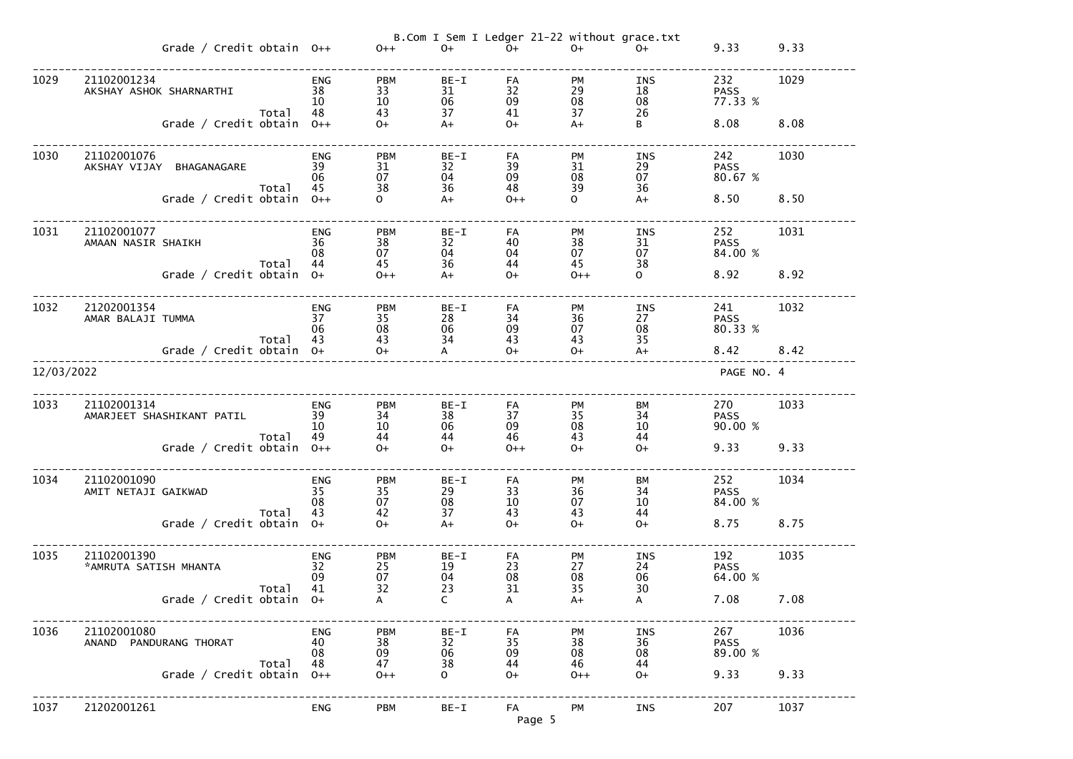|            |                                        | Grade / Credit obtain $0++$ |       |                              | $0++$                        | $O+$                   | B.Com I Sem I Ledger 21-22 without grace.txt<br>$O+$ | $O+$                 | $O+$                         | 9.33                          | 9.33 |
|------------|----------------------------------------|-----------------------------|-------|------------------------------|------------------------------|------------------------|------------------------------------------------------|----------------------|------------------------------|-------------------------------|------|
| 1029       | 21102001234<br>AKSHAY ASHOK SHARNARTHI |                             | Total | <b>ENG</b><br>38<br>10<br>48 | <b>PBM</b><br>33<br>10<br>43 | BE-I<br>31<br>06<br>37 | FA<br>32<br>09<br>41                                 | PM<br>29<br>08<br>37 | INS<br>18<br>08<br>26        | 232<br><b>PASS</b><br>77.33 % | 1029 |
|            |                                        | Grade / Credit obtain $0++$ |       |                              | $O+$                         | $A+$                   | $O+$                                                 | $A+$                 | B                            | 8.08                          | 8.08 |
| 1030       | 21102001076                            | AKSHAY VIJAY BHAGANAGARE    | Total | <b>ENG</b><br>39<br>06<br>45 | <b>PBM</b><br>31<br>07<br>38 | BE-I<br>32<br>04<br>36 | FA<br>39<br>09<br>48                                 | PM<br>31<br>08<br>39 | <b>INS</b><br>29<br>07<br>36 | 242<br><b>PASS</b><br>80.67 % | 1030 |
|            |                                        | Grade / Credit obtain $0++$ |       |                              | $\overline{O}$               | $A+$                   | $0++$                                                | $\mathsf{O}$         | $A+$                         | 8.50                          | 8.50 |
| 1031       | 21102001077<br>AMAAN NASIR SHAIKH      |                             | Total | <b>ENG</b><br>36<br>08<br>44 | <b>PBM</b><br>38<br>07<br>45 | BE-I<br>32<br>04<br>36 | FA<br>40<br>04<br>44                                 | PM<br>38<br>07<br>45 | <b>INS</b><br>31<br>07<br>38 | 252<br><b>PASS</b><br>84.00 % | 1031 |
|            |                                        | Grade / Credit obtain 0+    |       |                              | $0++$                        | $A+$                   | $O+$                                                 | $0++$                | $\overline{O}$               | 8.92                          | 8.92 |
| 1032       | 21202001354<br>AMAR BALAJI TUMMA       |                             |       | <b>ENG</b><br>37<br>06       | <b>PBM</b><br>35<br>08       | BE-I<br>28<br>06       | FA<br>34<br>09                                       | PM<br>36<br>07       | INS<br>27<br>08              | 241<br><b>PASS</b><br>80.33 % | 1032 |
|            |                                        | Grade / Credit obtain 0+    | Total | 43                           | 43<br>$0+$                   | 34<br>$\mathsf{A}$     | 43<br>$O+$                                           | 43<br>$0+$           | 35<br>$A+$                   | 8.42                          | 8.42 |
| 12/03/2022 |                                        |                             |       |                              |                              |                        |                                                      |                      |                              | PAGE NO. 4                    |      |
| 1033       | 21102001314                            | AMARJEET SHASHIKANT PATIL   |       | <b>ENG</b><br>39<br>10       | <b>PBM</b><br>34<br>10       | $BE-I$<br>38<br>06     | FA<br>37<br>09                                       | PM<br>35<br>08       | <b>BM</b><br>34<br>10        | 270<br><b>PASS</b><br>90.00 % | 1033 |
|            |                                        | Grade / Credit obtain 0++   | Total | 49                           | 44<br>$O+$                   | 44<br>$O+$             | 46<br>$0++$                                          | 43<br>$0+$           | 44<br>$O+$                   | 9.33                          | 9.33 |
| 1034       | 21102001090<br>AMIT NETAJI GAIKWAD     |                             |       | <b>ENG</b><br>35<br>08       | <b>PBM</b><br>35<br>07       | BE-I<br>29<br>08       | FA<br>33<br>10                                       | PM<br>36<br>07       | BM<br>34<br>10               | 252<br><b>PASS</b><br>84.00 % | 1034 |
|            |                                        | Grade / Credit obtain 0+    | Total | 43                           | 42<br>$0+$                   | 37<br>$A+$             | 43<br>$O+$                                           | 43<br>$O+$           | 44<br>$O+$                   | 8.75                          | 8.75 |
| 1035       | 21102001390<br>*AMRUTA SATISH MHANTA   |                             |       | <b>ENG</b><br>32<br>09       | <b>PBM</b><br>25<br>07       | $BE-I$<br>19<br>04     | FA<br>23<br>08                                       | PM<br>27<br>08       | <b>INS</b><br>24<br>06       | 192<br><b>PASS</b><br>64.00 % | 1035 |
|            |                                        | Grade / Credit obtain 0+    | Total | 41                           | 32<br>$\mathsf{A}$           | 23<br>$\mathsf{C}$     | 31<br>$\mathsf{A}$                                   | 35<br>$A+$           | 30<br>A                      | 7.08                          | 7.08 |
| 1036       | 21102001080<br>ANAND PANDURANG THORAT  |                             |       | <b>ENG</b><br>40<br>08       | <b>PBM</b><br>38<br>09       | $BE-I$<br>32<br>06     | FA<br>35<br>09                                       | PM<br>38<br>08       | <b>INS</b><br>36<br>08       | 267<br><b>PASS</b><br>89.00 % | 1036 |
|            |                                        | Grade / Credit obtain       | Total | 48<br>$O++$                  | 47<br>$0++$                  | 38<br>$\Omega$         | 44<br>$O+$                                           | 46<br>$0++$          | 44<br>$O+$                   | 9.33                          | 9.33 |
| 1037       | 21202001261                            |                             |       | <b>ENG</b>                   | <b>PBM</b>                   | $BE-I$                 | FA<br>Page 5                                         | <b>PM</b>            | <b>INS</b>                   | 207                           | 1037 |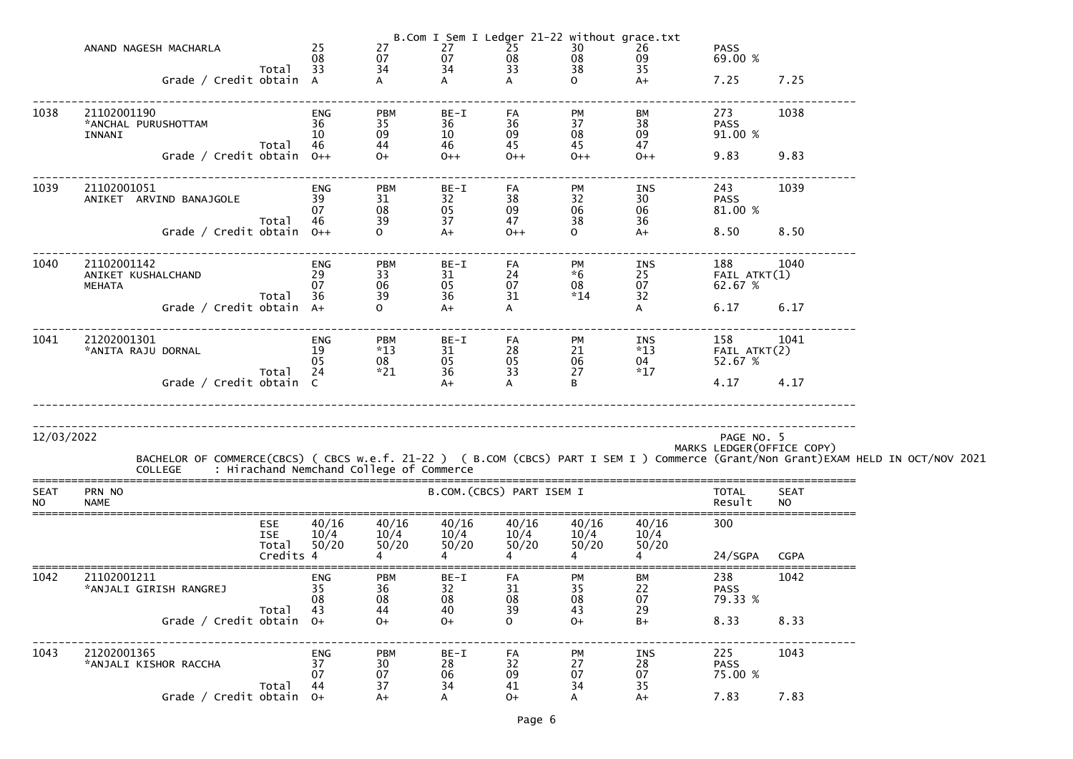|                          | ANAND NAGESH MACHARLA<br>Grade / Credit obtain A                            |                                                | 08<br>Total 33<br>obtain A               | 27<br>07<br>34                       | $\begin{array}{cccc}\n 20 \text{ m} & 1 & 5 \text{ cm} & 1 & -3 & 25 \\  & 27 & & 25 & 25 \\  & 07 & & 0.08 \\  & 34 & & 33 & 33 \\  & A & & A\n \end{array}$ |                                         | $\begin{array}{cccc} 25 & -2 & -30 & 26 \\ 25 & 30 & 26 \\ 08 & 08 & 09 \\ 33 & 38 & 35 \\ A & 0 & A + \end{array}$ | B.Com I Sem I Ledger 21-22 without grace.txt<br>09                                                    | <b>PASS</b><br>69.00 %<br>$7.25$ $7.25$    |                          |                                                                                                                                                                                            |
|--------------------------|-----------------------------------------------------------------------------|------------------------------------------------|------------------------------------------|--------------------------------------|---------------------------------------------------------------------------------------------------------------------------------------------------------------|-----------------------------------------|---------------------------------------------------------------------------------------------------------------------|-------------------------------------------------------------------------------------------------------|--------------------------------------------|--------------------------|--------------------------------------------------------------------------------------------------------------------------------------------------------------------------------------------|
| 1038                     | 21102001190<br>*ANCHAL PURUSHOTTAM<br>INNANI<br>Grade / Credit obtain $0++$ | 36<br>Total 46                                 | ENG<br>10                                | <b>PBM</b><br>35<br>09<br>44<br>$0+$ | BE-I<br>36<br>10<br>46<br>$0++$                                                                                                                               | FA <b>FA</b><br>36<br>09<br>45<br>$0++$ | PM<br>37<br>08<br>45<br>$0++$                                                                                       | BM<br>38<br>09<br>47<br>$O++$                                                                         | 273<br><b>PASS</b><br>91.00 %<br>9.83 9.83 | 1038                     |                                                                                                                                                                                            |
| 1039                     | 21102001051<br>ANIKET ARVIND BANAJGOLE 39                                   |                                                | <b>ENG</b><br>07<br>Total 46             | <b>PBM</b><br>31<br>08<br>39         | BE-I<br>32<br>05<br>37                                                                                                                                        | FA <b>FA</b><br>38<br>09<br>47          | PM<br>32<br>06<br>38                                                                                                | INS<br>30<br>06 —<br>36                                                                               | 243<br><b>PASS</b><br>81.00 %              | 1039                     |                                                                                                                                                                                            |
|                          | Grade / Credit obtain 0++                                                   |                                                |                                          |                                      | $A+$                                                                                                                                                          | $O++$                                   | $\overline{0}$                                                                                                      | $A+$                                                                                                  | 8.50 8.50                                  |                          |                                                                                                                                                                                            |
| 1040                     | 21102001142<br>ANIKET KUSHALCHAND<br>MEHATA                                 |                                                | ENG<br>29<br>07<br>Total 36<br>obtain A+ | PBM<br>33<br>06<br>39                | BE-I<br>31<br>05<br>36                                                                                                                                        | FA<br>24<br>07<br>31                    | PM<br>$*6$<br>08<br>$*14$                                                                                           | 1NS 188 107<br>25 FAIL ATKT(1)<br>07 62.67 %<br>32                                                    | 188 1040                                   |                          |                                                                                                                                                                                            |
|                          | Grade / Credit obtain A+                                                    |                                                |                                          |                                      | $A+$                                                                                                                                                          |                                         |                                                                                                                     |                                                                                                       | 6.17 6.17                                  |                          |                                                                                                                                                                                            |
| 1041                     | 21202001301<br>*ANITA RAJU DORNAL                                           |                                                | ENG<br>19<br>05                          | <b>PBM</b><br>$*13$<br>08            | BE-I<br>31<br>05                                                                                                                                              | FA<br>28<br>05<br>33                    |                                                                                                                     | 18    158    104<br>*13    FAIL ATKT(2)<br>04    52.67    %<br>PM<br>21 $^{*13}$<br>06 04<br>$^{*17}$ | 158 1041                                   |                          |                                                                                                                                                                                            |
|                          | Grade / Credit obtain C                                                     |                                                | Total 24 *21                             |                                      | 36<br>$A+$                                                                                                                                                    | $\mathsf{A}$                            | B                                                                                                                   |                                                                                                       | 4.17 4.17                                  |                          |                                                                                                                                                                                            |
| 12/03/2022               |                                                                             |                                                |                                          |                                      |                                                                                                                                                               |                                         |                                                                                                                     |                                                                                                       | PAGE NO. 5<br>MARKS LEDGER (OFFICE COPY)   |                          | BACHELOR OF COMMERCE(CBCS) ( CBCS w.e.f. 21-22 ) ( B.COM (CBCS) PART I SEM I ) Commerce (Grant/Non Grant)EXAM HELD IN OCT/NOV 2021<br>COLLEGE     : Hirachand Nemchand College of Commerce |
| <b>SEAT</b><br><b>NO</b> | PRN NO<br><b>NAME</b>                                                       |                                                |                                          |                                      |                                                                                                                                                               | B.COM. (CBCS) PART ISEM I               |                                                                                                                     |                                                                                                       | <b>TOTAL</b><br>Result                     | <b>SEAT</b><br><b>NO</b> |                                                                                                                                                                                            |
|                          |                                                                             | <b>ESE</b><br><b>ISE</b><br>Total<br>Credits 4 | 40/16<br>10/4<br>50/20                   | 40/16<br>10/4<br>50/20               | 40/16<br>10/4<br>50/20                                                                                                                                        | 40/16<br>10/4<br>50/20                  | 40/16<br>10/4<br>50/20                                                                                              | 40/16<br>10/4<br>50/20                                                                                | 300<br>24/SGPA                             | <b>CGPA</b>              |                                                                                                                                                                                            |
| 1042                     | 21102001211<br>*ANJALI GIRISH RANGREJ                                       | Total                                          | ENG<br>35<br>08<br>43                    | <b>PBM</b><br>36<br>08<br>44         | BE-I<br>32<br>08<br>40                                                                                                                                        | FA<br>31<br>08<br>39                    | PM<br>35<br>08<br>43                                                                                                | ВM<br>22<br>07<br>29                                                                                  | 238<br><b>PASS</b><br>79.33 %              | 1042                     |                                                                                                                                                                                            |
|                          | Grade / Credit obtain $0+$                                                  |                                                |                                          | $O+$                                 | $O+$                                                                                                                                                          | 0                                       | $O+$                                                                                                                | $B+$                                                                                                  | 8.33                                       | 8.33                     |                                                                                                                                                                                            |
| 1043                     | 21202001365<br>*ANJALI KISHOR RACCHA                                        | Total                                          | <b>ENG</b><br>37<br>07<br>44             | <b>PBM</b><br>30<br>07<br>37         | $BE-I$<br>28<br>06<br>34                                                                                                                                      | FA<br>32<br>09<br>41                    | PM<br>27<br>07<br>34                                                                                                | INS<br>28<br>07<br>35                                                                                 | 225<br><b>PASS</b><br>75.00 %              | 1043                     |                                                                                                                                                                                            |
|                          | Grade / Credit obtain $0+$                                                  |                                                |                                          | $A+$                                 | A                                                                                                                                                             | $O+$                                    | A                                                                                                                   | $A+$                                                                                                  | 7.83                                       | 7.83                     |                                                                                                                                                                                            |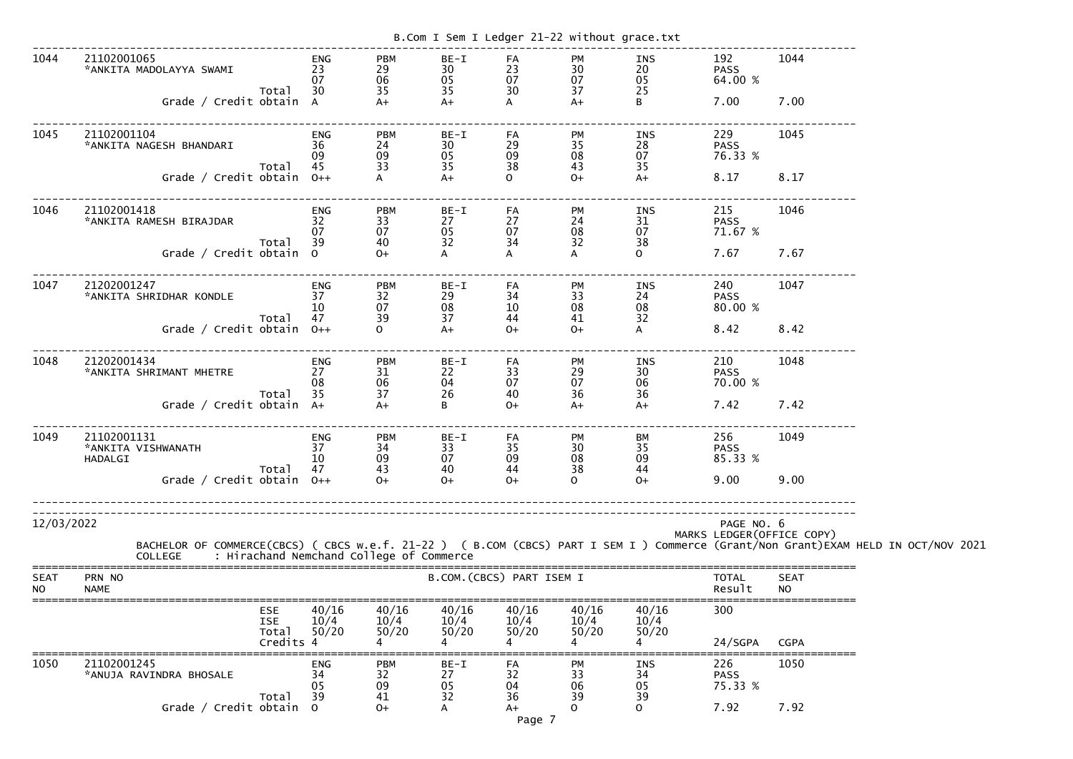|                          |                                                                                                                                                                                                  |                              |                              |                          | B.Com I Sem I Ledger 21-22 without grace.txt |                                      |                        |                                          |                          |  |
|--------------------------|--------------------------------------------------------------------------------------------------------------------------------------------------------------------------------------------------|------------------------------|------------------------------|--------------------------|----------------------------------------------|--------------------------------------|------------------------|------------------------------------------|--------------------------|--|
| 1044                     | 21102001065<br>*ANKITA MADOLAYYA SWAMI<br>Total                                                                                                                                                  | <b>ENG</b><br>23<br>07<br>30 | <b>PBM</b><br>29<br>06<br>35 | BE-I<br>30<br>05<br>35   | FA<br>23<br>07<br>30                         | PM<br>$\mathbf{\frac{30}{07}}$<br>37 | INS<br>20<br>05<br>25  | 192<br><b>PASS</b><br>64.00 %<br>7.00    | 1044                     |  |
|                          | Grade / Credit obtain A                                                                                                                                                                          |                              | $A+$                         | $A+$                     | A                                            | $A+$                                 | B                      |                                          | 7.00                     |  |
| 1045                     | 21102001104<br>*ANKITA NAGESH BHANDARI<br>Total                                                                                                                                                  | <b>ENG</b><br>36<br>09<br>45 | <b>PBM</b><br>24<br>09<br>33 | $BE-I$<br>30<br>05<br>35 | FA<br>29<br>09<br>38                         | PM<br>35<br>08<br>43                 | INS<br>28<br>07<br>35  | 229<br><b>PASS</b><br>76.33 %            | 1045                     |  |
|                          | Grade / Credit obtain $0++$                                                                                                                                                                      |                              |                              | $A+$                     | $\Omega$                                     | $O+$                                 | $A+$                   | 8.17                                     | 8.17                     |  |
| 1046                     | 21102001418<br>*ANKITA RAMESH BIRAJDAR<br>Total                                                                                                                                                  | <b>ENG</b><br>32<br>07<br>39 | <b>PBM</b><br>33<br>07<br>40 | $BE-I$<br>27<br>05<br>32 | FA<br>27<br>07<br>34                         | PM<br>24<br>08<br>32                 | INS<br>31<br>07<br>38  | 215<br><b>PASS</b><br>71.67 %            | 1046                     |  |
|                          | Grade / Credit obtain 0                                                                                                                                                                          |                              | $O+$                         | A                        | A                                            | A                                    | $\mathbf{O}$           | 7.67                                     | 7.67                     |  |
| 1047                     | 21202001247<br>*ANKITA SHRIDHAR KONDLE                                                                                                                                                           | <b>ENG</b><br>37<br>10       | <b>PBM</b><br>32<br>07       | BE-I<br>29<br>08         | FA<br>34<br>10                               | PM<br>33<br>08                       | INS<br>24<br>08        | 240<br><b>PASS</b><br>80.00 %            | 1047                     |  |
|                          | Total<br>Grade / Credit obtain                                                                                                                                                                   | 47<br>$O++$                  | 39<br>$\Omega$               | 37<br>$A+$               | 44<br>$0+$                                   | 41<br>$O+$                           | 32<br>A                | 8.42                                     | 8.42                     |  |
| 1048                     | 21202001434<br>*ANKITA SHRIMANT MHETRE                                                                                                                                                           | <b>ENG</b><br>27<br>08       | <b>PBM</b><br>31<br>06       | BE-I<br>22<br>04         | FA<br>33<br>07                               | PM<br>29<br>07                       | INS<br>30<br>06        | 210<br><b>PASS</b><br>70.00 %            | 1048                     |  |
|                          | Total<br>Grade / Credit obtain A+                                                                                                                                                                | 35                           | 37<br>$A+$                   | 26<br>B                  | 40<br>$O+$                                   | 36<br>$A+$                           | 36<br>$A+$             | 7.42                                     | 7.42                     |  |
| 1049                     | 21102001131<br>*ANKITA VISHWANATH<br>HADALGI<br>Total                                                                                                                                            | <b>ENG</b><br>37<br>10<br>47 | <b>PBM</b><br>34<br>09<br>43 | $BE-I$<br>33<br>07<br>40 | FA<br>35<br>09<br>44                         | PM<br>30<br>08<br>38                 | BM<br>35<br>09<br>44   | 256<br><b>PASS</b><br>85.33 %            | 1049                     |  |
|                          | Grade / Credit obtain $0++$                                                                                                                                                                      |                              | $O+$                         | $O+$                     | $0+$                                         | $\Omega$                             | $O+$                   | 9.00                                     | 9.00                     |  |
| 12/03/2022               | BACHELOR OF COMMERCE(CBCS) ( CBCS w.e.f. 21-22 ) ( B.COM (CBCS) PART I SEM I ) Commerce (Grant/Non Grant)EXAM HELD IN OCT/NOV 2021<br>: Hirachand Nemchand College of Commerce<br><b>COLLEGE</b> |                              |                              |                          |                                              |                                      |                        | PAGE NO. 6<br>MARKS LEDGER (OFFICE COPY) |                          |  |
| <b>SEAT</b><br><b>NO</b> | PRN NO<br><b>NAME</b>                                                                                                                                                                            |                              |                              |                          | B.COM. (CBCS) PART ISEM I                    |                                      |                        | <b>TOTAL</b><br>Result                   | <b>SEAT</b><br><b>NO</b> |  |
|                          | <b>ESE</b><br><b>ISE</b><br>Total<br>Credits 4                                                                                                                                                   | 40/16<br>10/4<br>50/20       | 40/16<br>10/4<br>50/20       | 40/16<br>10/4<br>50/20   | 40/16<br>10/4<br>50/20                       | 40/16<br>10/4<br>50/20               | 40/16<br>10/4<br>50/20 | 300<br>24/SGPA                           | <b>CGPA</b>              |  |
| 1050                     | 21102001245<br>*ANUJA RAVINDRA BHOSALE<br>Total                                                                                                                                                  | <b>ENG</b><br>34<br>05<br>39 | <b>PBM</b><br>32<br>09<br>41 | BE-I<br>27<br>05<br>32   | FA<br>32<br>04<br>36                         | PM<br>33<br>06<br>39                 | INS<br>34<br>05<br>39  | 226<br><b>PASS</b><br>75.33 %            | 1050                     |  |
|                          | Grade / Credit obtain 0                                                                                                                                                                          |                              | $0+$                         | A                        | A+<br>Page 7                                 | 0                                    | <sup>o</sup>           | 7.92                                     | 7.92                     |  |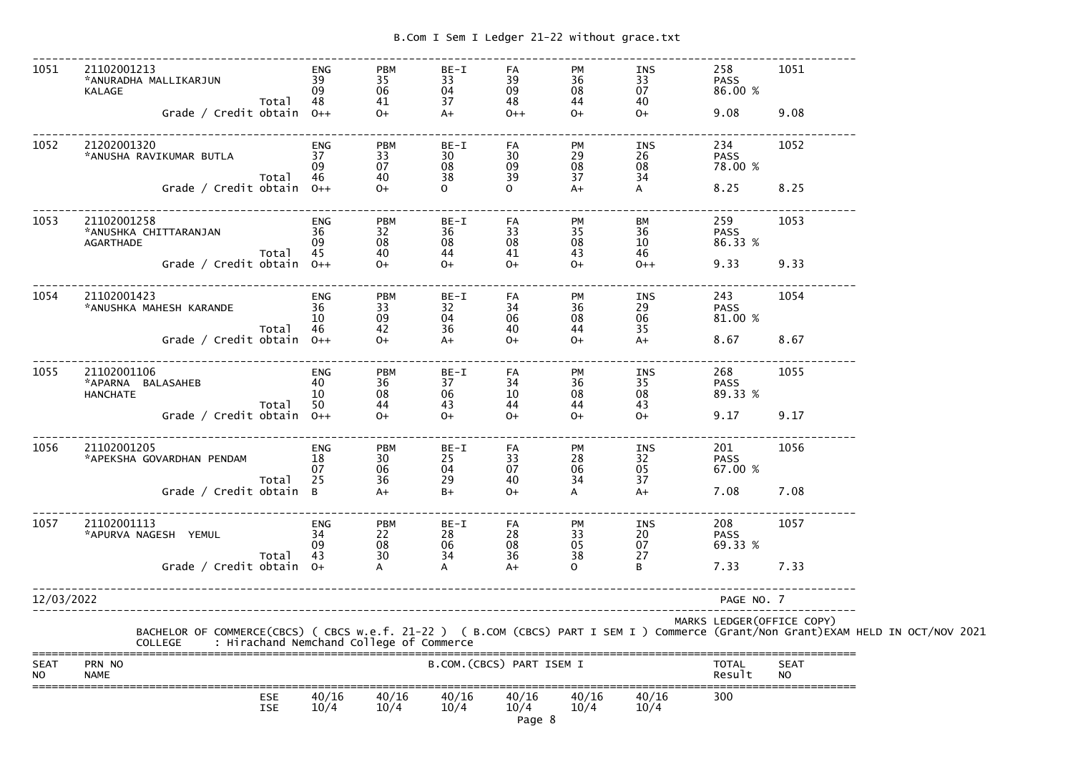| 1051                     | 21102001213<br>*ANURADHA MALLIKARJUN<br>KALAGE<br>Total<br>Grade / Credit obtain $0++$                                                                                                     | <b>ENG</b><br>39<br>09<br>48      | <b>PBM</b><br>35<br>06<br>41<br>$O+$             | $BE-I$<br>33<br>$\overline{04}$<br>37<br>$A+$ | FA<br>39<br>09<br>48<br>$O++$ | PM<br>36<br>08<br>44<br>$0+$ | INS<br>33<br>07<br>40<br>$0+$ | 258<br><b>PASS</b><br>86.00 %<br>9.08                                                                                                                                                                                                                     | 1051<br>9.08             |  |
|--------------------------|--------------------------------------------------------------------------------------------------------------------------------------------------------------------------------------------|-----------------------------------|--------------------------------------------------|-----------------------------------------------|-------------------------------|------------------------------|-------------------------------|-----------------------------------------------------------------------------------------------------------------------------------------------------------------------------------------------------------------------------------------------------------|--------------------------|--|
| 1052                     | 21202001320<br>*ANUSHA RAVIKUMAR BUTLA<br>Total                                                                                                                                            | ENG<br>37<br>-09<br>-46           | <b>PBM</b><br>33<br>07<br>40                     | $BE-I$<br>30 <sup>°</sup><br>08<br>38         | FA<br>30<br>09<br>39          | PM<br>29<br>08<br>37         | INS<br>26<br>08<br>34         | 234<br><b>PASS</b><br>78.00 %                                                                                                                                                                                                                             | 1052                     |  |
|                          | Grade / Credit obtain $0++$                                                                                                                                                                |                                   | $O+$                                             | $\overline{O}$                                | $\Omega$                      | $A+$                         | $\mathsf{A}$                  | 8.25                                                                                                                                                                                                                                                      | 8.25                     |  |
| 1053                     | 21102001258<br>*ANUSHKA CHITTARANJAN<br>AGARTHADE<br>Total<br>Grade / Credit obtain $0++$                                                                                                  | ENG<br>36<br>09<br>45             | <b>PBM</b><br>32<br>08<br>40<br>$O+$             | BE-I<br>36<br>08<br>44<br>$0+$                | FA<br>33<br>08<br>41<br>$O+$  | PM<br>35<br>08<br>43<br>$0+$ | BM<br>36<br>10<br>46<br>$0++$ | 259<br><b>PASS</b><br>86.33 %<br>9.33                                                                                                                                                                                                                     | 1053<br>9.33             |  |
| 1054                     | 21102001423<br>*ANUSHKA MAHESH KARANDE<br>Total                                                                                                                                            | ENG<br>36<br><sup>10</sup><br>-46 | <b>PBM</b><br>33<br>09<br>42                     | $BE-I$<br>32<br>04<br>36                      | FA<br>34<br>06<br>40          | PM<br>36<br>08<br>44         | INS<br>29<br>06<br>35         | 243<br><b>PASS</b><br>81.00 %                                                                                                                                                                                                                             | 1054                     |  |
|                          | Grade / Credit obtain $0++$                                                                                                                                                                |                                   | $O+$                                             | $A+$                                          | $O+$                          | $0+$                         | $A+$                          | 8.67                                                                                                                                                                                                                                                      | 8.67                     |  |
| 1055                     | 21102001106<br>*APARNA BALASAHEB<br><b>HANCHATE</b><br>Total                                                                                                                               | ENG<br>40<br><b>10</b><br>50      | <b>PBM</b><br>36<br>08<br>44                     | BE-I<br>37<br>06<br>43                        | FA<br>34<br>10<br>44          | PM<br>36<br>08<br>44         | INS<br>35<br>08<br>43         | 268 — 1<br><b>PASS</b><br>89.33 %                                                                                                                                                                                                                         | 1055                     |  |
|                          | Grade / Credit obtain $0++$                                                                                                                                                                |                                   | $O+$                                             | $O+$                                          | $O+$                          | $0+$                         | $O+$                          | 9.17                                                                                                                                                                                                                                                      | 9.17                     |  |
| 1056                     | 21102001205<br>*APEKSHA GOVARDHAN PENDAM<br>Total                                                                                                                                          | ENG<br>18<br>07<br>25             | <b>PBM</b><br>30 <sup>°</sup><br>$\frac{06}{36}$ | $BE-I$<br>25<br>04<br>29                      | FA<br>33<br>07<br>40          | <b>PM</b><br>28<br>06<br>34  | INS<br>32<br>05<br>37         | 201 — 201 — 201 — 201 — 201 — 201 — 201 — 201 — 201 — 201 — 201 — 201 — 201 — 202 — 202 — 202 — 202 — 202 — 202 — 202 — 202 — 202 — 202 — 202 — 202 — 202 — 202 — 202 — 202 — 202 — 202 — 202 — 202 — 202 — 202 — 202 — 202 — 2<br><b>PASS</b><br>67.00 % | 1056                     |  |
|                          | Grade / Credit obtain B                                                                                                                                                                    |                                   | $A+$                                             | $B+$                                          | $O+$                          | А                            | $A+$                          | 7.08                                                                                                                                                                                                                                                      | 7.08                     |  |
| 1057                     | 21102001113<br>*APURVA NAGESH YEMUL<br>Total                                                                                                                                               | <b>ENG</b><br>34<br>09<br>43      | <b>PBM</b><br>22<br>08<br>30                     | BE-I<br>28<br>06<br>34                        | FA<br>28<br>08<br>36          | PM<br>33<br>05<br>38         | INS<br>20<br>07<br>27         | 208<br><b>PASS</b><br>69.33 %                                                                                                                                                                                                                             | 1057                     |  |
|                          | Grade / Credit obtain $0+$                                                                                                                                                                 |                                   |                                                  | A                                             | $A+$                          | $\mathsf{O}$                 | B                             | 7.33                                                                                                                                                                                                                                                      | 7.33                     |  |
| 12/03/2022               |                                                                                                                                                                                            |                                   |                                                  |                                               |                               |                              |                               | PAGE NO. 7                                                                                                                                                                                                                                                |                          |  |
|                          | BACHELOR OF COMMERCE(CBCS) ( CBCS w.e.f. 21-22 ) ( B.COM (CBCS) PART I SEM I ) Commerce (Grant/Non Grant)EXAM HELD IN OCT/NOV 2021<br>COLLEGE     : Hirachand Nemchand College of Commerce |                                   |                                                  |                                               |                               |                              |                               | MARKS LEDGER (OFFICE COPY)                                                                                                                                                                                                                                |                          |  |
| <b>SEAT</b><br><b>NO</b> | PRN NO<br><b>NAME</b>                                                                                                                                                                      |                                   |                                                  |                                               | B.COM. (CBCS) PART ISEM I     |                              |                               | TOTAL<br>Result                                                                                                                                                                                                                                           | <b>SEAT</b><br><b>NO</b> |  |
|                          | <b>ESE</b><br>ISE                                                                                                                                                                          | 40/16<br>10/4                     | 40/16<br>10/4                                    | 40/16<br>10/4                                 | 40/16<br>10/4<br>Page 8       | 40/16<br>10/4                | 40/16<br>10/4                 | 300                                                                                                                                                                                                                                                       |                          |  |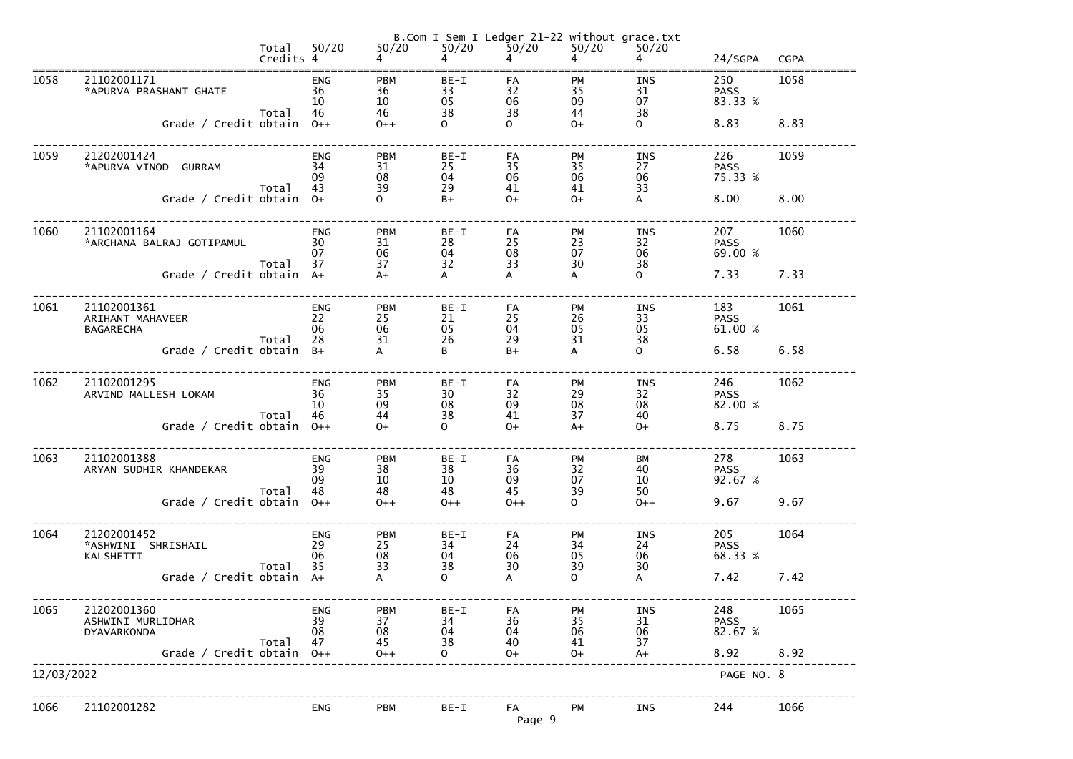|            |                                                     | Total<br>Credits 4 | 50/20                        | $50/20$                      | $50/20$<br>4             | B.Com I Sem I Ledger 21-22 without grace.txt<br>50/20<br>4 | 50/20<br>4                  | 50/20<br>4                   | 24/SGPA                       | <b>CGPA</b> |
|------------|-----------------------------------------------------|--------------------|------------------------------|------------------------------|--------------------------|------------------------------------------------------------|-----------------------------|------------------------------|-------------------------------|-------------|
| 1058       | 21102001171<br>*APURVA PRASHANT GHATE               | Total              | <b>ENG</b><br>36<br>10<br>46 | <b>PBM</b><br>36<br>10<br>46 | $BE-I$<br>33<br>05<br>38 | FA<br>32<br>06<br>38                                       | <b>PM</b><br>35<br>09<br>44 | <b>INS</b><br>31<br>07<br>38 | 250<br><b>PASS</b><br>83.33 % | 1058        |
|            | Grade / Credit obtain $0++$                         |                    |                              | $0++$                        | $\mathsf{O}$             | $\Omega$                                                   | $O+$                        | $\mathbf{O}$                 | 8.83                          | 8.83        |
| 1059       | 21202001424<br>*APURVA VINOD GURRAM                 | Total              | <b>ENG</b><br>34<br>09<br>43 | <b>PBM</b><br>31<br>08<br>39 | BE-I<br>25<br>04<br>29   | FA<br>35<br>06<br>41                                       | <b>PM</b><br>35<br>06<br>41 | INS<br>27<br>06<br>33        | 226<br><b>PASS</b><br>75.33 % | 1059        |
|            | Grade / Credit obtain 0+                            |                    |                              | $\overline{O}$               | $B+$                     | $O+$                                                       | $O+$                        | $\mathsf{A}$                 | 8.00                          | 8.00        |
| 1060       | 21102001164<br>*ARCHANA BALRAJ GOTIPAMUL            | Total              | <b>ENG</b><br>30<br>07<br>37 | <b>PBM</b><br>31<br>06<br>37 | BE-I<br>28<br>04<br>32   | FA<br>25<br>08<br>33                                       | <b>PM</b><br>23<br>07<br>30 | INS<br>32<br>06<br>38        | 207<br><b>PASS</b><br>69.00 % | 1060        |
|            | Grade / Credit obtain A+                            |                    |                              | $A+$                         | A                        | A                                                          | A                           | $\mathbf{O}$                 | 7.33                          | 7.33        |
| 1061       | 21102001361<br>ARIHANT MAHAVEER<br><b>BAGARECHA</b> | Total              | <b>ENG</b><br>22<br>06<br>28 | <b>PBM</b><br>25<br>06<br>31 | BE-I<br>21<br>05<br>26   | FA<br>25<br>04<br>29                                       | <b>PM</b><br>26<br>05<br>31 | INS<br>33<br>05<br>38        | 183<br><b>PASS</b><br>61.00 % | 1061        |
|            | Grade / Credit obtain B+                            |                    |                              | A                            | B                        | $B+$                                                       | A                           | $\mathbf{O}$                 | 6.58                          | 6.58        |
| 1062       | 21102001295<br>ARVIND MALLESH LOKAM                 | Total              | <b>ENG</b><br>36<br>10<br>46 | <b>PBM</b><br>35<br>09<br>44 | BE-I<br>30<br>08<br>38   | FA<br>32<br>09<br>41                                       | <b>PM</b><br>29<br>08<br>37 | INS<br>32<br>08<br>40        | 246<br><b>PASS</b><br>82.00 % | 1062        |
|            | Grade / Credit obtain                               |                    | $0++$                        | $O+$                         | $\overline{O}$           | $O+$                                                       | $A+$                        | $O+$                         | 8.75                          | 8.75        |
| 1063       | 21102001388<br>ARYAN SUDHIR KHANDEKAR               | Total              | <b>ENG</b><br>39<br>09<br>48 | <b>PBM</b><br>38<br>10<br>48 | $BE-I$<br>38<br>10<br>48 | FA<br>36<br>09<br>45                                       | PM<br>32<br>07<br>39        | BM<br>40<br>10<br>50         | 278<br><b>PASS</b><br>92.67 % | 1063        |
|            | Grade / Credit obtain                               |                    | $0++$                        | $0++$                        | $0++$                    | $0++$                                                      | $\mathsf{O}$                | $0++$                        | 9.67                          | 9.67        |
| 1064       | 21202001452<br>*ASHWINI SHRISHAIL<br>KALSHETTI      | Total              | <b>ENG</b><br>29<br>06<br>35 | <b>PBM</b><br>25<br>08<br>33 | $BE-I$<br>34<br>04<br>38 | FA<br>24<br>06<br>30                                       | <b>PM</b><br>34<br>05<br>39 | <b>INS</b><br>24<br>06<br>30 | 205<br><b>PASS</b><br>68.33 % | 1064        |
|            | Grade / Credit obtain                               |                    | $A+$                         | A                            | $\overline{O}$           | A                                                          | $\mathsf{O}$                | A                            | 7.42                          | 7.42        |
| 1065       | 21202001360<br>ASHWINI MURLIDHAR<br>DYAVARKONDA     | Total              | <b>ENG</b><br>39<br>08<br>47 | <b>PBM</b><br>37<br>08<br>45 | $BE-I$<br>34<br>04<br>38 | FA<br>36<br>04<br>40                                       | <b>PM</b><br>35<br>06<br>41 | <b>INS</b><br>31<br>06<br>37 | 248<br><b>PASS</b><br>82.67 % | 1065        |
|            | Grade / Credit obtain                               |                    | $0++$                        | $0++$                        | $\mathbf{O}$             | $O+$                                                       | $O+$                        | $A+$                         | 8.92                          | 8.92        |
| 12/03/2022 |                                                     |                    |                              |                              |                          |                                                            |                             |                              | PAGE NO. 8                    |             |
| 1066       | 21102001282                                         |                    | <b>ENG</b>                   | <b>PBM</b>                   | BE-I                     | FA<br>Page 9                                               | PM                          | INS                          | 244                           | 1066        |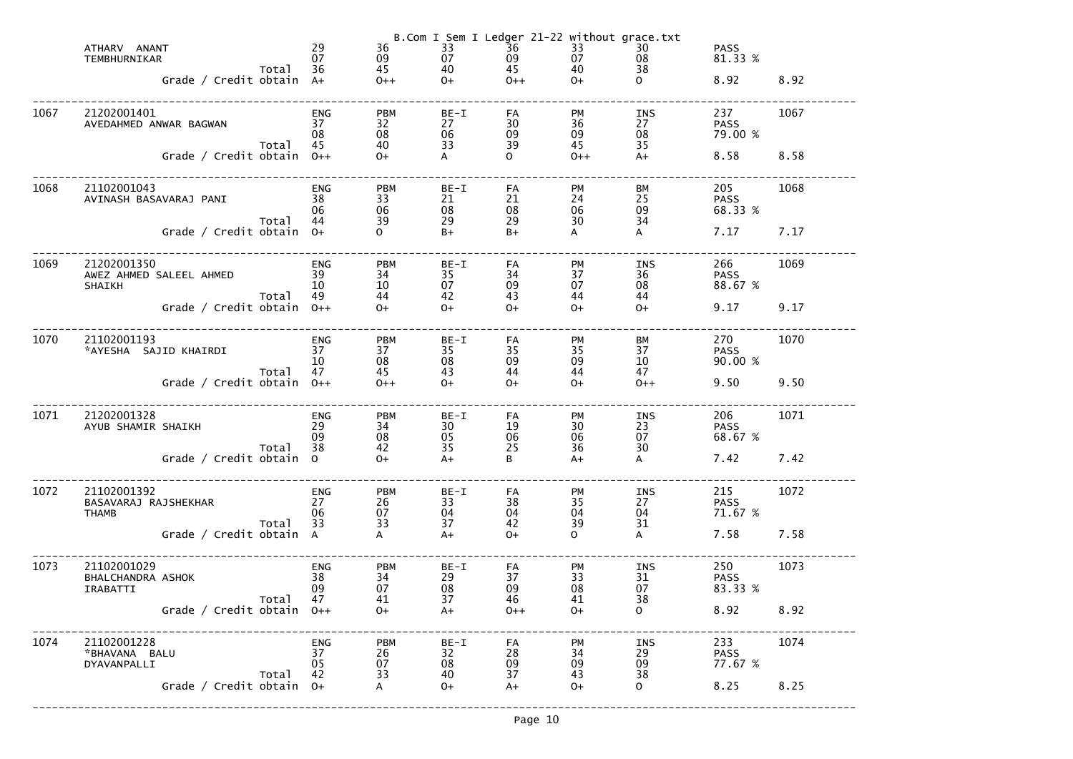|      | ATHARV ANANT<br>TEMBHURNIKAR<br>Grade / Credit obtain $A+$ | Total | 29<br>07<br>36               | 36<br>09<br>$\frac{40}{0+}$<br>45<br>$O++$ | 33<br>07                 | B.Com I Sem I Ledger 21-22 without grace.txt<br>$\overline{3}6$<br>09<br>45<br>$O++$ | 33<br>07<br>40<br>$O+$      | 30<br>08<br>38<br>$\mathsf{O}$ | <b>PASS</b><br>81.33 %<br>8.92        | 8.92 |
|------|------------------------------------------------------------|-------|------------------------------|--------------------------------------------|--------------------------|--------------------------------------------------------------------------------------|-----------------------------|--------------------------------|---------------------------------------|------|
| 1067 | 21202001401<br>AVEDAHMED ANWAR BAGWAN                      | Total | ENG<br>37<br>08<br>45        | <b>PBM</b><br>32<br>08<br>40               | BE-I<br>27<br>06<br>33   | FA<br>30<br>09<br>39<br>$\overline{O}$                                               | <b>PM</b><br>36<br>09<br>45 | INS<br>27<br>08<br>35          | 237<br><b>PASS</b><br>79.00 %<br>8.58 | 1067 |
|      | Grade / Credit obtain $0++$                                |       |                              | $O+$                                       | $\mathsf{A}$             |                                                                                      | $0++$                       | $A+$                           |                                       | 8.58 |
| 1068 | 21102001043<br>AVINASH BASAVARAJ PANI                      | Total | ENG<br>38<br>06<br>44        | <b>PBM</b><br>33<br>06<br>39               | BE-I<br>21<br>08<br>29   | FA<br>21<br>08<br>29                                                                 | <b>PM</b><br>24<br>06<br>30 | <b>BM</b><br>25<br>09<br>34    | 205<br><b>PASS</b><br>68.33 %         | 1068 |
|      | Grade / Credit obtain 0+                                   |       |                              | $\overline{O}$                             | $B+$                     | $B+$                                                                                 | $\mathsf{A}$                | A                              | 7.17                                  | 7.17 |
| 1069 | 21202001350<br>AWEZ AHMED SALEEL AHMED<br><b>SHAIKH</b>    | Total | ENG<br>39<br>10<br>49        | <b>PBM</b><br>34<br>10<br>44               | BE-I<br>35<br>07<br>42   | FA<br>34<br>09<br>43                                                                 | <b>PM</b><br>37<br>07<br>44 | INS<br>36<br>08<br>44          | 266<br><b>PASS</b><br>88.67 %         | 1069 |
|      | Grade / Credit obtain $0++$                                |       |                              | $O+$                                       | $O+$                     | $O+$                                                                                 | $O+$                        | $O+$                           | 9.17                                  | 9.17 |
| 1070 | 21102001193<br>*AYESHA SAJID KHAIRDI                       |       | ENG<br>37<br>10<br>47        | <b>PBM</b><br>37<br>08                     | BE-I<br>35<br>08<br>43   | FA<br>35<br>09                                                                       | <b>PM</b><br>35<br>09       | <b>BM</b><br>37<br>10<br>47    | 270<br><b>PASS</b><br>90.00 %         | 1070 |
|      | Grade / Credit obtain $0++$                                | Total |                              | 45<br>$0++$                                | $O+$                     | 44<br>$O+$                                                                           | 44<br>$O+$                  | $O++$                          | 9.50                                  | 9.50 |
| 1071 | 21202001328<br>AYUB SHAMIR SHAIKH                          | Total | <b>ENG</b><br>29<br>09<br>38 | <b>PBM</b><br>34<br>08<br>42               | BE-I<br>30<br>05<br>35   | FA<br>19<br>06<br>25                                                                 | <b>PM</b><br>30<br>06<br>36 | INS<br>23<br>07<br>30          | 206<br><b>PASS</b><br>68.67 %         | 1071 |
|      | Grade / Credit obtain                                      |       | $\Omega$                     | $O+$                                       | $A+$                     | B                                                                                    | $A+$                        | A                              | 7.42                                  | 7.42 |
| 1072 | 21102001392<br>BASAVARAJ RAJSHEKHAR<br><b>THAMB</b>        | Total | <b>ENG</b><br>27<br>06<br>33 | <b>PBM</b><br>26<br>07<br>33               | $BE-I$<br>33<br>04<br>37 | FA<br>38<br>04<br>42                                                                 | PM<br>35<br>04<br>39        | <b>INS</b><br>27<br>04<br>31   | 215<br><b>PASS</b><br>71.67 %         | 1072 |
|      | Grade / Credit obtain A                                    |       |                              | A                                          | $A+$                     | $O+$                                                                                 | $\mathsf{O}$                | A                              | 7.58                                  | 7.58 |
| 1073 | 21102001029<br>BHALCHANDRA ASHOK<br>IRABATTI               | Total | <b>ENG</b><br>38<br>09<br>47 | <b>PBM</b><br>34<br>07<br>41               | $BE-I$<br>29<br>08<br>37 | FA<br>37<br>09<br>46                                                                 | <b>PM</b><br>33<br>08<br>41 | <b>INS</b><br>31<br>07<br>38   | 250<br><b>PASS</b><br>83.33 %         | 1073 |
|      | Grade / Credit obtain                                      |       | $O++$                        | $O+$                                       | $A+$                     | $O++$                                                                                | $O+$                        | $\mathsf{O}$                   | 8.92                                  | 8.92 |
| 1074 | 21102001228<br>*BHAVANA BALU<br>DYAVANPALLI                |       | <b>ENG</b><br>37<br>05       | <b>PBM</b><br>26<br>07                     | $BE-I$<br>32<br>08       | FA<br>28<br>09                                                                       | PM<br>34<br>09              | <b>INS</b><br>29<br>09         | 233<br><b>PASS</b><br>77.67 %         | 1074 |
|      | Grade / Credit obtain                                      | Total | 42<br>$O+$                   | 33<br>A                                    | 40<br>$O+$               | 37<br>$A+$                                                                           | 43<br>$O+$                  | 38<br>$\mathsf{O}$             | 8.25                                  | 8.25 |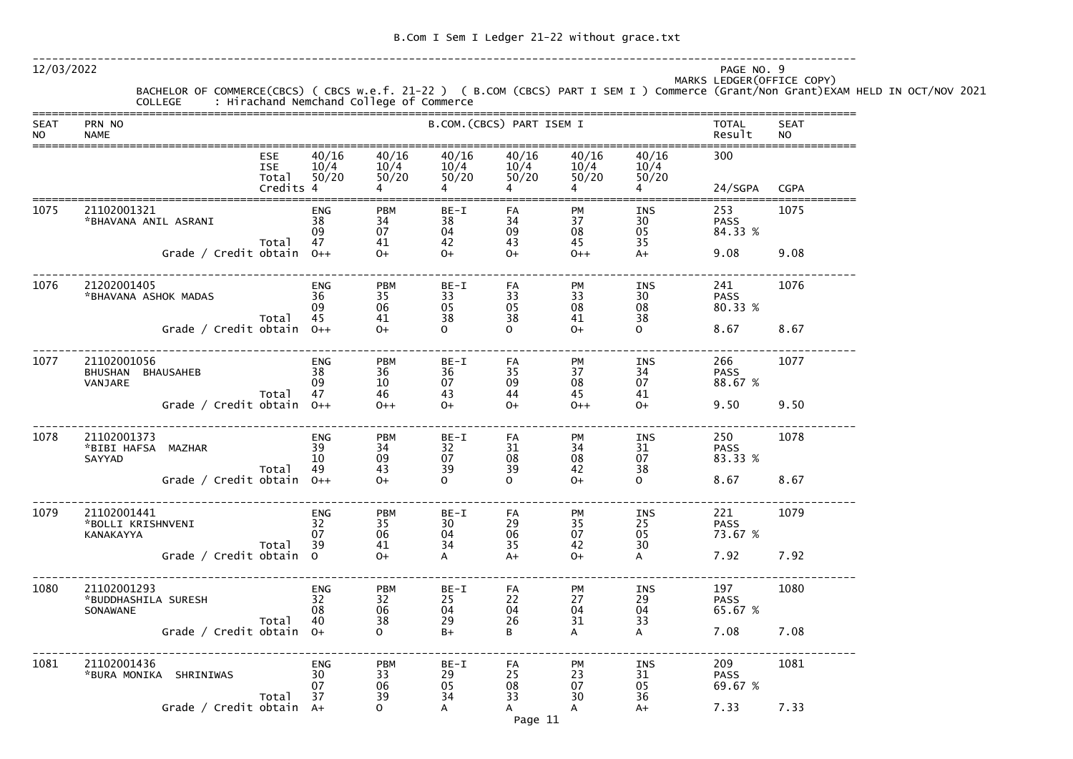-------------------------------------------------------------------------------------------------------------------------------

12/03/2022 PAGE NO. 9

MARKS LEDGER(OFFICE COPY)

|                |                                                                                                         | MANNS LLDGLN(UFFICL C |
|----------------|---------------------------------------------------------------------------------------------------------|-----------------------|
|                | BACHELOR OF COMMERCE(CBCS) ( CBCS w.e.f. 21-22 ) ( B.COM (CBCS) PART I SEM I ) Commerce (Grant/Non Gran |                       |
| <b>COLLEGE</b> | : Hirachand Nemchand College of Commerce                                                                |                       |

| <b>SEAT</b><br><b>NO</b> | PRN NO<br><b>NAME</b>                          |                                                |                              | B.COM. (CBCS) PART ISEM I    |                          | <b>TOTAL</b><br>Result                 | <b>SEAT</b><br><b>NO</b>    |                              |                               |             |
|--------------------------|------------------------------------------------|------------------------------------------------|------------------------------|------------------------------|--------------------------|----------------------------------------|-----------------------------|------------------------------|-------------------------------|-------------|
|                          |                                                | <b>ESE</b><br><b>ISE</b><br>Total<br>Credits 4 | 40/16<br>10/4<br>50/20       | 40/16<br>10/4<br>50/20       | 40/16<br>50/20<br>4      | 40/16<br>$10/4$ $10/4$ $10/4$<br>50/20 | 40/16<br>50/20              | 40/16<br>10/4<br>50/20       | 300<br>24/SGPA                | <b>CGPA</b> |
| 1075                     | 21102001321<br>*BHAVANA ANIL ASRANI            | Total                                          | <b>ENG</b><br>38<br>09<br>47 | <b>PBM</b><br>34<br>07<br>41 | $BE-I$<br>38<br>04<br>42 | FA<br>34<br>09<br>43                   | <b>PM</b><br>37<br>08<br>45 | <b>INS</b><br>30<br>05<br>35 | 253<br><b>PASS</b><br>84.33 % | 1075        |
|                          | Grade / Credit obtain $0++$                    |                                                |                              | $O+$                         | $0+$                     | $O+$                                   | $0++$                       | $A+$                         | 9.08                          | 9.08        |
| 1076                     | 21202001405<br>*BHAVANA ASHOK MADAS            | Total                                          | <b>ENG</b><br>36<br>09<br>45 | <b>PBM</b><br>35<br>06<br>41 | $BE-I$<br>33<br>05<br>38 | FA<br>33<br>05<br>38                   | PM<br>33<br>08<br>41        | <b>INS</b><br>30<br>08<br>38 | 241<br><b>PASS</b><br>80.33 % | 1076        |
|                          | Grade / Credit obtain $0++$                    |                                                |                              | $O+$                         | $\Omega$                 | $\Omega$                               | $O+$                        | $\mathsf{O}$                 | 8.67                          | 8.67        |
| 1077                     | 21102001056<br>BHUSHAN BHAUSAHEB<br>VANJARE    |                                                | <b>ENG</b><br>38<br>09       | <b>PBM</b><br>36<br>10       | $BE-I$<br>36<br>07       | FA<br>35<br>09                         | PM<br>37<br>08              | <b>INS</b><br>34<br>07       | 266<br><b>PASS</b><br>88.67 % | 1077        |
|                          | Grade / Credit obtain $0++$                    | Total                                          | 47                           | 46<br>$0++$                  | 43<br>$0+$               | 44<br>$O+$                             | 45<br>$0++$                 | 41<br>$O+$                   | 9.50                          | 9.50        |
| 1078                     | 21102001373<br>*BIBI HAFSA MAZHAR<br>SAYYAD    | Total                                          | <b>ENG</b><br>39<br>10<br>49 | <b>PBM</b><br>34<br>09<br>43 | $BE-I$<br>32<br>07<br>39 | FA<br>31<br>08<br>39                   | PM<br>34<br>08<br>42        | <b>INS</b><br>31<br>07       | 250<br><b>PASS</b><br>83.33 % | 1078        |
|                          | Grade / Credit obtain $0++$                    |                                                |                              | $O+$                         | $\mathbf{O}$             | $\Omega$                               | $O+$                        | 38<br>$\mathsf{O}$           | 8.67                          | 8.67        |
| 1079                     | 21102001441<br>*BOLLI KRISHNVENI<br>KANAKAYYA  | Total                                          | <b>ENG</b><br>32<br>07<br>39 | <b>PBM</b><br>35<br>06<br>41 | BE-I<br>30<br>04<br>34   | FA<br>29<br>06<br>35                   | PM<br>35<br>07<br>42        | INS<br>25<br>05<br>30        | 221<br><b>PASS</b><br>73.67 % | 1079        |
|                          | Grade / Credit obtain 0                        |                                                |                              | $O+$                         | A                        | $A+$                                   | $O+$                        | A                            | 7.92                          | 7.92        |
| 1080                     | 21102001293<br>*BUDDHASHILA SURESH<br>SONAWANE | Total                                          | <b>ENG</b><br>32<br>08<br>40 | <b>PBM</b><br>32<br>06<br>38 | BE-I<br>25<br>04<br>29   | FA<br>22<br>04<br>26                   | PM<br>27<br>04<br>31        | <b>INS</b><br>29<br>04<br>33 | 197<br><b>PASS</b><br>65.67 % | 1080        |
|                          | Grade / Credit obtain $0+$                     |                                                |                              | $\Omega$                     | $B+$                     | B                                      | A                           | A                            | 7.08                          | 7.08        |
| 1081                     | 21102001436<br>*BURA MONIKA SHRINIWAS          |                                                | <b>ENG</b><br>30<br>07       | <b>PBM</b><br>33<br>06       | BE-I<br>29<br>05         | FA<br>25<br>08                         | PM<br>23<br>07              | <b>INS</b><br>31<br>05       | 209<br><b>PASS</b><br>69.67 % | 1081        |
|                          | Grade / Credit obtain A+                       | Total                                          | 37                           | 39<br>$\mathbf{O}$           | 34<br>A                  | 33<br>A                                | 30<br>A                     | 36<br>$A+$                   | 7.33                          | 7.33        |

# nt)EXAM HELD IN OCT/NOV 2021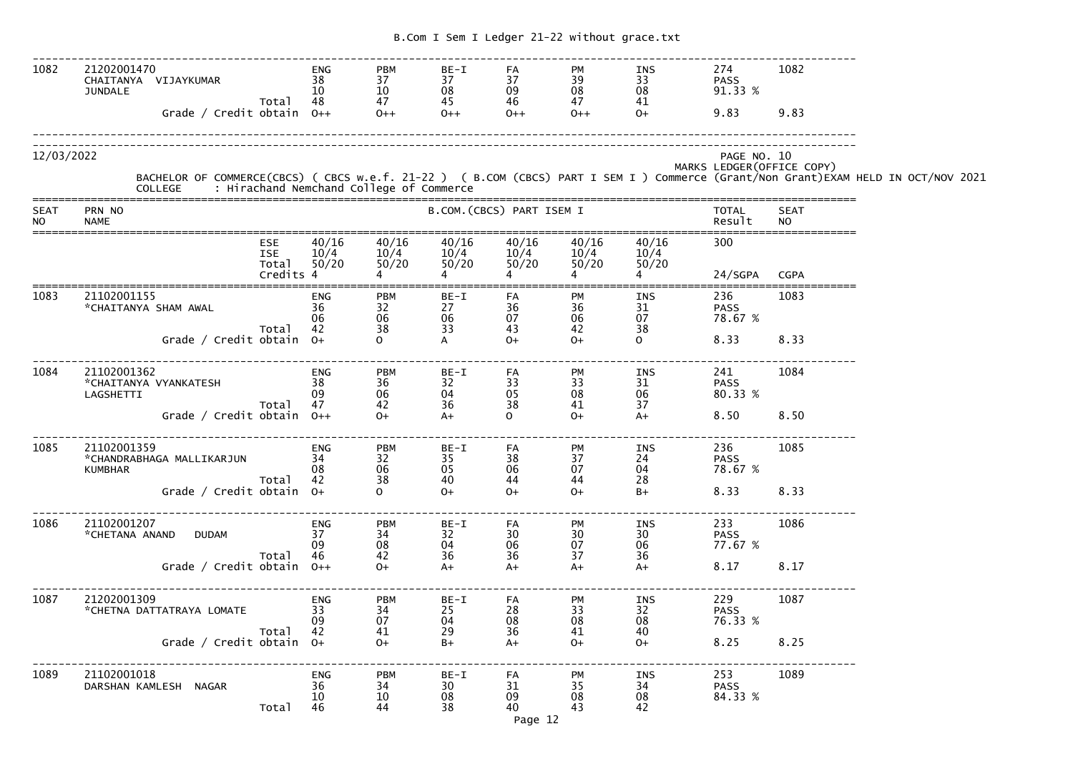| 1082                     | 21202001470<br>CHAITANYA VIJAYKUMAR<br><b>JUNDALE</b><br>Grade / Credit obtain 0++ | Total                                          | <b>ENG</b><br>38<br>10<br>48 | <b>PBM</b><br>37<br>10<br>47<br>$0++$    | BE-I<br>37<br>08<br>45<br>$0++$     | FA<br>37<br>09<br>46<br>$0++$                       | <b>PM</b><br>39<br>$\frac{08}{47}$<br>$0++$ | INS<br>33<br>08<br>41<br>$O+$ | 274<br><b>PASS</b><br>91.33 %<br>9.83     | 1082<br>9.83             |                                                                                                                                    |
|--------------------------|------------------------------------------------------------------------------------|------------------------------------------------|------------------------------|------------------------------------------|-------------------------------------|-----------------------------------------------------|---------------------------------------------|-------------------------------|-------------------------------------------|--------------------------|------------------------------------------------------------------------------------------------------------------------------------|
| 12/03/2022               | <b>COLLEGE</b>                                                                     |                                                |                              | : Hirachand Nemchand College of Commerce |                                     |                                                     |                                             |                               | PAGE NO. 10<br>MARKS LEDGER (OFFICE COPY) |                          | BACHELOR OF COMMERCE(CBCS) ( CBCS w.e.f. 21-22 ) ( B.COM (CBCS) PART I SEM I ) Commerce (Grant/Non Grant)EXAM HELD IN OCT/NOV 2021 |
| <b>SEAT</b><br><b>NO</b> | PRN NO<br><b>NAME</b>                                                              |                                                |                              |                                          |                                     | B.COM. (CBCS) PART ISEM I                           |                                             |                               | <b>TOTAL</b><br>Result                    | <b>SEAT</b><br><b>NO</b> |                                                                                                                                    |
|                          |                                                                                    | <b>ESE</b><br><b>ISE</b><br>Total<br>Credits 4 | 40/16<br>10/4<br>50/20       | 40/16<br>10/4<br>50/20                   | 40/16<br>10/4<br>50/20              | 40/16<br>10/4<br>50/20                              | 40/16<br>10/4<br>50/20                      | 40/16<br>10/4<br>50/20        | 300<br>24/SGPA                            | <b>CGPA</b>              |                                                                                                                                    |
| 1083                     | 21102001155<br>*CHAITANYA SHAM AWAL                                                | Total                                          | <b>ENG</b><br>36<br>06<br>42 | <b>PBM</b><br>32<br>06<br>38             | BE-I<br>27<br>06<br>$\overline{33}$ | FA<br>36<br>07<br>43                                | <b>PM</b><br>36<br>$06$<br>42               | INS<br>31<br>07<br>38         | 236<br><b>PASS</b><br>78.67 %             | 1083                     |                                                                                                                                    |
|                          | Grade / Credit obtain 0+                                                           |                                                |                              | $\Omega$                                 | A                                   | $O+$                                                | $0+$                                        | $\Omega$                      | 8.33                                      | 8.33                     |                                                                                                                                    |
| 1084                     | 21102001362<br>*CHAITANYA VYANKATESH<br>LAGSHETTI                                  | Total                                          | <b>ENG</b><br>38<br>09<br>47 | <b>PBM</b><br>36<br>06<br>42             | BE-I<br>32<br>04<br>36              | FA<br>$\begin{array}{c} 33 \\ 05 \end{array}$<br>38 | <b>PM</b><br>33<br>08<br>41                 | INS<br>31<br>06<br>37         | 241<br><b>PASS</b><br>80.33 %             | 1084                     |                                                                                                                                    |
|                          | Grade / Credit obtain $0++$                                                        |                                                |                              | $O+$                                     | $A+$                                | $\Omega$                                            | $O+$                                        | $A+$                          | 8.50                                      | 8.50                     |                                                                                                                                    |
| 1085                     | 21102001359<br>*CHANDRABHAGA MALLIKARJUN<br><b>KUMBHAR</b>                         | Total                                          | <b>ENG</b><br>34<br>08<br>42 | <b>PBM</b><br>32<br>06<br>38             | BE-I<br>35<br>05<br>40              | FA<br>38<br>06<br>44                                | <b>PM</b><br>37<br>07<br>44                 | INS<br>24<br>04<br>28         | 236<br><b>PASS</b><br>78.67 %             | 1085                     |                                                                                                                                    |
|                          | Grade / Credit obtain $0+$                                                         |                                                |                              | $\Omega$                                 | $O+$                                | $O+$                                                | $O+$                                        | $B+$                          | 8.33                                      | 8.33                     |                                                                                                                                    |
| 1086                     | 21102001207<br>*CHETANA ANAND<br><b>DUDAM</b>                                      |                                                | <b>ENG</b><br>37<br>09       | <b>PBM</b><br>34<br>08                   | BE-I<br>32<br>04                    | FA<br>30<br>06                                      | PM<br>$\frac{30}{07}$                       | INS<br>30<br>06               | 233<br><b>PASS</b><br>77.67 %             | 1086                     |                                                                                                                                    |
|                          | Grade / Credit obtain $0++$                                                        | Total                                          | 46                           | 42<br>$O+$                               | 36<br>$A+$                          | 36<br>$A+$                                          | 37<br>$A+$                                  | 36<br>$A+$                    | 8.17                                      | 8.17                     |                                                                                                                                    |
| 1087                     | 21202001309<br>*CHETNA DATTATRAYA LOMATE                                           | Total                                          | ENG<br>33<br>09<br>42        | <b>PBM</b><br>34<br>07<br>41             | BE-I<br>25<br>04<br>29              | FA<br>28<br>08<br>36                                | PM<br>33<br>08<br>41                        | INS<br>32<br>08<br>40         | 229<br><b>PASS</b><br>76.33 %             | 1087                     |                                                                                                                                    |
|                          | Grade / Credit obtain 0+                                                           |                                                |                              | $O+$                                     | $B+$                                | $A+$                                                | $O+$                                        | $O+$                          | 8.25                                      | 8.25                     |                                                                                                                                    |
| 1089                     | 21102001018<br>DARSHAN KAMLESH NAGAR                                               | Total                                          | ENG<br>36<br>10<br>46        | <b>PBM</b><br>34<br>10<br>44             | BE-I<br>30<br>08<br>38              | FA<br>31<br>09<br>40<br>D200, 12                    | PM<br>35<br>08<br>43                        | INS<br>34<br>08<br>42         | 253<br><b>PASS</b><br>84.33 %             | 1089                     |                                                                                                                                    |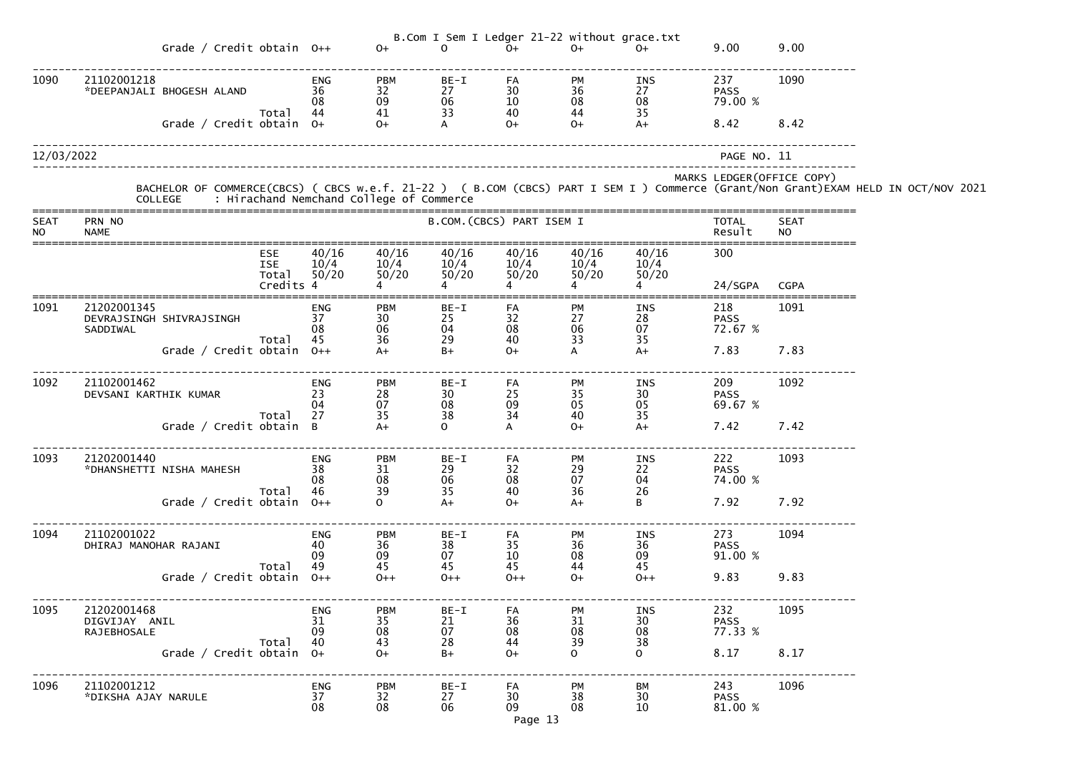|                          |                                                     |                                                |                               |                                                             |                                                       |                                                     | B.Com I Sem I Ledger 21-22 without grace.txt        |                                                      |                                          |                          |                                                                                                                                                                                            |
|--------------------------|-----------------------------------------------------|------------------------------------------------|-------------------------------|-------------------------------------------------------------|-------------------------------------------------------|-----------------------------------------------------|-----------------------------------------------------|------------------------------------------------------|------------------------------------------|--------------------------|--------------------------------------------------------------------------------------------------------------------------------------------------------------------------------------------|
|                          | Grade / Credit obtain $0++$                         |                                                |                               | $O+$                                                        | <sup>n</sup>                                          | $O+$                                                | $O+$                                                | $O+$                                                 | 9.00                                     | 9.00                     |                                                                                                                                                                                            |
| 1090                     | 21102001218<br>*DEEPANJALI BHOGESH ALAND            |                                                | <b>ENG</b><br>36<br>08<br>44  | <b>PBM</b><br>32<br>09<br>41                                | BE-I<br>27<br>$\begin{array}{c} 06 \\ 33 \end{array}$ | FA<br>$\begin{array}{c} 30 \\ 10 \end{array}$<br>40 | PM<br>$\frac{36}{08}$<br>44                         | INS<br>27<br>$\begin{array}{c} 08 \\ 35 \end{array}$ | 237<br><b>PASS</b><br>79.00 %            | 1090                     |                                                                                                                                                                                            |
|                          | Grade / Credit obtain 0+                            | Total                                          |                               | $O+$                                                        | $\mathsf{A}$                                          | $O+$                                                | $O+$                                                | $A+$                                                 | 8.42                                     | 8.42                     |                                                                                                                                                                                            |
| 12/03/2022               |                                                     |                                                |                               |                                                             |                                                       |                                                     |                                                     |                                                      | PAGE NO. 11                              |                          |                                                                                                                                                                                            |
|                          |                                                     |                                                |                               |                                                             |                                                       |                                                     |                                                     |                                                      | MARKS LEDGER (OFFICE COPY)               |                          | BACHELOR OF COMMERCE(CBCS) ( CBCS w.e.f. 21-22 ) ( B.COM (CBCS) PART I SEM I ) Commerce (Grant/Non Grant)EXAM HELD IN OCT/NOV 2021<br>COLLEGE     : Hirachand Nemchand College of Commerce |
| <b>SEAT</b><br><b>NO</b> | PRN NO<br><b>NAME</b>                               |                                                |                               |                                                             | B.COM. (CBCS) PART ISEM I                             |                                                     |                                                     |                                                      | <b>TOTAL</b><br>Result                   | <b>SEAT</b><br><b>NO</b> |                                                                                                                                                                                            |
|                          |                                                     | <b>ESE</b><br><b>ISE</b><br>Total<br>Credits 4 | 40/16<br>$\frac{10/4}{50/20}$ | 40/16<br>10/4<br>50/20                                      | 40/16<br>10/4<br>50/20                                | 40/16<br>10/4<br>50/20                              | 40/16<br>10/4<br>50/20                              | 40/16<br>10/4<br>50/20                               | 300                                      |                          |                                                                                                                                                                                            |
| 1091                     | 21202001345<br>DEVRAJSINGH SHIVRAJSINGH<br>SADDIWAL |                                                | <b>ENG</b><br>37<br>08        | <b>PBM</b><br>$\begin{array}{c} 30 \\ 06 \\ 36 \end{array}$ | BE-I<br>25<br>$\begin{array}{c} 04 \\ 29 \end{array}$ | FA<br>32<br>08                                      | PM<br>27<br>06<br>33                                | INS<br>$\begin{array}{c} 28 \\ 07 \end{array}$       | 24/SGPA<br>218<br><b>PASS</b><br>72.67 % | <b>CGPA</b><br>1091      |                                                                                                                                                                                            |
|                          | Grade / Credit obtain 0++                           | Total                                          | 45                            |                                                             | $B+$                                                  | 40<br>$O+$                                          | A                                                   | 35<br>$A+$                                           | 7.83                                     | 7.83                     |                                                                                                                                                                                            |
| 1092                     | 21102001462<br>DEVSANI KARTHIK KUMAR                | Total                                          | <b>ENG</b><br>23<br>04<br>27  | <b>PBM</b><br>28<br>07                                      | BE-I<br>30<br>$\begin{array}{c} 08 \\ 38 \end{array}$ | FA<br>25<br>09<br>34                                | PM<br>$\begin{array}{c} 35 \\ 05 \end{array}$<br>40 | INS<br>30<br>05<br>35                                | 209<br><b>PASS</b><br>69.67 %            | 1092                     |                                                                                                                                                                                            |
|                          | Grade / Credit obtain B                             |                                                |                               | 35                                                          | $\mathbf{O}$                                          |                                                     | $O+$                                                | $A+$                                                 | 7.42                                     | 7.42                     |                                                                                                                                                                                            |
| 1093                     | 21202001440<br>*DHANSHETTI NISHA MAHESH             | Total                                          | ENG<br>38<br>08<br>46         | <b>PBM</b><br>31<br>08<br>39                                | BE-I<br>29<br>06<br>35                                | FA<br>32<br>08<br>40                                | PM<br>29<br>07<br>36                                | INS<br>22<br>04<br>26                                | 222<br><b>PASS</b><br>74.00 %            | 1093                     |                                                                                                                                                                                            |
|                          | Grade / Credit obtain $0++$                         |                                                |                               | $\Omega$                                                    | $A+$                                                  | $O+$                                                | $A+$                                                | B                                                    | 7.92                                     | 7.92                     |                                                                                                                                                                                            |
| 1094                     | 21102001022<br>DHIRAJ MANOHAR RAJANI                | Total                                          | ENG<br>40<br>09<br>49         | <b>PBM</b><br>$\begin{array}{c} 36 \\ 09 \end{array}$<br>45 | BE-I<br>38<br>07<br>45                                | FA<br>35<br>10<br>45                                | PM<br>36<br>08<br>44                                | INS<br>36<br>09<br>45                                | 273<br><b>PASS</b><br>91.00 %            | 1094                     |                                                                                                                                                                                            |
|                          | Grade / Credit obtain $0++$                         |                                                |                               | $0++$                                                       | $0++$                                                 | $0++$                                               | $O+$                                                | $0++$                                                | 9.83                                     | 9.83                     |                                                                                                                                                                                            |
| 1095                     | 21202001468<br>DIGVIJAY ANIL<br>RAJEBHOSALE         | Total                                          | ENG<br>31<br>09<br>40         | <b>PBM</b><br>35<br>08<br>43                                | BE-I<br>21<br>07<br>28                                | FA<br>36<br>08<br>44                                | PM<br>31<br>08<br>39                                | INS<br>30<br>08<br>38                                | 232<br><b>PASS</b><br>77.33 %            | 1095                     |                                                                                                                                                                                            |
|                          | Grade / Credit obtain $0+$                          |                                                |                               | $O+$                                                        | $B+$                                                  | $O+$                                                | $\Omega$                                            | $\Omega$                                             | 8.17                                     | 8.17                     |                                                                                                                                                                                            |
| 1096                     | 21102001212<br>*DIKSHA AJAY NARULE                  |                                                | ENG<br>37<br>08               | <b>PBM</b><br>32<br>08                                      | BE-I<br>27<br>06                                      | FA<br>30<br>09<br>Page 13                           | PM<br>38<br>08                                      | BM<br>30<br>10                                       | 243<br><b>PASS</b><br>81.00 %            | 1096                     |                                                                                                                                                                                            |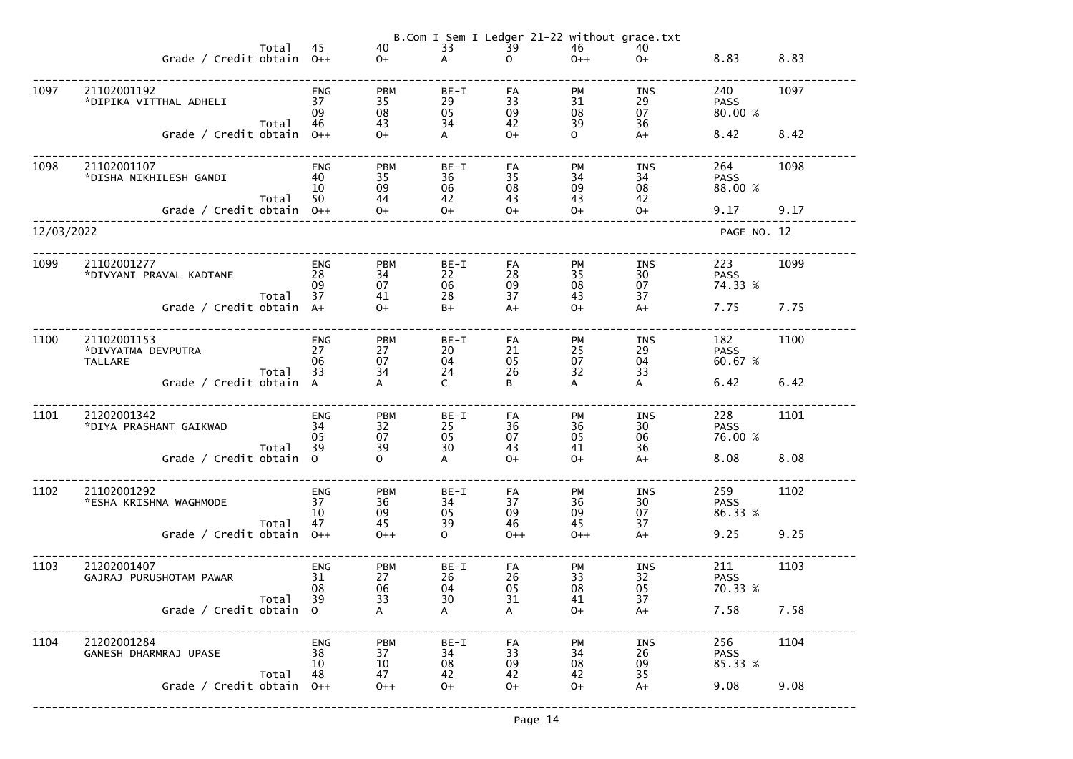|            |                                                                      |       |                              |                                      |                                  | B.Com I Sem I Ledger 21-22 without grace.txt |                              |                                      |                                       |              |
|------------|----------------------------------------------------------------------|-------|------------------------------|--------------------------------------|----------------------------------|----------------------------------------------|------------------------------|--------------------------------------|---------------------------------------|--------------|
|            | Grade / Credit obtain $0++$                                          | Total | 45                           | 40<br>$O+$                           | 33<br>A                          | $\overline{39}$<br>$\mathsf{O}$              | 46<br>$0++$                  | 40<br>$O+$                           | 8.83                                  | 8.83         |
| 1097       | 21102001192<br>*DIPIKA VITTHAL ADHELI                                |       | <b>ENG</b><br>37<br>09       | <b>PBM</b><br>35<br>08               | BE-I<br>29<br>05                 | FA<br>33<br>09                               | <b>PM</b><br>31<br>08        | INS<br>29<br>07                      | 240<br><b>PASS</b><br>80.00 %         | 1097         |
|            | Grade / Credit obtain $0++$                                          | Total | 46                           | 43<br>$O+$                           | 34<br>A                          | 42<br>$O+$                                   | 39<br>$\mathbf{O}$           | 36<br>$A+$                           | 8.42                                  | 8.42         |
| 1098       | 21102001107<br>*DISHA NIKHILESH GANDI<br>Grade / Credit obtain $0++$ | Total | <b>ENG</b><br>40<br>10<br>50 | <b>PBM</b><br>35<br>09<br>44<br>$O+$ | $BE-I$<br>36<br>06<br>42<br>$O+$ | FA<br>35<br>08<br>43<br>$O+$                 | PM<br>34<br>09<br>43<br>$O+$ | <b>INS</b><br>34<br>08<br>42<br>$O+$ | 264<br><b>PASS</b><br>88.00 %<br>9.17 | 1098<br>9.17 |
| 12/03/2022 |                                                                      |       |                              |                                      |                                  |                                              |                              |                                      | PAGE NO. 12                           |              |
| 1099       | 21102001277<br>*DIVYANI PRAVAL KADTANE                               | Total | ENG<br>28<br>09<br>37        | <b>PBM</b><br>34<br>07<br>41         | $BE-I$<br>22<br>06<br>28         | FA<br>28<br>09<br>37                         | PM<br>35<br>08<br>43         | INS<br>30<br>07<br>37                | 223<br><b>PASS</b><br>74.33 %         | 1099         |
|            | Grade / Credit obtain A+                                             |       |                              | $O+$                                 | $B+$                             | $A+$                                         | $O+$                         | $A+$                                 | 7.75                                  | 7.75         |
| 1100       | 21102001153<br>*DIVYATMA DEVPUTRA<br><b>TALLARE</b>                  | Total | ENG<br>27<br>06<br>33        | <b>PBM</b><br>27<br>07<br>34         | BE-I<br>20<br>04<br>24           | FA<br>21<br>05<br>26                         | PM<br>25<br>07<br>32         | INS<br>29<br>04<br>33                | 182<br><b>PASS</b><br>60.67 %         | 1100         |
|            | Grade / Credit obtain A                                              |       |                              | A                                    | $\mathsf{C}$                     | B                                            | A                            | A                                    | 6.42                                  | 6.42         |
| 1101       | 21202001342<br>*DIYA PRASHANT GAIKWAD                                | Total | <b>ENG</b><br>34<br>05<br>39 | <b>PBM</b><br>32<br>07<br>39         | BE-I<br>25<br>05<br>30           | FA<br>36<br>07<br>43                         | PM<br>36<br>05<br>41         | <b>INS</b><br>30<br>06<br>36         | 228<br><b>PASS</b><br>76.00 %         | 1101         |
|            | Grade / Credit obtain 0                                              |       |                              | $\mathbf{O}$                         | A                                | $O+$                                         | $O+$                         | $A+$                                 | 8.08                                  | 8.08         |
| 1102       | 21102001292<br>*ESHA KRISHNA WAGHMODE                                | Total | <b>ENG</b><br>37<br>10<br>47 | <b>PBM</b><br>36<br>09<br>45         | $BE-I$<br>34<br>05<br>39         | FA<br>37<br>09<br>46                         | PM<br>36<br>09<br>45         | <b>INS</b><br>30<br>07<br>37         | 259<br><b>PASS</b><br>86.33 %         | 1102         |
|            | Grade / Credit obtain                                                |       | $O++$                        | $0++$                                | $\mathsf{O}$                     | $0++$                                        | $0++$                        | $A+$                                 | 9.25                                  | 9.25         |
| 1103       | 21202001407<br>GAJRAJ PURUSHOTAM PAWAR                               | Total | <b>ENG</b><br>31<br>08<br>39 | <b>PBM</b><br>27<br>06<br>33         | $BE-I$<br>26<br>04<br>30         | FA<br>26<br>05<br>31                         | PM<br>33<br>08<br>41         | INS<br>32<br>05<br>37                | 211<br><b>PASS</b><br>70.33 %         | 1103         |
|            | Grade / Credit obtain 0                                              |       |                              | $\mathsf{A}$                         | A                                | A                                            | $O+$                         | $A+$                                 | 7.58                                  | 7.58         |
| 1104       | 21202001284<br>GANESH DHARMRAJ UPASE                                 | Total | <b>ENG</b><br>38<br>10<br>48 | <b>PBM</b><br>37<br>10<br>47         | BE-I<br>34<br>08<br>42           | FA<br>33<br>09<br>42                         | PM<br>34<br>08<br>42         | <b>INS</b><br>26<br>09<br>35         | 256<br><b>PASS</b><br>85.33 %         | 1104         |
|            | Grade / Credit obtain                                                |       | $O++$                        | $0++$                                | $O+$                             | $O+$                                         | $O+$                         | $A+$                                 | 9.08                                  | 9.08         |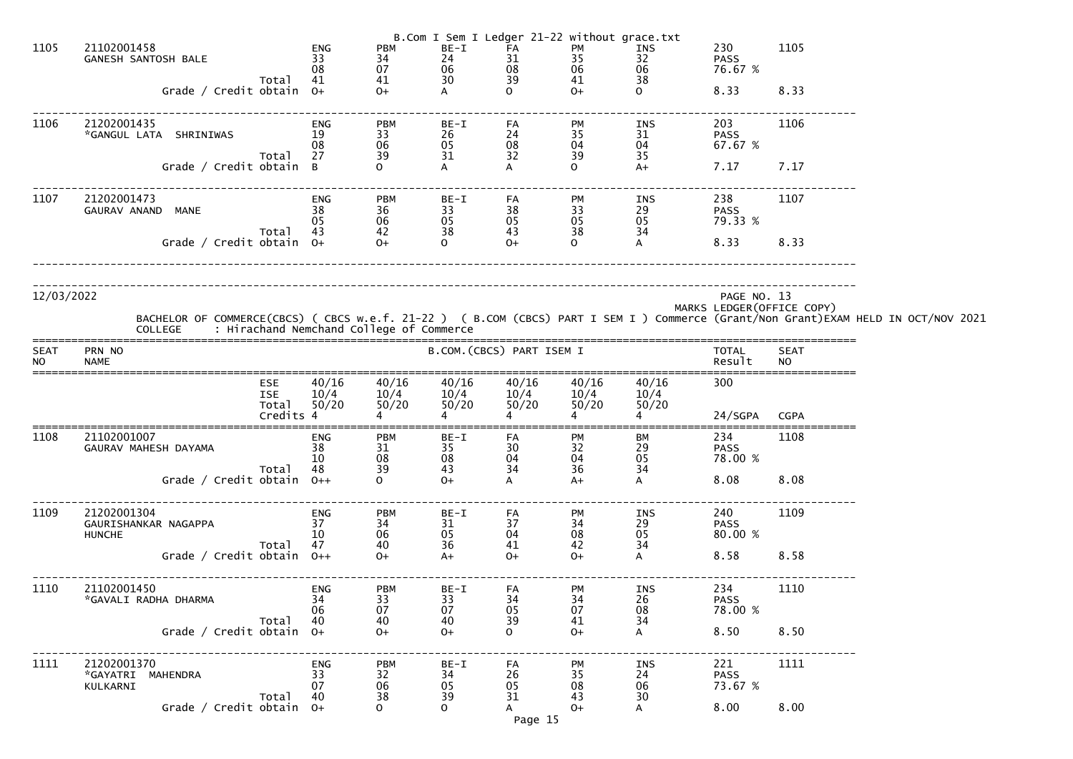|                          |                                                      |                                         |                                          |                                                             |                                                       | B.Com I Sem I Ledger 21-22 without grace.txt        |                                                     |                                                      |                               |                            |                                                                                                                                    |
|--------------------------|------------------------------------------------------|-----------------------------------------|------------------------------------------|-------------------------------------------------------------|-------------------------------------------------------|-----------------------------------------------------|-----------------------------------------------------|------------------------------------------------------|-------------------------------|----------------------------|------------------------------------------------------------------------------------------------------------------------------------|
| 1105                     | 21102001458<br><b>GANESH SANTOSH BALE</b>            | Total                                   | <b>ENG</b><br>33<br>08<br>41             | <b>PBM</b><br>$\begin{array}{c} 34 \\ 07 \end{array}$<br>41 | BE-I<br>24<br>06<br>30                                | FA<br>$\begin{array}{c} 31 \\ 08 \end{array}$<br>39 | PM<br>$\begin{array}{c} 35 \\ 06 \end{array}$<br>41 | INS<br>32<br>06<br>38                                | 230<br><b>PASS</b><br>76.67 % | 1105                       |                                                                                                                                    |
|                          | Grade / Credit obtain 0+                             |                                         |                                          | $O+$                                                        | A                                                     | $\Omega$                                            | $O+$                                                | $\Omega$                                             | 8.33                          | 8.33                       |                                                                                                                                    |
| 1106                     | 21202001435<br>*GANGUL LATA SHRINIWAS                | Total                                   | ENG<br>19<br>08<br>27                    | <b>PBM</b><br>$\begin{array}{c} 33 \\ 06 \end{array}$<br>39 | BE-I<br>26<br>$\begin{array}{c} 05 \\ 31 \end{array}$ | FA<br>$\begin{array}{c} 24 \\ 08 \end{array}$<br>32 | PM<br>35<br>04<br>39                                | INS<br>$\begin{array}{c} 31 \\ 04 \end{array}$<br>35 | 203<br><b>PASS</b><br>67.67 % | 1106                       |                                                                                                                                    |
|                          | Grade / Credit obtain B                              |                                         |                                          | $\Omega$                                                    | A                                                     | A                                                   | $\mathsf{O}$                                        | $A+$                                                 | 7.17                          | 7.17                       |                                                                                                                                    |
| 1107                     | 21202001473<br>GAURAV ANAND<br><b>MANE</b>           |                                         | ENG<br>38<br>05                          | <b>PBM</b><br>$\begin{array}{c} 36 \\ 06 \end{array}$       | BE-I<br>33<br>05<br>38                                | FA<br>$\begin{array}{c} 38 \\ 05 \end{array}$       | PM<br>33<br>05<br>38                                | INS<br>$\begin{array}{c} 29 \\ 05 \end{array}$       | 238<br><b>PASS</b><br>79.33 % | 1107                       |                                                                                                                                    |
|                          | Grade / Credit obtain $0+$                           | Total                                   | 43                                       | 42<br>$O+$                                                  | $\overline{O}$                                        | 43<br>$O+$                                          | $\Omega$                                            | 34<br>$\mathsf{A}$                                   | 8.33                          | 8.33                       |                                                                                                                                    |
|                          |                                                      |                                         |                                          |                                                             |                                                       |                                                     |                                                     |                                                      |                               |                            |                                                                                                                                    |
| 12/03/2022               | <b>COLLEGE</b>                                       |                                         | : Hirachand Nemchand College of Commerce |                                                             |                                                       |                                                     |                                                     |                                                      | PAGE NO. 13                   | MARKS LEDGER (OFFICE COPY) | BACHELOR OF COMMERCE(CBCS) ( CBCS w.e.f. 21-22 ) ( B.COM (CBCS) PART I SEM I ) Commerce (Grant/Non Grant)EXAM HELD IN OCT/NOV 2021 |
| <b>SEAT</b><br><b>NO</b> | PRN NO<br><b>NAME</b>                                |                                         |                                          |                                                             |                                                       | B.COM. (CBCS) PART ISEM I                           |                                                     |                                                      | <b>TOTAL</b><br>Result        | <b>SEAT</b><br><b>NO</b>   |                                                                                                                                    |
|                          |                                                      | ESE<br><b>ISE</b><br>Total<br>Credits 4 | 40/16<br>10/4<br>50/20                   | 40/16<br>10/4<br>50/20                                      | 40/16<br>10/4<br>50/20<br>4                           | 40/16<br>10/4<br>50/20<br>4                         | 40/16<br>10/4<br>50/20                              | 40/16<br>10/4<br>50/20                               | 300<br>24/SGPA                | <b>CGPA</b>                |                                                                                                                                    |
|                          |                                                      |                                         |                                          |                                                             |                                                       |                                                     |                                                     |                                                      |                               |                            |                                                                                                                                    |
| 1108                     | 21102001007<br>GAURAV MAHESH DAYAMA                  | Total                                   | ENG<br>38<br>10<br>48                    | <b>PBM</b><br>31<br>$\begin{array}{c} 08 \\ 39 \end{array}$ | BE-I<br>35<br>$\frac{08}{43}$                         | FA<br>30<br>04<br>$\overline{34}$                   | PM<br>32<br>$\frac{04}{36}$                         | ВM<br>29<br>05<br>34                                 | 234<br><b>PASS</b><br>78.00 % | 1108                       |                                                                                                                                    |
|                          | Grade / Credit obtain 0++                            |                                         |                                          | $\Omega$                                                    | $O+$                                                  |                                                     | $A+$                                                | A                                                    | 8.08                          | 8.08                       |                                                                                                                                    |
| 1109                     | 21202001304<br>GAURISHANKAR NAGAPPA<br><b>HUNCHE</b> | Total                                   | ENG<br>37<br>10 <sup>°</sup><br>47       | <b>PBM</b><br>34<br>$\begin{array}{c} 06 \\ 40 \end{array}$ | BE-I<br>31<br>05<br>36                                | FA<br>37<br>04<br>41                                | PM<br>34<br>08<br>42                                | INS<br>$\begin{array}{c} 29 \\ 05 \end{array}$<br>34 | 240<br><b>PASS</b><br>80.00 % | 1109                       |                                                                                                                                    |
|                          | Grade / Credit obtain 0++                            |                                         |                                          | $O+$                                                        | $A+$                                                  | $O+$                                                | $O+$                                                | A                                                    | 8.58                          | 8.58                       |                                                                                                                                    |
| 1110                     | 21102001450<br>*GAVALI RADHA DHARMA                  |                                         | ENG<br>34<br>06                          | <b>PBM</b><br>33<br>07                                      | BE-I<br>33<br>07                                      | FA<br>34<br>05                                      | PM<br>$\begin{array}{c} 34 \\ 07 \end{array}$       | INS<br>26<br>08                                      | 234<br><b>PASS</b><br>78.00 % | 1110                       |                                                                                                                                    |
|                          | Grade / Credit obtain 0+                             | Total                                   | 40                                       | 40<br>$O+$                                                  | 40<br>$0+$                                            | 39<br>$\Omega$                                      | 41<br>$O+$                                          | 34<br>$\mathsf{A}$                                   | 8.50                          | 8.50                       |                                                                                                                                    |
| 1111                     | 21202001370<br>*GAYATRI MAHENDRA<br>KULKARNI         | Total                                   | ENG<br>33<br>07<br>40                    | <b>PBM</b><br>32<br>06<br>38                                | BE-I<br>34<br>05<br>39                                | FA<br>26<br>05<br>31                                | PM<br>35<br>08<br>43                                | INS<br>24<br>06<br>30                                | 221<br><b>PASS</b><br>73.67 % | 1111                       |                                                                                                                                    |
|                          | Grade / Credit obtain $0+$                           |                                         |                                          | $\Omega$                                                    | $\overline{O}$                                        | Page 15                                             | $O+$                                                | $\mathsf{A}$                                         | 8.00                          | 8.00                       |                                                                                                                                    |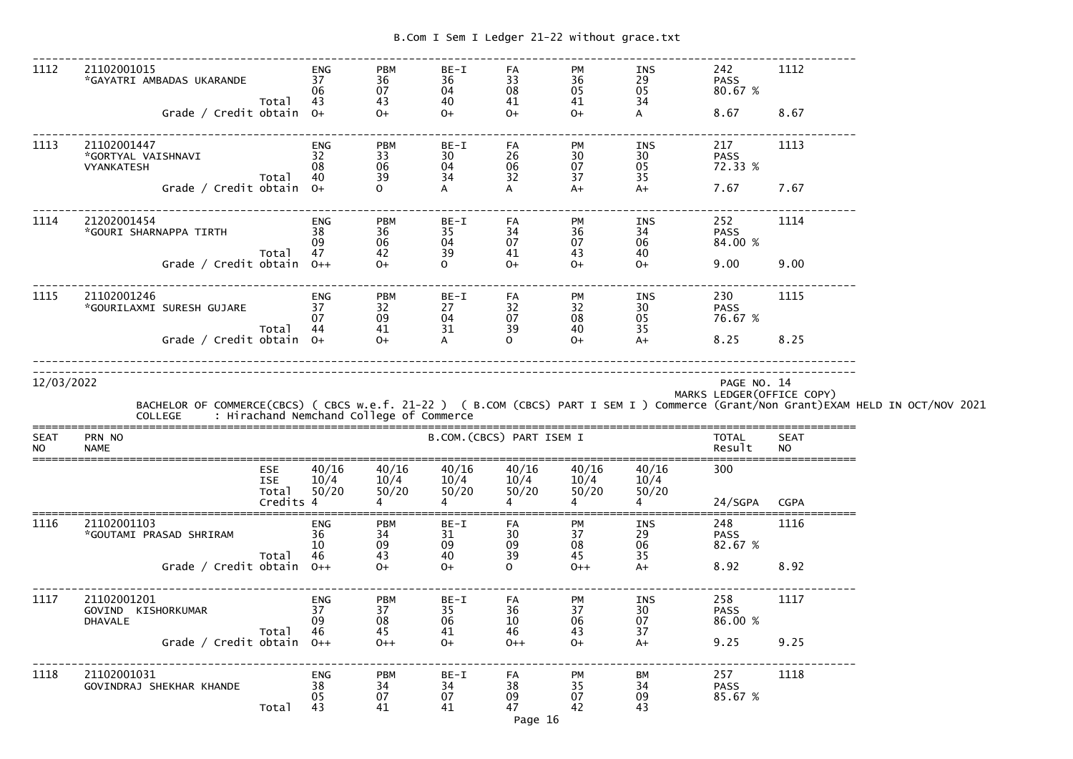------------------------------------------------------------------------------------------------------------------------------- 1112 21102001015 ENG PBM BE-I FA PM INS 242 1112 \*GAYATRI AMBADAS UKARANDE 37 36 36 33 36 29 PASS 80.67 %  $06 \qquad \qquad 07 \qquad \qquad 04 \qquad \qquad 08 \qquad \qquad 05 \qquad \qquad 05 \qquad \qquad 80.67 \; \%$ Total 43 43 40 41 41 34  $\mathsf{A}$ Grade / Credit obtain 0+ 0+ 0+ 0+ 0+ 0+ A 8.67 8.67 ------------------------------------------------------------------------------------------------------------------------------- 1113 21102001447 ENG PBM BE-I FA PM INS 217 1113 \*GORTYAL VAISHNAVI 32 33 30 26 30 30 PASS 72.33 % VYANKATESH 08 06 04 06 07 05 72.33 % Total 40 39 34 32 37 35  $A+$ Grade / Credit obtain  $0+$  0 A A A+  $A+$  7.67 7.67 ------------------------------------------------------------------------------------------------------------------------------- 1114 21202001454 ENG PBM BE-I FA PM INS 252 1114 \*GOURI SHARNAPPA TIRTH 38 36 35 34 36 34 PASS 84.00 %  $\,$  09  $\,$  06  $\,$  04  $\,$  07  $\,$  07  $\,$  06  $\,$  84.00  $\%$ Total 47 42 39 41 43 40  $O+$ Grade / Credit obtain 0++ 0 + 0 + 0+ 0+ 0+ 9.00 9.00 ------------------------------------------------------------------------------------------------------------------------------- 1115 21102001246 ENG PBM BE-I FA PM INS 230 1115 \*GOURILAXMI SURESH GUJARE 37 32 27 32 32 30 PASS 76.67 % 07 09 04 07 08 05 76.67 %Total 44 41 31 39 40 35  $A+$ Grade / Credit obtain  $0+$   $0+$   $A$   $0$   $0+$   $A+$   $8.25$   $8.25$ -------------------------------------------------------------------------------------------------------------------------------------------------------------------------------------------------------------------------------------------------------------- 12/03/2022 PAGE NO. 14 MARKS LEDGER(OFFICE COPY) BACHELOR OF COMMERCE(CBCS) ( CBCS w.e.f. 21-22 ) ( B.COM (CBCS) PART I SEM I ) Commerce (Grant/Non Grant)EXAM HELD IN OCT/NOV 2021 COLLEGE : Hirachand Nemchand College of Commerce ===============================================================================================================================SEAT PRN NO B.COM.(CBCS) PART ISEM I TOTAL SEAT NO NAME Result NO =============================================================================================================================== ESE 40/16 40/16 40/16 40/16 40/16 40/16 300 ISE  $10/4$   $10/4$   $10/4$   $10/4$   $10/4$   $10/4$   $10/4$  $50/20$ Total  $50/20$   $50/20$   $50/20$   $50/20$   $50/2$   $50/2$ <br>Credits 4 4 4 4 4 24/SGPA CGPA ===============================================================================================================================1116 21102001103 ENG PBM BE-I FA PM INS 248 1116 \*GOUTAMI PRASAD SHRIRAM 36 34 31 30 37 29 PASS 82.67 %  $10 \qquad \qquad 09 \qquad \qquad 09 \qquad \qquad 08 \qquad \qquad 06 \qquad \qquad 82.67 \; \%$ Total 46 43 40 39 45 35  $A+$ Grade / Credit obtain 0++ 0+ 0+ 0+ 0 0++ A+ 8.92 8.92 ------------------------------------------------------------------------------------------------------------------------------- 1117 21102001201 ENG PBM BE-I FA PM INS 258 1117 GOVIND KISHORKUMAR 37 37 35 36 37 30 PASS 86.00 % DHAVALE 09 08 06 10 06 07 86.00 % Total 46 45 41 46 43 37  $A+$  Grade / Credit obtain O++ O++ O+ O++ O+ A+ 9.25 9.25------------------------------------------------------------------------------------------------------------------------------- 1118 21102001031 ENG PBM BE-I FA PM BM 257 1118 GOVINDRAJ SHEKHAR KHANDE 38 34 34 38 35 34 PASS 85.67 % 05 07 07 09 07 09 85.67 %Total 43 41 41 47 42 43

Page 16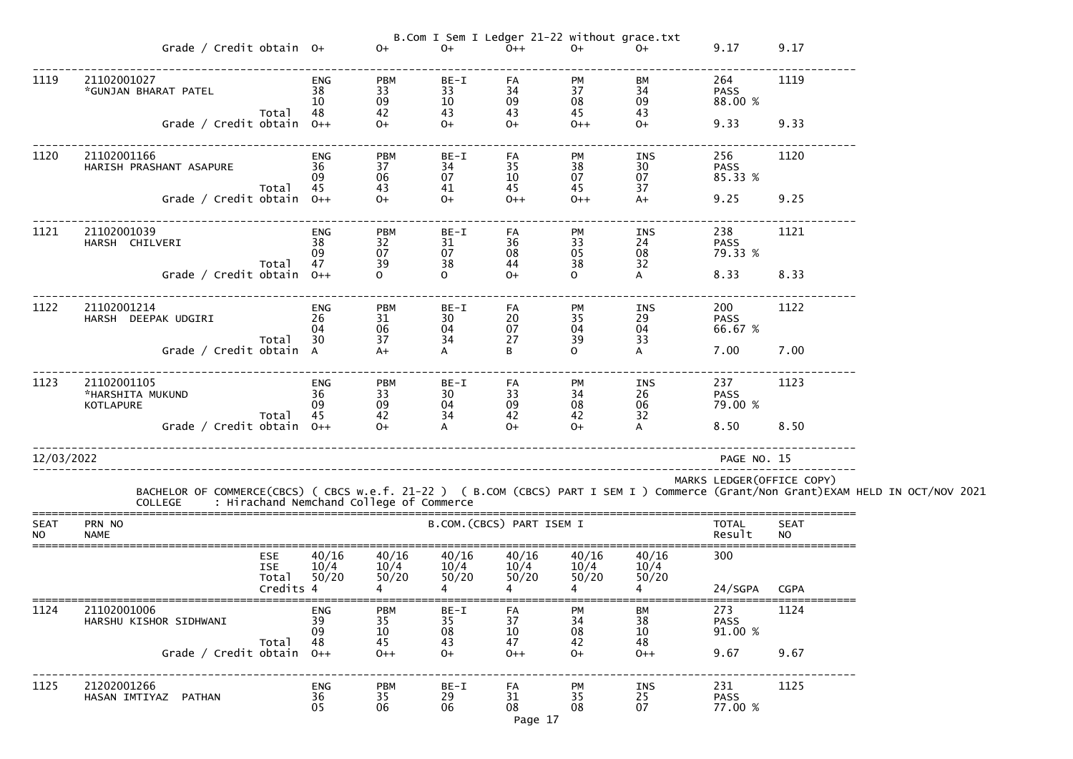|                          |                                                                                                                                                                                            |                          |                                                        |                        |                           | B.Com I Sem I Ledger 21-22 without grace.txt                           |                        |                                    |                            |  |
|--------------------------|--------------------------------------------------------------------------------------------------------------------------------------------------------------------------------------------|--------------------------|--------------------------------------------------------|------------------------|---------------------------|------------------------------------------------------------------------|------------------------|------------------------------------|----------------------------|--|
|                          | Grade / Credit obtain $0+$                                                                                                                                                                 |                          | $O+$                                                   | $O+$                   | $O++$                     | $O+$                                                                   | $0+$                   | 9.17 9.17                          |                            |  |
| 1119                     | 21102001027<br>*GUNJAN BHARAT PATEL                                                                                                                                                        | <b>ENG</b><br>38<br>-10- | <b>PBM</b><br>33<br>09                                 | $BE-I$<br>33<br>10     | FA<br>34<br>09            | $\begin{array}{ccc}\n PNI \\ 37 \\ 08\n\end{array}$<br>$\overline{08}$ | BM<br>34<br>09         | 264<br><b>PASS</b><br>88.00 %      | 1119                       |  |
|                          | Total<br>Grade / Credit obtain $0++$                                                                                                                                                       | -48                      | 42<br>$0 +$                                            | 43<br>$0+$             | 43<br>$0+$                | 45<br>$0++$                                                            | 43<br>$O+$             | 9.33 9.33                          |                            |  |
| 1120                     | 21102001166<br>HARISH PRASHANT ASAPURE 36<br>Total 45                                                                                                                                      | <b>ENG</b><br>-09        | <b>PBM</b><br>37<br>06<br>43                           | BE-I<br>34<br>07<br>41 | FA<br>35<br>10<br>45      | PM<br>38<br>07<br>45                                                   | INS<br>30<br>07<br>37  | 256 2012<br><b>PASS</b><br>85.33 % | 1120                       |  |
|                          | Grade / Credit obtain $0++$                                                                                                                                                                |                          | $0^{+}$                                                | $0+$                   | $O++$                     | $0++$                                                                  | $A+$                   | 9.25 9.25                          |                            |  |
| 1121                     | 21102001039<br>HARSH CHILVERI<br>Total                                                                                                                                                     | ENG<br>38<br>-09         | <b>PBM</b><br>32<br>07<br>39                           | BE-I<br>31<br>07<br>38 | FA<br>36<br>08<br>44      | PM<br>33<br>05<br>38                                                   | INS<br>24<br>08<br>32  | 238<br><b>PASS</b><br>79.33 %      | 1121                       |  |
|                          | Grade / Credit obtain $0++$                                                                                                                                                                | 47<br>0++                |                                                        | $\mathsf{O}$           | $O+$                      | $\mathbf{O}$                                                           | $\mathsf{A}$           | 8.33 8.33                          |                            |  |
| 1122                     | 21102001214<br>26<br>HARSH DEEPAK UDGIRI                                                                                                                                                   | ENG<br>-04               | <b>PBM</b><br>31<br>06                                 | BE-I<br>30<br>04       | FA<br>20<br>07            | PM<br>35<br>04                                                         | INS<br>29<br>04        | 200 000<br><b>PASS</b><br>66.67 %  | 1122                       |  |
|                          | Total 30<br>Grade / Credit obtain A                                                                                                                                                        |                          | 37<br>$A+$                                             | 34<br>$\mathsf{A}$     | 27<br>B                   | 39<br>$\mathbf{O}$                                                     | 33<br>$\mathsf{A}$     | 7.00 7.00                          |                            |  |
| 1123                     | 21102001105<br>*HARSHITA MUKUND<br>KOTLAPURE                                                                                                                                               | <b>ENG</b><br>36<br>09   | <b>PBM</b><br>33<br>09                                 | BE-I<br>30<br>04       | FA<br>33<br>09            | PM<br>34<br>08                                                         | INS<br>26<br>06        | 237<br><b>PASS</b><br>79.00 %      | 1123                       |  |
|                          | Total<br>Grade / Credit obtain $0++$                                                                                                                                                       | 45                       | $\begin{array}{c} 42 \\ \text{O+} \end{array}$<br>$O+$ | 34<br>$\mathsf{A}$     | 42<br>$O+$                | 42<br>$O+$                                                             | 32<br>$\overline{A}$   | 8.50 8.50                          |                            |  |
| 12/03/2022               |                                                                                                                                                                                            |                          |                                                        |                        |                           |                                                                        |                        | PAGE NO. 15                        |                            |  |
|                          | BACHELOR OF COMMERCE(CBCS) ( CBCS w.e.f. 21-22 ) ( B.COM (CBCS) PART I SEM I ) Commerce (Grant/Non Grant)EXAM HELD IN OCT/NOV 2021<br>COLLEGE     : Hirachand Nemchand College of Commerce |                          |                                                        |                        |                           |                                                                        |                        |                                    | MARKS LEDGER (OFFICE COPY) |  |
| <b>SEAT</b><br><b>NO</b> | PRN NO<br><b>NAME</b>                                                                                                                                                                      |                          |                                                        |                        | B.COM. (CBCS) PART ISEM I |                                                                        |                        | <b>TOTAL</b><br>Result             | <b>SEAT</b><br><b>NO</b>   |  |
|                          | <b>ESE</b><br><b>ISE</b><br>Total                                                                                                                                                          | 40/16<br>10/4<br>50/20   | 40/16<br>10/4<br>50/20                                 | 40/16<br>10/4<br>50/20 | 40/16<br>10/4<br>50/20    | 40/16<br>10/4<br>50/20                                                 | 40/16<br>10/4<br>50/20 | 300                                |                            |  |
| 1124                     | Credits 4<br>21102001006                                                                                                                                                                   | <b>ENG</b>               | <b>PBM</b>                                             | BE-I                   |                           |                                                                        | BМ                     | 24/SGPA<br>273                     | <b>CGPA</b><br>1124        |  |
|                          | HARSHU KISHOR SIDHWANI<br>Total                                                                                                                                                            | 39<br>09<br>48           | 35<br>10<br>45                                         | 35<br>08<br>43         | FA<br>37<br>10<br>47      | <b>PM</b><br>34<br>08<br>42                                            | 38<br>10<br>48         | <b>PASS</b><br>91.00 %             |                            |  |
|                          | Grade / Credit obtain $0++$                                                                                                                                                                |                          | $0++$                                                  | $O+$                   | $0++$                     | $O+$                                                                   | $0++$                  | 9.67                               | 9.67                       |  |
| 1125                     | 21202001266<br>HASAN IMTIYAZ PATHAN                                                                                                                                                        | <b>ENG</b><br>36<br>05   | <b>PBM</b><br>35<br>06                                 | BE-I<br>29<br>06       | FA<br>31<br>08<br>Page 17 | PM<br>35<br>08                                                         | INS<br>25<br>07        | 231<br><b>PASS</b><br>77.00 %      | 1125                       |  |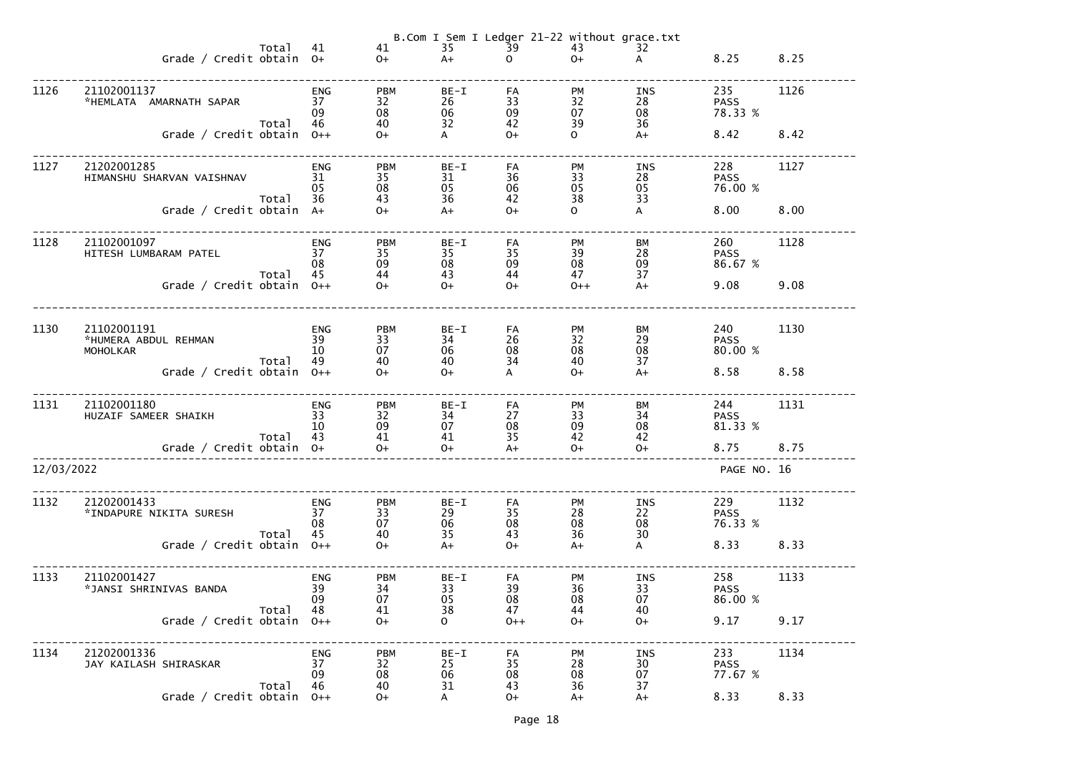|            |                                                        |          |                              |                              |                          |                                 |                             | B.Com I Sem I Ledger 21-22 without grace.txt |                               |      |
|------------|--------------------------------------------------------|----------|------------------------------|------------------------------|--------------------------|---------------------------------|-----------------------------|----------------------------------------------|-------------------------------|------|
|            | Grade / Credit obtain 0+                               | Total    | 41                           | 41<br>$O+$                   | 35<br>$A+$               | $\overline{39}$<br>$\mathsf{O}$ | 43<br>$O+$                  | 32<br>A                                      | 8.25                          | 8.25 |
| 1126       | 21102001137<br>*HEMLATA AMARNATH SAPAR                 |          | ENG<br>37<br>09              | <b>PBM</b><br>32<br>08       | BE-I<br>26<br>06         | FA<br>33<br>09                  | <b>PM</b><br>32<br>07       | INS<br>28<br>08                              | 235<br><b>PASS</b><br>78.33 % | 1126 |
|            | Grade / Credit obtain $0++$                            | Total    | 46                           | 40<br>$O+$                   | 32<br>$\mathsf{A}$       | 42<br>$O+$                      | 39<br>$\mathbf{O}$          | 36<br>$A+$                                   | 8.42                          | 8.42 |
| 1127       | 21202001285<br>HIMANSHU SHARVAN VAISHNAV               | Total    | <b>ENG</b><br>31<br>05<br>36 | <b>PBM</b><br>35<br>08<br>43 | $BE-I$<br>31<br>05<br>36 | FA<br>36<br>06<br>42            | <b>PM</b><br>33<br>05<br>38 | INS<br>28<br>05<br>33                        | 228<br><b>PASS</b><br>76.00 % | 1127 |
|            | Grade / Credit obtain A+                               |          |                              | $O+$                         | $A+$                     | $O+$                            | $\mathbf{O}$                | A                                            | 8.00                          | 8.00 |
| 1128       | 21102001097<br>HITESH LUMBARAM PATEL                   | Total    | <b>ENG</b><br>37<br>08<br>45 | <b>PBM</b><br>35<br>09<br>44 | $BE-I$<br>35<br>08<br>43 | FA<br>35<br>09<br>44            | <b>PM</b><br>39<br>08<br>47 | <b>BM</b><br>28<br>09<br>37                  | 260<br><b>PASS</b><br>86.67 % | 1128 |
|            | Grade / Credit obtain $0++$                            |          |                              | $O+$                         | $O+$                     | $O+$                            | $0++$                       | $A+$                                         | 9.08                          | 9.08 |
| 1130       | 21102001191<br>*HUMERA ABDUL REHMAN<br><b>MOHOLKAR</b> | Total    | <b>ENG</b><br>39<br>10<br>49 | <b>PBM</b><br>33<br>07<br>40 | $BE-I$<br>34<br>06<br>40 | FA<br>26<br>08<br>34            | <b>PM</b><br>32<br>08<br>40 | BM<br>29<br>08<br>37                         | 240<br><b>PASS</b><br>80.00 % | 1130 |
|            | Grade / Credit obtain                                  |          | $O++$                        | $O+$                         | $O+$                     | A                               | $O+$                        | $A+$                                         | 8.58                          | 8.58 |
| 1131       | 21102001180<br>HUZAIF SAMEER SHAIKH                    | Total 43 | ENG<br>33<br>10              | <b>PBM</b><br>32<br>09<br>41 | BE-I<br>34<br>07<br>41   | FA<br>27<br>08<br>35            | PM<br>33<br>09<br>42        | ВM<br>34<br>08<br>42                         | 244<br><b>PASS</b><br>81.33 % | 1131 |
|            | Grade / Credit obtain 0+                               |          |                              | $O+$                         | $O+$                     | $A+$                            | $O+$                        | $O+$                                         | 8.75                          | 8.75 |
| 12/03/2022 |                                                        |          |                              |                              |                          |                                 |                             |                                              | PAGE NO. 16                   |      |
| 1132       | 21202001433<br>*INDAPURE NIKITA SURESH                 | Total    | ENG<br>37<br>08<br>45        | <b>PBM</b><br>33<br>07<br>40 | BE-I<br>29<br>06<br>35   | FA<br>35<br>08<br>43            | PM<br>28<br>08<br>36        | INS<br>22<br>08<br>30                        | 229<br><b>PASS</b><br>76.33 % | 1132 |
|            | Grade / Credit obtain                                  |          | $O++$                        | $O+$                         | $A+$                     | $O+$                            | $A+$                        | $\mathsf{A}$                                 | 8.33                          | 8.33 |
| 1133       | 21102001427<br>*JANSI SHRINIVAS BANDA                  | Total    | ENG<br>39<br>09<br>48        | <b>PBM</b><br>34<br>07<br>41 | BE-I<br>33<br>05<br>38   | FA<br>39<br>08<br>47            | PM<br>36<br>08<br>44        | <b>INS</b><br>33<br>07<br>40                 | 258<br><b>PASS</b><br>86.00 % | 1133 |
|            | Grade / Credit obtain                                  |          | $0++$                        | $O+$                         | $\mathbf{O}$             | $0++$                           | $O+$                        | $O+$                                         | 9.17                          | 9.17 |
| 1134       | 21202001336<br>JAY KAILASH SHIRASKAR                   | Total    | <b>ENG</b><br>37<br>09<br>46 | <b>PBM</b><br>32<br>08<br>40 | BE-I<br>25<br>06<br>31   | FA<br>35<br>08<br>43            | PM<br>28<br>08<br>36        | <b>INS</b><br>30<br>07<br>37                 | 233<br><b>PASS</b><br>77.67 % | 1134 |
|            | Grade / Credit obtain                                  |          | $O++$                        | $O+$                         | A                        | $O+$                            | $A+$                        | $A+$                                         | 8.33                          | 8.33 |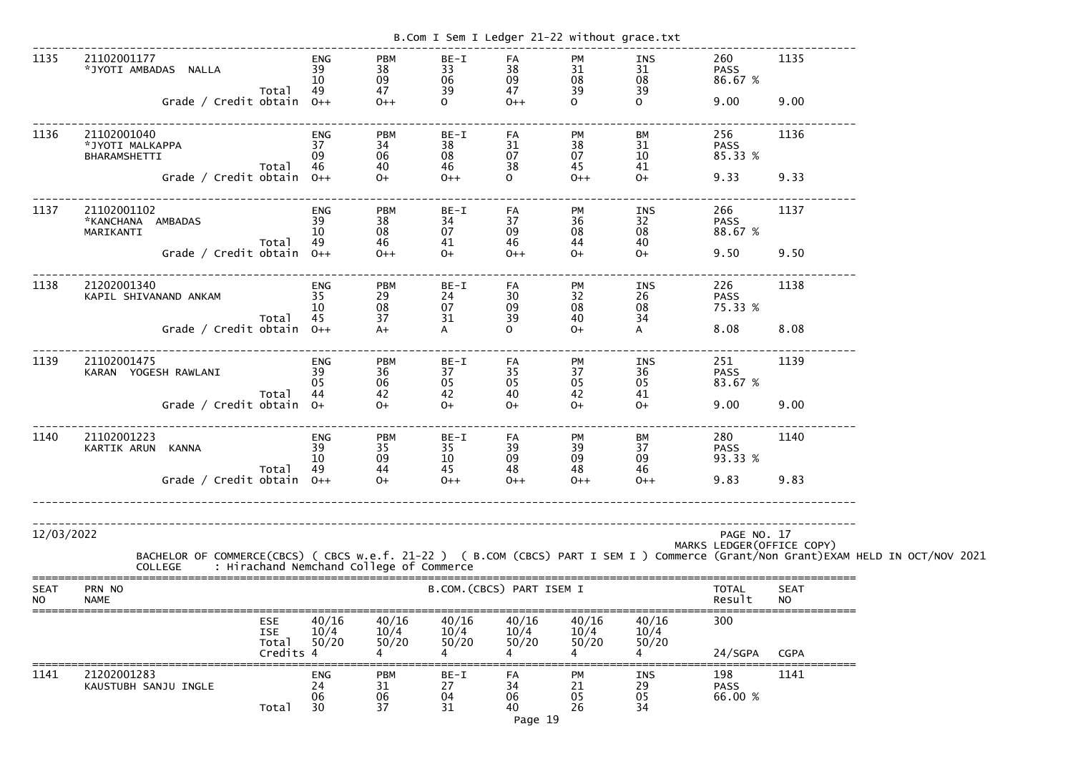|                          |                                                                                                                                                                                            |                              |                                                  | B.Com I Sem I Ledger 21-22 without grace.txt |                                 |                                     |                             |                               |                            |  |
|--------------------------|--------------------------------------------------------------------------------------------------------------------------------------------------------------------------------------------|------------------------------|--------------------------------------------------|----------------------------------------------|---------------------------------|-------------------------------------|-----------------------------|-------------------------------|----------------------------|--|
| 1135                     | 21102001177<br>*JYOTI AMBADAS NALLA<br>Total                                                                                                                                               | <b>ENG</b><br>39<br>10<br>49 | <b>PBM</b><br>38<br>09<br>47                     | BE-I<br>33<br>06<br>39                       | FA<br>38<br>09<br>47            | <b>PM</b><br>31<br>08<br>39         | INS<br>31<br>08<br>39       | 260<br><b>PASS</b><br>86.67 % | 1135                       |  |
|                          | Grade / Credit obtain                                                                                                                                                                      | $0++$                        | $0++$                                            | $\mathbf{O}$                                 | $0++$                           | $\mathsf{O}$                        | $\Omega$                    | 9.00                          | 9.00                       |  |
| 1136                     | 21102001040<br>*JYOTI MALKAPPA<br>BHARAMSHETTI<br>Total                                                                                                                                    | <b>ENG</b><br>37<br>09<br>46 | <b>PBM</b><br>34<br>06<br>40                     | $BE-I$<br>38<br>08<br>46                     | FA<br>31<br>07<br>38            | <b>PM</b><br>38<br>07<br>45         | BM<br>31<br>10<br>41        | 256<br><b>PASS</b><br>85.33 % | 1136                       |  |
|                          | Grade / Credit obtain                                                                                                                                                                      | $O++$                        | $0+$                                             | $0++$                                        | $\Omega$                        | $0++$                               | $0+$                        | 9.33                          | 9.33                       |  |
| 1137                     | 21102001102<br>*KANCHANA AMBADAS<br>MARIKANTI<br>Total                                                                                                                                     | <b>ENG</b><br>39<br>10<br>49 | <b>PBM</b><br>38<br>08<br>46                     | $BE-I$<br>34<br>07<br>41                     | FA<br>37<br>09<br>46            | <b>PM</b><br>36<br>${\bf 08}$<br>44 | INS<br>32<br>08<br>40       | 266<br><b>PASS</b><br>88.67 % | 1137                       |  |
|                          | Grade / Credit obtain                                                                                                                                                                      | $O++$                        | $0++$                                            | $O+$                                         | $0++$                           | $O+$                                | $O+$                        | 9.50                          | 9.50                       |  |
| 1138                     | 21202001340<br>KAPIL SHIVANAND ANKAM<br>Total                                                                                                                                              | <b>ENG</b><br>35<br>10<br>45 | <b>PBM</b><br>29<br>08<br>37                     | BE-I<br>24<br>07<br>31                       | FA<br>30<br>09<br>39            | PM<br>32<br>08<br>40                | INS<br>26<br>08<br>34       | 226<br><b>PASS</b><br>75.33 % | 1138                       |  |
|                          | Grade / Credit obtain                                                                                                                                                                      | $O++$                        | $A+$                                             | A                                            | $\mathbf{O}$                    | $O+$                                | A                           | 8.08                          | 8.08                       |  |
| 1139                     | 21102001475<br>KARAN YOGESH RAWLANI                                                                                                                                                        | <b>ENG</b><br>39<br>05       | <b>PBM</b><br>36<br>06                           | BE-I<br>37<br>05                             | FA<br>35<br>05                  | <b>PM</b><br>37<br>05               | INS<br>36<br>05             | 251<br><b>PASS</b><br>83.67 % | 1139                       |  |
|                          | Total<br>Grade / Credit obtain                                                                                                                                                             | 44<br>$O+$                   | 42<br>$O+$                                       | 42<br>$O+$                                   | 40<br>$0+$                      | 42<br>$O+$                          | 41<br>$0+$                  | 9.00                          | 9.00                       |  |
| 1140                     | 21102001223<br>KARTIK ARUN<br><b>KANNA</b><br>Total                                                                                                                                        | <b>ENG</b><br>39<br>10<br>49 | <b>PBM</b><br>35<br>09<br>44                     | $BE-I$<br>35<br>$10\,$<br>45                 | FA<br>39<br>09<br>48            | PM<br>39<br>09<br>48                | <b>BM</b><br>37<br>09<br>46 | 280<br><b>PASS</b><br>93.33 % | 1140                       |  |
|                          | Grade / Credit obtain $0++$                                                                                                                                                                |                              | $0+$                                             | $0++$                                        | $0++$                           | $0++$                               | $0++$                       | 9.83                          | 9.83                       |  |
|                          |                                                                                                                                                                                            |                              | ____________________________________             |                                              |                                 |                                     |                             |                               |                            |  |
| 12/03/2022               | BACHELOR OF COMMERCE(CBCS) ( CBCS w.e.f. 21-22 ) ( B.COM (CBCS) PART I SEM I ) Commerce (Grant/Non Grant)EXAM HELD IN OCT/NOV 2021<br>COLLEGE     : Hirachand Nemchand College of Commerce |                              |                                                  |                                              |                                 |                                     |                             | PAGE NO. 17                   | MARKS LEDGER (OFFICE COPY) |  |
| <b>SEAT</b><br><b>NO</b> | PRN NO<br><b>NAME</b>                                                                                                                                                                      |                              |                                                  |                                              | B.COM. (CBCS) PART ISEM I       |                                     |                             | <b>TOTAL</b><br>Result        | <b>SEAT</b><br><b>NO</b>   |  |
|                          | ESE<br><b>ISE</b><br>Total                                                                                                                                                                 | Credits 4                    | 40/16<br>40/16<br>10/4<br>10/4<br>50/20<br>50/20 | 40/16<br>10/4<br>50/20                       | 40/16<br>10/4<br>50/20          | 40/16<br>10/4<br>50/20              | 40/16<br>10/4<br>50/20      | 300<br>24/SGPA                | <b>CGPA</b>                |  |
| 1141                     | 21202001283<br>KAUSTUBH SANJU INGLE<br>Total                                                                                                                                               | <b>ENG</b><br>24<br>06<br>30 | <b>PBM</b><br>31<br>06<br>37                     | BE-I<br>27<br>04<br>31                       | FA<br>34<br>06<br>40<br>Page 19 | <b>PM</b><br>21<br>05<br>26         | INS<br>29<br>05<br>34       | 198<br><b>PASS</b><br>66.00 % | 1141                       |  |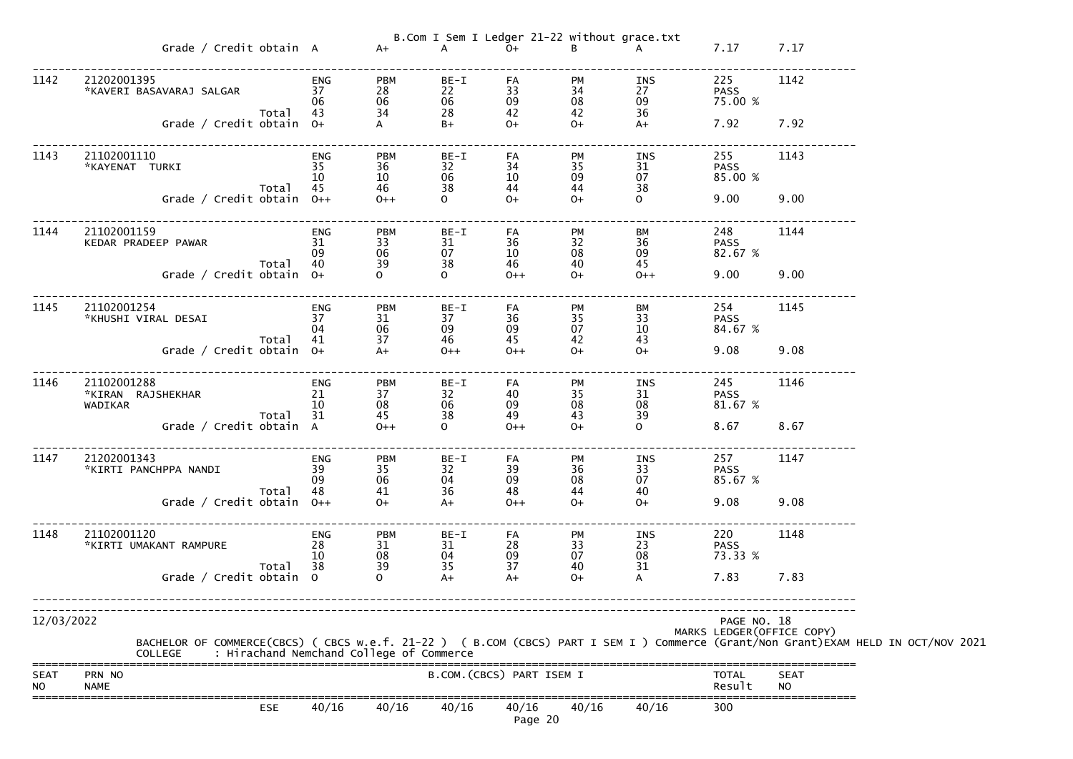|                          |                                                                                                                                                                                                  |                              |                                                             |                                        |                                   | B.Com I Sem I Ledger 21-22 without grace.txt |                                      |                               |                            |  |
|--------------------------|--------------------------------------------------------------------------------------------------------------------------------------------------------------------------------------------------|------------------------------|-------------------------------------------------------------|----------------------------------------|-----------------------------------|----------------------------------------------|--------------------------------------|-------------------------------|----------------------------|--|
|                          | Grade / Credit obtain A A+                                                                                                                                                                       |                              |                                                             | $\overline{A}$                         | $O+$                              |                                              | B A                                  | 7.17                          | 7.17                       |  |
| 1142                     | 21202001395<br>*KAVERI BASAVARAJ SALGAR<br>Total                                                                                                                                                 | ENG<br>37<br>06<br>43        | <b>PBM</b><br>28<br>06<br>34                                | $BE-I$<br>22<br>06<br>28               | FA<br>33<br>09<br>42              | <b>PM</b><br>34<br>08<br>42                  | <b>INS</b><br>27<br>09 75.00 %<br>36 | 225<br><b>PASS</b>            | 1142                       |  |
|                          | Grade / Credit obtain 0+                                                                                                                                                                         |                              |                                                             | $B+$                                   | $O+$                              | $O+$                                         | $A+$                                 | 7.92                          | 7.92                       |  |
| 1143                     | 21102001110<br>*KAYENAT TURKI<br>Total                                                                                                                                                           | ENG<br>35<br>10<br>45        | <b>PBM</b><br>36<br>10<br>46                                | BE-I<br>32<br>06<br>38                 | FA<br>34<br>10<br>44              | PM<br>35<br>09<br>44                         | <b>INS</b><br>31<br>07<br>38         | 255<br><b>PASS</b><br>85.00 % | 1143                       |  |
|                          | Grade / Credit obtain 0++                                                                                                                                                                        |                              | $O++$                                                       | $\overline{O}$                         | $O+$                              | $O+$                                         | $\overline{O}$                       | 9.00                          | 9.00                       |  |
| 1144                     | 21102001159<br>KEDAR PRADEEP PAWAR<br>Total                                                                                                                                                      | ENG<br>31<br>09<br>40        | <b>PBM</b><br>33<br>06<br>39                                | BE-I<br>31<br>07<br>38                 | FA<br>36<br>10<br>46              | PM<br>32<br>08<br>40                         | BM<br>36<br>09<br>45                 | 248<br><b>PASS</b><br>82.67 % | 1144                       |  |
|                          | Grade / Credit obtain 0+                                                                                                                                                                         |                              | $\Omega$                                                    | $\overline{O}$                         | $0++$                             | $O+$                                         | $0++$                                | 9.00                          | 9.00                       |  |
| 1145                     | 21102001254<br>*KHUSHI VIRAL DESAI                                                                                                                                                               | ENG<br>37<br>04              | <b>PBM</b><br>31<br>06                                      | $BE-I$<br>37<br>09                     | FA<br>36<br>09                    | <b>PM</b><br>35<br>07                        | BM<br>33<br><b>PASS</b><br>10        | 254<br>84.67 %                | 1145                       |  |
|                          | Total<br>Grade / Credit obtain 0+                                                                                                                                                                | 41                           | 37                                                          | 46<br>$0++$                            | 45<br>$0++$                       | 42<br>$0+$                                   | 43<br>$O+$                           | 9.08                          | 9.08                       |  |
| 1146                     | 21102001288<br>*KIRAN RAJSHEKHAR<br>WADIKAR                                                                                                                                                      | ENG<br>21<br>10              | <b>PBM</b><br>37<br>08                                      | BE-I<br>32<br>06                       | FA<br>40<br>09                    | PM<br>35<br>08                               | INS<br>31<br><b>PASS</b><br>08       | 245<br>81.67 %                | 1146                       |  |
|                          | Total<br>Grade / Credit obtain A                                                                                                                                                                 | 31                           | 45<br>$0++$                                                 | $\begin{array}{c} 38 \\ 0 \end{array}$ | 49<br>$0++$                       | 43<br>$0+$                                   | $\frac{39}{0}$                       | 8.67 8.67                     |                            |  |
| 1147                     | 21202001343<br>*KIRTI PANCHPPA NANDI<br>Total                                                                                                                                                    | <b>ENG</b><br>39<br>09<br>48 | <b>PBM</b><br>$\begin{array}{c} 35 \\ 06 \end{array}$<br>41 | BE-I<br>32<br>04<br>36                 | FA<br>39<br>09<br>48              | PM<br>$\frac{36}{08}$<br>44                  | INS<br>33<br>07<br>40                | 257<br><b>PASS</b><br>85.67 % | 1147                       |  |
|                          | Grade / Credit obtain $0++$                                                                                                                                                                      |                              | $O+$                                                        | $A+$                                   | $0++$                             | $O+$                                         | $O+$                                 | 9.08                          | 9.08                       |  |
| 1148                     | 21102001120<br>*KIRTI UMAKANT RAMPURE<br>Total                                                                                                                                                   | <b>ENG</b><br>28<br>10<br>38 | <b>PBM</b><br>$\frac{31}{08}$<br>39                         | BE-I<br>31<br>04<br>35                 | FA<br>$\substack{28 \\ 09}$<br>37 | PM<br>33<br>07<br>40                         | INS<br>23<br>08<br>31                | 220<br><b>PASS</b><br>73.33 % | 1148                       |  |
|                          | Grade / Credit obtain 0                                                                                                                                                                          |                              | $\Omega$                                                    | $A+$                                   | $A+$                              | $O+$                                         | A                                    | 7.83                          | 7.83                       |  |
| 12/03/2022               |                                                                                                                                                                                                  |                              |                                                             |                                        |                                   |                                              |                                      | PAGE NO. 18                   | MARKS LEDGER (OFFICE COPY) |  |
|                          | BACHELOR OF COMMERCE(CBCS) ( CBCS w.e.f. 21-22 ) ( B.COM (CBCS) PART I SEM I ) Commerce (Grant/Non Grant)EXAM HELD IN OCT/NOV 2021<br>: Hirachand Nemchand College of Commerce<br><b>COLLEGE</b> |                              |                                                             |                                        |                                   |                                              |                                      |                               |                            |  |
| <b>SEAT</b><br><b>NO</b> | PRN NO<br><b>NAME</b>                                                                                                                                                                            |                              |                                                             |                                        | B.COM. (CBCS) PART ISEM I         |                                              |                                      | <b>TOTAL</b><br>Result        | <b>SEAT</b><br><b>NO</b>   |  |
|                          | <b>ESE</b>                                                                                                                                                                                       | 40/16                        | 40/16                                                       | 40/16                                  | 40/16<br>Page 20                  | 40/16                                        | 40/16                                | 300                           |                            |  |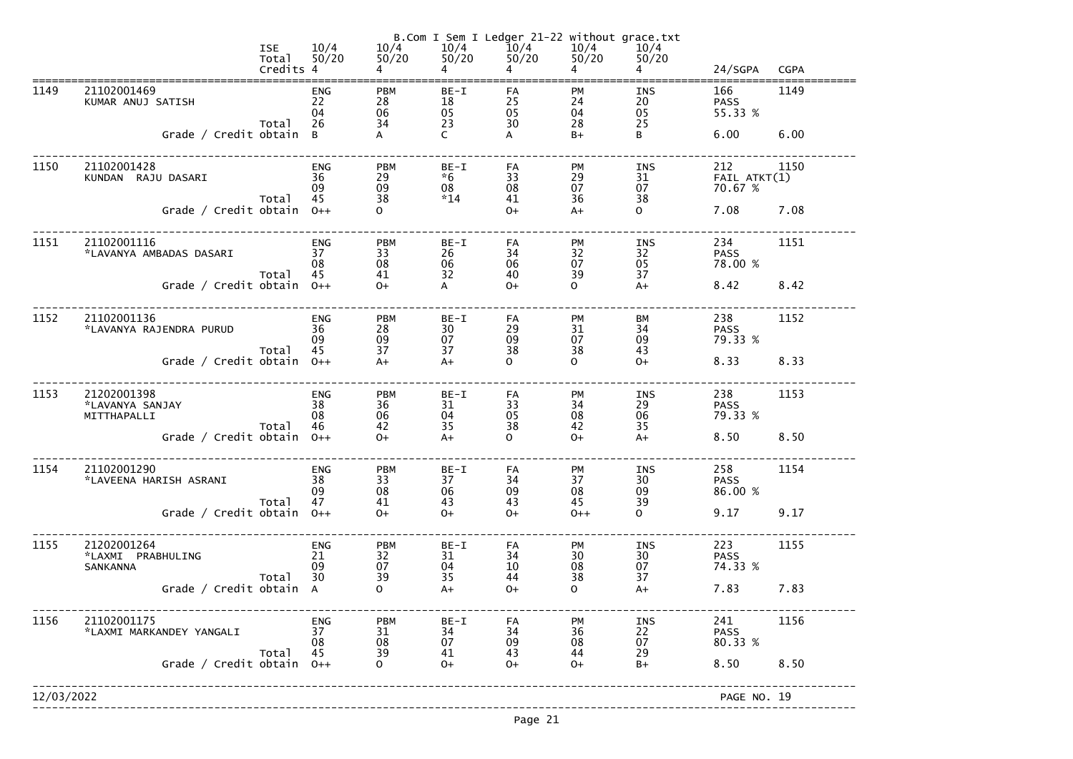|            |                                                     | <b>ISE</b><br>Total<br>Credits 4 | 10/4<br>50/20                | 10/4<br>$50/20$                                             | B.Com I Sem I Ledger 21-22 without grace.txt<br>$10/4$ $10/4$<br>50/20<br>$4 \quad$ | 50/20<br>$\overline{4}$ | 10/4<br>50/20<br>$\overline{4}$ | 10/4<br>50/20<br>$\overline{4}$                             | 24/SGPA                        | <b>CGPA</b> |
|------------|-----------------------------------------------------|----------------------------------|------------------------------|-------------------------------------------------------------|-------------------------------------------------------------------------------------|-------------------------|---------------------------------|-------------------------------------------------------------|--------------------------------|-------------|
| 1149       | 21102001469<br>KUMAR ANUJ SATISH                    |                                  | <b>ENG</b><br>22<br>04       | <b>PBM</b><br>28<br>06                                      | $BE-I$<br>18<br>05                                                                  | FA<br>25<br>05          | <b>PM</b><br>24<br>04           | <b>INS</b><br>20<br>05                                      | 166<br><b>PASS</b><br>55.33 %  | 1149        |
|            | Grade / Credit obtain B                             | Total                            | 26                           | 34                                                          | 23<br>$\mathsf{C}$                                                                  | 30<br>A                 | 28<br>$B+$                      | 25<br>B                                                     | 6.00                           | 6.00        |
| 1150       | 21102001428<br>KUNDAN RAJU DASARI                   | Total                            | <b>ENG</b><br>36<br>09<br>45 | <b>PBM</b><br>29<br>09<br>38                                | $BE-I$<br>$*6$<br>08<br>$*14$                                                       | FA<br>33<br>08<br>41    | <b>PM</b><br>29<br>07<br>36     | INS<br>31<br>07<br>38                                       | 212<br>FAIL ATKT(1)<br>70.67 % | 1150        |
|            | Grade / Credit obtain $0++$                         |                                  |                              | $\Omega$                                                    |                                                                                     | $O+$                    | $A+$                            | $\mathsf{O}$                                                | 7.08                           | 7.08        |
| 1151       | 21102001116<br>*LAVANYA AMBADAS DASARI              | Total                            | <b>ENG</b><br>37<br>08<br>45 | <b>PBM</b><br>33<br>08<br>41                                | $BE-I$<br>26<br>06<br>32                                                            | FA<br>34<br>06<br>40    | <b>PM</b><br>32<br>07<br>39     | INS<br>32<br>05<br>37                                       | 234<br><b>PASS</b><br>78.00 %  | 1151        |
|            | Grade / Credit obtain 0++                           |                                  |                              | $O+$                                                        | $\mathsf{A}$                                                                        | $O+$                    | $\mathsf{O}$                    | $A+$                                                        | 8.42                           | 8.42        |
| 1152       | 21102001136<br>*LAVANYA RAJENDRA PURUD              | Total                            | <b>ENG</b><br>36<br>09<br>45 | <b>PBM</b><br>28<br>09<br>37                                | $BE-I$<br>30<br>07<br>37                                                            | FA<br>29<br>09<br>38    | PM<br>31<br>07<br>38            | BM<br>34<br>09<br>43                                        | 238<br><b>PASS</b><br>79.33 %  | 1152        |
|            | Grade / Credit obtain $0++$                         |                                  |                              | $A+$                                                        | $A+$                                                                                | $\mathsf{O}$            | $\Omega$                        | $O+$                                                        | 8.33                           | 8.33        |
| 1153       | 21202001398<br>*LAVANYA SANJAY<br>MITTHAPALLI       | Total                            | <b>ENG</b><br>38<br>08<br>46 | <b>PBM</b><br>36<br>06<br>42                                | $BE-I$<br>31<br>04<br>35                                                            | FA<br>33<br>05<br>38    | <b>PM</b><br>34<br>08<br>42     | INS<br>29<br>06<br>35                                       | 238<br><b>PASS</b><br>79.33 %  | 1153        |
|            | Grade / Credit obtain 0++                           |                                  |                              | $0+$                                                        | $A+$                                                                                | $\mathsf{O}$            | $O+$                            | $A+$                                                        | 8.50                           | 8.50        |
| 1154       | 21102001290<br>*LAVEENA HARISH ASRANI               | Total                            | <b>ENG</b><br>38<br>09<br>47 | <b>PBM</b><br>33<br>08<br>41                                | BE-I<br>37<br>06<br>43                                                              | FA<br>34<br>09<br>43    | PM<br>37<br>08<br>45            | <b>INS</b><br>30<br>09<br>39                                | 258<br><b>PASS</b><br>86.00 %  | 1154        |
|            | Grade / Credit obtain                               |                                  | $0++$                        | $0+$                                                        | $0+$                                                                                | $O+$                    | $0++$                           | $\mathsf{O}$                                                | 9.17                           | 9.17        |
| 1155       | 21202001264<br>*LAXMI PRABHULING<br><b>SANKANNA</b> | Total                            | <b>ENG</b><br>21<br>09<br>30 | <b>PBM</b><br>$\begin{array}{c} 32 \\ 07 \end{array}$<br>39 | $BE-I$<br>31<br>04<br>35                                                            | FA<br>34<br>10<br>44    | PM<br>30<br>08<br>38            | <b>INS</b><br>$\begin{array}{c} 30 \\ 07 \end{array}$<br>37 | 223<br><b>PASS</b><br>74.33 %  | 1155        |
|            | Grade / Credit obtain A                             |                                  |                              | $\mathsf{O}$                                                | $A+$                                                                                | $0+$                    | $\mathsf{O}$                    | $A+$                                                        | 7.83                           | 7.83        |
| 1156       | 21102001175<br>*LAXMI MARKANDEY YANGALI             | Total                            | <b>ENG</b><br>37<br>08<br>45 | <b>PBM</b><br>31<br>08<br>39                                | $BE-I$<br>34<br>07<br>41                                                            | FA<br>34<br>09<br>43    | PM<br>36<br>08<br>44            | <b>INS</b><br>$\begin{array}{c} 22 \\ 07 \end{array}$<br>29 | 241<br><b>PASS</b><br>80.33 %  | 1156        |
|            | Grade / Credit obtain                               |                                  | $0++$                        | $\Omega$                                                    | $O+$                                                                                | $O+$                    | $O+$                            | $B+$                                                        | 8.50                           | 8.50        |
| 12/03/2022 |                                                     |                                  |                              |                                                             |                                                                                     |                         |                                 |                                                             | PAGE NO. 19                    |             |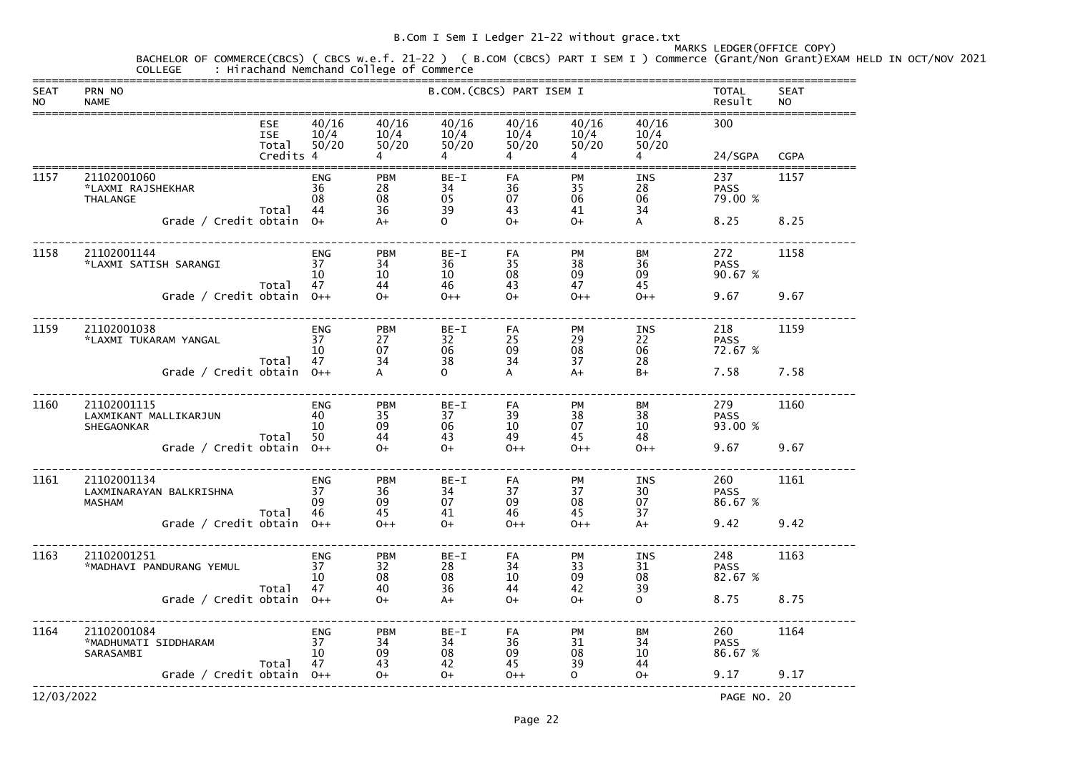### MARKS LEDGER(OFFICE COPY)

BACHELOR OF COMMERCE(CBCS) ( CBCS w.e.f. 21-22 ) ( B.COM (CBCS) PART I SEM I ) Commerce (Grant/Non Grant)EXAM HELD IN OCT/NOV 2021<br>COLLEGE : Hirachand Nemchand College of Commerce

| <b>SEAT</b><br><b>NO</b> | PRN NO<br><b>NAME</b>                                                                  |                                                |                                       |                                       |                                      | B.COM. (CBCS) PART ISEM I     |                                      |                                                | <b>TOTAL</b><br>Result                | <b>SEAT</b><br><b>NO</b> |
|--------------------------|----------------------------------------------------------------------------------------|------------------------------------------------|---------------------------------------|---------------------------------------|--------------------------------------|-------------------------------|--------------------------------------|------------------------------------------------|---------------------------------------|--------------------------|
|                          |                                                                                        | <b>ESE</b><br><b>ISE</b><br>Total<br>Credits 4 | 40/16<br>10/4<br>50/20                | 40/16<br>10/4<br>50/20                | 40/16<br>10/4<br>50/20               | 40/16<br>10/4<br>50/20        | 40/16<br>10/4<br>50/20               | 40/16<br>10/4<br>50/20                         | 300<br>24/SGPA                        | <b>CGPA</b>              |
| 1157                     | 21102001060<br>*LAXMI RAJSHEKHAR<br><b>THALANGE</b><br>Grade / Credit obtain           | Total                                          | <b>ENG</b><br>36<br>08<br>44<br>$O+$  | <b>PBM</b><br>28<br>08<br>36<br>$A+$  | $BE-I$<br>34<br>05<br>39<br>$\Omega$ | FA<br>36<br>07<br>43<br>$O+$  | PM<br>35<br>06<br>41<br>$O+$         | <b>INS</b><br>28<br>06<br>34<br>A              | 237<br><b>PASS</b><br>79.00 %<br>8.25 | 1157<br>8.25             |
| 1158                     | 21102001144<br>*LAXMI SATISH SARANGI<br>Grade / Credit obtain                          | Total                                          | <b>ENG</b><br>37<br>10<br>47<br>$0++$ | <b>PBM</b><br>34<br>10<br>44<br>$O+$  | $BE-I$<br>36<br>10<br>46<br>$0++$    | FA<br>35<br>08<br>43<br>$O+$  | PM<br>38<br>09<br>47<br>$0++$        | BM<br>36<br>09<br>45<br>$0++$                  | 272<br><b>PASS</b><br>90.67 %<br>9.67 | 1158<br>9.67             |
| 1159                     | 21102001038<br>*LAXMI TUKARAM YANGAL<br>Grade / Credit obtain                          | Total                                          | <b>ENG</b><br>37<br>10<br>47<br>$0++$ | <b>PBM</b><br>27<br>07<br>34<br>A     | $BE-I$<br>32<br>06<br>38<br>$\Omega$ | FA<br>25<br>09<br>34<br>A     | PM<br>29<br>08<br>37<br>$A+$         | <b>INS</b><br>22<br>06<br>28<br>$B+$           | 218<br><b>PASS</b><br>72.67 %<br>7.58 | 1159<br>7.58             |
| 1160                     | 21102001115<br>LAXMIKANT MALLIKARJUN<br><b>SHEGAONKAR</b><br>Grade / Credit obtain     | Total                                          | <b>ENG</b><br>40<br>10<br>50<br>$0++$ | <b>PBM</b><br>35<br>09<br>44<br>$O+$  | $BE-I$<br>37<br>06<br>43<br>$O+$     | FA<br>39<br>10<br>49<br>$0++$ | PM<br>38<br>07<br>45<br>$0++$        | BM<br>38<br>10<br>48<br>$0++$                  | 279<br><b>PASS</b><br>93.00 %<br>9.67 | 1160<br>9.67             |
| 1161                     | 21102001134<br>LAXMINARAYAN BALKRISHNA<br><b>MASHAM</b><br>Grade / Credit obtain $0++$ | Total                                          | <b>ENG</b><br>37<br>09<br>46          | <b>PBM</b><br>36<br>09<br>45<br>$0++$ | $BE-I$<br>34<br>07<br>41<br>$O+$     | FA<br>37<br>09<br>46<br>$0++$ | <b>PM</b><br>37<br>08<br>45<br>$0++$ | INS<br>30<br>07<br>37<br>$A+$                  | 260<br><b>PASS</b><br>86.67 %<br>9.42 | 1161<br>9.42             |
| 1163                     | 21102001251<br>*MADHAVI PANDURANG YEMUL<br>Grade / Credit obtain 0++                   | Total                                          | <b>ENG</b><br>37<br>10<br>47          | <b>PBM</b><br>32<br>08<br>40<br>$O+$  | $BE-I$<br>28<br>08<br>36<br>$A+$     | FA<br>34<br>10<br>44<br>$O+$  | PM<br>33<br>09<br>42<br>$O+$         | <b>INS</b><br>31<br>08<br>39<br>$\overline{O}$ | 248<br><b>PASS</b><br>82.67 %<br>8.75 | 1163<br>8.75             |
| 1164                     | 21102001084<br>*MADHUMATI SIDDHARAM<br>SARASAMBI<br>Grade / Credit obtain 0++          | Total                                          | <b>ENG</b><br>37<br>10<br>47          | <b>PBM</b><br>34<br>09<br>43<br>$O+$  | $BE-I$<br>34<br>08<br>42<br>$O+$     | FA<br>36<br>09<br>45<br>$0++$ | PM<br>31<br>08<br>39<br>$\Omega$     | ВM<br>34<br>10<br>44<br>$O+$                   | 260<br><b>PASS</b><br>86.67 %<br>9.17 | 1164<br>9.17             |
| 12/03/2022               |                                                                                        |                                                |                                       |                                       |                                      |                               |                                      |                                                | PAGE NO. 20                           |                          |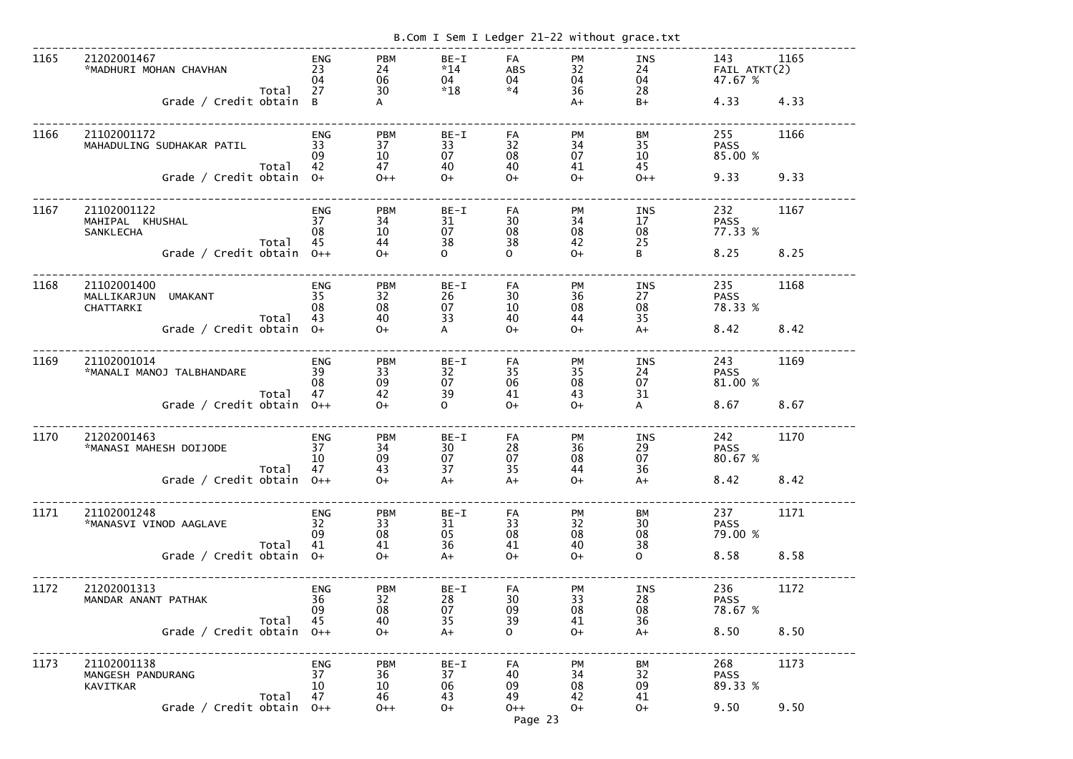|      |                                                                                     |       |                                            |                                                       |                                             |                                                                          |                                                  | B.Com I Sem I Ledger 21-22 without grace.txt        |                                        |              |
|------|-------------------------------------------------------------------------------------|-------|--------------------------------------------|-------------------------------------------------------|---------------------------------------------|--------------------------------------------------------------------------|--------------------------------------------------|-----------------------------------------------------|----------------------------------------|--------------|
| 1165 | 21202001467<br>*MADHURI MOHAN CHAVHAN<br>Grade / Credit obtain B                    | Total | <b>ENG</b><br>23<br>04<br>27               | <b>PBM</b><br>24<br>06<br>30<br>A                     | $BE-I$<br>$*14$<br>04<br>$*18$              | FA<br><b>ABS</b><br>04<br>$*4$                                           | PM<br>32<br>04<br>36<br>$A+$                     | INS<br>24<br>04<br>28<br>$B+$                       | 143<br>FAIL ATKT(2)<br>47.67 %<br>4.33 | 1165<br>4.33 |
| 1166 | 21102001172<br>MAHADULING SUDHAKAR PATIL<br>Grade / Credit obtain                   | Total | <b>ENG</b><br>33<br>09<br>42<br>$O+$       | <b>PBM</b><br>37<br>10<br>47<br>$0++$                 | $BE-I$<br>33<br>07<br>40<br>$O+$            | FA<br>32<br>08<br>40<br>$O+$                                             | PM<br>34<br>07<br>41<br>$O+$                     | BM<br>35<br>10<br>45<br>$0++$                       | 255<br><b>PASS</b><br>85.00 %<br>9.33  | 1166<br>9.33 |
| 1167 | 21102001122<br>MAHIPAL KHUSHAL<br><b>SANKLECHA</b><br>Grade / Credit obtain         | Total | <b>ENG</b><br>37<br>08<br>45<br>$0++$      | <b>PBM</b><br>34<br>10<br>44<br>$O+$                  | $BE-I$<br>31<br>07<br>38<br>$\overline{O}$  | FA<br>30<br>08<br>38<br>$\mathbf{O}$                                     | PM<br>34<br>08<br>42<br>$O+$                     | <b>INS</b><br>17<br>08<br>25<br>B                   | 232<br><b>PASS</b><br>77.33 %<br>8.25  | 1167<br>8.25 |
| 1168 | 21102001400<br>MALLIKARJUN<br><b>UMAKANT</b><br>CHATTARKI<br>Grade / Credit obtain  | Total | <b>ENG</b><br>35<br>08<br>43<br>$O+$       | <b>PBM</b><br>32<br>08<br>40<br>$O+$                  | BE-I<br>26<br>07<br>33<br>A                 | FA<br>30<br>10<br>40<br>$O+$                                             | <b>PM</b><br>36<br>08<br>44<br>$O+$              | <b>INS</b><br>27<br>08<br>35<br>$A+$                | 235<br><b>PASS</b><br>78.33 %<br>8.42  | 1168<br>8.42 |
| 1169 | 21102001014<br>*MANALI MANOJ TALBHANDARE<br>Grade / Credit obtain                   | Total | <b>ENG</b><br>39<br>08<br>47<br>$0++$      | <b>PBM</b><br>33<br>09<br>42<br>$O+$                  | BE-I<br>32<br>07<br>39<br>$\overline{O}$    | FA<br>35<br>06<br>41<br>$O+$                                             | <b>PM</b><br>35<br>08<br>43<br>$O+$              | <b>INS</b><br>24<br>07<br>31<br>A                   | 243<br><b>PASS</b><br>81.00 %<br>8.67  | 1169<br>8.67 |
| 1170 | 21202001463<br>*MANASI MAHESH DOIJODE<br>Grade / Credit obtain $0++$                | Total | ENG<br>37<br>$10$ 09<br>$47$ 43<br>$0+$ 0+ |                                                       | $09 \n07 \n13 \n37 \n44$                    | FA<br>$\begin{array}{c} 28 \\ 07 \end{array}$<br>$\overline{35}$<br>$A+$ | <b>PM</b><br>$\frac{36}{08}$<br>44<br>$0+$       | INS<br>29<br>07<br>36<br>$A+$                       | 242<br><b>PASS</b><br>80.67 %<br>8.42  | 1170<br>8.42 |
| 1171 | 21102001248<br>*MANASVI VINOD AAGLAVE<br>Total 41 41<br>Grade / Credit obtain 0+ 0+ |       | ENG<br>32<br>09                            | <b>PBM</b><br>33<br>08                                | BE-I<br>31<br>$05$<br>$36$<br>$A+$          | FA<br>$\begin{array}{r} 33 \\ 33 \\ 08 \\ 41 \end{array}$<br>$O+$        | PM<br>32<br>$\overline{08}$<br>40<br>$O+$        | BM<br>30<br>$\overline{08}$<br>38<br>$\overline{O}$ | 237<br><b>PASS</b><br>79.00 %<br>8.58  | 1171<br>8.58 |
| 1172 | 21202001313<br>MANDAR ANANT PATHAK<br>Grade / Credit obtain $0++$                   | Total | ENG<br>36<br>09<br>45                      | <b>PBM</b><br>32<br>08<br>$\frac{40}{0+}$             | BE-I<br>28<br>07<br>$\overline{35}$<br>$A+$ | FA<br>$\begin{array}{c} 30 \\ 09 \end{array}$<br>39<br>$\mathsf{O}$      | PM<br>33<br>08<br>41<br>$0+$                     | INS<br>28<br>08<br>36<br>$A+$                       | 236<br><b>PASS</b><br>78.67 %<br>8.50  | 1172<br>8.50 |
| 1173 | 21102001138<br>MANGESH PANDURANG<br>KAVITKAR<br>Grade / Credit obtain $0++$         | Total | ENG<br>37<br>10<br>47                      | <b>PBM</b><br>36<br>$\frac{10}{46}$ 06<br>46<br>$O++$ | BE-I<br>37<br>$0+$                          | FA<br>40<br>$\overline{0}$<br>49<br>$O++$                                | PM<br>34<br>$\overline{\text{08}}$<br>42<br>$0+$ | BM<br>32<br>09<br>41<br>$O+$                        | 268<br><b>PASS</b><br>89.33 %<br>9.50  | 1173<br>9.50 |
|      |                                                                                     |       |                                            |                                                       |                                             | Page 23                                                                  |                                                  |                                                     |                                        |              |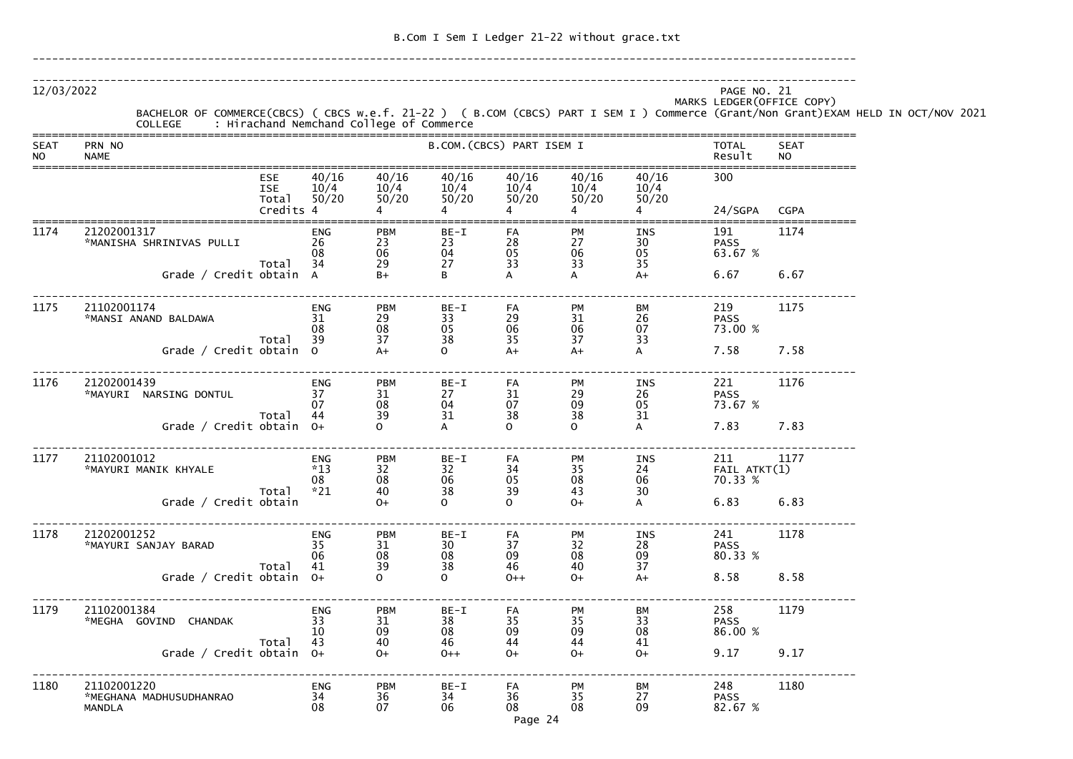| 12/03/2022               | BACHELOR OF COMMERCE(CBCS) ( CBCS w.e.f. 21-22 ) ( B.COM (CBCS) PART I SEM I ) COMMERCE (Grant/Non Grant)EXAM HELD IN OCT/NOV 2021<br>COLLEGE : Hirachand Nemchand College of Commerce<br>COLLEGE |                           |                              |                                     |                             |                        |                        | PAGE NO. 21<br>MARKS LEDGER (OFFICE COPY) |                          |  |
|--------------------------|---------------------------------------------------------------------------------------------------------------------------------------------------------------------------------------------------|---------------------------|------------------------------|-------------------------------------|-----------------------------|------------------------|------------------------|-------------------------------------------|--------------------------|--|
| <b>SEAT</b><br><b>NO</b> | PRN NO<br><b>NAME</b>                                                                                                                                                                             |                           |                              |                                     | B.COM. (CBCS) PART ISEM I   |                        |                        | TOTAL<br>Result                           | <b>SEAT</b><br><b>NO</b> |  |
|                          | <b>ESE</b><br><b>ISE</b><br>Total<br>Credits 4                                                                                                                                                    | 40/16<br>10/4<br>50/20    | 40/16<br>10/4<br>50/20       | 40/16<br>10/4<br>50/20<br>$4 \quad$ | 40/16<br>10/4<br>50/20<br>4 | 40/16<br>10/4<br>50/20 | 40/16<br>10/4<br>50/20 | 300<br>24/SGPA                            | <b>CGPA</b>              |  |
| 1174                     | 21202001317<br>*MANISHA SHRINIVAS PULLI<br>Total                                                                                                                                                  | ENG<br>26<br>08<br>34     | PBM<br>23<br>$\frac{06}{29}$ | BE-I<br>23<br>04<br>27              | FA<br>28<br>05<br>33        | PM<br>27<br>06<br>33   | INS<br>30<br>05<br>35  | 191<br><b>PASS</b><br>63.67 %             | 1174                     |  |
|                          | Grade / Credit obtain A                                                                                                                                                                           |                           | $B+$                         | В                                   | А                           |                        | $A+$                   | 6.67                                      | 6.67                     |  |
| 1175                     | 21102001174<br>*MANSI ANAND BALDAWA                                                                                                                                                               | <b>ENG</b><br>31<br>08    | PBM<br>29<br>08              | BE-I<br>33<br>05                    | FA<br>29<br>06              | PM<br>31<br>06         | ВM<br>26<br>07         | 219<br><b>PASS</b><br>73.00 %             | 1175                     |  |
|                          | Total<br>Grade / Credit obtain 0                                                                                                                                                                  | 39                        | 37<br>$A+$                   | 38<br>0                             | 35<br>$A+$                  | 37<br>$A+$             | 33                     | 7.58                                      | 7.58                     |  |
| 1176                     | 21202001439<br>*MAYURI NARSING DONTUL                                                                                                                                                             | <b>ENG</b><br>37<br>07    | PBM<br>31<br>08              | BE-I<br>27<br>04                    | FA<br>31<br>07              | PM<br>29<br>09         | INS<br>26<br>05        | 221<br><b>PASS</b><br>73.67 %             | 1176                     |  |
|                          | Total<br>Grade / Credit obtain 0+                                                                                                                                                                 | 44                        | 39                           | 31                                  | 38<br>$\Omega$              | 38<br>$\Omega$         | 31                     | 7.83                                      | 7.83                     |  |
| 1177                     | 21102001012<br>*MAYURI MANIK KHYALE                                                                                                                                                               | <b>ENG</b><br>$*13$<br>08 | <b>PBM</b><br>32<br>08       | $BE-I$<br>32<br>06                  | FA<br>34<br>05              | PM<br>35<br>08         | <b>INS</b><br>24<br>06 | 211<br>FAIL ATKT(1)<br>70.33 %            | 1177                     |  |
|                          | Total<br>Grade / Credit obtain                                                                                                                                                                    | $*21$                     | 40<br>$O+$                   | 38<br>$\mathsf{O}$                  | 39<br>$\Omega$              | 43<br>$O+$             | 30<br>A                | 6.83                                      | 6.83                     |  |
| 1178                     | 21202001252<br>*MAYURI SANJAY BARAD                                                                                                                                                               | ENG<br>35<br>06           | <b>PBM</b><br>31<br>08<br>39 | $BE-I$<br>30<br>08                  | FA<br>37<br>09              | PM<br>32<br>08         | INS<br>28<br>09        | 241<br><b>PASS</b><br>80.33 %             | 1178                     |  |
|                          | Total<br>Grade / Credit obtain 0+                                                                                                                                                                 | 41                        |                              | 38<br>$\mathsf{O}$                  | 46<br>$0++$                 | 40<br>$0+$             | 37<br>$A+$             | 8.58                                      | 8.58                     |  |
| 1179                     | 21102001384<br>*MEGHA GOVIND CHANDAK<br>Total                                                                                                                                                     | ENG<br>33<br>10<br>43     | <b>PBM</b><br>31<br>09<br>40 | $BE-I$<br>38<br>08<br>46            | FA<br>35<br>09<br>44        | PM<br>35<br>09<br>44   | ВM<br>33<br>08<br>41   | 258<br><b>PASS</b><br>86.00 %             | 1179                     |  |
|                          | Grade / Credit obtain 0+                                                                                                                                                                          |                           | $O+$                         | $0++$                               | $O+$                        | $O+$                   | $0+$                   | 9.17                                      | 9.17                     |  |
| 1180                     | 21102001220<br>*MEGHANA MADHUSUDHANRAO<br><b>MANDLA</b>                                                                                                                                           | <b>ENG</b><br>34<br>08    | PBM<br>36<br>07              | $BE-I$<br>34<br>06                  | FA<br>36<br>08              | PM<br>35<br>08         | ВM<br>27<br>09         | 248<br><b>PASS</b><br>82.67 %             | 1180                     |  |

Page 24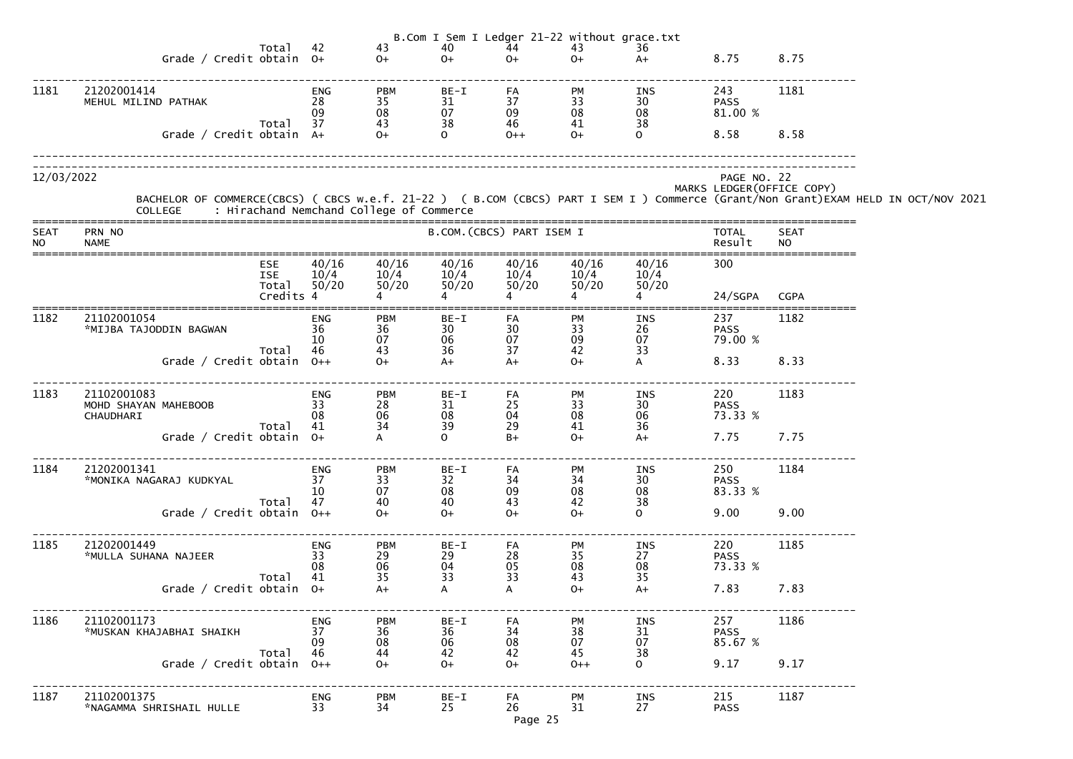|                          |                                                                                                                                                                                            |           |                              |                                                             |                                                       |                                                     | B.Com I Sem I Ledger 21-22 without grace.txt        |                                                      |                                           |                          |  |
|--------------------------|--------------------------------------------------------------------------------------------------------------------------------------------------------------------------------------------|-----------|------------------------------|-------------------------------------------------------------|-------------------------------------------------------|-----------------------------------------------------|-----------------------------------------------------|------------------------------------------------------|-------------------------------------------|--------------------------|--|
|                          | Total<br>Grade / Credit obtain 0+                                                                                                                                                          |           | 42                           | 43<br>$0+$                                                  | 40<br>$0+$                                            | 44<br>$O+$                                          | 43<br>$O+$                                          | 36<br>$A+$                                           | 8.75                                      | 8.75                     |  |
|                          |                                                                                                                                                                                            |           |                              |                                                             |                                                       |                                                     |                                                     |                                                      |                                           |                          |  |
| 1181                     | 21202001414<br>MEHUL MILIND PATHAK                                                                                                                                                         |           | ENG<br>28<br>09              | <b>PBM</b><br>35<br>$\begin{array}{c} 08 \\ 43 \end{array}$ | BE-I<br>31<br>$\begin{array}{c} 07 \\ 38 \end{array}$ | FA<br>37<br>09<br>46                                | PM<br>$\frac{33}{08}$                               | INS<br>$\begin{array}{c} 30 \\ 08 \\ 38 \end{array}$ | 243<br><b>PASS</b><br>81.00 %             | 1181                     |  |
|                          | Total<br>Grade / Credit obtain A+                                                                                                                                                          |           | 37                           | $0+$                                                        | $\Omega$                                              | $O++$                                               | $O+$                                                | $\Omega$                                             | 8.58                                      | 8.58                     |  |
| 12/03/2022               | BACHELOR OF COMMERCE(CBCS) ( CBCS w.e.f. 21-22 ) ( B.COM (CBCS) PART I SEM I ) Commerce (Grant/Non Grant)EXAM HELD IN OCT/NOV 2021<br>COLLEGE     : Hirachand Nemchand College of Commerce |           |                              |                                                             |                                                       |                                                     |                                                     |                                                      | PAGE NO. 22<br>MARKS LEDGER (OFFICE COPY) |                          |  |
| <b>SEAT</b><br><b>NO</b> | PRN NO<br><b>NAME</b>                                                                                                                                                                      |           |                              |                                                             |                                                       | B.COM. (CBCS) PART ISEM I                           |                                                     |                                                      | <b>TOTAL</b><br>Result                    | <b>SEAT</b><br><b>NO</b> |  |
|                          | <b>ESE</b><br><b>ISE</b><br>Total                                                                                                                                                          | Credits 4 | 40/16<br>10/4<br>50/20       | 40/16<br>10/4<br>50/20                                      | 40/16<br>10/4<br>50/20                                | 40/16<br>10/4<br>50/20                              | 40/16<br>10/4<br>50/20                              | 40/16<br>10/4<br>50/20                               | 300<br>24/SGPA                            | <b>CGPA</b>              |  |
| 1182                     | 21102001054<br>*MIJBA TAJODDIN BAGWAN<br>Total                                                                                                                                             |           | <b>ENG</b><br>36<br>10<br>46 | <b>PBM</b><br>36<br>07<br>43                                | BE-I<br>30<br>06<br>36                                | FA<br>30<br>07<br>37                                | <b>PM</b><br>33<br>09<br>42                         | INS<br>$\frac{26}{07}$<br>33                         | 237<br><b>PASS</b><br>79.00 %             | 1182                     |  |
|                          | Grade / Credit obtain 0++                                                                                                                                                                  |           |                              | $O+$                                                        | $A+$                                                  | $A+$                                                | $O+$                                                | A                                                    | 8.33                                      | 8.33                     |  |
| 1183                     | 21102001083<br>MOHD SHAYAN MAHEBOOB<br>CHAUDHARI                                                                                                                                           |           | <b>ENG</b><br>33<br>08<br>41 | <b>PBM</b><br>28<br>06<br>34                                | $BE-I$<br>31<br>08<br>39                              | FA<br>25<br>04<br>29                                | PM<br>$\begin{array}{c} 33 \\ 08 \end{array}$<br>41 | INS<br>30<br>06<br>36                                | 220<br><b>PASS</b><br>73.33 %             | 1183                     |  |
|                          | 41 Total<br>+Grade / Credit obtain 0                                                                                                                                                       |           |                              | A                                                           | $\mathbf{O}$                                          | B+                                                  | $0+$                                                | A+                                                   | 7.75                                      | 7.75                     |  |
| 1184                     | 21202001341<br>*MONIKA NAGARAJ KUDKYAL<br>Total                                                                                                                                            |           | <b>ENG</b><br>37<br>10<br>47 | <b>PBM</b><br>33<br>07<br>40                                | $BE-I$<br>32<br>08<br>40                              | FA<br>$\begin{array}{c} 34 \\ 09 \end{array}$<br>43 | PM<br>$\begin{array}{c} 34 \\ 08 \end{array}$<br>42 | INS<br>$\begin{array}{c} 30 \\ 08 \end{array}$<br>38 | 250<br><b>PASS</b><br>83.33 %             | 1184                     |  |
|                          | Grade / Credit obtain 0++                                                                                                                                                                  |           |                              | $O+$                                                        | $O+$                                                  | $O+$                                                | $O+$                                                | $\Omega$                                             | 9.00                                      | 9.00                     |  |
| 1185                     | 21202001449<br>*MULLA SUHANA NAJEER<br>Total                                                                                                                                               |           | <b>ENG</b><br>33<br>08<br>41 | <b>PBM</b><br>29<br>06<br>35                                | BE-I<br>29<br>04<br>33                                | FA<br>$\mathop{28}_{05}$<br>33                      | PM<br>$\begin{array}{c} 35 \\ 08 \end{array}$<br>43 | INS<br>27<br>08<br>35                                | 220<br><b>PASS</b><br>73.33 %             | 1185                     |  |
|                          | Grade / Credit obtain $0+$                                                                                                                                                                 |           |                              | $A+$                                                        | $\mathsf{A}$                                          | A                                                   | $O+$                                                | $A+$                                                 | 7.83                                      | 7.83                     |  |
| 1186                     | 21102001173<br>*MUSKAN KHAJABHAI SHAIKH<br>Total                                                                                                                                           |           | <b>ENG</b><br>37<br>09<br>46 | <b>PBM</b><br>36<br>08<br>44                                | BE-I<br>36<br>06<br>42                                | FA<br>$\begin{array}{c} 34 \\ 08 \end{array}$<br>42 | PM<br>$\frac{38}{07}$<br>45                         | INS<br>31<br>07<br>38                                | 257<br><b>PASS</b><br>85.67 %             | 1186                     |  |
|                          | Grade / Credit obtain $0++$                                                                                                                                                                |           |                              | $O+$                                                        | $O+$                                                  | $O+$                                                | $0++$                                               | $\Omega$                                             | 9.17                                      | 9.17                     |  |
| 1187                     | 21102001375<br>*NAGAMMA SHRISHAIL HULLE                                                                                                                                                    |           | <b>ENG</b><br>33             | <b>PBM</b><br>34                                            | BE-I<br>25                                            | FA<br>26<br>Page 25                                 | <b>PM</b><br>31                                     | INS<br>27                                            | 215<br><b>PASS</b>                        | 1187                     |  |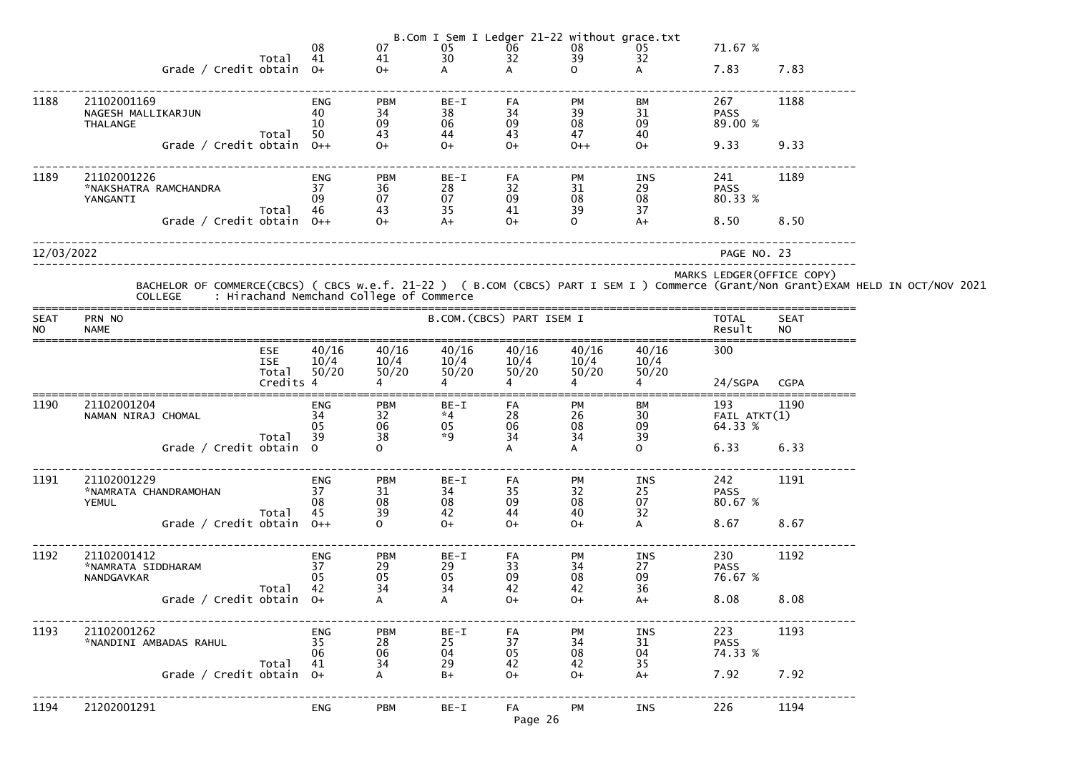|                          |                                                      |                                         | 08                           | 07                                                          |                            |                        |                        | B.Com I Sem I Ledger 21-22 without grace.txt<br>05 06 08 05<br>30 32 39 32 | 71.67 %                        |                          |                                                                                                                                                                                            |
|--------------------------|------------------------------------------------------|-----------------------------------------|------------------------------|-------------------------------------------------------------|----------------------------|------------------------|------------------------|----------------------------------------------------------------------------|--------------------------------|--------------------------|--------------------------------------------------------------------------------------------------------------------------------------------------------------------------------------------|
|                          | Grade / Credit obtain 0+                             | Total                                   | 41                           | 41<br>$O+$                                                  |                            |                        | $\Omega$               |                                                                            | 7.83                           | 7.83                     |                                                                                                                                                                                            |
| 1188                     | 21102001169<br>NAGESH MALLIKARJUN<br><b>THALANGE</b> |                                         | <b>ENG</b><br>40<br>10       | <b>PBM</b><br>34<br>09                                      | BE-I<br>38<br>06           | FA<br>34<br>09         | PM<br>39<br>08         | BM<br>31<br>09                                                             | 267<br><b>PASS</b><br>89.00 %  | 1188                     |                                                                                                                                                                                            |
|                          | Grade / Credit obtain $0++$                          | Total                                   | 50                           | 43<br>$O+$                                                  | 44<br>$O+$                 | 43<br>$O+$             | 47<br>$0++$            | 40<br>$O+$                                                                 | 9.33                           | 9.33                     |                                                                                                                                                                                            |
| 1189                     | 21102001226<br>*NAKSHATRA RAMCHANDRA<br>YANGANTI     | Total 46                                | ENG<br>37<br>09              | <b>PBM</b><br>36<br>07                                      | BE-I<br>28<br>07<br>35     | FA<br>32<br>09<br>41   | PM<br>31<br>08<br>39   | INS<br>29<br>08<br>37                                                      | 241<br><b>PASS</b><br>80.33 %  | 1189                     |                                                                                                                                                                                            |
|                          | Grade / Credit obtain 0++                            |                                         |                              | $\begin{array}{c} 67 \\ 43 \\ 0+ \end{array}$               | $A+$                       | $O+$                   | $\mathbf{O}$           | $A+$                                                                       | 8.50                           | 8.50                     |                                                                                                                                                                                            |
| 12/03/2022               |                                                      |                                         |                              |                                                             |                            |                        |                        |                                                                            | PAGE NO. 23                    |                          |                                                                                                                                                                                            |
|                          |                                                      |                                         |                              |                                                             |                            |                        |                        |                                                                            | MARKS LEDGER(OFFICE COPY)      |                          | BACHELOR OF COMMERCE(CBCS) ( CBCS w.e.f. 21-22 ) ( B.COM (CBCS) PART I SEM I ) Commerce (Grant/Non Grant)EXAM HELD IN OCT/NOV 2021<br>COLLEGE     : Hirachand Nemchand College of Commerce |
| <b>SEAT</b><br><b>NO</b> | PRN NO<br><b>NAME</b>                                |                                         |                              |                                                             | B.COM.(CBCS) PART ISEM I   |                        |                        |                                                                            | TOTAL<br>Result                | <b>SEAT</b><br><b>NO</b> |                                                                                                                                                                                            |
|                          |                                                      | ESE<br><b>ISE</b><br>Total<br>Credits 4 | 40/16<br>10/4<br>50/20       | 40/16<br>10/4<br>50/20                                      | 40/16<br>10/4<br>50/20     | 40/16<br>10/4<br>50/20 | 40/16<br>10/4<br>50/20 | 40/16<br>10/4<br>50/20                                                     | 300                            |                          |                                                                                                                                                                                            |
|                          |                                                      |                                         |                              |                                                             |                            |                        |                        |                                                                            | 24/SGPA CGPA                   |                          |                                                                                                                                                                                            |
| 1190                     | 21102001204<br>NAMAN NIRAJ CHOMAL                    | Total 39                                | <b>ENG</b><br>34<br>05       | <b>PBM</b><br>32<br>06<br>38                                | BE-I<br>$*4$<br>05<br>$*9$ | FA<br>28<br>06<br>34   | PM<br>26<br>08<br>34   | BM<br>30 <sup>°</sup><br>09<br>39                                          | 193<br>FAIL ATKT(1)<br>64.33 % | 1190                     |                                                                                                                                                                                            |
|                          | Grade / Credit obtain 0                              |                                         |                              | $\Omega$                                                    |                            | A                      | A                      | $\Omega$                                                                   | 6.33                           | 6.33                     |                                                                                                                                                                                            |
| 1191                     | 21102001229<br>*NAMRATA CHANDRAMOHAN<br><b>YEMUL</b> | Total                                   | <b>ENG</b><br>37<br>08<br>45 | <b>PBM</b><br>$\frac{31}{08}$<br>39                         | BE-I<br>34<br>08<br>42     | FA<br>35<br>09<br>44   | PM<br>32<br>08<br>40   | INS<br>25<br>07<br>32                                                      | 242<br><b>PASS</b><br>80.67 %  | 1191                     |                                                                                                                                                                                            |
|                          | Grade / Credit obtain $0++$                          |                                         |                              | $\Omega$                                                    | $O+$                       | $O+$                   | $O+$                   | A                                                                          | 8.67                           | 8.67                     |                                                                                                                                                                                            |
| 1192                     | 21102001412<br>*NAMRATA SIDDHARAM<br>NANDGAVKAR      | Total                                   | <b>ENG</b><br>37<br>05<br>42 | <b>PBM</b><br>$\begin{array}{c} 29 \\ 05 \end{array}$<br>34 | BE-I<br>29<br>05<br>34     | FA<br>33<br>09<br>42   | PM<br>34<br>08<br>42   | INS<br>27<br>09<br>36                                                      | 230<br><b>PASS</b><br>76.67 %  | 1192                     |                                                                                                                                                                                            |
|                          | Grade / Credit obtain $0+$                           |                                         |                              |                                                             | A                          | $O+$                   | $O+$                   | $A+$                                                                       | 8.08                           | 8.08                     |                                                                                                                                                                                            |
| 1193                     | 21102001262<br>*NANDINI AMBADAS RAHUL                |                                         | <b>ENG</b><br>35<br>06       | <b>PBM</b><br>$\mathbf{28 \atop 06}$                        | BE-I<br>25<br>04           | FA<br>37<br>05         | PM<br>34<br>08         | INS<br>31<br>04                                                            | 223<br><b>PASS</b><br>74.33 %  | 1193                     |                                                                                                                                                                                            |
|                          | Grade / Credit obtain $0+$                           | Total                                   | 41                           | 34                                                          | 29<br>$B+$                 | 42<br>$O+$             | 42<br>$O+$             | 35<br>$A+$                                                                 | 7.92                           | 7.92                     |                                                                                                                                                                                            |
| 1194                     | 21202001291                                          |                                         | <b>ENG</b>                   | <b>PBM</b>                                                  | $BE-I$                     | FA<br>Page 26          | PM                     | INS                                                                        | 226                            | 1194                     |                                                                                                                                                                                            |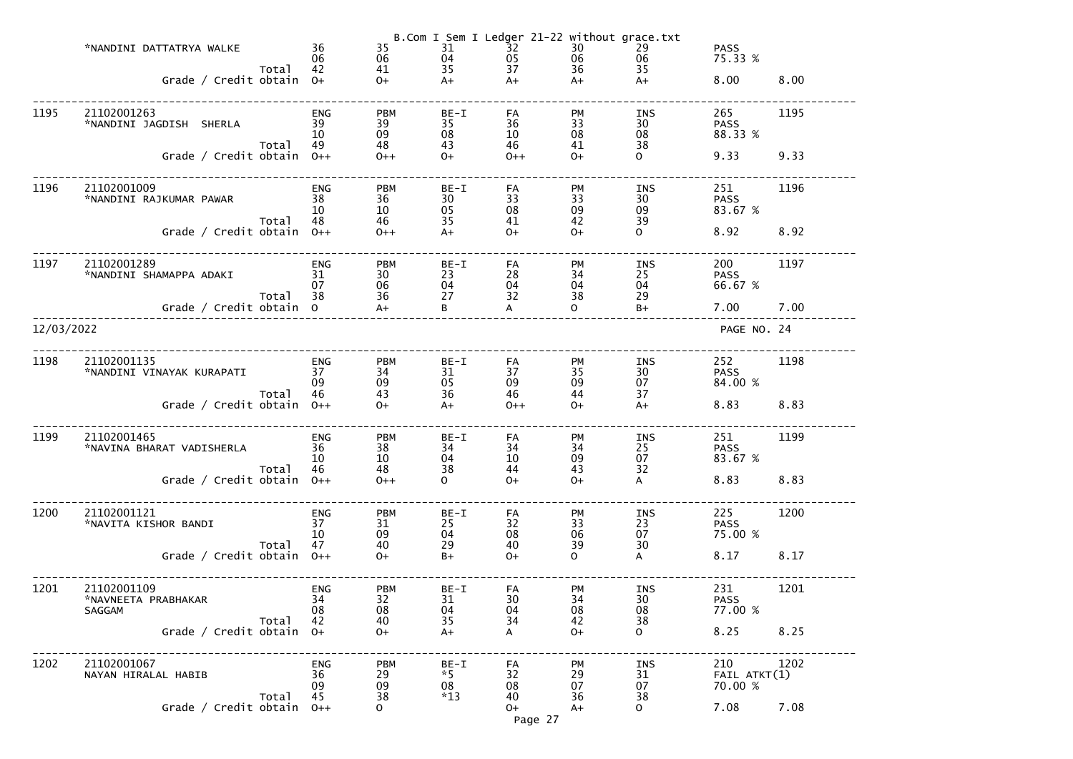|            | *NANDINI DATTATRYA WALKE<br>Grade / Credit obtain 0+ | Total | 36<br>06<br>42               | 35<br>06<br>41<br>$O+$       | 31<br>04<br>35<br>$A+$      | B.Com I Sem I Ledger 21-22 without grace.txt<br>$\overline{3}2$<br>05<br>37<br>$A+$ | 30<br>06<br>36<br>$A+$      | 29<br>06<br>35<br>$A+$             | <b>PASS</b><br>75.33 %<br>8.00 | 8.00 |
|------------|------------------------------------------------------|-------|------------------------------|------------------------------|-----------------------------|-------------------------------------------------------------------------------------|-----------------------------|------------------------------------|--------------------------------|------|
| 1195       | 21102001263<br>*NANDINI JAGDISH SHERLA               | Total | <b>ENG</b><br>39<br>10<br>49 | <b>PBM</b><br>39<br>09<br>48 | $BE-I$<br>35<br>08<br>43    | FA<br>36<br>10<br>46                                                                | <b>PM</b><br>33<br>08<br>41 | INS<br>30 <sup>°</sup><br>08<br>38 | 265<br><b>PASS</b><br>88.33 %  | 1195 |
|            | Grade / Credit obtain $0++$                          |       |                              | $0++$                        | $O+$                        | $0++$                                                                               | $O+$                        | $\overline{O}$                     | 9.33                           | 9.33 |
| 1196       | 21102001009<br>*NANDINI RAJKUMAR PAWAR               | Total | <b>ENG</b><br>38<br>10<br>48 | <b>PBM</b><br>36<br>10<br>46 | $BE-I$<br>30<br>05<br>35    | FA<br>33<br>08<br>41                                                                | <b>PM</b><br>33<br>09<br>42 | INS<br>30 <sup>°</sup><br>09<br>39 | 251<br><b>PASS</b><br>83.67 %  | 1196 |
|            | Grade / Credit obtain $0++$                          |       |                              | $0++$                        | $A+$                        | $O+$                                                                                | $O+$                        | $\mathbf{O}$                       | 8.92                           | 8.92 |
| 1197       | 21102001289<br>*NANDINI SHAMAPPA ADAKI               | Total | <b>ENG</b><br>31<br>07<br>38 | <b>PBM</b><br>30<br>06<br>36 | $BE-I$<br>23<br>04<br>27    | FA<br>28<br>04<br>32                                                                | <b>PM</b><br>34<br>04<br>38 | INS<br>25<br>04<br>29              | 200<br><b>PASS</b><br>66.67 %  | 1197 |
|            | Grade / Credit obtain 0                              |       |                              | $A+$                         | B                           | A                                                                                   | $\Omega$                    | $B+$                               | 7.00                           | 7.00 |
| 12/03/2022 |                                                      |       |                              |                              |                             |                                                                                     |                             |                                    | PAGE NO. 24                    |      |
| 1198       | 21102001135<br>*NANDINI VINAYAK KURAPATI             | Total | <b>ENG</b><br>37<br>09<br>46 | <b>PBM</b><br>34<br>09<br>43 | $BE-I$<br>31<br>05<br>36    | FA<br>37<br>09<br>46                                                                | PM<br>35<br>09<br>44        | INS<br>30 <sup>°</sup><br>07<br>37 | 252<br><b>PASS</b><br>84.00 %  | 1198 |
|            | Grade / Credit obtain $0++$                          |       |                              | $O+$                         | $A+$                        | $0++$                                                                               | $O+$                        | $A+$                               | 8.83                           | 8.83 |
| 1199       | 21102001465<br>*NAVINA BHARAT VADISHERLA             |       | ENG<br>36<br>10              | <b>PBM</b><br>38<br>10       | $BE-I$<br>34<br>04          | ${\sf FA}$<br>34<br>10                                                              | PM<br>34<br>09              | INS<br>25<br>07                    | 251<br><b>PASS</b><br>83.67 %  | 1199 |
|            | Grade / Credit obtain $0++$                          | Total | 46                           | 48<br>$0++$                  | 38<br>$\Omega$              | 44<br>$O+$                                                                          | 43<br>$O+$                  | 32<br>A                            | 8.83                           | 8.83 |
| 1200       | 21102001121<br>*NAVITA KISHOR BANDI                  | Total | <b>ENG</b><br>37<br>10<br>47 | <b>PBM</b><br>31<br>09<br>40 | BE-I<br>25<br>04<br>29      | FA<br>32<br>08<br>40                                                                | <b>PM</b><br>33<br>06<br>39 | <b>INS</b><br>23<br>07<br>30       | 225<br><b>PASS</b><br>75.00 %  | 1200 |
|            | Grade / Credit obtain $0++$                          |       |                              | $O+$                         | $B+$                        | $O+$                                                                                | $\mathsf{O}$                | A                                  | 8.17                           | 8.17 |
| 1201       | 21102001109<br>*NAVNEETA PRABHAKAR<br><b>SAGGAM</b>  | Total | <b>ENG</b><br>34<br>08<br>42 | <b>PBM</b><br>32<br>08<br>40 | $BE-I$<br>31<br>04<br>35    | FA<br>30<br>04<br>34                                                                | PM<br>34<br>08<br>42        | <b>INS</b><br>30<br>08<br>38       | 231<br><b>PASS</b><br>77.00 %  | 1201 |
|            | Grade / Credit obtain $0+$                           |       |                              | $O+$                         | $A+$                        | A                                                                                   | $O+$                        | $\mathsf{O}$                       | 8.25                           | 8.25 |
| 1202       | 21102001067<br>NAYAN HIRALAL HABIB                   | Total | <b>ENG</b><br>36<br>09<br>45 | <b>PBM</b><br>29<br>09<br>38 | BE-I<br>$*5$<br>08<br>$*13$ | FA<br>32<br>08<br>40                                                                | PM<br>29<br>07<br>36        | <b>INS</b><br>31<br>07<br>38       | 210<br>FAIL ATKT(1)<br>70.00 % | 1202 |
|            | Grade / Credit obtain                                |       | $O++$                        | $\Omega$                     |                             | $0+$<br>Page 27                                                                     | $A+$                        | $\mathsf{o}$                       | 7.08                           | 7.08 |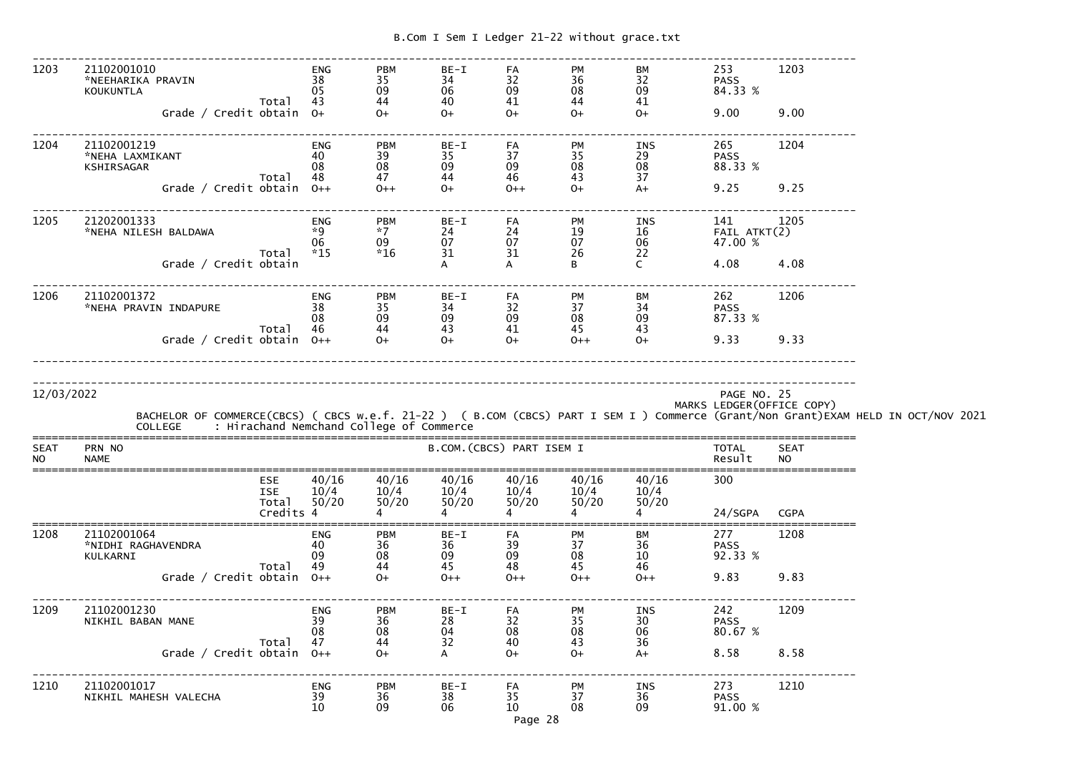------------------------------------------------------------------------------------------------------------------------------- 1203 21102001010 ENG PBM BE-I FA PM BM 253 1203 \*NEEHARIKA PRAVIN 38 35 34 32 36 32 PASS 84.33 % KOUKUNTLA 05 09 06 09 08 09 84.33 %Total 43 44 40 41 44 41  $O+$  Grade / Credit obtain O+ O+ O+ O+ O+ O+ 9.00 9.00------------------------------------------------------------------------------------------------------------------------------- 1204 21102001219 ENG PBM BE-I FA PM INS 265 1204 \*NEHA LAXMIKANT 40 39 35 37 35 29 PASS 88.33 % KSHIRSAGAR 08 08 09 09 08 08 88.33 %Total 48 47 44 46 43 37  $A+$ Grade / Credit obtain 0++ 0++ 0+ 0++ 0+ 0+ A+ 9.25 9.25 ------------------------------------------------------------------------------------------------------------------------------- 1205 21202001333 ENG PBM BE-I FA PM INS 141 1205 \*NEHA NILESH BALDAWA \*9 \*7 24 24 19 16 FAIL ATKT(2) $06 \qquad \qquad 09 \qquad \qquad 07 \qquad \qquad 07 \qquad \qquad 06 \qquad \qquad 47.00 \; \%$  Total \*15 \*16 31 31 26 22  $\mathsf{C}$ Grade / Credit obtain The Contract of A A B C 4.08 4.08 -------------------------------------------------------------------------------------------------------------------------------1206 21102001372 ENG PBM BE-I FA PM BM 262 1206<br>
NEHA PRAVININDAPURE 38 35 34 32 37 34 PASS<br>
Total 46 44 43 41 45 43 37 87.33%<br>
Grade / Credit obtain 0++ 0+ 0+ 0+ 0+ 0+ 0+ 0+ 9.33 9.33 \*NEHA PRAVIN INDAPURE 38 35 34 32 37 34 PASS 87.33 %  $08$   $09$   $09$   $09$   $08$   $08$   $09$   $87.33~\%$  Total 46 44 43 41 45 43  $O+$ Grade / Credit obtain 0++ 0+ 0+ 0+ 0+ 0++ 0+ 9.33 9.33 -------------------------------------------------------------------------------------------------------------------------------------------------------------------------------------------------------------------------------------------------------------- 12/03/2022 PAGE NO. 25 MARKS LEDGER(OFFICE COPY)BACHELOR OF COMMERCE(CBCS) ( CBCS w.e.f. 21-22 ) ( B.COM (CBCS) PART I SEM I ) Commerce (Grant/Non Grant)EXAM HELD IN OCT/NOV 2021<br>COLLEGE : Hirachand Nemchand College of Commerce ===============================================================================================================================SEAT PRN NO SEAT PRODUCED SEAT B.COM. (CBCS) PART ISEM I TOTAL SEAT NO NAME Result NO =============================================================================================================================== ESE 40/16 40/16 40/16 40/16 40/16 40/16 300 ISE  $10/4$   $10/4$   $10/4$   $10/4$   $10/4$   $10/4$   $10/4$  $50/20$ Total  $50/20$   $50/20$   $50/20$   $50/20$   $50/20$   $50/20$ <br>Credits 4 4 4 4 Credits  $4$   $4$   $4$   $4$   $4$   $4$   $4$   $24/SGPA$  CGPA ===============================================================================================================================1208 21102001064 ENG PBM BE-I FA PM BM 277 1208 \*NIDHI RAGHAVENDRA 40 36 36 39 37 36 PASS 92.33 % KULKARNI 09 08 09 09 08 10 92.33 % Total 49 44 45 48 45 46  $0++$  Grade / Credit obtain O++ O+ O++ O++ O++ O++ 9.83 9.83------------------------------------------------------------------------------------------------------------------------------- 1209 21102001230 ENG PBM BE-I FA PM INS 242 1209 NIKHIL BABAN MANE 39 36 28 32 35 30 PASS 80.67 %  $08 \qquad \qquad 08 \qquad \qquad 04 \qquad \qquad 08 \qquad \qquad 06 \qquad \qquad 80.67 \ \%\$  Total 47 44 32 40 43 36  $A+$ Grade / Credit obtain 0++ 0+ A 0+ 0+ A+ 8.58 8.58 -------------------------------------------------------------------------------------------------------------------------------1210 21102001017 ENG PBM BE-I FA PM INS 273 1210

NIKHIL MAHESH VALECHA 39 36 38 35 37 36 PASS

 $10 \hspace{15mm} 09 \hspace{15mm} 06 \hspace{15mm} 10 \hspace{15mm} 08 \hspace{15mm} 09 \hspace{15mm} 91.00 \hspace{1mm} \%$ 

Page 28

91.00 %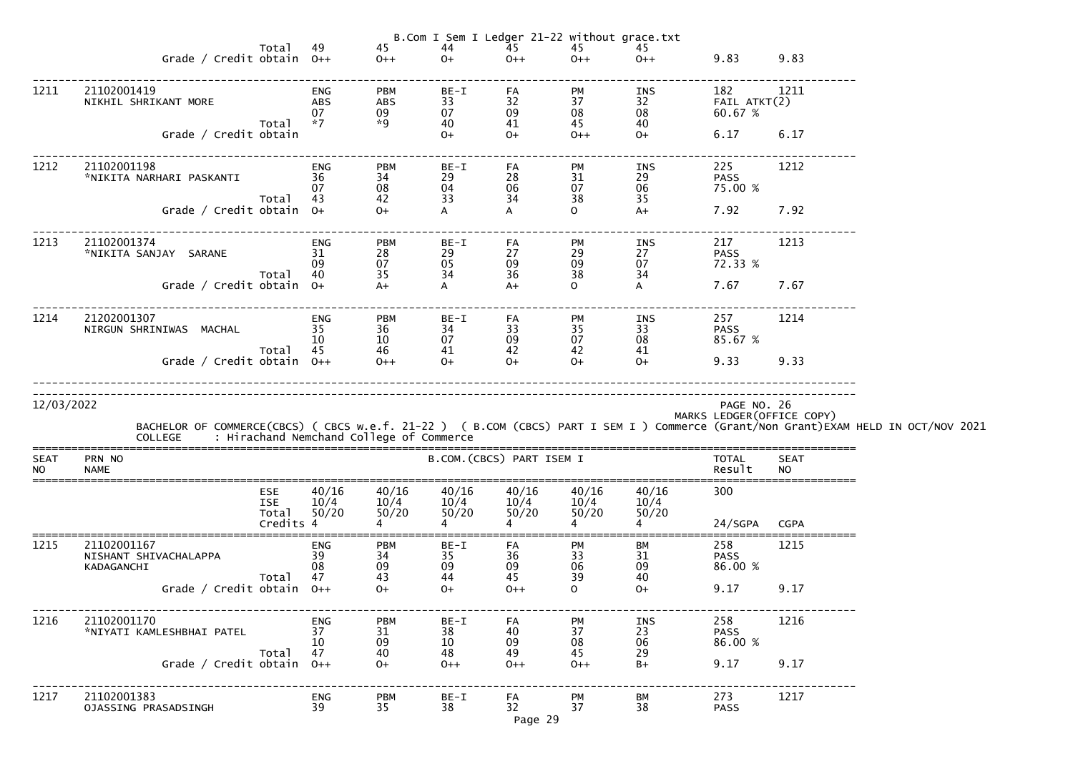|                          |                                                                                                                                                                                        |                                                |                              |                              |                                       |                             | B.Com I Sem I Ledger 21-22 without grace.txt |                              |                                           |                          |  |
|--------------------------|----------------------------------------------------------------------------------------------------------------------------------------------------------------------------------------|------------------------------------------------|------------------------------|------------------------------|---------------------------------------|-----------------------------|----------------------------------------------|------------------------------|-------------------------------------------|--------------------------|--|
|                          | Grade / Credit obtain $0++$                                                                                                                                                            | Total                                          | 49                           | 45<br>$0++$                  | 44<br>$O+$                            | 45<br>$0++$                 | 45<br>$0++$                                  | 45<br>$0++$                  | 9.83 9.83                                 |                          |  |
| 1211                     | 21102001419<br>NIKHIL SHRIKANT MORE                                                                                                                                                    |                                                | ENG<br>ABS                   | <b>PBM</b><br>ABS            | $BE-I$<br>33                          | FA<br>32                    | PM<br>37                                     | INS<br>32 and $\overline{a}$ | 182<br>FAIL ATKT(2)                       | 1211                     |  |
|                          | Grade / Credit obtain                                                                                                                                                                  | Total *7                                       | 07                           | 09<br>*9                     | 07<br>40<br>$O+$                      | 09<br>41<br>$0+$            | 08<br>45<br>$0++$                            | 08<br>40<br>$O+$             | 60.67 %<br>6.17 6.17                      |                          |  |
| 1212                     | 21102001198<br>*NIKITA NARHARI PASKANTI                                                                                                                                                | 36                                             | ENG<br>-07                   | <b>PBM</b><br>34<br>08       | BE-I<br>29<br>04                      | FA<br>28<br>06              | <b>PM</b><br>31<br>07                        | INS<br>29<br>06              | 225<br><b>PASS</b><br>75.00 %             | 1212                     |  |
|                          | Grade / Credit obtain $0+$                                                                                                                                                             | Total 43                                       |                              | 42<br>$0+$                   | 33<br>A                               | 34                          | 38<br>$\mathbf{O}$                           | 35<br>$A+$                   | 7.92                                      | 7.92                     |  |
| 1213                     | 21102001374<br>*NIKITA SANJAY SARANE                                                                                                                                                   | Total 40                                       | ENG<br>31<br>-09             | <b>PBM</b><br>28<br>07<br>35 | BE-I<br>29<br>05<br>34                | FA<br>27<br>09<br>36        | PM<br>29<br>09<br>38                         | INS<br>27<br>07<br>34        | 217<br><b>PASS</b><br>72.33 %             | 1213                     |  |
|                          | Grade / Credit obtain $0+$                                                                                                                                                             |                                                |                              | $A+$                         | $\mathsf{A}$                          | $A+$                        | $\mathbf{O}$                                 | $\mathsf{A}$                 | 7.67                                      | 7.67                     |  |
| 1214                     | 21202001307<br>NIRGUN SHRINIWAS MACHAL 35                                                                                                                                              |                                                | ENG<br>-10-                  | <b>PBM</b><br>36<br>10       | BE-I<br>34<br>07                      | FA<br>33<br>09              | <b>PM</b><br>35<br>07                        | INS<br>33<br>08              | 257<br><b>PASS</b><br>85.67 %             | 1214                     |  |
|                          | Grade / Credit obtain $0++$                                                                                                                                                            | Total 45                                       |                              | $\frac{46}{9+1}$             | 41<br>$0+$                            | 42<br>$O+$                  | 42<br>$0+$                                   | 41<br>$O+$                   | 9.33 9.33                                 |                          |  |
| 12/03/2022               | BACHELOR OF COMMERCE(CBCS) ( CBCS w.e.f. 21-22 ) ( B.COM (CBCS) PART I SEM I ) Commerce (Grant/Non Grant)EXAM HELD IN OCT/NOV 2021<br>COLLEGE : Hirachand Nemchand College of Commerce |                                                |                              |                              |                                       |                             |                                              |                              | PAGE NO. 26<br>MARKS LEDGER (OFFICE COPY) |                          |  |
| <b>SEAT</b><br><b>NO</b> | PRN NO<br><b>NAME</b>                                                                                                                                                                  |                                                |                              |                              | B.COM. (CBCS) PART ISEM I             |                             |                                              |                              | <b>TOTAL</b><br>Result                    | <b>SEAT</b><br><b>NO</b> |  |
|                          |                                                                                                                                                                                        | <b>ESE</b><br><b>ISE</b><br>Total<br>Credits 4 | 40/16<br>10/4<br>50/20       | 40/16<br>10/4<br>50/20       | 40/16<br>10/4<br>50/20                | 40/16<br>10/4<br>50/20      | 40/16<br>10/4<br>50/20                       | 40/16<br>10/4<br>50/20       | 300<br>24/SGPA                            | <b>CGPA</b>              |  |
| 1215                     | 21102001167<br>NISHANT SHIVACHALAPPA<br>KADAGANCHI                                                                                                                                     | Total                                          | <b>ENG</b><br>39<br>08<br>47 | <b>PBM</b><br>34<br>09<br>43 | $BE-I$<br>35<br>09<br>44              | FA<br>36<br>09<br>45        | <b>PM</b><br>33<br>06<br>39                  | ВM<br>31<br>09<br>40         | 258<br><b>PASS</b><br>86.00 %             | 1215                     |  |
|                          | Grade / Credit obtain $0++$                                                                                                                                                            |                                                |                              | $O+$                         | $O+$                                  | $0++$                       | $\mathsf{O}$                                 | $O+$                         | 9.17                                      | 9.17                     |  |
| 1216                     | 21102001170<br>*NIYATI KAMLESHBHAI PATEL                                                                                                                                               | Total                                          | <b>ENG</b><br>37<br>10<br>47 | <b>PBM</b><br>31<br>09<br>40 | $BE-I$<br>38<br>10 <sup>°</sup><br>48 | <b>FA</b><br>40<br>09<br>49 | PM<br>37<br>08<br>45                         | <b>INS</b><br>23<br>06<br>29 | 258<br><b>PASS</b><br>86.00 %             | 1216                     |  |
|                          | Grade / Credit obtain $0++$                                                                                                                                                            |                                                |                              | $O+$                         | $0++$                                 | $0++$                       | $0++$                                        | $B+$                         | 9.17                                      | 9.17                     |  |
| 1217                     | 21102001383<br><b>OJASSING PRASADSINGH</b>                                                                                                                                             |                                                | <b>ENG</b><br>39             | <b>PBM</b><br>35             | $BE-I$<br>38                          | FA<br>32<br>Page 29         | PM<br>37                                     | BM<br>38                     | 273<br><b>PASS</b>                        | 1217                     |  |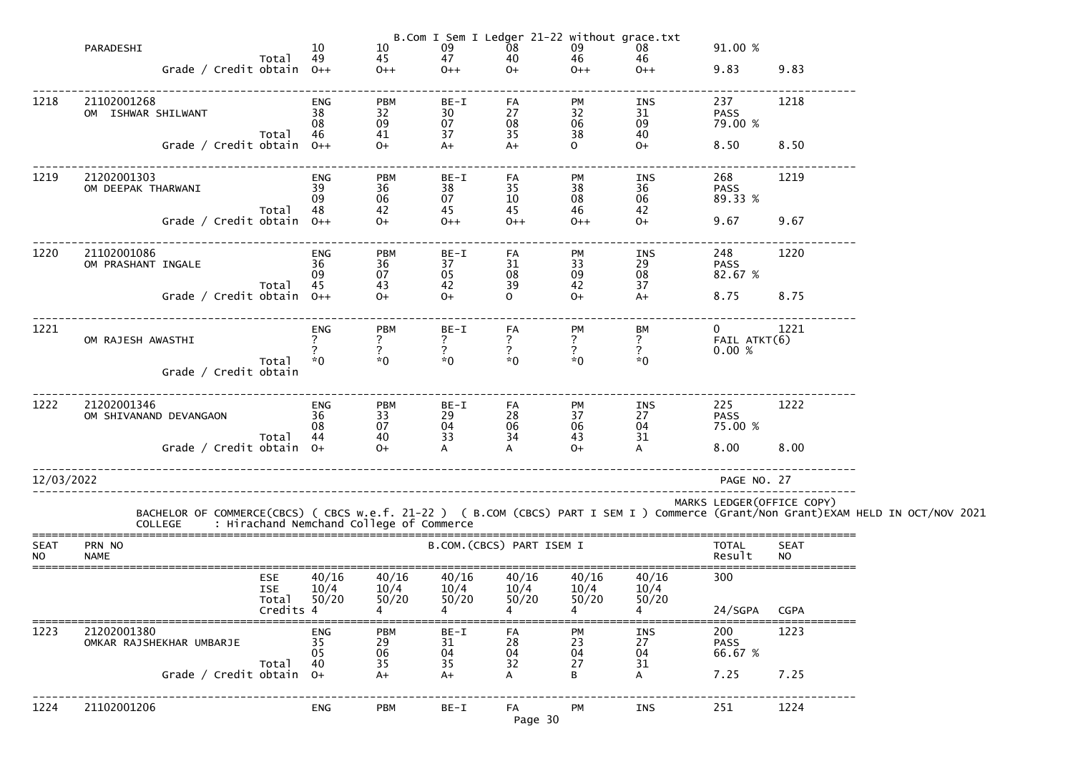|                          |                                         |                                                |                        |                                                             |                                 |                                                     | B.Com I Sem I Ledger 21-22 without grace.txt |                                                     |                                         |                          |                                                                                                                                                                                            |
|--------------------------|-----------------------------------------|------------------------------------------------|------------------------|-------------------------------------------------------------|---------------------------------|-----------------------------------------------------|----------------------------------------------|-----------------------------------------------------|-----------------------------------------|--------------------------|--------------------------------------------------------------------------------------------------------------------------------------------------------------------------------------------|
|                          | PARADESHI                               |                                                | 10<br>49               | 10                                                          | 09<br>47                        | $\frac{08}{40}$                                     | 09<br>46                                     | 08<br>46                                            | 91.00 %                                 |                          |                                                                                                                                                                                            |
|                          | Grade / Credit obtain $0++$             | Total                                          |                        | 45<br>$0++$                                                 | $0++$                           | $O+$                                                | $0++$                                        | $0++$                                               | 9.83                                    | 9.83                     |                                                                                                                                                                                            |
| 1218                     | 21102001268<br>OM ISHWAR SHILWANT       |                                                | ENG<br>38<br>08<br>46  | <b>PBM</b><br>32<br>$\begin{array}{c} 09 \\ 41 \end{array}$ | BE-I<br>30<br>07<br>37          | FA<br>27<br>08<br>35                                | PM<br>32<br>$\frac{06}{38}$                  | INS<br>31<br>09                                     | 237<br><b>PASS</b><br>79.00 %           | 1218                     |                                                                                                                                                                                            |
|                          | Grade / Credit obtain 0++               | Total                                          |                        | $O+$                                                        | $A+$                            | $A+$                                                | $\overline{O}$                               | 40<br>$O+$                                          | 8.50                                    | 8.50                     |                                                                                                                                                                                            |
| 1219                     | 21202001303<br>OM DEEPAK THARWANI       | Total                                          | ENG<br>39<br>09<br>48  | <b>PBM</b><br>36<br>06<br>42                                | BE-I<br>38<br>07<br>45          | FA<br>35<br>10<br>45                                | PM<br>38<br>08<br>46                         | INS<br>36<br>06<br>42                               | 268<br><b>PASS</b><br>89.33 %           | 1219                     |                                                                                                                                                                                            |
|                          | Grade / Credit obtain 0++               |                                                |                        | $O+$                                                        | $0++$                           | $0++$                                               | $0++$                                        | $O+$                                                | 9.67                                    | 9.67                     |                                                                                                                                                                                            |
| 1220                     | 21102001086<br>OM PRASHANT INGALE       | Total                                          | ENG<br>36<br>09<br>45  | <b>PBM</b><br>36<br>07<br>43                                | BE-I<br>37<br>$\frac{05}{42}$   | FA<br>31<br>$\begin{array}{c} 08 \\ 39 \end{array}$ | PM<br>33<br>09<br>42                         | INS<br>$\frac{29}{08}$<br>37                        | 248<br><b>PASS</b><br>82.67 %           | 1220                     |                                                                                                                                                                                            |
|                          | Grade / Credit obtain 0++               |                                                |                        | $0+$                                                        | $0+$                            | $\Omega$                                            | $O+$                                         | $A+$                                                | 8.75                                    | 8.75                     |                                                                                                                                                                                            |
| 1221                     | OM RAJESH AWASTHI                       | Total                                          | ENG<br>$*0$            | <b>PBM</b><br>$*0$                                          | BE-I<br>$*0$                    | FA<br>$\frac{7}{2}$<br>$*0$                         | PM<br>$\frac{7}{2}$<br>$*0$                  | ВM<br>$\begin{array}{c} ? \\ ? \end{array}$<br>$*0$ | $\overline{0}$<br>FAIL ATKT(6)<br>0.00% | 1221                     |                                                                                                                                                                                            |
|                          | Grade / Credit obtain                   |                                                |                        |                                                             |                                 |                                                     |                                              |                                                     |                                         |                          |                                                                                                                                                                                            |
| 1222                     | 21202001346<br>OM SHIVANAND DEVANGAON   | Total 44                                       | ENG<br>36<br>08        | <b>PBM</b><br>33<br>07<br>40                                | BE-I<br>29<br>04<br>33          | FA<br>28<br>06<br>34                                | PM<br>$\frac{37}{06}$<br>43                  | INS<br>27<br>04<br>31                               | 225<br><b>PASS</b><br>75.00 %           | 1222                     |                                                                                                                                                                                            |
|                          | Grade / Credit obtain 0+                |                                                |                        | $O+$                                                        |                                 |                                                     | $O+$                                         |                                                     | 8.00                                    | 8.00                     |                                                                                                                                                                                            |
| 12/03/2022               |                                         |                                                |                        |                                                             | _______________________________ |                                                     |                                              |                                                     | PAGE NO. 27                             |                          |                                                                                                                                                                                            |
|                          |                                         |                                                |                        |                                                             |                                 |                                                     |                                              |                                                     | MARKS LEDGER (OFFICE COPY)              |                          | BACHELOR OF COMMERCE(CBCS) ( CBCS w.e.f. 21-22 ) ( B.COM (CBCS) PART I SEM I ) Commerce (Grant/Non Grant)EXAM HELD IN OCT/NOV 2021<br>COLLEGE     : Hirachand Nemchand College of Commerce |
| <b>SEAT</b><br><b>NO</b> | PRN NO<br><b>NAME</b>                   |                                                |                        |                                                             |                                 | B.COM. (CBCS) PART ISEM I                           |                                              |                                                     | TOTAL<br>Result                         | <b>SEAT</b><br><b>NO</b> |                                                                                                                                                                                            |
|                          |                                         | <b>ESE</b><br><b>ISE</b><br>Total<br>Credits 4 | 40/16<br>10/4<br>50/20 | 40/16<br>10/4<br>50/20                                      | 40/16<br>10/4<br>50/20          | 40/16<br>10/4<br>50/20                              | 40/16<br>10/4<br>50/20                       | 40/16<br>10/4<br>50/20                              | 300<br>24/SGPA                          | <b>CGPA</b>              |                                                                                                                                                                                            |
| 1223                     | 21202001380<br>OMKAR RAJSHEKHAR UMBARJE |                                                | ENG<br>35<br>05        | <b>PBM</b><br>$\mathbf{29}_{06}$                            | BE-I<br>31<br>04                | FA<br>28<br>04                                      | PM<br>$\mathop{23}\limits^{23}$ 04           | INS<br>27<br>04                                     | 200<br><b>PASS</b><br>66.67 %           | 1223                     |                                                                                                                                                                                            |
|                          | Grade / Credit obtain $0+$              | Total                                          | 40                     | 35<br>$A+$                                                  | 35<br>$A+$                      | 32<br>A                                             | 27<br>B                                      | 31<br>A                                             | 7.25                                    | 7.25                     |                                                                                                                                                                                            |
| 1224                     | 21102001206                             |                                                | <b>ENG</b>             | <b>PBM</b>                                                  | $BE-I$                          | FA<br>Page 30                                       | <b>PM</b>                                    | INS                                                 | 251                                     | 1224                     |                                                                                                                                                                                            |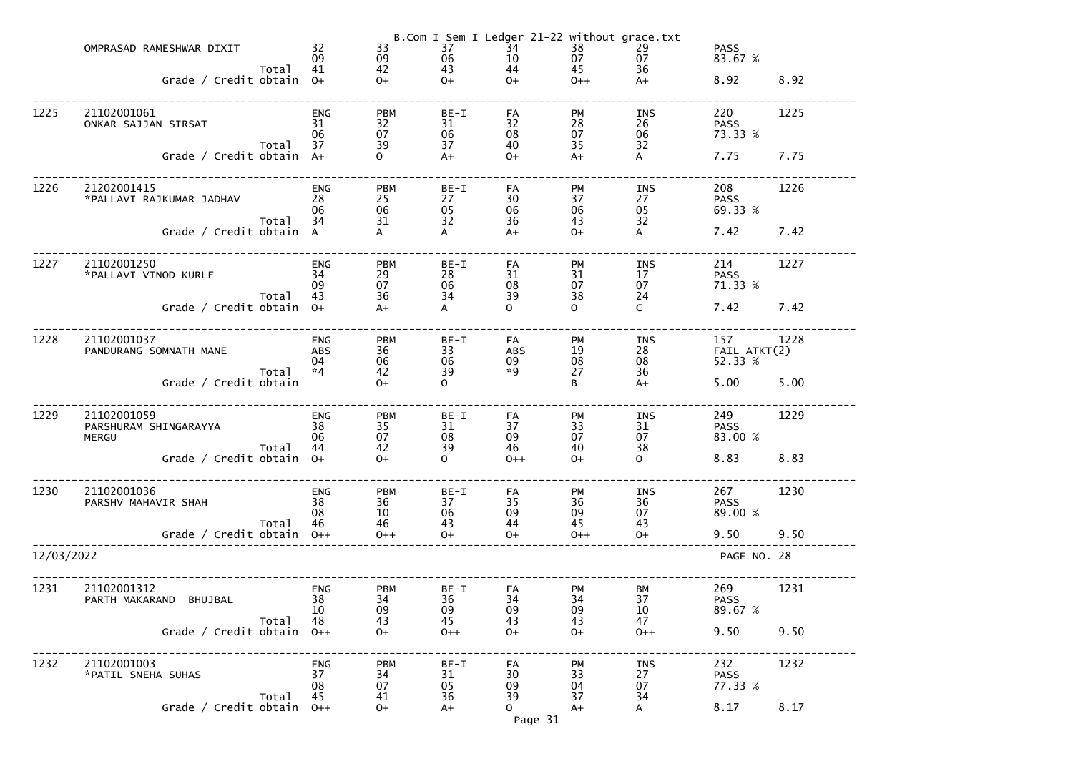|            | OMPRASAD RAMESHWAR DIXIT<br>Grade / Credit obtain 0+ | Total | 32<br>09<br>41                         | 33<br>09<br>42<br>$O+$       | 37<br>06<br>43<br>$O+$   | B.Com I Sem I Ledger 21-22 without grace.txt<br>34<br>10<br>44<br>$O+$ | $\begin{array}{c} 38 \\ 07 \end{array}$<br>45<br>$0++$ | 29<br>07<br>36<br>$A+$       | <b>PASS</b><br>83.67 %<br>8.92 | 8.92 |
|------------|------------------------------------------------------|-------|----------------------------------------|------------------------------|--------------------------|------------------------------------------------------------------------|--------------------------------------------------------|------------------------------|--------------------------------|------|
| 1225       | 21102001061<br>ONKAR SAJJAN SIRSAT                   | Total | <b>ENG</b><br>31<br>06<br>37           | <b>PBM</b><br>32<br>07<br>39 | BE-I<br>31<br>06<br>37   | FA<br>32<br>08<br>40                                                   | <b>PM</b><br>28<br>07<br>35                            | INS<br>26<br>06<br>32        | 220<br><b>PASS</b><br>73.33 %  | 1225 |
|            | Grade / Credit obtain A+                             |       |                                        | $\mathbf{O}$                 | $A+$                     | $O+$                                                                   | $A+$                                                   | $\mathsf{A}$                 | 7.75                           | 7.75 |
| 1226       | 21202001415<br>*PALLAVI RAJKUMAR JADHAV              | Total | <b>ENG</b><br>28<br>06<br>34           | <b>PBM</b><br>25<br>06<br>31 | $BE-I$<br>27<br>05<br>32 | FA<br>30<br>06<br>36                                                   | <b>PM</b><br>37<br>06<br>43                            | INS<br>27<br>05<br>32        | 208<br><b>PASS</b><br>69.33 %  | 1226 |
|            | Grade / Credit obtain A                              |       |                                        | A                            | A                        | $A+$                                                                   | $O+$                                                   | $\mathsf{A}$                 | 7.42                           | 7.42 |
| 1227       | 21102001250<br>*PALLAVI VINOD KURLE                  | Total | <b>ENG</b><br>34<br>09<br>43           | <b>PBM</b><br>29<br>07<br>36 | BE-I<br>28<br>06<br>34   | FA<br>31<br>08<br>39                                                   | <b>PM</b><br>31<br>07<br>38                            | INS<br>17<br>07<br>24        | 214<br><b>PASS</b><br>71.33 %  | 1227 |
|            | Grade / Credit obtain 0+                             |       |                                        | $A+$                         | $\mathsf{A}$             | $\Omega$                                                               | $\mathsf{O}$                                           | $\mathsf{C}$                 | 7.42                           | 7.42 |
| 1228       | 21102001037<br>PANDURANG SOMNATH MANE                | Total | <b>ENG</b><br><b>ABS</b><br>04<br>$*4$ | <b>PBM</b><br>36<br>06<br>42 | $BE-I$<br>33<br>06<br>39 | FA<br><b>ABS</b><br>09<br>$*9$                                         | <b>PM</b><br>19<br>08<br>27                            | INS<br>28<br>08<br>36        | 157<br>FAIL ATKT(2)<br>52.33 % | 1228 |
|            | Grade / Credit obtain                                |       |                                        | $O+$                         | $\Omega$                 |                                                                        | B                                                      | $A+$                         | 5.00                           | 5.00 |
| 1229       | 21102001059<br>PARSHURAM SHINGARAYYA<br>MERGU        | Total | <b>ENG</b><br>38<br>06<br>44           | <b>PBM</b><br>35<br>07<br>42 | BE-I<br>31<br>08<br>39   | FA<br>37<br>09<br>46                                                   | <b>PM</b><br>33<br>07<br>40                            | INS<br>31<br>07<br>38        | 249<br><b>PASS</b><br>83.00 %  | 1229 |
|            | Grade / Credit obtain $0+$                           |       |                                        | $O+$                         | $\mathbf{O}$             | $0++$                                                                  | $O+$                                                   | $\mathsf{O}$                 | 8.83                           | 8.83 |
| 1230       | 21102001036<br>PARSHV MAHAVIR SHAH                   | Total | <b>ENG</b><br>38<br>08<br>46           | <b>PBM</b><br>36<br>10<br>46 | $BE-I$<br>37<br>06<br>43 | FA<br>35<br>09<br>44                                                   | PM<br>36<br>09<br>45                                   | <b>INS</b><br>36<br>07<br>43 | 267<br><b>PASS</b><br>89.00 %  | 1230 |
|            | Grade / Credit obtain $0++$                          |       |                                        | $0++$                        | $O+$                     | $O+$                                                                   | $0++$                                                  | $O+$                         | 9.50                           | 9.50 |
| 12/03/2022 |                                                      |       |                                        |                              |                          |                                                                        |                                                        |                              | PAGE NO. 28                    |      |
| 1231       | 21102001312<br>PARTH MAKARAND BHUJBAL                | Total | <b>ENG</b><br>38<br>10<br>48           | <b>PBM</b><br>34<br>09<br>43 | BE-I<br>36<br>09<br>45   | FA<br>34<br>09<br>43                                                   | PM<br>34<br>09<br>43                                   | <b>BM</b><br>37<br>10<br>47  | 269<br><b>PASS</b><br>89.67 %  | 1231 |
|            | Grade / Credit obtain                                |       | $0++$                                  | $O+$                         | $0++$                    | $O+$                                                                   | $O+$                                                   | $0++$                        | 9.50                           | 9.50 |
| 1232       | 21102001003<br>*PATIL SNEHA SUHAS                    | Total | <b>ENG</b><br>37<br>08<br>45           | <b>PBM</b><br>34<br>07<br>41 | $BE-I$<br>31<br>05<br>36 | FA<br>30<br>09<br>39                                                   | PM<br>33<br>04<br>37                                   | <b>INS</b><br>27<br>07<br>34 | 232<br><b>PASS</b><br>77.33 %  | 1232 |
|            | Grade / Credit obtain                                |       | $O++$                                  | $0+$                         | $A+$                     | $\mathsf{O}$<br>Page 31                                                | $A+$                                                   | A                            | 8.17                           | 8.17 |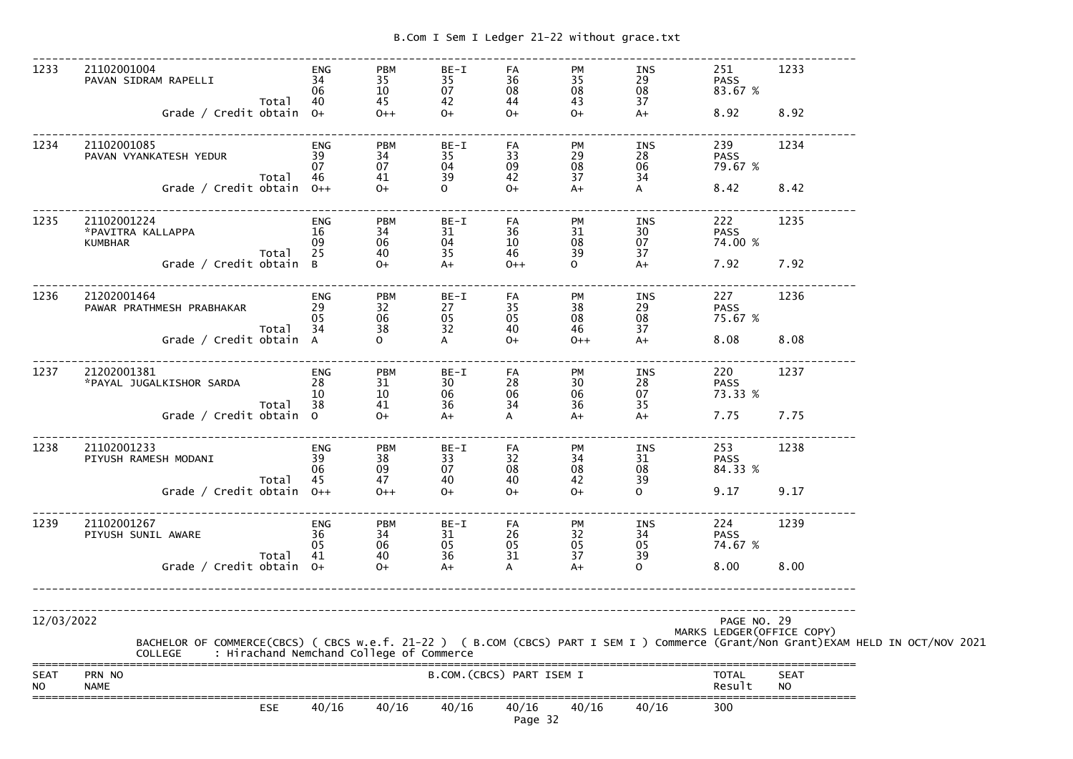-------------------------------------------------------------------------------------------------------------------------------

 1233 21102001004 ENG PBM BE-I FA PM INS 251 1233 PAVAN SIDRAM RAPELLI 34 35 35 36 35 29 PASS 83.67 %  $06 \qquad \qquad 10 \qquad \qquad 07 \qquad \qquad 08 \qquad \qquad 08 \qquad \qquad 08 \qquad \qquad 83.67 \; \%$ Total 40 45 42 44 43 37  $A+$ Grade / Credit obtain 0+ 0++ 0+ 0+ 0+ 0+ A+ 8.92 8.92 ------------------------------------------------------------------------------------------------------------------------------- 1234 21102001085 ENG PBM BE-I FA PM INS 239 1234 PAVAN VYANKATESH YEDUR 39 34 35 33 29 28 PASS 79.67 % 07 07 04 09 08 06 79.67 %Total 46 41 39 42 37 34 Grade / Credit obtain 0++ 0+ 0 0+ 0+ A+ A 8.42 8.42 ------------------------------------------------------------------------------------------------------------------------------- 1235 21102001224 ENG PBM BE-I FA PM INS 222 1235 \*PAVITRA KALLAPPA 16 34 31 36 31 30 PASS 74.00 % KUMBHAR 09 06 04 10 08 Total 25 40 35 46 39 37  $A+$ Grade / Credit obtain B  $0+$   $A+$   $0+$   $0+$   $0+$   $0+$   $A+$   $7.92$   $7.92$ ------------------------------------------------------------------------------------------------------------------------------- 1236 21202001464 ENG PBM BE-I FA PM INS 227 1236 PAWAR PRATHMESH PRABHAKAR  $29$  32  $27$  35 38 29 PASS 75.67 %  $05$   $06$   $05$   $05$   $08$   $08$   $75.67$  % Total 34 38 32 40 46 37  $A+$ Grade / Credit obtain  $A$  0  $A$  0+ 0++  $A+$  8.08 8.08 ------------------------------------------------------------------------------------------------------------------------------- 1237 21202001381 ENG PBM BE-I FA PM INS 220 1237 \*PAYAL JUGALKISHOR SARDA 28 31 30 28 30 28 PASS 73.33 %  $10$   $10$   $06$   $06$   $06$   $07$   $73.33~\%$  Total 38 41 36 34 36 35  $A+$ Grade / Credit obtain  $0$   $0+$   $A+$   $A+$   $A+$   $A+$   $7.75$   $7.75$ ------------------------------------------------------------------------------------------------------------------------------- 1238 21102001233 ENG PBM BE-I FA PM INS 253 1238 PIYUSH RAMESH MODANI 39 38 33 32 34 31 PASS 84.33 %  $06 \qquad \qquad 09 \qquad \qquad 07 \qquad \qquad 08 \qquad \qquad 08 \qquad \qquad 08 \qquad \qquad 84.33 \ \%$ Total 45 47 40 40 42 39  $\Omega$ Grade / Credit obtain 0++ 0++ 0+ 0+ 0+ 0+ 0+ 0 9.17 9.17 ------------------------------------------------------------------------------------------------------------------------------- 1239 21102001267 ENG PBM BE-I FA PM INS 224 1239 PIYUSH SUNIL AWARE 36 34 31 26 32 34 PASS 74.67 %  $05$   $06$   $05$   $05$   $05$   $05$   $05$   $05$   $05$   $74.67$  % Total 41 40 36 31 37 39  $\Omega$  Grade / Credit obtain O+ O+ A+ A A+ O 8.00 8.00-------------------------------------------------------------------------------------------------------------------------------------------------------------------------------------------------------------------------------------------------------------- 12/03/2022 PAGE NO. 29 MARKS LEDGER(OFFICE COPY) BACHELOR OF COMMERCE(CBCS) ( CBCS w.e.f. 21-22 ) ( B.COM (CBCS) PART I SEM I ) Commerce (Grant/Non Grant)EXAM HELD IN OCT/NOV 2021 COLLEGE : Hirachand Nemchand College of Commerce ===============================================================================================================================SEAT PRN NO B.COM.(CBCS) PART ISEM I TOTAL SEAT NO NAME Result NO ===============================================================================================================================ESE 40/16 40/16 40/16 40/16 40/16 40/16 300

Page 32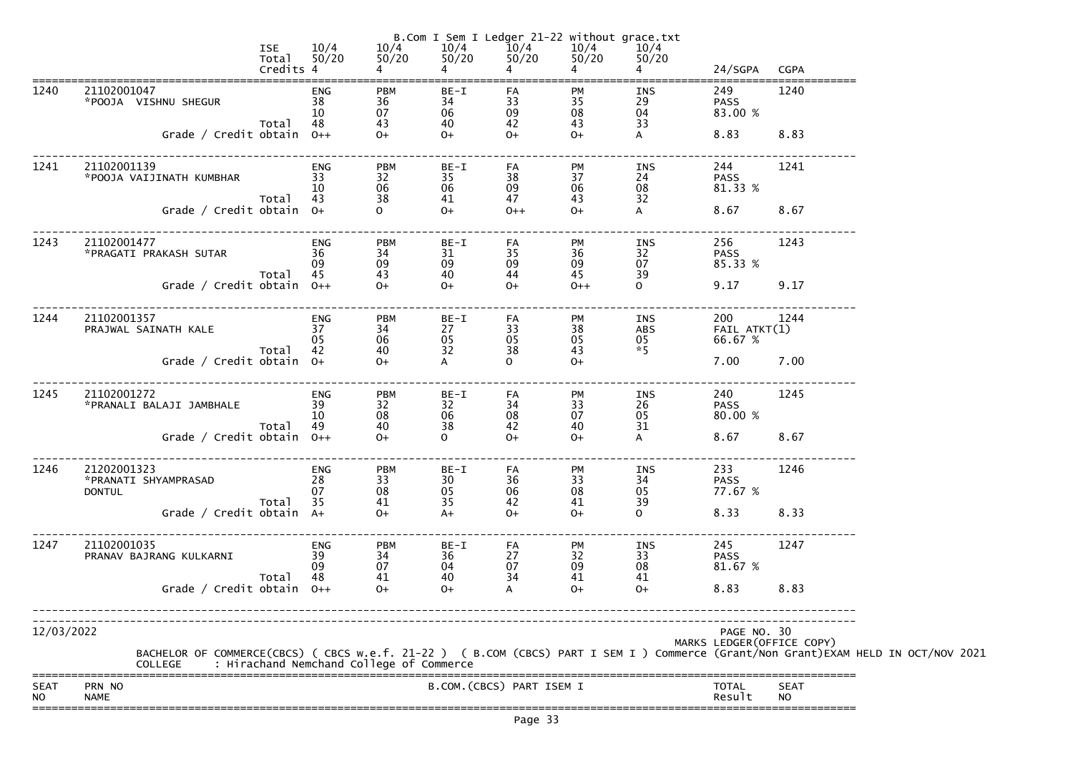|                          |                                                      | <b>ISE</b><br>Total $50/20$<br>Credits 4 | 10/4                         | 10/4<br>50/20                                               | B.Com I Sem I Ledger 21-22 without grace.txt            | $\begin{array}{cccc} 10/4 & 10/4 & 10/4 \ 50/20 & 50/20 & 50/20 \ 4 & 4 & 4 \end{array}$ | $\begin{array}{ccc} 10/4 & 10/4 \\ 50/20 & 50/20 \\ 4 & 4 \end{array}$ | 50/20<br>$\overline{4}$                   | 24/SGPA CGPA                              |                          |                                                                                                                                                                                            |
|--------------------------|------------------------------------------------------|------------------------------------------|------------------------------|-------------------------------------------------------------|---------------------------------------------------------|------------------------------------------------------------------------------------------|------------------------------------------------------------------------|-------------------------------------------|-------------------------------------------|--------------------------|--------------------------------------------------------------------------------------------------------------------------------------------------------------------------------------------|
|                          |                                                      |                                          |                              |                                                             |                                                         |                                                                                          |                                                                        |                                           |                                           |                          |                                                                                                                                                                                            |
| 1240                     | 21102001047<br>*POOJA VISHNU SHEGUR                  |                                          | ENG<br>38<br>10              | <b>PBM</b><br>36<br>07                                      | $BE-I$<br>34<br>06                                      | FA<br>33<br>09                                                                           | PM<br>35<br>08                                                         | INS<br>29<br>04                           | 249<br><b>PASS</b><br>83.00 %             | 1240                     |                                                                                                                                                                                            |
|                          | Grade / Credit obtain $0++$                          | Total 48                                 |                              | 43<br>$\begin{array}{c} 43 \\ \text{O+} \end{array}$        | 40<br>$O+$                                              | 42<br>$0+$                                                                               | 43<br>$O+$                                                             | 33<br>$\mathsf{A}$                        | 8.83 8.83                                 |                          |                                                                                                                                                                                            |
| 1241                     | 21102001139                                          | Total 43                                 | - 10                         | <b>PBM</b><br>32<br>06<br>38                                | BE-I<br>35<br>06<br>41                                  | FA<br>38<br>09<br>47                                                                     | PM<br>37<br>06<br>43                                                   | INS<br>24<br>08<br>32                     | 244<br><b>PASS</b><br>81.33 %             | 1241                     |                                                                                                                                                                                            |
|                          | Grade / Credit obtain 0+                             |                                          |                              |                                                             | $0+$                                                    | $0++$                                                                                    | $O+$                                                                   | $\mathsf{A}$                              | 8.67 8.67                                 |                          |                                                                                                                                                                                            |
| 1243                     | 21102001477<br>*PRAGATI PRAKASH SUTAR                | 36<br>Total 45                           | ENG<br>09                    | <b>PBM</b><br>34<br>09<br>43                                | BE-I<br>31<br>09                                        | FA<br>35<br>09<br>44                                                                     | PM<br>36<br>09<br>45                                                   | INS<br>32<br>07<br>39                     | 256 2012<br><b>PASS</b><br>85.33 %        | 1243                     |                                                                                                                                                                                            |
|                          | Grade / Credit obtain 0++                            |                                          |                              | $O+$                                                        | 40<br>$0+$                                              | $O+$                                                                                     | $0++$                                                                  | $\mathbf{O}$                              | 9.17 9.17                                 |                          |                                                                                                                                                                                            |
| 1244                     | 21102001357<br>PRAJWAL SAINATH KALE                  |                                          | ENG<br>$rac{2}{37}$<br>05    | <b>PBM</b><br>34<br>06                                      | BE-I<br>27<br>05                                        | FA<br>33<br>05                                                                           | PM<br>38<br>05                                                         | INS 200<br>ABS FAIL ATKT(1)<br>05<br>$*5$ | 66.67 %                                   | 1244                     |                                                                                                                                                                                            |
|                          | Grade / Credit obtain 0+                             | Total 42                                 |                              | 40<br>$0+$                                                  | 32<br>$\overline{A}$                                    | 38<br>$\Omega$                                                                           | 43<br>$O+$                                                             |                                           | 7.00 7.00                                 |                          |                                                                                                                                                                                            |
| 1245                     | 21102001272<br>*PRANALI BALAJI JAMBHALE              | $\frac{1}{39}$<br>Total 49               | ENG                          | PBM<br>32<br>08<br>40                                       | BE-I<br>32<br>06<br>38                                  | FA<br>34<br>08<br>42                                                                     | PM<br>PM<br>33<br>07<br>40<br>40                                       | INS<br>26<br>05<br>31                     | 240<br><b>PASS</b><br>80.00 %             | 1245                     |                                                                                                                                                                                            |
|                          | Grade / Credit obtain $0++$                          |                                          |                              | $O+$                                                        | $\overline{O}$ and $\overline{O}$                       | $O+$                                                                                     | $0+$                                                                   | A                                         | 8.67 8.67                                 |                          |                                                                                                                                                                                            |
| 1246                     | 21202001323<br>*PRANATI SHYAMPRASAD<br><b>DONTUL</b> | Total                                    | <b>ENG</b><br>28<br>07<br>35 | <b>PBM</b><br>$\begin{array}{c} 33 \\ 08 \end{array}$<br>41 | $BE-I$<br>$\begin{array}{c} 30 \\ 05 \\ 35 \end{array}$ | FA<br>36<br>06<br>42                                                                     | PM<br>$\begin{array}{c} 33 \\ 08 \end{array}$<br>41                    | INS<br>34<br>05<br>39                     | 233<br><b>PASS</b><br>77.67 %             | 1246                     |                                                                                                                                                                                            |
|                          | Grade / Credit obtain A+                             |                                          |                              | $O+$                                                        | $A+$                                                    | $O+$                                                                                     | $O+$                                                                   | 0                                         | 8.33                                      | 8.33                     |                                                                                                                                                                                            |
| 1247                     | 21102001035<br>PRANAV BAJRANG KULKARNI               | Total                                    | <b>ENG</b><br>39<br>09<br>48 | <b>PBM</b><br>$\begin{array}{c} 34 \\ 07 \end{array}$<br>41 | $BE-I$<br>36<br>04<br>40                                | FA<br>27<br>07<br>34                                                                     | PM<br>$\begin{array}{c} 32 \\ 09 \end{array}$<br>41                    | INS<br>33<br>08<br>41                     | 245<br><b>PASS</b><br>81.67 %             | 1247                     |                                                                                                                                                                                            |
|                          | Grade / Credit obtain $0++$                          |                                          |                              | $O+$                                                        | $O+$                                                    |                                                                                          | $O+$                                                                   | $O+$                                      | 8.83                                      | 8.83                     |                                                                                                                                                                                            |
| 12/03/2022               |                                                      |                                          |                              |                                                             |                                                         |                                                                                          |                                                                        |                                           | PAGE NO. 30<br>MARKS LEDGER (OFFICE COPY) |                          |                                                                                                                                                                                            |
|                          |                                                      |                                          |                              |                                                             |                                                         |                                                                                          |                                                                        |                                           |                                           |                          | BACHELOR OF COMMERCE(CBCS) ( CBCS w.e.f. 21-22 ) ( B.COM (CBCS) PART I SEM I ) Commerce (Grant/Non Grant)EXAM HELD IN OCT/NOV 2021<br>COLLEGE     : Hirachand Nemchand College of Commerce |
| <b>SEAT</b><br><b>NO</b> | PRN NO<br><b>NAME</b>                                |                                          |                              |                                                             | B.COM. (CBCS) PART ISEM I                               |                                                                                          |                                                                        |                                           | <b>TOTAL</b><br>Result                    | <b>SEAT</b><br><b>NO</b> |                                                                                                                                                                                            |
|                          |                                                      |                                          |                              |                                                             |                                                         |                                                                                          |                                                                        |                                           |                                           |                          |                                                                                                                                                                                            |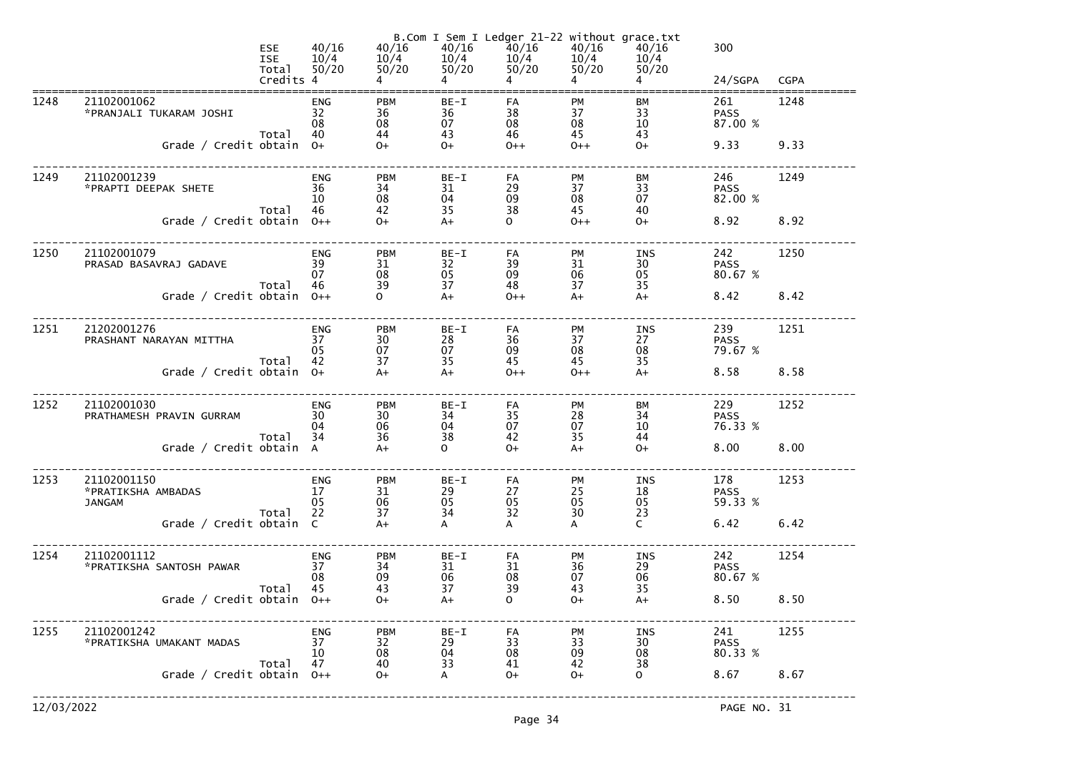|            |                                                    | <b>ESE</b><br><b>ISE</b><br>Total<br>Credits 4 | 40/16<br>10/4<br>50/20       | 40/16                        | 40/16<br>$\overline{4}$  | B.Com I Sem I Ledger 21-22 without grace.txt<br>40/16<br>$\frac{10}{4}$ $\frac{10}{4}$ $\frac{10}{4}$ $\frac{10}{4}$ $\frac{10}{4}$ $\frac{10}{4}$ $\frac{10}{4}$ $\frac{10}{4}$ $\frac{10}{4}$ $\frac{10}{4}$ $\frac{10}{4}$<br>$\overline{4}$ | 40/16<br>$\overline{4}$     | 40/16<br>50/20<br>$4 \quad$  | 300<br>24/SGPA                | <b>CGPA</b> |
|------------|----------------------------------------------------|------------------------------------------------|------------------------------|------------------------------|--------------------------|-------------------------------------------------------------------------------------------------------------------------------------------------------------------------------------------------------------------------------------------------|-----------------------------|------------------------------|-------------------------------|-------------|
| 1248       | 21102001062<br>*PRANJALI TUKARAM JOSHI             | Total                                          | <b>ENG</b><br>32<br>08<br>40 | <b>PBM</b><br>36<br>08<br>44 | $BE-I$<br>36<br>07<br>43 | FA<br>38<br>08<br>46                                                                                                                                                                                                                            | PM<br>37<br>08<br>45        | <b>BM</b><br>33<br>10<br>43  | 261<br><b>PASS</b><br>87.00 % | 1248        |
|            | Grade / Credit obtain 0+                           |                                                |                              | $O+$                         | $O+$                     | $O++$                                                                                                                                                                                                                                           | $0++$                       | $O+$                         | 9.33                          | 9.33        |
| 1249       | 21102001239<br>*PRAPTI DEEPAK SHETE                | Total                                          | <b>ENG</b><br>36<br>10<br>46 | <b>PBM</b><br>34<br>08<br>42 | BE-I<br>31<br>04<br>35   | FA<br>29<br>09<br>38                                                                                                                                                                                                                            | PM<br>37<br>08<br>45        | <b>BM</b><br>33<br>07<br>40  | 246<br><b>PASS</b><br>82.00 % | 1249        |
|            | Grade / Credit obtain $0++$                        |                                                |                              | $O+$                         | $A+$                     | $\mathbf{O}$                                                                                                                                                                                                                                    | $0++$                       | $O+$                         | 8.92                          | 8.92        |
| 1250       | 21102001079<br>PRASAD BASAVRAJ GADAVE              | Total                                          | <b>ENG</b><br>39<br>07<br>46 | <b>PBM</b><br>31<br>08<br>39 | BE-I<br>32<br>05<br>37   | FA<br>39<br>09<br>48                                                                                                                                                                                                                            | PM<br>31<br>06<br>37        | INS<br>30<br>05<br>35        | 242<br><b>PASS</b><br>80.67 % | 1250        |
|            | Grade / Credit obtain 0++                          |                                                |                              | $\overline{O}$               | $A+$                     | $0++$                                                                                                                                                                                                                                           | $A+$                        | $A+$                         | 8.42                          | 8.42        |
| 1251       | 21202001276<br>PRASHANT NARAYAN MITTHA             | Total                                          | <b>ENG</b><br>37<br>05<br>42 | <b>PBM</b><br>30<br>07<br>37 | BE-I<br>28<br>07<br>35   | FA<br>36<br>09<br>45                                                                                                                                                                                                                            | PM<br>37<br>08<br>45        | INS<br>27<br>08<br>35        | 239<br><b>PASS</b><br>79.67 % | 1251        |
|            | Grade / Credit obtain $0+$                         |                                                |                              | $A+$                         | $A+$                     | $0++$                                                                                                                                                                                                                                           | $0++$                       | $A+$                         | 8.58                          | 8.58        |
| 1252       | 21102001030<br>PRATHAMESH PRAVIN GURRAM            | Total                                          | <b>ENG</b><br>30<br>04<br>34 | <b>PBM</b><br>30<br>06<br>36 | BE-I<br>34<br>04<br>38   | FA<br>35<br>07<br>42                                                                                                                                                                                                                            | <b>PM</b><br>28<br>07<br>35 | <b>BM</b><br>34<br>10<br>44  | 229<br><b>PASS</b><br>76.33 % | 1252        |
|            | Grade / Credit obtain A                            |                                                |                              | $A+$                         | $\mathbf{O}$             | $O+$                                                                                                                                                                                                                                            | $A+$                        | $O+$                         | 8.00                          | 8.00        |
| 1253       | 21102001150<br>*PRATIKSHA AMBADAS<br><b>JANGAM</b> | Total                                          | <b>ENG</b><br>17<br>05<br>22 | <b>PBM</b><br>31<br>06<br>37 | BE-I<br>29<br>05<br>34   | FA<br>27<br>05<br>32                                                                                                                                                                                                                            | PM<br>25<br>05<br>30        | <b>INS</b><br>18<br>05<br>23 | 178<br><b>PASS</b><br>59.33 % | 1253        |
|            | Grade / Credit obtain C                            |                                                |                              | $A+$                         | A                        | A                                                                                                                                                                                                                                               | A                           | $\mathsf{C}$                 | 6.42                          | 6.42        |
| 1254       | 21102001112<br>*PRATIKSHA SANTOSH PAWAR            | Total                                          | <b>ENG</b><br>37<br>08<br>45 | <b>PBM</b><br>34<br>09<br>43 | $BE-I$<br>31<br>06<br>37 | FA<br>31<br>08<br>39                                                                                                                                                                                                                            | PM<br>36<br>07<br>43        | INS<br>29<br>06<br>35        | 242<br><b>PASS</b><br>80.67 % | 1254        |
|            | Grade / Credit obtain                              |                                                | $O++$                        | $O+$                         | $A+$                     | $\mathbf{O}$                                                                                                                                                                                                                                    | $O+$                        | $A+$                         | 8.50                          | 8.50        |
| 1255       | 21102001242<br>*PRATIKSHA UMAKANT MADAS            | Total                                          | <b>ENG</b><br>37<br>10<br>47 | <b>PBM</b><br>32<br>08<br>40 | $BE-I$<br>29<br>04<br>33 | FA<br>33<br>08<br>41                                                                                                                                                                                                                            | PM<br>33<br>09<br>42        | <b>INS</b><br>30<br>08<br>38 | 241<br><b>PASS</b><br>80.33 % | 1255        |
|            | Grade / Credit obtain                              |                                                | $O++$                        | $0+$                         | A                        | $O+$                                                                                                                                                                                                                                            | $O+$                        | $\mathsf{O}$                 | 8.67                          | 8.67        |
| 12/03/2022 |                                                    |                                                |                              |                              |                          |                                                                                                                                                                                                                                                 |                             |                              | PAGE NO. 31                   |             |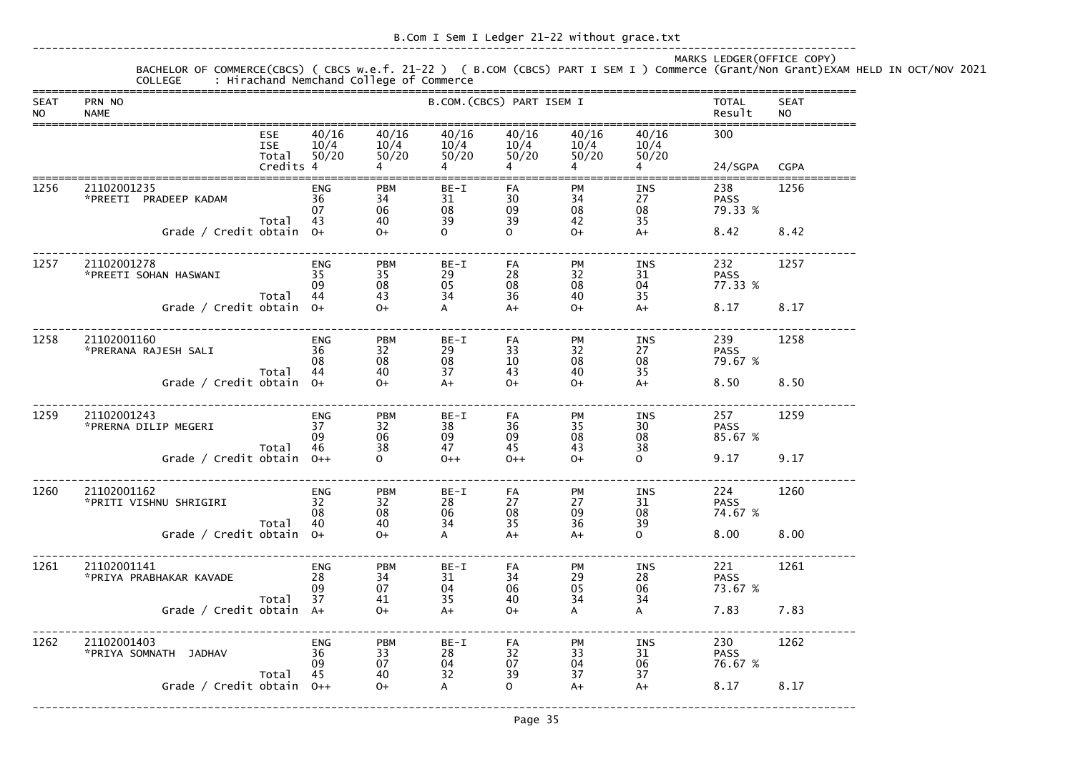MARKS LEDGER(OFFICE COPY) BACHELOR OF COMMERCE(CBCS) ( CBCS w.e.f. 21-22 ) ( B.COM (CBCS) PART I SEM I ) Commerce (Grant/Non Grant)EXAM HELD IN OCT/NOV 2021 COLLEGE : Hirachand Nemchand College of Commerce ===============================================================================================================================SEAT PRN NO B.COM.(CBCS) PART ISEM I TOTAL SEAT NO NAME Result NO =============================================================================================================================== ESE 40/16 40/16 40/16 40/16 40/16 40/16 300 ISE 10/4 10/4 10/4 10/4 10/4 10/4  $50/20$  Total 50/20 50/20 50/20 50/20 50/20 50/20 Credits 4  $4$  4  $4$  4  $4$  4  $4$  24/SGPA CGPA ===============================================================================================================================1256 21102001235 ENG PBM BE-I FA PM INS 238 1256 \*PREETI PRADEEP KADAM 36 34 31 30 34 27 PASS 79.33 %  $07 \qquad \qquad 06 \qquad \qquad 08 \qquad \qquad 09 \qquad \qquad 08 \qquad \qquad 08 \qquad \qquad 79.33 \ \%$ Total 43 40 39 39 42 35  $A+$  Grade / Credit obtain O+ O+ O O O+ A+ 8.42 8.42------------------------------------------------------------------------------------------------------------------------------- 1257 21102001278 ENG PBM BE-I FA PM INS 232 1257 \*PREETI SOHAN HASWANI 35 35 29 28 32 31 PASS 77.33 %  $\,$  09  $\,$  08  $\,$  05  $\,$  08  $\,$  08  $\,$  04  $\,$  77.33  $\%$ Total 44 43 34 36 40 35  $A+$ Grade / Credit obtain  $0+$   $0+$   $0+$   $A+$   $0+$   $A+$   $8.17$   $8.17$ ------------------------------------------------------------------------------------------------------------------------------- 1258 21102001160 ENG PBM BE-I FA PM INS 239 1258  $*$ PRERANA RAJESH SALI  $36$   $32$   $29$   $33$   $32$   $27$  PASS 79.67 %  $08 \hspace{15mm} 08 \hspace{15mm} 08 \hspace{15mm} 10 \hspace{15mm} 08 \hspace{15mm} 08 \hspace{15mm} 79.67 \hspace{1mm} 8$ Total 44 40 37 43 40 35  $A+$  Grade / Credit obtain O+ O+ A+ O+ O+ A+ 8.50 8.50------------------------------------------------------------------------------------------------------------------------------- 1259 21102001243 ENG PBM BE-I FA PM INS 257 1259 \*PRERNA DILIP MEGERI 37 32 38 36 35 30 PASS 85.67 %  $09 \qquad \qquad 06 \qquad \qquad 09 \qquad \qquad 09 \qquad \qquad 08 \qquad \qquad 08 \qquad \qquad 85.67 \;\%$ Total 46 38 47 45 43 38  $\Omega$ Grade / Credit obtain 0++ 0 0 0++ 0+ 0+ 0+ 0 9.17 9.17 ------------------------------------------------------------------------------------------------------------------------------- 1260 21102001162 ENG PBM BE-I FA PM INS 224 1260 \*PRITI VISHNU SHRIGIRI 32 32 28 27 27 31 PASS 74.67 %  $08 \qquad \qquad 08 \qquad \qquad 06 \qquad \qquad 08 \qquad \qquad 09 \qquad \qquad 08 \qquad \qquad 74.67 \ \%$  Total 40 40 34 35 36 39 Grade / Credit obtain  $0+$   $0+$  A  $A+$   $0$  8.00 8.00 ------------------------------------------------------------------------------------------------------------------------------- 1261 21102001141 ENG PBM BE-I FA PM INS 221 1261 \*PRIYA PRABHAKAR KAVADE 28 34 31 34 29 28 PASS 73.67 % 09 07 04 06 05 06 73.67 % Total 37 41 35 40 34 34 Grade / Credit obtain  $A+$  0+  $A+$  0+  $A$  A  $A$  7.83 7.83 ------------------------------------------------------------------------------------------------------------------------------- 1262 21102001403 ENG PBM BE-I FA PM INS 230 1262 \*PRIYA SOMNATH JADHAV 36 33 28 32 33 31 PASS 76.67 % 09 07 04 07 04 06 76.67 % Total 45 40 32 39 37 37  $A+$ Grade / Credit obtain  $0++$   $0+$   $A$   $0$   $A+$   $A+$   $8.17$   $8.17$ 

-------------------------------------------------------------------------------------------------------------------------------

Page 35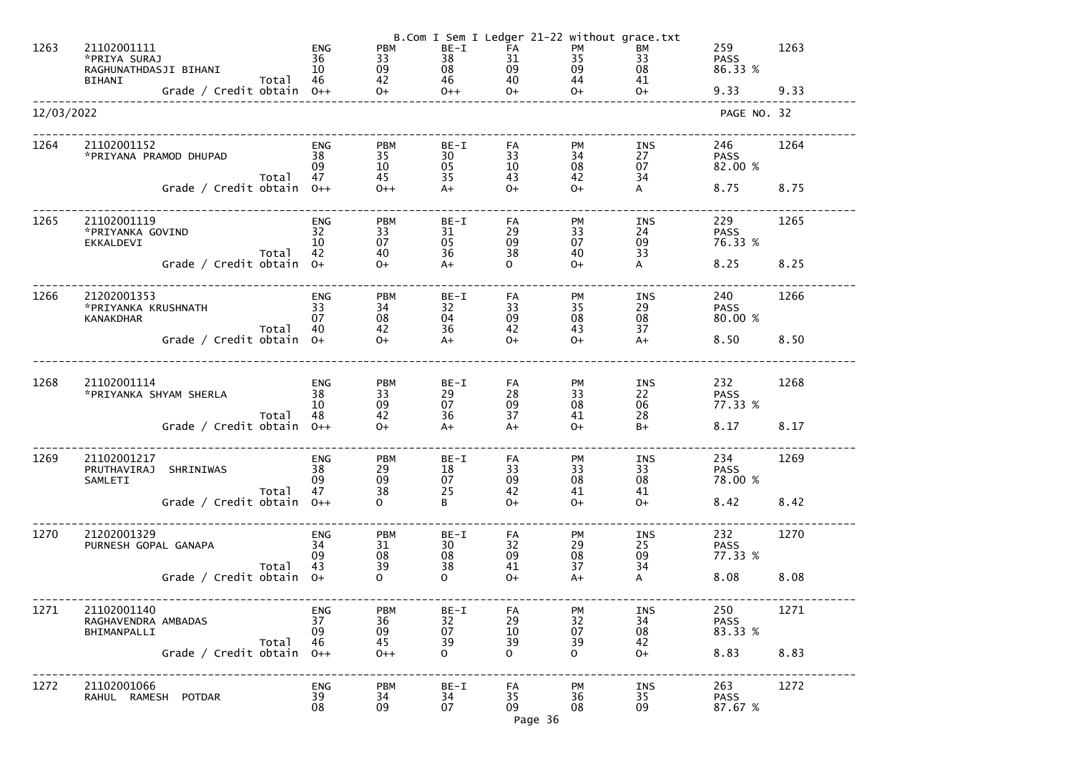| 1263       | 21102001111<br>*PRIYA SURAJ<br>RAGHUNATHDASJI BIHANI<br>Grade / Credit obtain 46<br>Grade / Credit obtain 0++ 0+<br>BIHANI |       | <b>ENG</b><br>36<br>10                | <b>PBM</b><br>33<br>09                       | $BE-I$<br>38<br>$\frac{08}{46}$<br>$\frac{46}{0++}$ | B.Com I Sem I Ledger 21-22 without grace.txt<br>FA<br>$\begin{array}{c} 35 \\ 09 \end{array}$<br>31<br>09<br>40<br>$O+$ | <b>PM</b><br>44<br>$O+$                | BM<br>33<br>08<br>41<br>$O+$          | 259<br><b>PASS</b><br>86.33 %<br>9.33 | 1263<br>9.33 |
|------------|----------------------------------------------------------------------------------------------------------------------------|-------|---------------------------------------|----------------------------------------------|-----------------------------------------------------|-------------------------------------------------------------------------------------------------------------------------|----------------------------------------|---------------------------------------|---------------------------------------|--------------|
| 12/03/2022 |                                                                                                                            |       |                                       |                                              |                                                     |                                                                                                                         |                                        |                                       | PAGE NO. 32                           |              |
| 1264       | 21102001152<br>*PRIYANA PRAMOD DHUPAD<br>Grade / Credit obtain $0++$                                                       | Total | <b>ENG</b><br>38<br>09<br>47          | <b>PBM</b><br>35<br>10<br>45<br>$0++$        | $BE-I$<br>30<br>05<br>35<br>$A+$                    | FA<br>33<br>10<br>43<br>$O+$                                                                                            | <b>PM</b><br>34<br>08<br>42<br>$O+$    | INS<br>27<br>07<br>34<br>$\mathsf{A}$ | 246<br><b>PASS</b><br>82.00 %<br>8.75 | 1264<br>8.75 |
| 1265       | 21102001119<br>*PRIYANKA GOVIND<br>EKKALDEVI<br>Grade / Credit obtain $0+$                                                 | Total | <b>ENG</b><br>32<br>10<br>42          | <b>PBM</b><br>33<br>07<br>40<br>$0+$         | $BE-I$<br>31<br>05<br>36<br>$A+$                    | FA<br>29<br>09<br>38<br>$\overline{O}$                                                                                  | <b>PM</b><br>33<br>07<br>40<br>$O+$    | INS<br>24<br>09<br>33<br>$\mathsf{A}$ | 229<br><b>PASS</b><br>76.33 %<br>8.25 | 1265<br>8.25 |
| 1266       | 21202001353<br>*PRIYANKA KRUSHNATH<br><b>KANAKDHAR</b><br>Grade / Credit obtain $0+$                                       | Total | ENG<br>33<br>07<br>40                 | <b>PBM</b><br>34<br>08<br>42<br>$0+$         | BE-I<br>32<br>04<br>36<br>$A+$                      | FA<br>33<br>09<br>42<br>$0+$                                                                                            | <b>PM</b><br>35<br>08<br>43<br>$0+$    | INS<br>29<br>08<br>37<br>$A+$         | 240<br><b>PASS</b><br>80.00 %<br>8.50 | 1266<br>8.50 |
| 1268       | 21102001114<br>*PRIYANKA SHYAM SHERLA<br>Grade / Credit obtain $0++$                                                       | Total | <b>ENG</b><br>38<br>10<br>48          | <b>PBM</b><br>33<br>09<br>42<br>$0+$         | $BE-I$<br>29<br>07<br>36<br>$A+$                    | FA<br>28<br>09<br>37<br>$A+$                                                                                            | PM<br>33<br>08<br>41<br>$O+$           | INS<br>22<br>06<br>28<br>$B+$         | 232<br><b>PASS</b><br>77.33 %<br>8.17 | 1268<br>8.17 |
| 1269       | 21102001217<br>PRUTHAVIRAJ<br>SHRINIWAS<br>SAMLETI<br>Grade / Credit obtain                                                | Total | <b>ENG</b><br>38<br>09<br>47<br>$0++$ | <b>PBM</b><br>29<br>09<br>38<br>$\mathbf{O}$ | $BE-I$<br>18<br>07<br>25<br>B                       | FA<br>33<br>09<br>42<br>$O+$                                                                                            | <b>PM</b><br>33<br>08<br>41<br>$O+$    | <b>INS</b><br>33<br>08<br>41<br>$O+$  | 234<br><b>PASS</b><br>78.00 %<br>8.42 | 1269<br>8.42 |
| 1270       | 21202001329<br>PURNESH GOPAL GANAPA<br>Grade / Credit obtain                                                               | Total | <b>ENG</b><br>34<br>09<br>43<br>$0+$  | <b>PBM</b><br>31<br>08<br>39<br>$\mathsf{O}$ | $BE-I$<br>30<br>08<br>38<br>$\mathbf{O}$            | FA<br>32<br>09<br>41<br>$O+$                                                                                            | PM<br>29<br>08<br>37<br>$A+$           | INS<br>25<br>09<br>34<br>A            | 232<br><b>PASS</b><br>77.33 %<br>8.08 | 1270<br>8.08 |
| 1271       | 21102001140<br>RAGHAVENDRA AMBADAS<br>BHIMANPALLI<br>Grade / Credit obtain                                                 | Total | <b>ENG</b><br>37<br>09<br>46<br>$0++$ | <b>PBM</b><br>36<br>09<br>45<br>$0++$        | $BE-I$<br>32<br>07<br>39<br>$\mathbf{O}$            | FA<br>29<br>10<br>39<br>$\overline{O}$                                                                                  | PM<br>32<br>07<br>39<br>$\overline{O}$ | <b>INS</b><br>34<br>08<br>42<br>$O+$  | 250<br><b>PASS</b><br>83.33 %<br>8.83 | 1271<br>8.83 |
| 1272       | 21102001066<br>RAHUL RAMESH POTDAR                                                                                         |       | <b>ENG</b><br>39<br>08                | <b>PBM</b><br>34<br>09                       | $BE-I$<br>34<br>07                                  | FA<br>35<br>09<br>Page 36                                                                                               | <b>PM</b><br>36<br>08                  | <b>INS</b><br>35<br>09                | 263<br><b>PASS</b><br>87.67 %         | 1272         |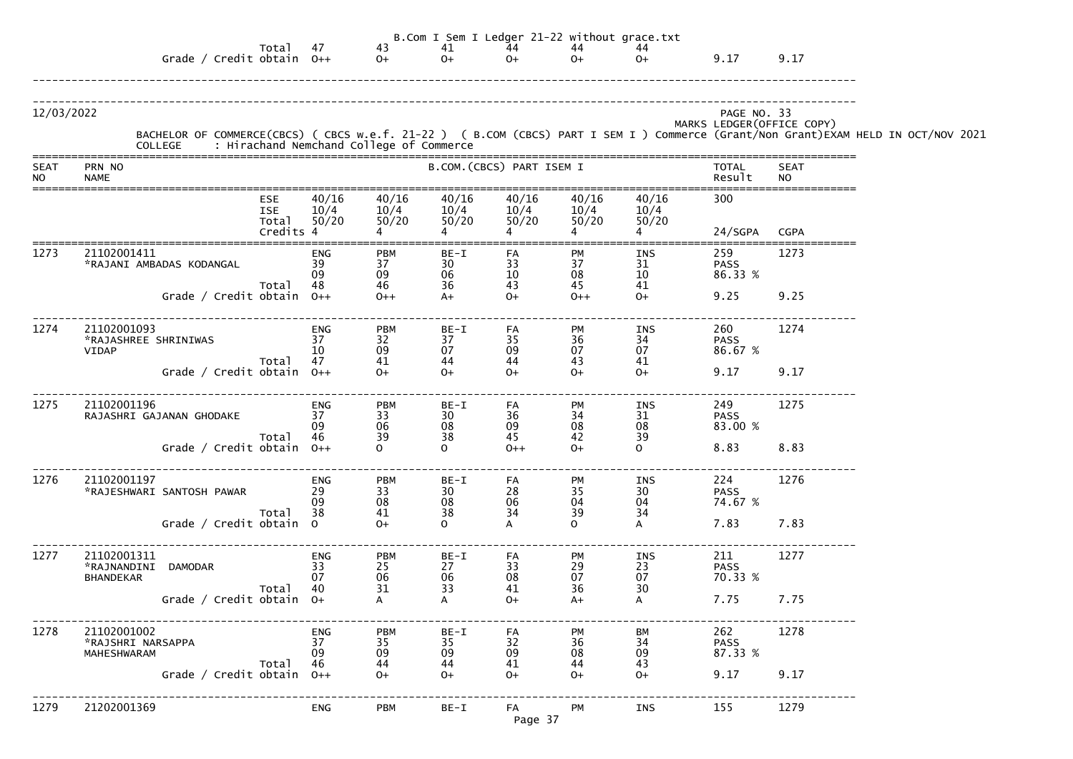|                          |                                                                  |                                                |                              |                                                             |                        |                                           |                        | B.Com I Sem I Ledger 21-22 without grace.txt |                               |                            |                                                                                                                                                                                            |
|--------------------------|------------------------------------------------------------------|------------------------------------------------|------------------------------|-------------------------------------------------------------|------------------------|-------------------------------------------|------------------------|----------------------------------------------|-------------------------------|----------------------------|--------------------------------------------------------------------------------------------------------------------------------------------------------------------------------------------|
|                          | Grade / Credit obtain $0++$                                      | Total                                          | 47                           | $43$<br>O+                                                  | 41<br>$O+$             | 44<br>$0+$                                | 44<br>$O+$             | 44<br>$O+$                                   | 9.17                          | 9.17                       |                                                                                                                                                                                            |
| 12/03/2022               |                                                                  |                                                |                              |                                                             |                        |                                           |                        |                                              | PAGE NO. 33                   | MARKS LEDGER (OFFICE COPY) | BACHELOR OF COMMERCE(CBCS) ( CBCS w.e.f. 21-22 ) ( B.COM (CBCS) PART I SEM I ) Commerce (Grant/Non Grant)EXAM HELD IN OCT/NOV 2021<br>COLLEGE     : Hirachand Nemchand College of Commerce |
| <b>SEAT</b><br><b>NO</b> | PRN NO<br><b>NAME</b>                                            |                                                |                              |                                                             |                        | B.COM. (CBCS) PART ISEM I                 |                        |                                              | <b>TOTAL</b><br>Result        | <b>SEAT</b><br><b>NO</b>   |                                                                                                                                                                                            |
|                          |                                                                  | <b>ESE</b><br><b>ISE</b><br>Total<br>Credits 4 | 40/16<br>10/4<br>50/20       | 40/16<br>10/4<br>50/20                                      | 40/16<br>10/4<br>50/20 | 40/16<br>$\frac{10}{7}$<br>50/20<br>50/20 | 40/16<br>10/4<br>50/20 | 40/16<br>10/4<br>50/20                       | 300<br>24/SGPA                | CGPA                       |                                                                                                                                                                                            |
| 1273                     | 21102001411<br>*RAJANI AMBADAS KODANGAL                          | Total                                          | ENG<br>39<br>09<br>48        | <b>PBM</b><br>37<br>09<br>46                                | BE-I<br>30<br>06<br>36 | FA<br>33<br>10<br>43                      | PM<br>37<br>08<br>45   | INS<br>31<br>10<br>41                        | 259<br><b>PASS</b><br>86.33 % | 1273                       |                                                                                                                                                                                            |
|                          | Grade / Credit obtain $0++$                                      |                                                |                              | $O++$                                                       | $A+$                   | $O+$                                      | $0++$                  | $O+$                                         | 9.25                          | 9.25                       |                                                                                                                                                                                            |
| 1274                     | 21102001093<br>*RAJASHREE SHRINIWAS<br>VIDAP                     |                                                | ENG<br>37<br>10<br>47        | <b>PBM</b><br>32<br>09                                      | BE-I<br>37<br>07       | FA<br>35<br>09                            | PM<br>36<br>07         | INS<br>34<br>07                              | 260<br><b>PASS</b><br>86.67 % | 1274                       |                                                                                                                                                                                            |
|                          | Grade / Credit obtain $0++$                                      | Total                                          |                              | 41<br>$0+$                                                  | 44<br>$O+$             | 44<br>$O+$                                | 43<br>$O+$             | 41<br>$O+$                                   | 9.17                          | 9.17                       |                                                                                                                                                                                            |
| 1275                     | 21102001196<br>RAJASHRI GAJANAN GHODAKE                          | Total 46                                       | ENG<br>37<br>09              | <b>PBM</b><br>33<br>06<br>39                                | BE-I<br>30<br>08<br>38 | FA<br>36<br>09<br>45                      | PM<br>34<br>08<br>42   | INS<br>31<br>08<br>39                        | 249<br><b>PASS</b><br>83.00 % | 1275                       |                                                                                                                                                                                            |
|                          | Grade / Credit obtain $0++$                                      |                                                |                              | $\mathbf{O}$                                                | $\mathbf{O}$           | $0++$                                     | $O+$                   | $\mathbf{O}$                                 | 8.83                          | 8.83                       |                                                                                                                                                                                            |
| 1276                     | 21102001197<br>*RAJESHWARI SANTOSH PAWAR                         | Total                                          | <b>ENG</b><br>29<br>09<br>38 | <b>PBM</b><br>$\begin{array}{c} 33 \\ 08 \end{array}$<br>41 | BE-I<br>30<br>08<br>38 | FA<br>28<br>06<br>34                      | PM<br>35<br>04<br>39   | INS<br>30<br>04<br>34                        | 224<br><b>PASS</b><br>74.67 % | 1276                       |                                                                                                                                                                                            |
|                          | Grade / Credit obtain 0                                          |                                                |                              | $O+$                                                        | $\mathsf{O}$           | A                                         | $\mathsf{O}$           | A                                            | 7.83                          | 7.83                       |                                                                                                                                                                                            |
| 1277                     | 21102001311<br>*RAJNANDINI<br><b>DAMODAR</b><br><b>BHANDEKAR</b> | Total                                          | <b>ENG</b><br>33<br>07<br>40 | <b>PBM</b><br>$\begin{array}{c} 25 \\ 06 \end{array}$<br>31 | BE-I<br>27<br>06<br>33 | FA<br>33<br>08<br>41                      | PM<br>29<br>07<br>36   | INS<br>23<br>07<br>30                        | 211<br><b>PASS</b><br>70.33 % | 1277                       |                                                                                                                                                                                            |
|                          | Grade / Credit obtain $0+$                                       |                                                |                              |                                                             | A                      | $O+$                                      | $A+$                   | A                                            | 7.75                          | 7.75                       |                                                                                                                                                                                            |
| 1278                     | 21102001002<br>*RAJSHRI NARSAPPA<br>MAHESHWARAM                  |                                                | <b>ENG</b><br>37<br>09       | <b>PBM</b><br>35<br>09                                      | BE-I<br>35<br>09       | FA<br>32<br>09                            | PM<br>36<br>08         | ВM<br>34<br>09                               | 262<br><b>PASS</b><br>87.33 % | 1278                       |                                                                                                                                                                                            |
|                          | Grade / Credit obtain $0++$                                      | Total                                          | 46                           | 44<br>$O+$                                                  | 44<br>$O+$             | 41<br>$O+$                                | 44<br>$O+$             | 43<br>$0+$                                   | 9.17                          | 9.17                       |                                                                                                                                                                                            |
| 1279                     | 21202001369                                                      |                                                | <b>ENG</b>                   | <b>PBM</b>                                                  | BE-I                   | FA<br>Page 37                             | PM                     | INS                                          | 155                           | 1279                       |                                                                                                                                                                                            |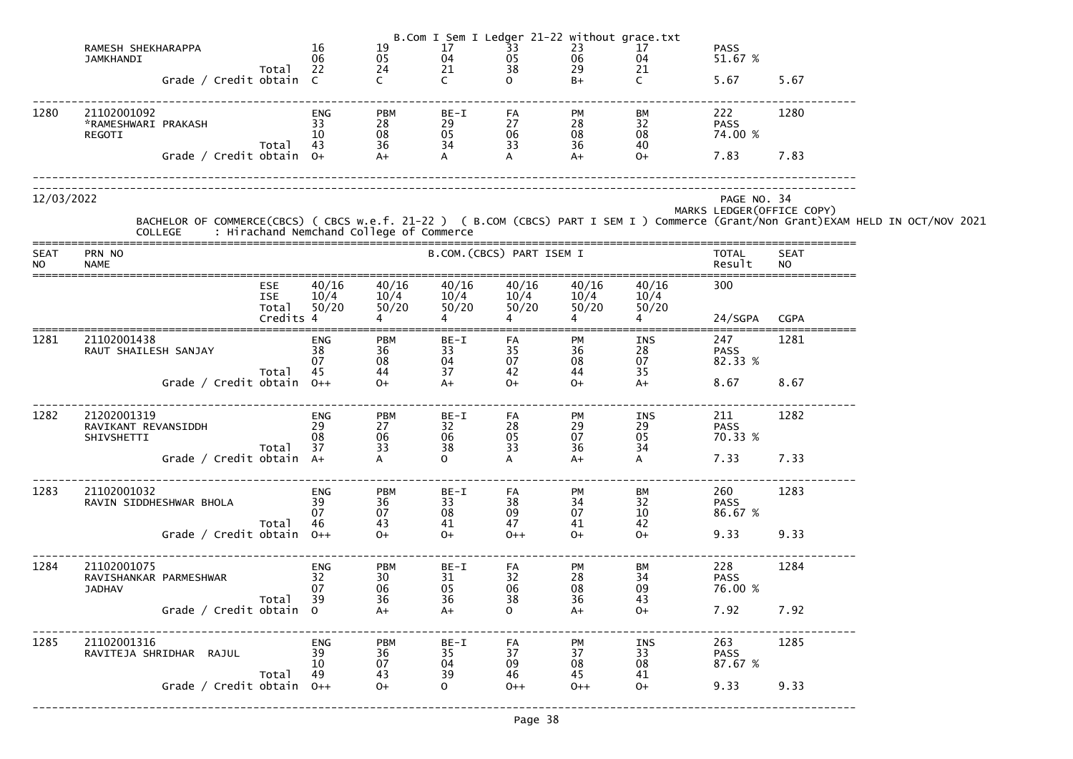|                          |                                                        |                            |                              |                                                             | B.Com I Sem I Ledger 21-22 without grace.txt |                        |                                    |                        |                               |                            |                                                                                                                                                                                            |
|--------------------------|--------------------------------------------------------|----------------------------|------------------------------|-------------------------------------------------------------|----------------------------------------------|------------------------|------------------------------------|------------------------|-------------------------------|----------------------------|--------------------------------------------------------------------------------------------------------------------------------------------------------------------------------------------|
|                          | RAMESH SHEKHARAPPA                                     |                            | 16                           | 19                                                          | 17                                           | 33                     | $\frac{23}{06}$                    | 17                     | <b>PASS</b>                   |                            |                                                                                                                                                                                            |
|                          | <b>JAMKHANDI</b>                                       | Total                      | 06<br>22                     | $\begin{array}{c} 05 \\ 24 \end{array}$                     | 04<br>21                                     | 05<br>38               | 29                                 | 04<br>21               | 51.67 %                       |                            |                                                                                                                                                                                            |
|                          | Grade / Credit obtain C                                |                            |                              |                                                             | $\mathsf{C}$                                 | $\Omega$               | $B+$                               | $\mathsf{C}$           | 5.67                          | 5.67                       |                                                                                                                                                                                            |
| 1280                     | 21102001092<br>*RAMESHWARI PRAKASH<br>REGOTI           | Total                      | <b>ENG</b><br>33<br>10<br>43 | <b>PBM</b><br>28<br>08<br>36                                | BE-I<br>29<br>05<br>34                       | FA<br>27<br>06<br>33   | <b>PM</b><br>28<br>08<br>36        | BM<br>32<br>08<br>40   | 222<br><b>PASS</b><br>74.00 % | 1280                       |                                                                                                                                                                                            |
|                          | Grade / Credit obtain $0+$                             |                            |                              | $A+$                                                        | $\mathsf{A}$                                 |                        | $A+$                               | $O+$                   | 7.83                          | 7.83                       |                                                                                                                                                                                            |
| 12/03/2022               |                                                        |                            |                              |                                                             |                                              |                        |                                    |                        | PAGE NO. 34                   | MARKS LEDGER (OFFICE COPY) |                                                                                                                                                                                            |
|                          |                                                        |                            |                              |                                                             |                                              |                        |                                    |                        |                               |                            | BACHELOR OF COMMERCE(CBCS) ( CBCS w.e.f. 21-22 ) ( B.COM (CBCS) PART I SEM I ) Commerce (Grant/Non Grant)EXAM HELD IN OCT/NOV 2021<br>COLLEGE     : Hirachand Nemchand College of Commerce |
| <b>SEAT</b><br><b>NO</b> | PRN NO<br><b>NAME</b>                                  |                            |                              |                                                             | B.COM. (CBCS) PART ISEM I                    |                        |                                    |                        | TOTAL<br>Result               | <b>SEAT</b><br><b>NO</b>   |                                                                                                                                                                                            |
|                          |                                                        | ESE<br><b>ISE</b><br>Total | 40/16<br>10/4<br>50/20       | 40/16<br>10/4<br>50/20                                      | 40/16<br>10/4<br>50/20                       | 40/16<br>10/4<br>50/20 | 40/16<br>10/4<br>50/20             | 40/16<br>10/4<br>50/20 | 300                           |                            |                                                                                                                                                                                            |
|                          |                                                        | Credits 4                  |                              |                                                             |                                              |                        |                                    |                        | 24/SGPA                       | <b>CGPA</b>                |                                                                                                                                                                                            |
| 1281                     | 21102001438<br>RAUT SHAILESH SANJAY                    |                            | ENG<br>38<br>07              | <b>PBM</b><br>36<br>08<br>44                                | BE-I<br>33<br>04<br>37                       | FA<br>35<br>07         | <b>PM</b><br>36<br>$\frac{08}{44}$ | INS<br>28<br>07        | 247<br><b>PASS</b><br>82.33 % | 1281                       |                                                                                                                                                                                            |
|                          | Grade / Credit obtain $0++$                            | Total                      | 45                           | $O+$                                                        | $A+$                                         | 42<br>$O+$             | $O+$                               | 35<br>$A+$             | 8.67                          | 8.67                       |                                                                                                                                                                                            |
| 1282                     | 21202001319<br>RAVIKANT REVANSIDDH<br>SHIVSHETTI       | Total                      | ENG<br>29<br>08<br>37        | <b>PBM</b><br>27<br>06<br>33                                | BE-I<br>32<br>06<br>38                       | FA<br>28<br>05<br>33   | <b>PM</b><br>29<br>07<br>36        | INS<br>29<br>05<br>34  | 211<br><b>PASS</b><br>70.33 % | 1282                       |                                                                                                                                                                                            |
|                          | Grade / Credit obtain A+                               |                            |                              |                                                             | $\overline{O}$                               | A                      | $A+$                               | A                      | 7.33                          | 7.33                       |                                                                                                                                                                                            |
| 1283                     | 21102001032<br>RAVIN SIDDHESHWAR BHOLA                 |                            | ENG<br>39<br>07              | <b>PBM</b><br>$\begin{array}{c} 36 \\ 07 \end{array}$<br>43 | BE-I<br>33<br>08<br>41                       | FA<br>38<br>09<br>47   | PM<br>34<br>07<br>41               | ВM<br>32<br>10<br>42   | 260<br><b>PASS</b><br>86.67 % | 1283                       |                                                                                                                                                                                            |
|                          | Grade / Credit obtain $0++$                            | Total                      | 46                           | $O+$                                                        | $O+$                                         | $0++$                  | $O+$                               | $O+$                   | 9.33                          | 9.33                       |                                                                                                                                                                                            |
| 1284                     | 21102001075<br>RAVISHANKAR PARMESHWAR<br><b>JADHAV</b> |                            | ENG<br>32<br>07              | <b>PBM</b><br>$\frac{30}{06}$                               | BE-I<br>31<br>05                             | FA<br>32<br>06         | PM<br>28<br>08                     | ВM<br>34<br>09         | 228<br><b>PASS</b><br>76.00 % | 1284                       |                                                                                                                                                                                            |
|                          | Grade / Credit obtain 0                                | Total                      | 39                           | 36<br>$A+$                                                  | 36<br>$A+$                                   | 38<br>$\mathsf{O}$     | 36<br>$A+$                         | 43<br>$O+$             | 7.92                          | 7.92                       |                                                                                                                                                                                            |
| 1285                     | 21102001316<br>RAVITEJA SHRIDHAR RAJUL                 |                            | ENG<br>39<br>10              | <b>PBM</b><br>36<br>07                                      | BE-I<br>35<br>04                             | FA<br>37<br>09         | PM<br>37<br>08                     | INS<br>33<br>08        | 263<br><b>PASS</b><br>87.67 % | 1285                       |                                                                                                                                                                                            |
|                          | Grade / Credit obtain 0++                              | Total                      | 49                           | 43<br>$O+$                                                  | 39<br>$\overline{O}$                         | 46<br>$0++$            | 45<br>$0++$                        | 41<br>$O+$             | 9.33                          | 9.33                       |                                                                                                                                                                                            |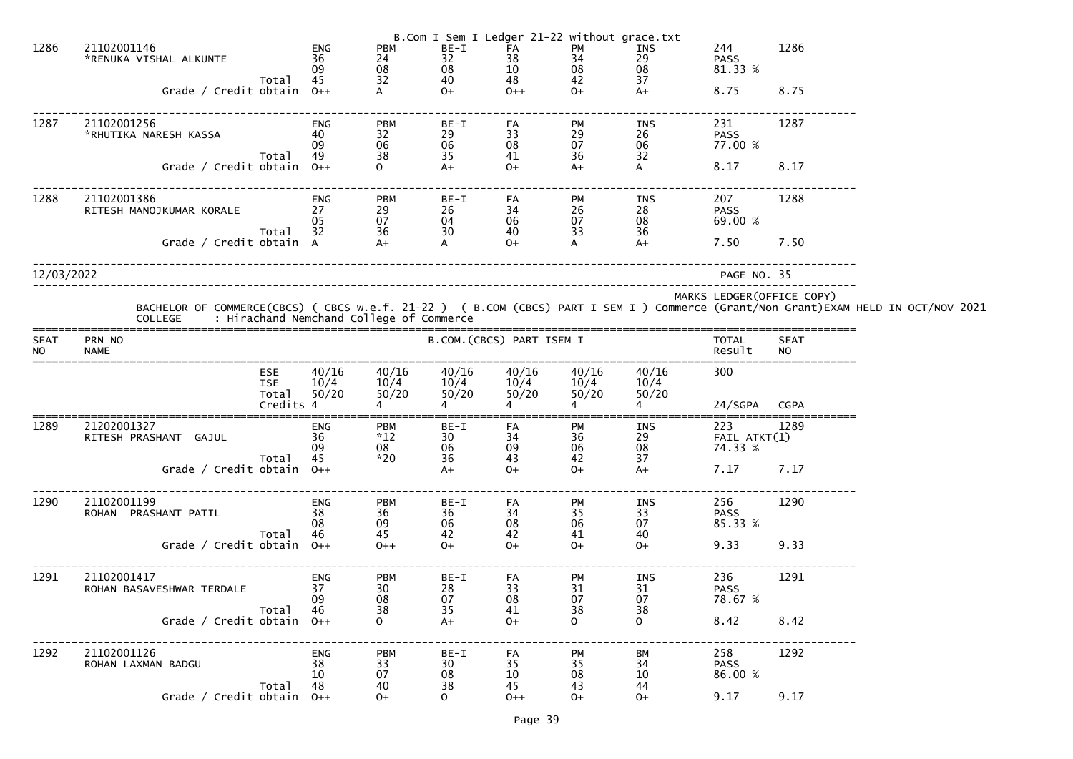|                          |                                          |                                                |                              |                                                             |                                                       |                                                     | B.Com I Sem I Ledger 21-22 without grace.txt |                                                      |                                    |                            |                                                                                                                                    |
|--------------------------|------------------------------------------|------------------------------------------------|------------------------------|-------------------------------------------------------------|-------------------------------------------------------|-----------------------------------------------------|----------------------------------------------|------------------------------------------------------|------------------------------------|----------------------------|------------------------------------------------------------------------------------------------------------------------------------|
| 1286                     | 21102001146<br>*RENUKA VISHAL ALKUNTE    |                                                | <b>ENG</b><br>36<br>09       | <b>PBM</b><br>24<br>08<br>32                                | BE-I<br>32<br>08                                      | FA<br>$\begin{array}{c} 38 \\ 10 \end{array}$       | PM<br>34<br>08<br>42                         | INS<br>29<br>08                                      | 244<br><b>PASS</b><br>81.33 %      | 1286                       |                                                                                                                                    |
|                          | Grade / Credit obtain $0++$              | Total                                          | 45                           |                                                             | 40<br>$O+$                                            | 48<br>$0++$                                         | $O+$                                         | 37<br>$A+$                                           | 8.75                               | 8.75                       |                                                                                                                                    |
| 1287                     | 21102001256<br>*RHUTIKA NARESH KASSA     |                                                | ENG<br>40<br>09<br>49        | <b>PBM</b><br>$\begin{array}{c} 32 \\ 06 \end{array}$<br>38 | BE-I<br>29<br>06<br>35                                | FA<br>$\begin{array}{c} 33 \\ 08 \end{array}$<br>41 | PM<br>$\mathop{29}_{07}$                     | INS<br>26<br>06<br>32                                | 231<br><b>PASS</b><br>77.00 %      | 1287                       |                                                                                                                                    |
|                          | Grade / Credit obtain $0++$              | Total                                          |                              | $\Omega$                                                    | $A+$                                                  | $O+$                                                | 36<br>$A+$                                   | A                                                    | 8.17                               | 8.17                       |                                                                                                                                    |
| 1288                     | 21102001386<br>RITESH MANOJKUMAR KORALE  | Total                                          | <b>ENG</b><br>27<br>05<br>32 | <b>PBM</b><br>$\mathop{29}_{07}$<br>36                      | $BE-I$<br>26<br>04<br>30                              | FA<br>$\begin{array}{c} 34 \\ 06 \end{array}$<br>40 | PM<br>$\frac{26}{07}$<br>33                  | INS<br>28<br>08<br>36                                | 207<br><b>PASS</b><br>69.00 %      | 1288                       |                                                                                                                                    |
|                          | Grade / Credit obtain A                  |                                                |                              | $A+$                                                        | A                                                     | $O+$                                                | A                                            | $A+$                                                 | 7.50                               | 7.50                       |                                                                                                                                    |
| 12/03/2022               |                                          |                                                |                              |                                                             |                                                       |                                                     |                                              |                                                      | PAGE NO. 35                        |                            |                                                                                                                                    |
|                          | <b>COLLEGE</b>                           |                                                |                              | : Hirachand Nemchand College of Commerce                    |                                                       |                                                     |                                              |                                                      |                                    | MARKS LEDGER (OFFICE COPY) | BACHELOR OF COMMERCE(CBCS) ( CBCS w.e.f. 21-22 ) ( B.COM (CBCS) PART I SEM I ) Commerce (Grant/Non Grant)EXAM HELD IN OCT/NOV 2021 |
| <b>SEAT</b><br><b>NO</b> | PRN NO<br><b>NAME</b>                    |                                                |                              |                                                             | B.COM. (CBCS) PART ISEM I                             |                                                     |                                              |                                                      | <b>TOTAL</b><br>Result             | <b>SEAT</b><br><b>NO</b>   |                                                                                                                                    |
|                          |                                          | <b>ESE</b><br><b>ISE</b><br>Total<br>Credits 4 | 40/16<br>10/4<br>50/20       | 40/16<br>10/4<br>50/20                                      | 40/16<br>10/4<br>50/20                                | 40/16<br>10/4<br>50/20                              | 40/16<br>10/4<br>50/20                       | 40/16<br>10/4<br>50/20                               | 300<br>24/SGPA                     | <b>CGPA</b>                |                                                                                                                                    |
| 1289                     | 21202001327<br>RITESH PRASHANT GAJUL     |                                                | ENG<br>36<br>09              | <b>PBM</b><br>$*12$<br>08<br>$*20$                          | BE-I<br>30 <sup>°</sup><br>$\frac{06}{36}$            | FA<br>34<br>09<br>43                                | PM<br>36<br>06<br>42                         | INS<br>$\frac{29}{08}$<br>37                         | 223<br>$FAIL$ $ATKT(1)$<br>74.33 % | 1289                       |                                                                                                                                    |
|                          | Grade / Credit obtain 0++                | Total                                          | 45                           |                                                             | $A+$                                                  | $O+$                                                | $O+$                                         | $A+$                                                 | 7.17 7.17                          |                            |                                                                                                                                    |
| 1290                     | 21102001199<br>ROHAN PRASHANT PATIL      | Total                                          | ENG<br>38<br>08<br>46        | <b>PBM</b><br>$\frac{36}{09}$<br>45                         | BE-I<br>36<br>$06 \\ 42$                              | FA<br>$\begin{array}{c} 34 \\ 08 \end{array}$<br>42 | PM<br>35<br>06<br>41                         | INS<br>33<br>07<br>40                                | 256<br><b>PASS</b><br>85.33 %      | 1290                       |                                                                                                                                    |
|                          | Grade / Credit obtain $0++$              |                                                |                              | $0++$                                                       | $0+$                                                  | $O+$                                                | $O+$                                         | $O+$                                                 | 9.33                               | 9.33                       |                                                                                                                                    |
| 1291                     | 21102001417<br>ROHAN BASAVESHWAR TERDALE |                                                | ENG<br>37<br>09<br>46        | <b>PBM</b><br>$\begin{array}{c} 30 \\ 08 \\ 38 \end{array}$ | BE-I<br>28<br>$\begin{array}{c} 07 \\ 35 \end{array}$ | FA<br>33<br>08<br>41                                | PM<br>31<br>07<br>38                         | INS<br>31<br>$\begin{array}{c} 07 \\ 38 \end{array}$ | 236<br><b>PASS</b><br>78.67 %      | 1291                       |                                                                                                                                    |
|                          | Grade / Credit obtain $0++$              | Total                                          |                              | $\Omega$                                                    | $A+$                                                  | $O+$                                                | $\Omega$                                     | $\Omega$                                             | 8.42                               | 8.42                       |                                                                                                                                    |
| 1292                     | 21102001126<br>ROHAN LAXMAN BADGU        | Total                                          | ENG<br>38<br>10<br>48        | <b>PBM</b><br>33<br>07<br>40                                | BE-I<br>30<br>$\begin{array}{c} 08 \\ 38 \end{array}$ | FA<br>35<br>10<br>45                                | PM<br>$\frac{35}{08}$<br>43                  | BM<br>$^{34}_{10}$<br>44                             | 258<br><b>PASS</b><br>86.00 %      | 1292                       |                                                                                                                                    |
|                          | Grade / Credit obtain 0++                |                                                |                              | $O+$                                                        | $\mathbf{O}$                                          | $0++$                                               | $O+$                                         | $O+$                                                 | 9.17                               | 9.17                       |                                                                                                                                    |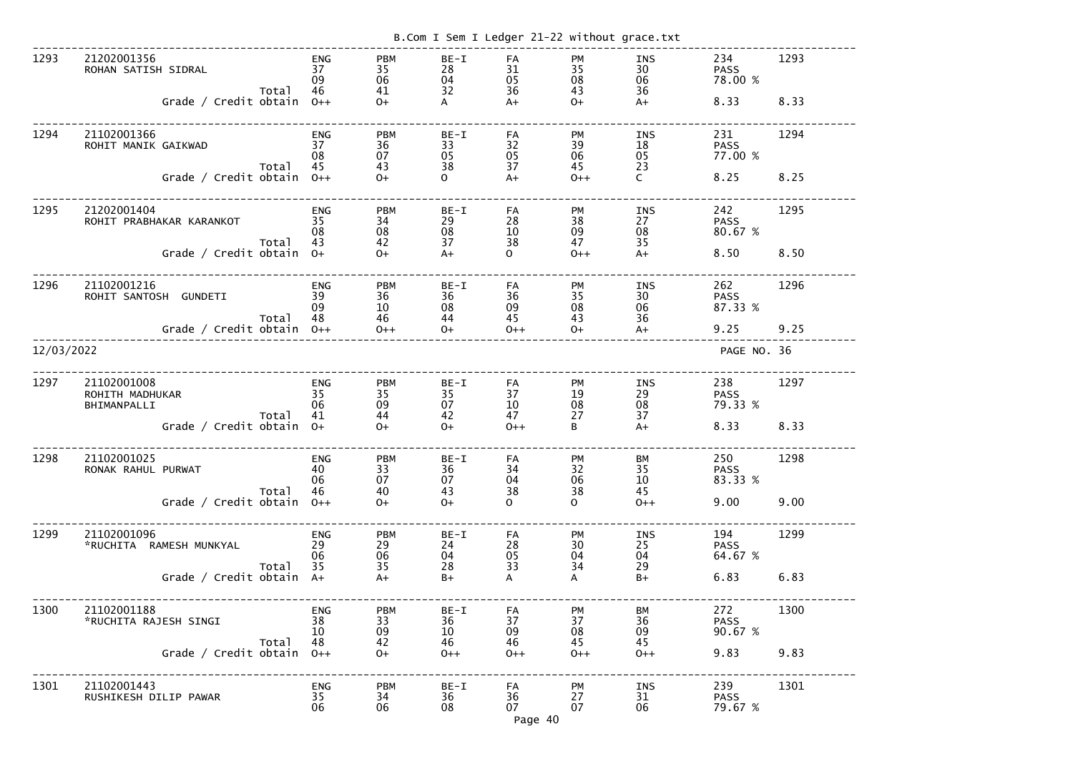|            |                                                                                                                  |       |                                       |                                           |                                           | B.Com I Sem I Ledger 21-22 without grace.txt                                                             |                                                                     |                                                                     |                                          |              |
|------------|------------------------------------------------------------------------------------------------------------------|-------|---------------------------------------|-------------------------------------------|-------------------------------------------|----------------------------------------------------------------------------------------------------------|---------------------------------------------------------------------|---------------------------------------------------------------------|------------------------------------------|--------------|
| 1293       | 21202001356<br>ROHAN SATISH SIDRAL<br>Grade / Credit obtain                                                      | Total | <b>ENG</b><br>37<br>09<br>46<br>$0++$ | <b>PBM</b><br>35<br>06<br>41<br>$0+$      | BE-I<br>28<br>04<br>32<br>A               | FA<br>31<br>05<br>36<br>$A+$                                                                             | PM<br>35<br>08<br>43<br>$O+$                                        | INS<br>30<br>06<br>36<br>$A+$                                       | 234<br><b>PASS</b><br>78.00 %<br>8.33    | 1293<br>8.33 |
| 1294       | 21102001366<br>ROHIT MANIK GAIKWAD<br>Grade / Credit obtain                                                      | Total | <b>ENG</b><br>37<br>08<br>45<br>$O++$ | <b>PBM</b><br>36<br>07<br>43<br>$O+$      | $BE-I$<br>33<br>05<br>38<br>$\mathsf{O}$  | FA<br>32<br>05<br>37<br>$A+$                                                                             | PM<br>39<br>06<br>45<br>$0++$                                       | <b>INS</b><br>18<br>05<br>23<br>$\mathsf{C}$                        | 231<br><b>PASS</b><br>77.00 %<br>8.25    | 1294<br>8.25 |
| 1295       | 21202001404<br>ROHIT PRABHAKAR KARANKOT<br>Grade / Credit obtain 0+                                              | Total | <b>ENG</b><br>35<br>08<br>43          | <b>PBM</b><br>34<br>08<br>42<br>$0+$      | $BE-I$<br>29<br>08<br>37<br>$A+$          | FA<br>28<br>10<br>38<br>$\mathsf{O}$                                                                     | PM<br>38<br>09<br>47<br>$0++$                                       | <b>INS</b><br>27<br>08<br>35<br>$A+$                                | 242<br><b>PASS</b><br>80.67 %<br>8.50    | 1295<br>8.50 |
| 1296       | 21102001216<br>ROHIT SANTOSH<br><b>GUNDETI</b><br>Grade / Credit obtain                                          | Total | <b>ENG</b><br>39<br>09<br>48<br>$0++$ | <b>PBM</b><br>36<br>10<br>46<br>$0++$     | $BE-I$<br>36<br>08<br>44<br>$O+$          | FA<br>36<br>09<br>45<br>$0++$                                                                            | <b>PM</b><br>35<br>08<br>43<br>$O+$                                 | <b>INS</b><br>30<br>06<br>36<br>$A+$                                | 262<br><b>PASS</b><br>87.33 %<br>9.25    | 1296<br>9.25 |
| 12/03/2022 |                                                                                                                  |       |                                       |                                           |                                           |                                                                                                          |                                                                     |                                                                     | PAGE NO. 36                              |              |
| 1297       | 21102001008<br>ROHITH MADHUKAR<br>BHIMANPALLI<br>Grade / Credit obtain                                           | Total | <b>ENG</b><br>35<br>06<br>41<br>$O+$  | <b>PBM</b><br>35<br>09<br>44<br>$O+$      | $BE-I$<br>35<br>07<br>42<br>$0+$          | FA<br>37<br>10<br>47<br>$0++$                                                                            | <b>PM</b><br>19<br>08<br>27<br>B                                    | <b>INS</b><br>29<br>08<br>37<br>$A+$                                | 238<br><b>PASS</b><br>79.33 %<br>8.33    | 1297<br>8.33 |
| 1298       | 21102001025<br>RONAK RAHUL PURWAT<br>Total 46 40<br>Grade / Credit obtain 0++ 0+                                 |       | ENG<br>40<br>06                       | PBM<br>33<br>07<br>$O+$                   | BE-I<br>$\frac{36}{36}$ 34<br>07 04<br>43 | FA<br>38<br>$\mathsf{O}$                                                                                 | PM<br>$\begin{array}{c} 32 \\ 06 \end{array}$<br>38<br>$\mathbf{O}$ | BM<br>$\begin{array}{c} 35 \\ 10 \end{array}$<br>45<br>$O++$        | 250 20<br><b>PASS</b><br>83.33 %<br>9.00 | 1298<br>9.00 |
| 1299       | 21102001096<br>*RUCHITA RAMESH MUNKYAL 29<br>Total 35 35<br>Grade / Credit obtain A+ A+                          |       | <b>ENG</b><br>06                      | <b>PBM</b><br>29<br>06<br>$\frac{28}{B+}$ | BE-I FA<br>$\frac{28}{95}$<br>24<br>04    | 33<br>$\mathsf{A}$                                                                                       | PM<br>$\begin{array}{c} 30 \\ 04 \end{array}$<br>34<br>$\mathsf{A}$ | <b>INS</b><br>$\begin{array}{c} 25 \\ 04 \end{array}$<br>29<br>$B+$ | 194<br><b>PASS</b><br>64.67 %<br>6.83    | 1299<br>6.83 |
| 1300       | 21102001188<br>*RUCHITA RAJESH SINGI<br>Grade / Credit obtain $\overline{48}$ 42<br>Grade / Credit obtain 0++ 0+ |       | <b>ENG</b><br>38<br>10                | <b>PBM</b><br>33<br>09                    |                                           | 1   BE-I   FA   PM<br>36   37   37<br>10   09   08<br>46   46   45<br>0++   0++   0++<br>$\frac{37}{08}$ | $O++$                                                               | BM<br>36<br>09<br>45<br>$0++$                                       | 272<br><b>PASS</b><br>90.67 %<br>9.83    | 1300<br>9.83 |
| 1301       | 21102001443<br>RUSHIKESH DILIP PAWAR                                                                             |       | <b>ENG</b><br>35<br>06                |                                           |                                           | PBM BE-I FA PM<br>34 36 36 27<br>06 08 07 07<br>Page 40                                                  |                                                                     | INS<br>31<br>06                                                     | 239<br><b>PASS</b><br>79.67 %            | 1301         |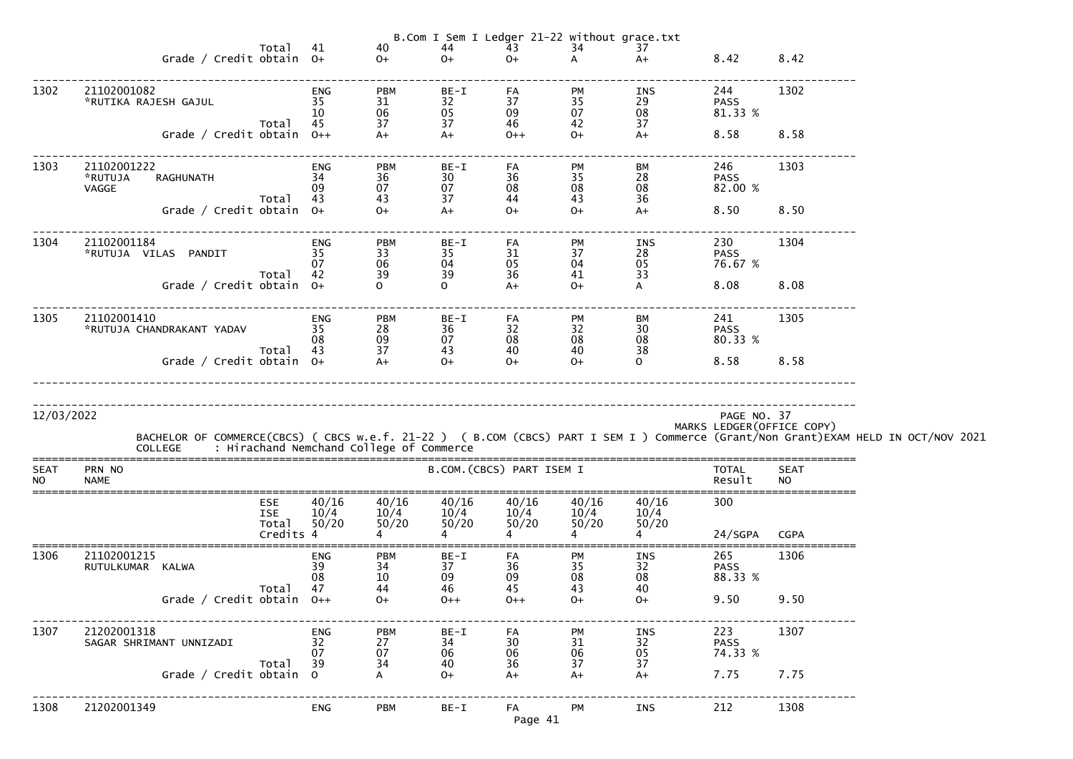|                          |                                                                                                                                                                                                  |                              |                                |                                  |                               |                               | B.Com I Sem I Ledger 21-22 without grace.txt |                                            |                           |  |
|--------------------------|--------------------------------------------------------------------------------------------------------------------------------------------------------------------------------------------------|------------------------------|--------------------------------|----------------------------------|-------------------------------|-------------------------------|----------------------------------------------|--------------------------------------------|---------------------------|--|
|                          | Total<br>Grade / Credit obtain 0+                                                                                                                                                                | 41                           | 40<br>$0+$                     | 44 and $\sim$<br>$O+$            | 43<br>$O+$                    | 34<br>$\overline{A}$          | 37<br>$A+$                                   | 8.42                                       | 8.42                      |  |
| 1302                     | 21102001082<br>*RUTIKA RAJESH GAJUL<br>Total 45<br>Grade / Credit obtain $0++$                                                                                                                   | ENG<br>35<br><sup>10</sup>   | <b>PBM</b><br>31<br>06<br>37   | $BE-I$<br>32<br>05<br>37<br>$A+$ | FA<br>37<br>09<br>46<br>$O++$ | PM<br>35<br>07<br>42<br>$O+$  | INS<br>29<br>08<br>37<br>$A+$                | 244<br><b>PASS</b><br>81.33 %<br>8.58 8.58 | 1302                      |  |
| 1303                     | 21102001222<br>34<br>*RUTUJA<br>RAGHUNATH<br>VAGGE<br>Total 43                                                                                                                                   | ENG<br>09                    | <b>PBM</b><br>36<br>07<br>43   | BE-I<br>30<br>07<br>37           | FA<br>36<br>08<br>44          | PM<br>35<br>08<br>43          | BM<br>28<br>08<br>36                         | 246<br><b>PASS</b><br>82.00 %              | 1303                      |  |
|                          | Grade / Credit obtain 0+                                                                                                                                                                         |                              | $O+$                           | $A+$                             | $0+$                          | $O+$                          | $A+$                                         | 8.50 8.50                                  |                           |  |
| 1304                     | 21102001184<br>*RUTUJA VILAS PANDIT 35<br>Total 42                                                                                                                                               | ENG<br>07                    | <b>PBM</b><br>33<br>06<br>39   | BE-I<br>35<br>04<br>39           | FA<br>31<br>05<br>36          | PM<br>37<br>04<br>41          | INS<br>28<br>05<br>33                        | 230<br><b>PASS</b><br>76.67 %              | 1304                      |  |
|                          | Grade / Credit obtain 0+                                                                                                                                                                         |                              |                                | $\overline{O}$                   | $A+$                          | $O+$                          | $\mathsf{A}$                                 | 8.08                                       | 8.08                      |  |
| 1305                     | 21102001410<br><b>ELIOZOUI-LU<br/>*RUTUJA CHANDRAKANT YADAV</b> 35                                                                                                                               | ENG<br>08                    | <b>PBM</b><br>28<br>09         | BE-I<br>36<br>07<br>43           | FA<br>32<br>08<br>40          | PM<br>32<br>08<br>40          | BM<br>30 <sup>°</sup><br>08<br>38            | 241<br><b>PASS</b><br>80.33 %              | 1305                      |  |
|                          | Grade / Credit obtain 0+                                                                                                                                                                         | Total 43 37<br>obtain 0+  A+ |                                | $O+$                             | $O+$                          | $O+$                          | $\overline{O}$                               | 8.58 8.58                                  |                           |  |
| 12/03/2022               | BACHELOR OF COMMERCE(CBCS) ( CBCS w.e.f. 21-22 ) ( B.COM (CBCS) PART I SEM I ) Commerce (Grant/Non Grant)EXAM HELD IN OCT/NOV 2021<br>: Hirachand Nemchand College of Commerce<br><b>COLLEGE</b> |                              |                                |                                  |                               |                               |                                              | PAGE NO. 37                                | MARKS LEDGER(OFFICE COPY) |  |
| <b>SEAT</b><br><b>NO</b> | PRN NO<br><b>NAME</b>                                                                                                                                                                            |                              |                                |                                  | B.COM. (CBCS) PART ISEM I     |                               |                                              | <b>TOTAL</b><br>Result                     | <b>SEAT</b><br><b>NO</b>  |  |
|                          | <b>ESE</b><br><b>ISE</b><br>Total<br>Credits 4                                                                                                                                                   | 40/16<br>10/4<br>50/20       | 40/16<br>10/4<br>50/20         | 40/16<br>10/4<br>50/20           | 40/16<br>10/4<br>50/20        | 40/16<br>10/4<br>50/20        | 40/16<br>10/4<br>50/20                       | 300<br>24/SGPA                             | <b>CGPA</b>               |  |
| 1306                     | 21102001215<br>RUTULKUMAR KALWA<br>Total<br>Grade / Credit obtain $0++$                                                                                                                          | <b>ENG</b><br>39<br>08<br>47 | <b>PBM</b><br>34<br>10<br>44   | BE-I<br>37<br>09<br>46           | FA<br>36<br>09<br>45          | <b>PM</b><br>35<br>08<br>43   | <b>INS</b><br>32<br>08<br>40                 | 265<br><b>PASS</b><br>88.33 %<br>9.50      | 1306<br>9.50              |  |
| 1307                     | 21202001318<br>SAGAR SHRIMANT UNNIZADI                                                                                                                                                           | <b>ENG</b><br>32<br>07       | $O+$<br><b>PBM</b><br>27<br>07 | $0++$<br>$BE-I$<br>34<br>06      | $0++$<br>FA<br>30<br>06       | $O+$<br><b>PM</b><br>31<br>06 | $O+$<br><b>INS</b><br>32<br>05               | 223<br><b>PASS</b><br>74.33 %              | 1307                      |  |
|                          | Total<br>Grade / Credit obtain 0                                                                                                                                                                 | 39                           | 34                             | 40<br>$0+$                       | 36<br>$A+$                    | 37<br>$A+$                    | 37<br>$A+$                                   | 7.75                                       | 7.75                      |  |
| 1308                     | 21202001349                                                                                                                                                                                      | <b>ENG</b>                   | <b>PBM</b>                     | $BE-I$                           | FA<br>Page 41                 | PM                            | INS                                          | 212                                        | 1308                      |  |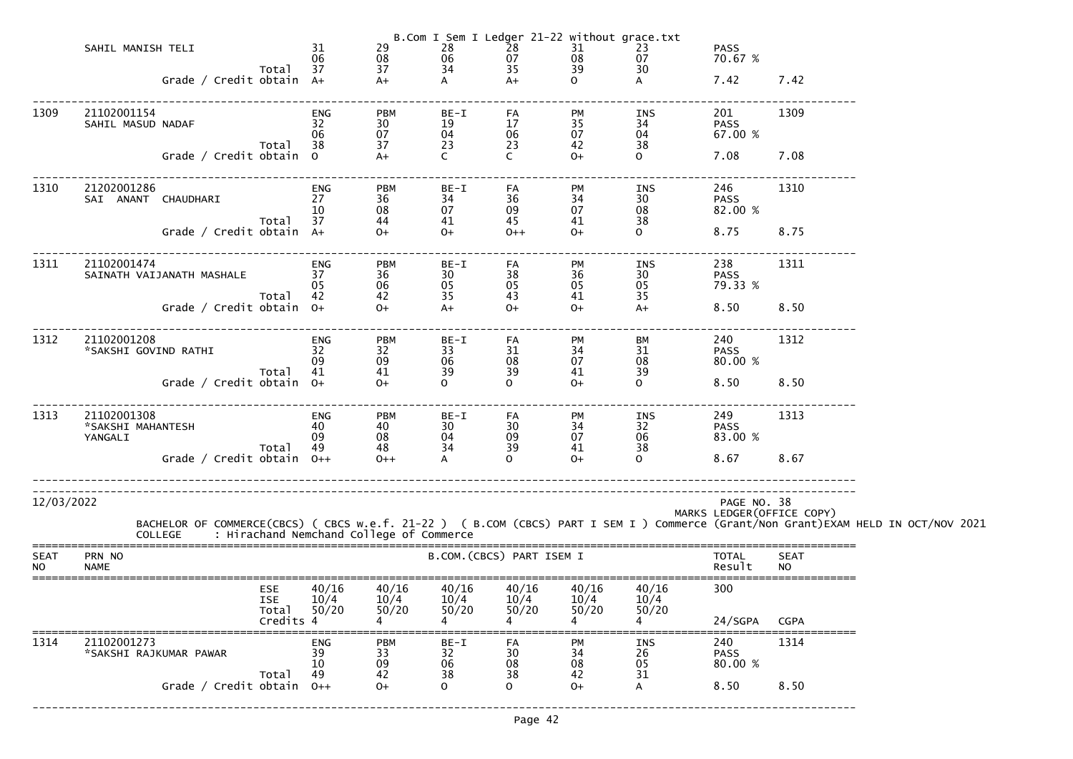|                          | Total<br>Grade / Credit obtain 0++                                                                                                                                                         | 10<br>49                                                            | 33<br>09<br>42<br>$O+$                             | 38<br>$\mathsf{O}$                                                                                | 08<br>38<br>$\Omega$             | 08<br>42<br>$O+$                                                                           | 05<br>31                                    | 80.00 %<br>8.50                                                                                                                                                                                                                                    | 8.50                       |  |
|--------------------------|--------------------------------------------------------------------------------------------------------------------------------------------------------------------------------------------|---------------------------------------------------------------------|----------------------------------------------------|---------------------------------------------------------------------------------------------------|----------------------------------|--------------------------------------------------------------------------------------------|---------------------------------------------|----------------------------------------------------------------------------------------------------------------------------------------------------------------------------------------------------------------------------------------------------|----------------------------|--|
| 1314                     | 21102001273<br>*SAKSHI RAJKUMAR PAWAR                                                                                                                                                      | ENG<br>39                                                           | <b>PBM</b>                                         | BE-I<br>$\frac{32}{06}$                                                                           | FA<br>30                         | PM<br>34                                                                                   | <b>INS</b><br>26                            | 240<br><b>PASS</b>                                                                                                                                                                                                                                 | 1314                       |  |
|                          | <b>ESE</b><br><b>ISE</b><br>Total<br>Credits 4                                                                                                                                             | 40/16<br>10/4<br>50/20                                              | 40/16<br>10/4<br>50/20                             | 40/16<br>10/4<br>50/20                                                                            | 40/16<br>10/4<br>50/20           | 40/16<br>10/4<br>50/20                                                                     | 40/16<br>10/4<br>50/20                      | 300<br>24/SGPA                                                                                                                                                                                                                                     | <b>CGPA</b>                |  |
| <b>SEAT</b><br><b>NO</b> | PRN NO<br><b>NAME</b>                                                                                                                                                                      |                                                                     |                                                    |                                                                                                   | B.COM. (CBCS) PART ISEM I        |                                                                                            |                                             | <b>TOTAL</b><br>Result                                                                                                                                                                                                                             | <b>SEAT</b><br><b>NO</b>   |  |
| 12/03/2022               | BACHELOR OF COMMERCE(CBCS) ( CBCS w.e.f. 21-22 ) ( B.COM (CBCS) PART I SEM I ) Commerce (Grant/Non Grant)EXAM HELD IN OCT/NOV 2021<br>COLLEGE     : Hirachand Nemchand College of Commerce |                                                                     |                                                    |                                                                                                   |                                  |                                                                                            |                                             | PAGE NO. 38                                                                                                                                                                                                                                        | MARKS LEDGER (OFFICE COPY) |  |
|                          |                                                                                                                                                                                            |                                                                     |                                                    |                                                                                                   |                                  |                                                                                            |                                             |                                                                                                                                                                                                                                                    |                            |  |
| 1313                     | 21102001308<br>*SAKSHI MAHANTESH<br>YANGALI<br>Total<br>Grade / Credit obtain $0++$                                                                                                        | <b>ENG</b><br>40<br>09<br>49                                        | PBM<br>40<br>$\overline{\text{08}}$<br>48<br>$0++$ | BE-I<br>30<br>04<br>34                                                                            | FA<br>30<br>09<br>39<br>$\Omega$ | PM<br>34<br>07<br>41<br>$O+$                                                               | INS<br>32<br>32<br>06 10<br>38<br>$\Omega$  | 249<br><b>PASS</b><br>83.00 %<br>8.67                                                                                                                                                                                                              | 1313<br>8.67               |  |
|                          | Total 41<br>Grade / Credit obtain $0+$                                                                                                                                                     |                                                                     | 09<br>41<br>$0+$                                   | 39<br>$\overline{O}$                                                                              | 39<br>$\Omega$                   | 41<br>$0+$                                                                                 | 39<br>$\overline{O}$                        | 8.50 8.50                                                                                                                                                                                                                                          |                            |  |
| 1312                     | 21102001208<br>*SAKSHI GOVIND RATHI                                                                                                                                                        | ENG<br>32<br>09                                                     | <b>PBM</b><br>32                                   | BE-I<br>33<br>06                                                                                  | FA<br>31<br>08                   | PM<br>34<br>07                                                                             | BM<br>31<br>08                              | 240<br>210<br>PASS<br>80.00 %                                                                                                                                                                                                                      | 1312                       |  |
| 1311                     | 21102001474<br>SAINATH VAIJANATH MASHALE 37<br>Total 42<br>Grade / Credit obtain $0+$                                                                                                      | <b>ENG</b><br>05                                                    | <b>PBM</b><br>36<br>06<br>42<br>$O+$               | $BE-I$<br>30<br>05<br>35<br>$A+$                                                                  | FA<br>38<br>05<br>43<br>$O+$     | PM<br>36<br>05<br>41<br>$0+$                                                               | <b>INS</b><br>$30 - 30$<br>05<br>35<br>$A+$ | 238<br>PASS<br>79.33 %<br>8.50 8.50                                                                                                                                                                                                                | 1311                       |  |
|                          | SAI ANANT CHAUDHARI 27<br>Total 37<br>Grade / Credit obtain A+                                                                                                                             | 10                                                                  | 36<br>08<br>44<br>$O+$                             | 34<br>07<br>41<br>$0+$                                                                            | 36<br>09<br>45<br>$0++$          | 34<br>07<br>41<br>$0+$                                                                     | 30<br>08<br>38<br>$\overline{O}$            | PASS<br>82.00 %<br>8.75 8.75                                                                                                                                                                                                                       |                            |  |
| 1310                     | Grade / Credit obtain 0<br>21202001286                                                                                                                                                     | ENG                                                                 | $A+$<br><b>PBM</b>                                 | $\mathsf{C}$<br>BE-I                                                                              | $\mathsf{C}$<br>FA               | $O+$<br>PM                                                                                 | $\overline{O}$<br><b>INS</b>                | 7.08 7.08<br>246                                                                                                                                                                                                                                   | 1310                       |  |
| 1309                     | 21102001154<br>SAHIL MASUD NADAF                                                                                                                                                           | ENG<br>32<br>06<br>Total 38                                         | <b>PBM</b><br>30<br>07<br>37                       | $BE-I$<br>19<br>04<br>23                                                                          | FA<br>17<br>06<br>$\frac{23}{6}$ | <b>PM</b><br>35<br>07<br>42                                                                | INS<br>34<br>04<br>38                       | 201 — 201 — 201 — 201 — 201 — 201 — 201 — 201 — 201 — 201 — 201 — 202 — 202 — 202 — 202 — 202 — 202 — 202 — 202 — 202 — 202 — 202 — 202 — 202 — 202 — 202 — 202 — 202 — 202 — 202 — 202 — 202 — 202 — 202 — 202 — 202 — 202 — 2<br>PASS<br>67.00 % | 1309                       |  |
|                          | SAHIL MANISH TELI<br>Total 37<br>Grade / Credit obtain A+                                                                                                                                  | 31<br>$\begin{array}{c} 08 \\ 37 \\ \mathsf{A} + \end{array}$<br>06 | 29                                                 | 28<br>$\begin{array}{ccc} 28 & 28 \\ 06 & 07 \\ 34 & 35 \\ \mathsf{A} & \mathsf{A}^+ \end{array}$ | $\bar{2}8$                       | B.Com I Sem I Ledger 21-22 without grace.txt<br>$31 \n31 \n23 \n08 \n07 \n39 \n30 \n0 \nA$ |                                             | <b>PASS</b><br>70.67 %<br>$7.42$ $7.42$                                                                                                                                                                                                            |                            |  |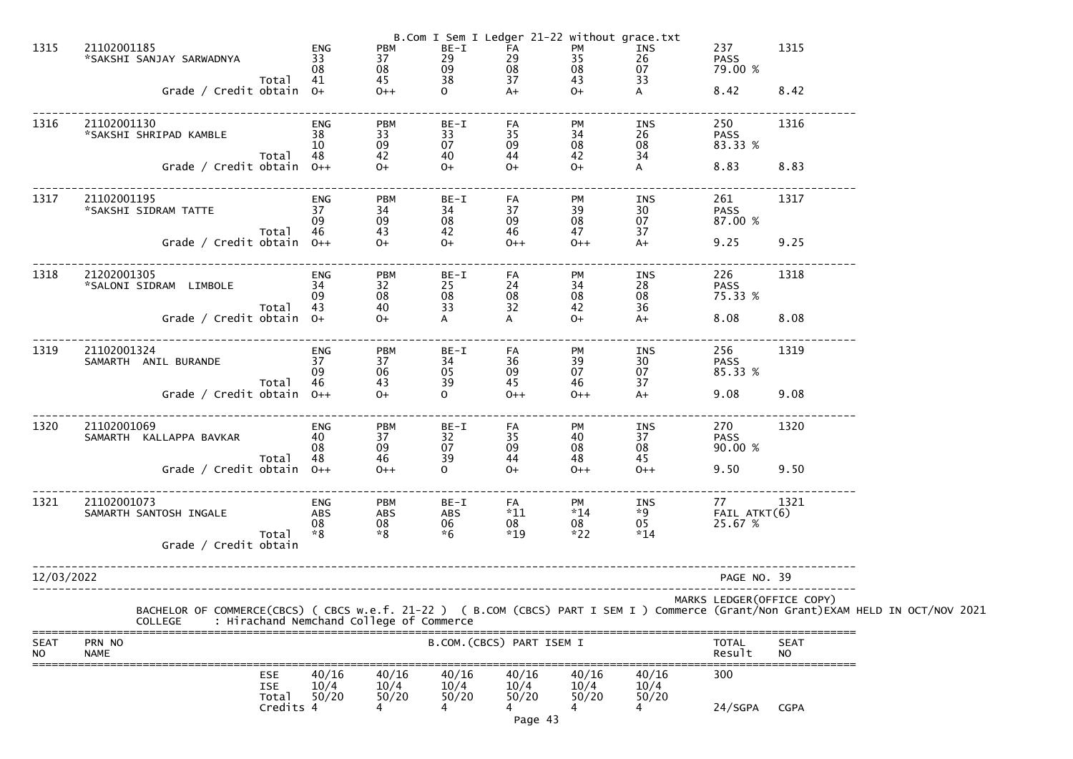|                          |                                                                                                                                                                                                  |                                        |                                                             |                                          |                                                     | B.Com I Sem I Ledger 21-22 without grace.txt |                            |                               |                          |  |
|--------------------------|--------------------------------------------------------------------------------------------------------------------------------------------------------------------------------------------------|----------------------------------------|-------------------------------------------------------------|------------------------------------------|-----------------------------------------------------|----------------------------------------------|----------------------------|-------------------------------|--------------------------|--|
| 1315                     | 21102001185<br>*SAKSHI SANJAY SARWADNYA                                                                                                                                                          | ENG<br>33<br>08                        | <b>PBM</b><br>37<br>08                                      | $BE-I$<br>29<br>09                       | FA<br>$\mathop{29}_{08}$                            | PM<br>35<br>08                               | INS<br>26<br>07            | 237<br><b>PASS</b><br>79.00 % | 1315                     |  |
|                          | Total<br>Grade / Credit obtain 0+                                                                                                                                                                | 41                                     | 45<br>$0++$                                                 | 38<br>$\overline{O}$                     | 37<br>$A+$                                          | 43<br>$O+$                                   | 33<br>A                    | 8.42                          | 8.42                     |  |
| 1316                     | 21102001130<br>*SAKSHI SHRIPAD KAMBLE<br>Total                                                                                                                                                   | <b>ENG</b><br>38<br>10<br>48           | <b>PBM</b><br>33<br>09<br>42                                | BE-I<br>33<br>07<br>40                   | FA<br>35<br>09<br>44                                | PM<br>34<br>$\frac{08}{42}$                  | INS<br>26<br>08<br>34      | 250<br><b>PASS</b><br>83.33 % | 1316                     |  |
|                          | Grade / Credit obtain $0++$                                                                                                                                                                      |                                        | $O+$                                                        | $O+$                                     | $O+$                                                | $O+$                                         | A                          | 8.83                          | 8.83                     |  |
| 1317                     | 21102001195<br>*SAKSHI SIDRAM TATTE                                                                                                                                                              | <b>ENG</b><br>37<br>09<br>46           | <b>PBM</b><br>34<br>09<br>43                                | BE-I<br>34<br>08<br>42                   | FA<br>37<br>09<br>46                                | PM<br>39<br>$\frac{08}{47}$                  | INS<br>30<br>07<br>37      | 261<br><b>PASS</b><br>87.00 % | 1317                     |  |
|                          | Total<br>Grade / Credit obtain $0++$                                                                                                                                                             |                                        | $O+$                                                        | $O+$                                     | $0++$                                               | $0++$                                        | $A+$                       | 9.25                          | 9.25                     |  |
| 1318                     | 21202001305<br>*SALONI SIDRAM LIMBOLE                                                                                                                                                            | ENG<br>34<br>09                        | <b>PBM</b><br>32<br>08                                      | BE-I<br>25<br>08                         | FA<br>24<br>08                                      | PM<br>34<br>08                               | INS<br>28<br>08            | 226<br><b>PASS</b><br>75.33 % | 1318                     |  |
|                          | Total<br>Grade / Credit obtain 0+                                                                                                                                                                | 43                                     | 40<br>$0+$                                                  | 33<br>A                                  | 32<br>A                                             | 42<br>$O+$                                   | 36<br>$A+$                 | 8.08                          | 8.08                     |  |
| 1319                     | 21102001324<br>SAMARTH ANIL BURANDE                                                                                                                                                              | ENG<br>37<br>09                        | <b>PBM</b><br>37<br>06                                      | BE-I<br>34<br>05                         | FA<br>36<br>09                                      | PM<br>39<br>07                               | INS<br>30<br>07            | 256<br><b>PASS</b><br>85.33 % | 1319                     |  |
|                          | Total<br>Grade / Credit obtain $0++$                                                                                                                                                             | 46                                     | 43<br>$O+$                                                  | 39<br>$\overline{O}$                     | 45<br>$0++$                                         | 46<br>$0++$                                  | 37<br>$A+$                 | 9.08                          | 9.08                     |  |
| 1320                     | 21102001069<br>SAMARTH KALLAPPA BAVKAR                                                                                                                                                           | ENG<br>40<br>08<br>48                  | <b>PBM</b><br>37<br>$\begin{array}{c} 09 \\ 46 \end{array}$ | $BE-I$<br>32<br>07<br>39                 | FA<br>35<br>$\begin{array}{c} 09 \\ 44 \end{array}$ | PM<br>40<br>08                               | INS<br>37<br>08            | 270<br><b>PASS</b><br>90.00 % | 1320                     |  |
|                          | Total<br>Grade / Credit obtain $0++$                                                                                                                                                             |                                        | $0++$                                                       | $\Omega$                                 | $O+$                                                | 48<br>$0++$                                  | 45<br>$0++$                | 9.50                          | 9.50                     |  |
| 1321                     | 21102001073<br>SAMARTH SANTOSH INGALE<br>Total                                                                                                                                                   | <b>ENG</b><br><b>ABS</b><br>08<br>$*8$ | <b>PBM</b><br>ABS<br>$^{08}_{*8}$                           | $BE-I$<br><b>ABS</b><br>$06 \times 6$    | FA<br>$*11$<br>08<br>$*19$                          | PM<br>$*14$<br>$08 \times 22$                | INS<br>$*9$<br>05<br>$*14$ | 77<br>FAIL ATKT(6)<br>25.67 % | 1321                     |  |
|                          | Grade / Credit obtain                                                                                                                                                                            |                                        |                                                             |                                          |                                                     |                                              |                            |                               |                          |  |
| 12/03/2022               |                                                                                                                                                                                                  |                                        |                                                             |                                          |                                                     |                                              |                            | PAGE NO. 39                   |                          |  |
|                          | BACHELOR OF COMMERCE(CBCS) ( CBCS w.e.f. 21-22 ) ( B.COM (CBCS) PART I SEM I ) Commerce (Grant/Non Grant)EXAM HELD IN OCT/NOV 2021<br>: Hirachand Nemchand College of Commerce<br><b>COLLEGE</b> |                                        |                                                             |                                          |                                                     |                                              |                            | MARKS LEDGER(OFFICE COPY)     |                          |  |
| <b>SEAT</b><br><b>NO</b> | PRN NO<br><b>NAME</b>                                                                                                                                                                            |                                        |                                                             |                                          | B.COM. (CBCS) PART ISEM I                           |                                              |                            | <b>TOTAL</b><br>Result        | <b>SEAT</b><br><b>NO</b> |  |
|                          | <b>ESE</b><br><b>ISE</b><br>Total                                                                                                                                                                | 40/16<br>10/4<br>50/20                 | 40/16<br>10/4<br>50/20                                      | 40/16<br>10/4<br>50/20<br>$\overline{4}$ | 40/16<br>10/4<br>50/20                              | 40/16<br>10/4<br>50/20                       | 40/16<br>10/4<br>50/20     | 300                           |                          |  |
|                          | Credits 4                                                                                                                                                                                        |                                        |                                                             |                                          | Page 43                                             |                                              |                            | 24/SGPA                       | <b>CGPA</b>              |  |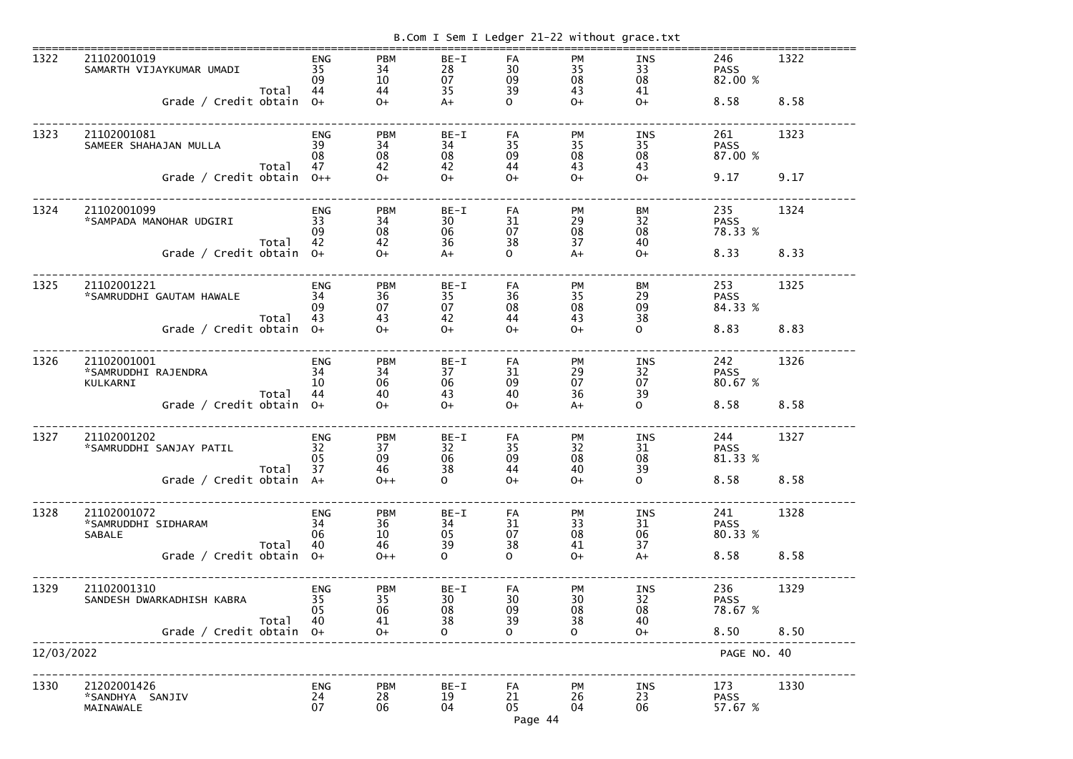|             |                                                                                   |       |                                       |                                       |                                          |                                         |                                               | B.Com I Sem I Ledger 21-22 without grace.txt |                                       |              |
|-------------|-----------------------------------------------------------------------------------|-------|---------------------------------------|---------------------------------------|------------------------------------------|-----------------------------------------|-----------------------------------------------|----------------------------------------------|---------------------------------------|--------------|
| 1322        | 21102001019<br>SAMARTH VIJAYKUMAR UMADI<br>Grade / Credit obtain                  | Total | <b>ENG</b><br>35<br>09<br>44<br>$O+$  | <b>PBM</b><br>34<br>10<br>44<br>$O+$  | BE-I<br>28<br>07<br>35<br>$A+$           | FA<br>30<br>09<br>39<br>$\Omega$        | PM<br>35<br>08<br>43<br>$O+$                  | INS<br>33<br>08<br>41<br>$O+$                | 246<br><b>PASS</b><br>82.00 %<br>8.58 | 1322<br>8.58 |
| 1323        | 21102001081<br>SAMEER SHAHAJAN MULLA<br>Grade / Credit obtain                     | Total | <b>ENG</b><br>39<br>08<br>47<br>$0++$ | <b>PBM</b><br>34<br>08<br>42<br>$O+$  | BE-I<br>34<br>08<br>42<br>$O+$           | FA<br>35<br>09<br>44<br>$O +$           | <b>PM</b><br>35<br>08<br>43<br>$O+$           | <b>INS</b><br>35<br>08<br>43<br>$O+$         | 261<br><b>PASS</b><br>87.00 %<br>9.17 | 1323<br>9.17 |
| 1324        | 21102001099<br>*SAMPADA MANOHAR UDGIRI<br>Grade / Credit obtain                   | Total | <b>ENG</b><br>33<br>09<br>42<br>$O+$  | <b>PBM</b><br>34<br>08<br>42<br>$O+$  | BE-I<br>30<br>06<br>36<br>$A+$           | FA<br>31<br>07<br>38<br>$\Omega$        | <b>PM</b><br>29<br>08<br>37<br>$A+$           | BM<br>32<br>08<br>40<br>$O+$                 | 235<br><b>PASS</b><br>78.33 %<br>8.33 | 1324<br>8.33 |
| 1325        | 21102001221<br>*SAMRUDDHI GAUTAM HAWALE<br>Grade / Credit obtain                  | Total | <b>ENG</b><br>34<br>09<br>43<br>$O+$  | <b>PBM</b><br>36<br>07<br>43<br>$O+$  | BE-I<br>35<br>07<br>42<br>$O+$           | <b>FA</b><br>36<br>08<br>44<br>$O+$     | <b>PM</b><br>35<br>08<br>43<br>$O+$           | BM<br>29<br>09<br>38<br>$\Omega$             | 253<br><b>PASS</b><br>84.33 %<br>8.83 | 1325<br>8.83 |
| 1326        | 21102001001<br>*SAMRUDDHI RAJENDRA<br>KULKARNI<br>Grade / Credit obtain           | Total | <b>ENG</b><br>34<br>10<br>44<br>$O+$  | <b>PBM</b><br>34<br>06<br>40<br>$O+$  | $BE-I$<br>37<br>06<br>43<br>$O+$         | FA<br>31<br>09<br>40<br>$O+$            | <b>PM</b><br>29<br>07<br>36<br>$A+$           | <b>INS</b><br>32<br>07<br>39<br>$\mathsf{O}$ | 242<br><b>PASS</b><br>80.67 %<br>8.58 | 1326<br>8.58 |
| <b>1327</b> | 21102001202<br>*SAMRUDDHI SANJAY PATIL<br>Grade / Credit obtain A+                | Total | ENG<br>32<br>05<br>37                 | <b>PBM</b><br>37<br>09<br>46<br>$0++$ | BE-I<br>32<br>06<br>38<br>$\mathbf{O}$   | FA<br>35<br>09<br>44<br>$O+$            | <b>PM</b><br>32<br>08<br>40<br>$O+$           | INS<br>31<br>08<br>39<br>$\mathsf{O}$        | 244<br><b>PASS</b><br>81.33 %<br>8.58 | 1327<br>8.58 |
| 1328        | 21102001072<br>*SAMRUDDHI SIDHARAM<br><b>SABALE</b><br>Grade / Credit obtain $0+$ | Total | <b>ENG</b><br>34<br>06<br>40          | <b>PBM</b><br>36<br>10<br>46<br>$0++$ | $BE-I$<br>34<br>05<br>39<br>$\mathbf{O}$ | <b>FA</b><br>31<br>07<br>38<br>$\Omega$ | <b>PM</b><br>33<br>08<br>41<br>$O+$           | <b>INS</b><br>31<br>06<br>37<br>$A+$         | 241<br><b>PASS</b><br>80.33 %<br>8.58 | 1328<br>8.58 |
| 1329        | 21102001310<br>SANDESH DWARKADHISH KABRA<br>Grade / Credit obtain $0+$            | Total | <b>ENG</b><br>35<br>05<br>40          | <b>PBM</b><br>35<br>06<br>41<br>$O+$  | $BE-I$<br>30<br>08<br>38<br>$\Omega$     | <b>FA</b><br>30<br>09<br>39<br>$\Omega$ | <b>PM</b><br>30<br>08<br>38<br>$\overline{O}$ | <b>INS</b><br>32<br>08<br>40<br>$O+$         | 236<br><b>PASS</b><br>78.67 %<br>8.50 | 1329<br>8.50 |
| 12/03/2022  |                                                                                   |       |                                       |                                       |                                          |                                         |                                               |                                              | PAGE NO. 40                           |              |
| 1330        | 21202001426<br>*SANDHYA SANJIV<br>MAINAWALE                                       |       | <b>ENG</b><br>24<br>07                | <b>PBM</b><br>28<br>06                | BE-I<br>19<br>04                         | FA<br>21<br>05<br>Page 44               | <b>PM</b><br>26<br>04                         | INS<br>23<br>06                              | 173<br><b>PASS</b><br>57.67 %         | 1330         |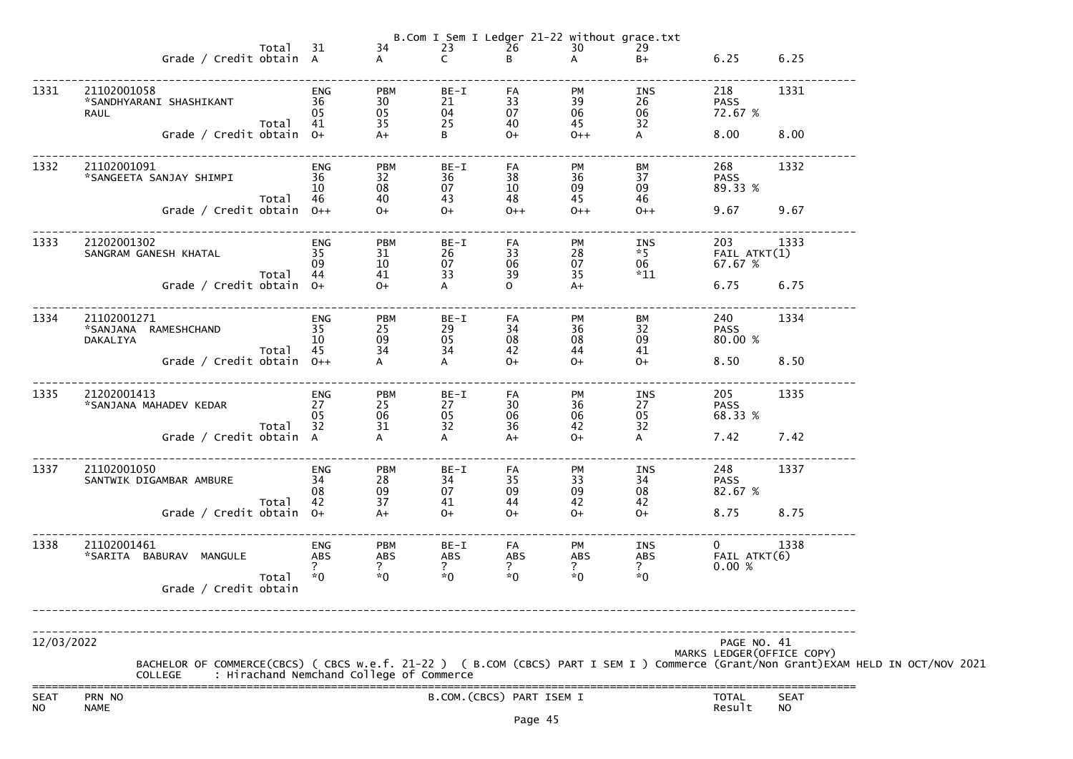|                          |                                                                                                                                                                                                  |                              |                                            |                                 |                           |                                                                                                                   | B.Com I Sem I Ledger 21-22 without grace.txt |                                                                |                            |  |
|--------------------------|--------------------------------------------------------------------------------------------------------------------------------------------------------------------------------------------------|------------------------------|--------------------------------------------|---------------------------------|---------------------------|-------------------------------------------------------------------------------------------------------------------|----------------------------------------------|----------------------------------------------------------------|----------------------------|--|
|                          | Total 31<br>Grade / Credit obtain A                                                                                                                                                              |                              | 34                                         |                                 | $23 - 26$<br>C B          | $\begin{array}{c}\n\overline{\phantom{0}} \\ \overline{\phantom{0}} \\ \overline{0} \\ \overline{0}\n\end{array}$ | 29<br>$B+$                                   | 6.25 6.25                                                      |                            |  |
| 1331                     | 21102001058<br>36<br>*SANDHYARANI SHASHIKANT<br><b>RAUL</b>                                                                                                                                      | ENG<br>05                    | <b>PBM</b><br>30<br>05                     | BE-I<br>21<br>04                | FA<br>33<br>07            | PM<br>39<br>39<br>06<br>45                                                                                        | INS                                          | 218                                                            | 1331                       |  |
|                          | Total 41<br>Grade / Credit obtain 0+                                                                                                                                                             |                              | 35                                         | 25<br>B <sub>1</sub>            | 40<br>$0+$                | 45<br>$0++$                                                                                                       | 32<br>$\mathsf{A}$                           | 8.00                                                           | 8.00                       |  |
| 1332                     | 21102001091<br>*SANGEETA SANJAY SHIMPI<br>Total 46                                                                                                                                               | ENG<br>36<br>10              | <b>PBM</b><br>32<br>08<br>40               | BE-I<br>36<br>07<br>43          | FA<br>38<br>10<br>48      | <b>PM</b><br>36<br>09<br>45                                                                                       | BM<br>37<br>09<br>46                         | 268<br><b>PASS</b><br>89.33 %                                  | 1332                       |  |
|                          | Grade / Credit obtain 0++                                                                                                                                                                        |                              | $0+$                                       | $0+$                            | $0++$                     | $0++$                                                                                                             | $0++$                                        | 9.67 9.67                                                      |                            |  |
| 1333                     | 21202001302<br>SANGRAM GANESH KHATAL<br>Total 44                                                                                                                                                 | ENG<br>35<br>09              | <b>PBM</b><br>31<br>10<br>41               | BE-I<br>26<br>07<br>33          | FA<br>33<br>06<br>39      | <b>PM</b><br>28<br>07<br>35                                                                                       | 06 — 10<br>$*11$                             | 203 1333<br>ננ⊥ 1NS 203<br>5 FAIL ATKT<br>7 27 27 %<br>67.67 % |                            |  |
|                          | Grade / Credit obtain 0+                                                                                                                                                                         |                              | $0+$                                       | $\mathsf{A}$                    | $\Omega$                  | $A+$                                                                                                              |                                              | 6.75 6.75                                                      |                            |  |
| 1334                     | 21102001271<br>$\overline{35}$<br>*SANJANA RAMESHCHAND<br>DAKALIYA                                                                                                                               | ENG<br>10                    | <b>PBM</b><br>25<br>09                     | BE-I<br>29<br>05                | FA<br>34<br>08            | PM<br>36<br>08                                                                                                    | BM<br>32<br>09                               | 240<br><b>PASS</b><br>80.00 %                                  | 1334                       |  |
|                          | Grade / Credit obtain 0++                                                                                                                                                                        | Total 45                     | 34                                         | 34<br>$\mathsf{A}$              | 42<br>$0+$                | 44<br>$0+$                                                                                                        | 41<br>$O+$                                   | 8.50                                                           | 8.50                       |  |
| 1335                     | 21202001413<br>*SANJANA MAHADEV KEDAR                                                                                                                                                            | ENG<br>27<br>05              | PBM<br>25<br>06                            | BE-I<br>27<br>05<br>32          | FA<br>30<br>06            | <b>PM</b><br>$\frac{36}{06}$                                                                                      | INS<br>27<br>05                              | 205 120<br>PASS<br>68.33<br>68.33 %                            | 1335                       |  |
|                          | Total<br>Grade / Credit obtain A                                                                                                                                                                 | 32                           | 31<br>$\ddot{A}$                           | $\overline{A}$                  | 36<br>$A+$                | 42<br>$O+$                                                                                                        | 32<br>$\mathsf{A}$                           | 7.42 7.42                                                      |                            |  |
| 1337                     | 21102001050<br>SANTWIK DIGAMBAR AMBURE                                                                                                                                                           | <b>ENG</b><br>34<br>08<br>42 | <b>PBM</b><br>$\substack{28 \\ 09}$        | BE-I<br>34<br>07                | FA<br>35<br>09            | PM<br>$\begin{array}{c} 33 \\ 09 \end{array}$<br>42                                                               | INS<br>34<br>08<br>42                        | 248<br><b>PASS</b><br>82.67 %                                  | 1337                       |  |
|                          | Total<br>Grade / Credit obtain 0+                                                                                                                                                                |                              | 37<br>$A+$                                 | 41<br>$O+$                      | 44<br>$O+$                | $O+$                                                                                                              | $O+$                                         | 8.75                                                           | 8.75                       |  |
| 1338                     | 21102001461<br>*SARITA BABURAV MANGULE                                                                                                                                                           | <b>ENG</b><br><b>ABS</b>     | <b>PBM</b><br><b>ABS</b><br>$\overline{?}$ | $BE-I$<br>ABS<br>$\overline{?}$ | FA<br>ABS<br>?            | PM<br>ABS<br>$\overline{?}$                                                                                       | INS<br>ABS<br>$\overline{?}$                 | $\overline{0}$<br>FAIL ATKT(6)<br>0.00%                        | 1338                       |  |
|                          | Total<br>Grade / Credit obtain                                                                                                                                                                   | $*0$                         | $*0$                                       | $*0$                            | $*0$                      | $*0$                                                                                                              | $*0$                                         |                                                                |                            |  |
| 12/03/2022               |                                                                                                                                                                                                  |                              |                                            |                                 |                           |                                                                                                                   |                                              | PAGE NO. 41                                                    |                            |  |
|                          | BACHELOR OF COMMERCE(CBCS) ( CBCS w.e.f. 21-22 ) ( B.COM (CBCS) PART I SEM I ) Commerce (Grant/Non Grant)EXAM HELD IN OCT/NOV 2021<br>: Hirachand Nemchand College of Commerce<br><b>COLLEGE</b> |                              |                                            |                                 |                           |                                                                                                                   |                                              |                                                                | MARKS LEDGER (OFFICE COPY) |  |
| <b>SEAT</b><br><b>NO</b> | PRN NO<br><b>NAME</b>                                                                                                                                                                            |                              |                                            |                                 | B.COM. (CBCS) PART ISEM I |                                                                                                                   |                                              | TOTAL<br>Result                                                | <b>SEAT</b><br><b>NO</b>   |  |
|                          |                                                                                                                                                                                                  |                              |                                            |                                 | Page 45                   |                                                                                                                   |                                              |                                                                |                            |  |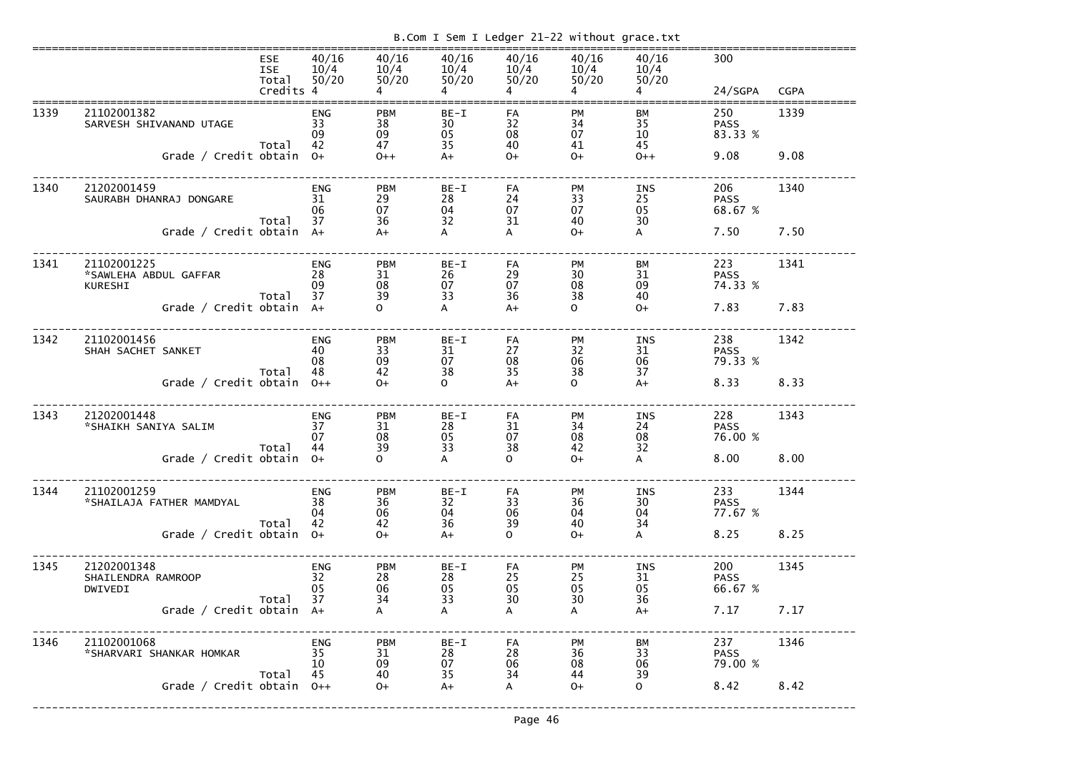|      |                                                     | <b>ESE</b><br><b>ISE</b><br>Total<br>Credits 4 | 40/16<br>10/4<br>50/20       | 40/16<br>10/4<br>50/20       | 40/16<br>10/4<br>50/20   | 40/16<br>10/4<br>50/20 | 40/16<br>10/4<br>50/20      | 40/16<br>10/4<br>50/20       | 300<br>24/SGPA                | <b>CGPA</b> |
|------|-----------------------------------------------------|------------------------------------------------|------------------------------|------------------------------|--------------------------|------------------------|-----------------------------|------------------------------|-------------------------------|-------------|
| 1339 | 21102001382<br>SARVESH SHIVANAND UTAGE              |                                                | <b>ENG</b><br>33<br>09       | <b>PBM</b><br>38<br>09       | $BE-I$<br>30<br>05<br>35 | FA<br>32<br>08         | <b>PM</b><br>34<br>07       | BM<br>35<br>10<br>45         | 250<br><b>PASS</b><br>83.33 % | 1339        |
|      | Grade / Credit obtain 0+                            | Total                                          | 42                           | 47<br>$0++$                  | $A+$                     | 40<br>$O+$             | 41<br>$O+$                  | $0++$                        | 9.08                          | 9.08        |
| 1340 | 21202001459<br>SAURABH DHANRAJ DONGARE              | Total                                          | <b>ENG</b><br>31<br>06<br>37 | <b>PBM</b><br>29<br>07<br>36 | $BE-I$<br>28<br>04<br>32 | FA<br>24<br>07<br>31   | <b>PM</b><br>33<br>07<br>40 | <b>INS</b><br>25<br>05<br>30 | 206<br><b>PASS</b><br>68.67 % | 1340        |
|      | Grade / Credit obtain A+                            |                                                |                              | $A+$                         | A                        | A                      | $O+$                        | A                            | 7.50                          | 7.50        |
| 1341 | 21102001225<br>*SAWLEHA ABDUL GAFFAR<br>KURESHI     | Total                                          | <b>ENG</b><br>28<br>09<br>37 | <b>PBM</b><br>31<br>08<br>39 | $BE-I$<br>26<br>07<br>33 | FA<br>29<br>07<br>36   | <b>PM</b><br>30<br>08<br>38 | BM<br>31<br>09<br>40         | 223<br><b>PASS</b><br>74.33 % | 1341        |
|      | Grade / Credit obtain A+                            |                                                |                              | $\Omega$                     | A                        | $A+$                   | $\Omega$                    | $O+$                         | 7.83                          | 7.83        |
| 1342 | 21102001456<br>SHAH SACHET SANKET                   | Total                                          | <b>ENG</b><br>40<br>08<br>48 | <b>PBM</b><br>33<br>09<br>42 | $BE-I$<br>31<br>07<br>38 | FA<br>27<br>08<br>35   | <b>PM</b><br>32<br>06<br>38 | <b>INS</b><br>31<br>06<br>37 | 238<br><b>PASS</b><br>79.33 % | 1342        |
|      | Grade / Credit obtain $0++$                         |                                                |                              | $O+$                         | $\Omega$                 | $A+$                   | $\Omega$                    | $A+$                         | 8.33                          | 8.33        |
| 1343 | 21202001448<br>*SHAIKH SANIYA SALIM                 | Total                                          | <b>ENG</b><br>37<br>07<br>44 | <b>PBM</b><br>31<br>08<br>39 | $BE-I$<br>28<br>05<br>33 | FA<br>31<br>07<br>38   | PM<br>34<br>08<br>42        | <b>INS</b><br>24<br>08<br>32 | 228<br><b>PASS</b><br>76.00 % | 1343        |
|      | Grade / Credit obtain 0+                            |                                                |                              | 0                            | A                        | $\Omega$               | $O+$                        | A                            | 8.00                          | 8.00        |
| 1344 | 21102001259<br>*SHAILAJA FATHER MAMDYAL             | Total                                          | <b>ENG</b><br>38<br>04<br>42 | <b>PBM</b><br>36<br>06<br>42 | $BE-I$<br>32<br>04<br>36 | FA<br>33<br>06<br>39   | <b>PM</b><br>36<br>04<br>40 | <b>INS</b><br>30<br>04<br>34 | 233<br><b>PASS</b><br>77.67 % | 1344        |
|      | Grade / Credit obtain 0+                            |                                                |                              | $O+$                         | $A+$                     | 0                      | $O+$                        | A                            | 8.25                          | 8.25        |
| 1345 | 21202001348<br>SHAILENDRA RAMROOP<br><b>DWIVEDI</b> | Total                                          | <b>ENG</b><br>32<br>05<br>37 | <b>PBM</b><br>28<br>06<br>34 | BE-I<br>28<br>05<br>33   | FA<br>25<br>05<br>30   | <b>PM</b><br>25<br>05<br>30 | <b>INS</b><br>31<br>05<br>36 | 200<br><b>PASS</b><br>66.67 % | 1345        |
|      | Grade / Credit obtain A+                            |                                                |                              | A                            | A                        | A                      | A                           | $A+$                         | 7.17                          | 7.17        |
| 1346 | 21102001068<br>*SHARVARI SHANKAR HOMKAR             | Total                                          | <b>ENG</b><br>35<br>10<br>45 | <b>PBM</b><br>31<br>09<br>40 | BE-I<br>28<br>07<br>35   | FA<br>28<br>06<br>34   | <b>PM</b><br>36<br>08<br>44 | BM<br>33<br>06<br>39         | 237<br><b>PASS</b><br>79.00 % | 1346        |
|      | Grade / Credit obtain                               |                                                | $O++$                        | $O+$                         | $A+$                     | A                      | $O+$                        | $\mathsf{O}$                 | 8.42                          | 8.42        |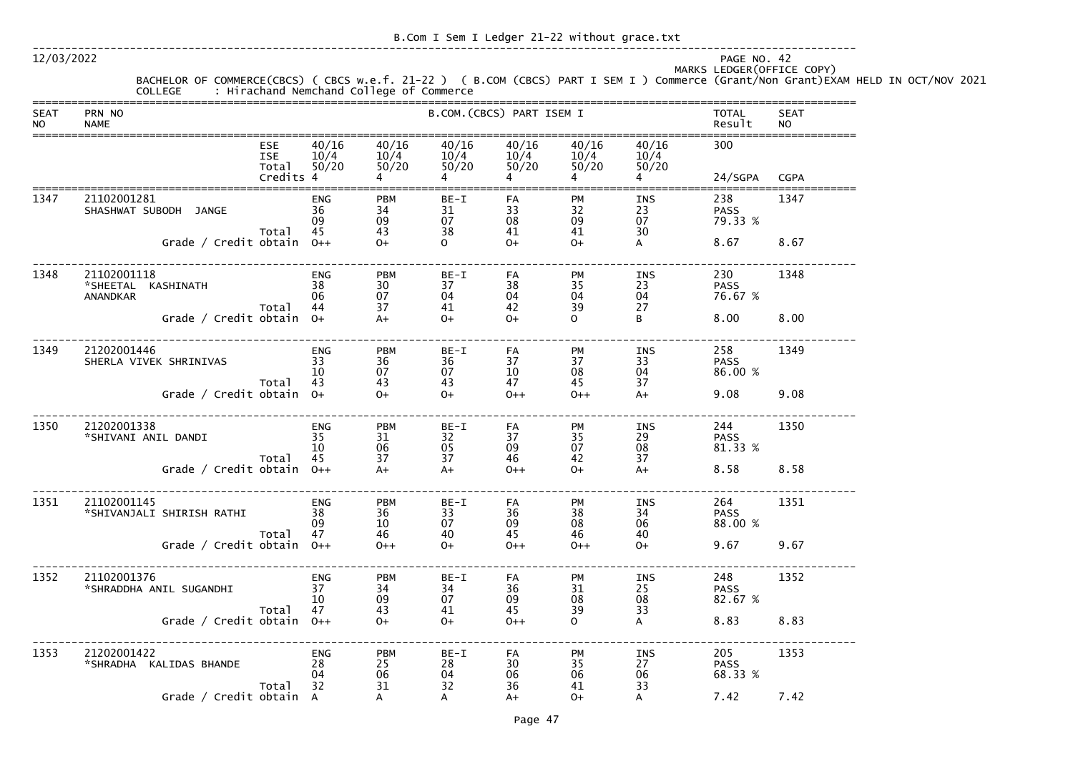| B.Com I Sem I Ledger 21-22 without grace.txt |  |
|----------------------------------------------|--|
|----------------------------------------------|--|

-------------------------------------------------------------------------------------------------------------------------------

12/03/2022 PAGE NO. 42

# MARKS LEDGER(OFFICE COPY)

 BACHELOR OF COMMERCE(CBCS) ( CBCS w.e.f. 21-22 ) ( B.COM (CBCS) PART I SEM I ) Commerce (Grant/Non Grant)EXAM HELD IN OCT/NOV 2021 COLLEGE : Hirachand Nemchand College of Commerce ===============================================================================================================================SEAT PRN NO B.COM.(CBCS) PART ISEM I TOTAL SEAT NO NAME Result NO

|      | P <sub>1</sub>                                       |                                                |                              |                                                 |                          |                        |                             |                              | 11 12 13 14                   |             |
|------|------------------------------------------------------|------------------------------------------------|------------------------------|-------------------------------------------------|--------------------------|------------------------|-----------------------------|------------------------------|-------------------------------|-------------|
|      |                                                      | <b>ESE</b><br><b>ISE</b><br>Total<br>Credits 4 | 40/16<br>10/4<br>50/20       | 40/16<br>10/4<br>50/20                          | 40/16<br>10/4<br>50/20   | 40/16<br>10/4<br>50/20 | 40/16<br>10/4<br>50/20      | 40/16<br>10/4<br>50/20       | 300<br>24/SGPA                | <b>CGPA</b> |
|      |                                                      |                                                |                              |                                                 |                          |                        |                             |                              |                               |             |
| 1347 | 21102001281<br>SHASHWAT SUBODH JANGE                 | Total                                          | <b>ENG</b><br>36<br>09<br>45 | <b>PBM</b><br>34<br>09<br>43                    | $BE-I$<br>31<br>07<br>38 | FA<br>33<br>08<br>41   | <b>PM</b><br>32<br>09<br>41 | <b>INS</b><br>23<br>07<br>30 | 238<br><b>PASS</b><br>79.33 % | 1347        |
|      | Grade / Credit obtain                                |                                                | $O++$                        | $O+$                                            | $\mathbf{O}$             | $O+$                   | $O+$                        | A                            | 8.67                          | 8.67        |
| 1348 | 21102001118<br>*SHEETAL KASHINATH<br><b>ANANDKAR</b> | Total                                          | <b>ENG</b><br>38<br>06<br>44 | <b>PBM</b><br>30<br>07<br>37                    | $BE-I$<br>37<br>04<br>41 | FA<br>38<br>04         | <b>PM</b><br>35<br>04       | <b>INS</b><br>23<br>04<br>27 | 230<br><b>PASS</b><br>76.67 % | 1348        |
|      | Grade / Credit obtain 0+                             |                                                |                              | $A+$                                            | $O+$                     | 42<br>$O+$             | 39<br>$\mathsf{O}$          | B                            | 8.00                          | 8.00        |
| 1349 | 21202001446<br>SHERLA VIVEK SHRINIVAS                | Total                                          | <b>ENG</b><br>33<br>10<br>43 | <b>PBM</b><br>36<br>07<br>43                    | BE-I<br>36<br>07<br>43   | FA<br>37<br>10<br>47   | <b>PM</b><br>37<br>08<br>45 | <b>INS</b><br>33<br>04<br>37 | 258<br><b>PASS</b><br>86.00 % | 1349        |
|      | Grade / Credit obtain 0+                             |                                                |                              | $O+$                                            | $O+$                     | $0++$                  | $0++$                       | $A+$                         | 9.08                          | 9.08        |
| 1350 | 21202001338<br>*SHIVANI ANIL DANDI                   | Total                                          | <b>ENG</b><br>35<br>10<br>45 | <b>PBM</b><br>31<br>06<br>37                    | BE-I<br>32<br>05<br>37   | FA<br>37<br>09<br>46   | <b>PM</b><br>35<br>07<br>42 | <b>INS</b><br>29<br>08<br>37 | 244<br><b>PASS</b><br>81.33 % | 1350        |
|      | Grade / Credit obtain                                |                                                | $O++$                        | $A+$                                            | $A+$                     | $0++$                  | $O+$                        | $A+$                         | 8.58                          | 8.58        |
| 1351 | 21102001145<br>*SHIVANJALI SHIRISH RATHI             | Total                                          | <b>ENG</b><br>38<br>09<br>47 | <b>PBM</b><br>36<br>10<br>46                    | $BE-I$<br>33<br>07<br>40 | FA<br>36<br>09<br>45   | <b>PM</b><br>38<br>08<br>46 | <b>INS</b><br>34<br>06<br>40 | 264<br><b>PASS</b><br>88.00 % | 1351        |
|      | Grade / Credit obtain $0++$                          |                                                |                              | $O++$                                           | $O+$                     | $0++$                  | $0++$                       | $O+$                         | 9.67                          | 9.67        |
| 1352 | 21102001376<br>*SHRADDHA ANIL SUGANDHI               | Total                                          | <b>ENG</b><br>37<br>10<br>47 | <b>PBM</b><br>34<br>09                          | $BE-I$<br>34<br>07<br>41 | FA<br>36<br>09<br>45   | PM<br>31<br>08<br>39        | INS<br>25<br>08<br>33        | 248<br><b>PASS</b><br>82.67 % | 1352        |
|      | Grade / Credit obtain $0++$                          |                                                |                              | $\begin{array}{c} 43 \\ \hline 0 + \end{array}$ | $0+$                     | $O++$                  | $\mathsf{O}$                | $\mathsf{A}$                 | 8.83                          | 8.83        |
| 1353 | 21202001422<br>*SHRADHA KALIDAS BHANDE               | Total                                          | ENG<br>28<br>04<br>32        | <b>PBM</b><br>25<br>06<br>31                    | $BE-I$<br>28<br>04<br>32 | FA<br>30<br>06<br>36   | PM<br>35<br>06<br>41        | <b>INS</b><br>27<br>06<br>33 | 205<br><b>PASS</b><br>68.33 % | 1353        |
|      | Grade / Credit obtain A                              |                                                |                              | A                                               | $\mathsf{A}$             | $A+$                   | $0+$                        | $\mathsf{A}$                 | 7.42                          | 7.42        |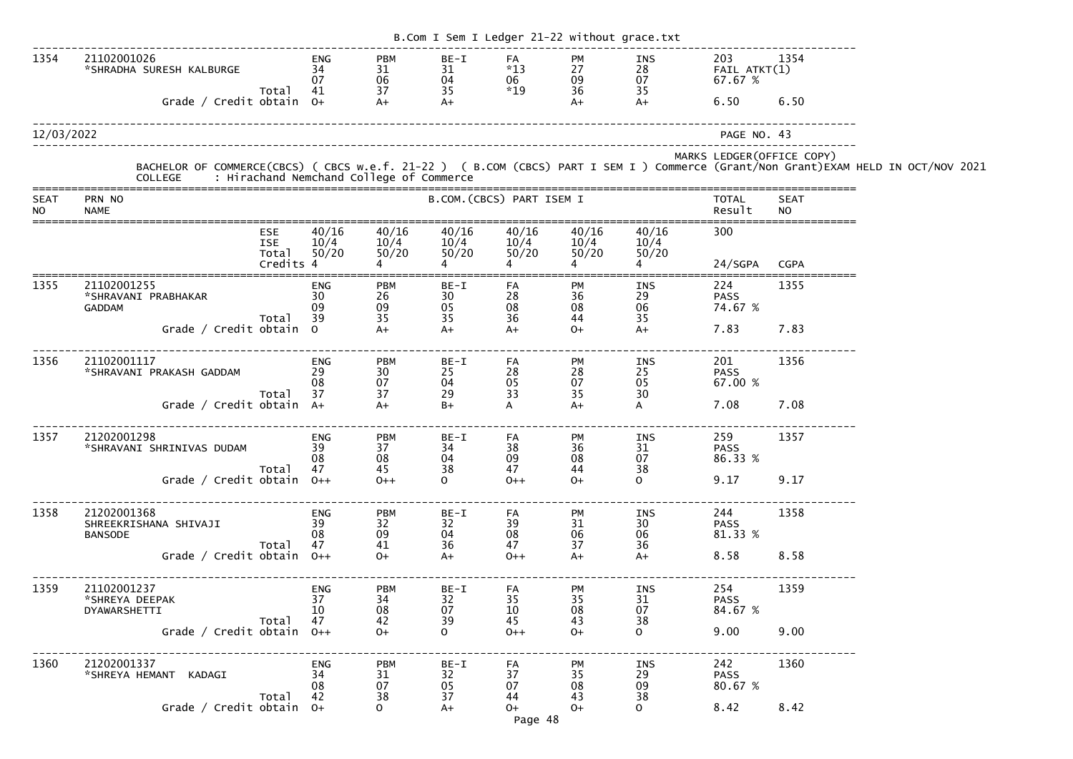|                   |                                                                                |                                                |                                    |                                                                     |                                |                                        | B.Com I Sem I Ledger 21-22 without grace.txt |                                      |                                            |                            |                                                                                                                                                                                            |
|-------------------|--------------------------------------------------------------------------------|------------------------------------------------|------------------------------------|---------------------------------------------------------------------|--------------------------------|----------------------------------------|----------------------------------------------|--------------------------------------|--------------------------------------------|----------------------------|--------------------------------------------------------------------------------------------------------------------------------------------------------------------------------------------|
| 1354              | 21102001026<br>*SHRADHA SURESH KALBURGE<br>Grade / Credit obtain 0+            | Total                                          | <b>ENG</b><br>34<br>07<br>41       | <b>PBM</b><br>$\begin{array}{c} 31 \\ 06 \end{array}$<br>37<br>$A+$ | BE-I<br>31<br>04<br>35<br>$A+$ | FA<br>$*13$<br>06<br>$*19$             | PM<br>27<br>09<br>36<br>$A+$                 | INS<br>$\frac{28}{07}$<br>35<br>$A+$ | 203<br>$FAIL$ $ATKT(1)$<br>67.67 %<br>6.50 | 1354<br>6.50               |                                                                                                                                                                                            |
|                   |                                                                                |                                                |                                    |                                                                     |                                |                                        |                                              |                                      |                                            |                            |                                                                                                                                                                                            |
| 12/03/2022        |                                                                                |                                                |                                    |                                                                     |                                |                                        |                                              |                                      | PAGE NO. 43                                |                            |                                                                                                                                                                                            |
|                   |                                                                                |                                                |                                    |                                                                     |                                |                                        |                                              |                                      |                                            | MARKS LEDGER (OFFICE COPY) | BACHELOR OF COMMERCE(CBCS) ( CBCS w.e.f. 21-22 ) ( B.COM (CBCS) PART I SEM I ) Commerce (Grant/Non Grant)EXAM HELD IN OCT/NOV 2021<br>COLLEGE     : Hirachand Nemchand College of Commerce |
| SEAT<br><b>NO</b> | PRN NO<br><b>NAME</b>                                                          |                                                |                                    |                                                                     |                                | B.COM. (CBCS) PART ISEM I              |                                              |                                      | <b>TOTAL</b><br>Result                     | <b>SEAT</b><br><b>NO</b>   |                                                                                                                                                                                            |
|                   |                                                                                | <b>ESE</b><br><b>ISE</b><br>Total<br>Credits 4 | 40/16<br>10/4<br>50/20             | 40/16<br>10/4<br>50/20                                              | 40/16<br>10/4<br>50/20         | 40/16<br>10/4<br>50/20                 | 40/16<br>10/4<br>50/20                       | 40/16<br>10/4<br>50/20               | 300<br>24/SGPA                             | <b>CGPA</b>                |                                                                                                                                                                                            |
| 1355              | 21102001255<br>*SHRAVANI PRABHAKAR<br><b>GADDAM</b><br>Grade / Credit obtain 0 | Total                                          | <b>ENG</b><br>30<br>09<br>39       | <b>PBM</b><br>26<br>09<br>35<br>$A+$                                | BE-I<br>30<br>05<br>35<br>$A+$ | FA<br>$\mathop{28}_{08}$<br>36<br>$A+$ | PM<br>36<br>08<br>44<br>$0+$                 | INS<br>29<br>06<br>35<br>$A+$        | 224<br><b>PASS</b><br>74.67 %<br>7.83      | 1355<br>7.83               |                                                                                                                                                                                            |
| 1356              | 21102001117<br>*SHRAVANI PRAKASH GADDAM                                        | Total                                          | <b>ENG</b><br>29<br>08<br>37       | <b>PBM</b><br>30<br>07<br>37                                        | BE-I<br>25<br>04<br>29         | FA<br>$\mathop{28}_{05}$<br>33         | PM<br>28<br>07<br>35                         | INS<br>25<br>05<br>30                | 201<br><b>PASS</b><br>67.00 %              | 1356                       |                                                                                                                                                                                            |
|                   | Grade / Credit obtain A+                                                       |                                                |                                    | $A+$                                                                | $B+$                           | $\mathsf{A}$                           | $A+$                                         | $\mathsf{A}$                         | 7.08                                       | 7.08                       |                                                                                                                                                                                            |
| 1357              | 21202001298<br>*SHRAVANI SHRINIVAS DUDAM                                       | Total                                          | ENG<br>39<br>08<br>47              | <b>PBM</b><br>37<br>08<br>45                                        | $BE-I$<br>34<br>04<br>38       | FA<br>38<br>09<br>47                   | PM<br>36<br>08<br>44                         | INS<br>31<br>07<br>38                | 259<br><b>PASS</b><br>86.33 %              | 1357                       |                                                                                                                                                                                            |
|                   | Grade / Credit obtain $0++$                                                    |                                                |                                    | $0++$                                                               | $\overline{O}$                 | $0++$                                  | $O+$                                         | $\Omega$                             | 9.17                                       | 9.17                       |                                                                                                                                                                                            |
| 1358              | 21202001368<br>SHREEKRISHANA SHIVAJI<br><b>BANSODE</b>                         | Total                                          | ENG<br>39<br>08<br>47              | <b>PBM</b><br>32<br>09<br>41                                        | $BE-I$<br>32<br>04<br>36       | FA<br>39<br>08<br>47                   | PM<br>31<br>06<br>37                         | INS<br>30<br>06<br>36                | 244<br><b>PASS</b><br>81.33 %              | 1358                       |                                                                                                                                                                                            |
|                   | Grade / Credit obtain 0++                                                      |                                                |                                    | $0+$                                                                | $A+$                           | $0++$                                  | $A+$                                         | $A+$                                 | 8.58 8.58                                  |                            |                                                                                                                                                                                            |
| 1359              | 21102001237<br>*SHREYA DEEPAK<br>DYAWARSHETTI                                  | Total                                          | ENG<br>37<br>10 <sup>°</sup><br>47 | <b>PBM</b><br>34<br>08<br>42                                        | BE-I<br>32<br>07<br>39         | FA<br>35<br>10<br>45                   | PM<br>35<br>08<br>43                         | INS<br>31<br>07<br>38                | 254<br><b>PASS</b><br>84.67 %              | 1359                       |                                                                                                                                                                                            |
|                   | Grade / Credit obtain $0++$                                                    |                                                |                                    | $O+$                                                                | $\mathsf{O}$                   | $0++$                                  | $O+$                                         | $\Omega$                             | 9.00                                       | 9.00                       |                                                                                                                                                                                            |
| 1360              | 21202001337<br>*SHREYA HEMANT KADAGI                                           | Total                                          | ENG<br>34<br>08<br>42              | <b>PBM</b><br>31<br>07<br>38                                        | BE-I<br>32<br>05<br>37         | FA<br>37<br>07<br>44                   | PM<br>35<br>08<br>43                         | INS<br>29<br>09<br>38                | 242<br><b>PASS</b><br>80.67 %              | 1360                       |                                                                                                                                                                                            |
|                   | Grade / Credit obtain $0+$                                                     |                                                |                                    | $\Omega$                                                            | $A+$                           | $O+$<br>Page 48                        | $O+$                                         | $\Omega$                             | 8.42 8.42                                  |                            |                                                                                                                                                                                            |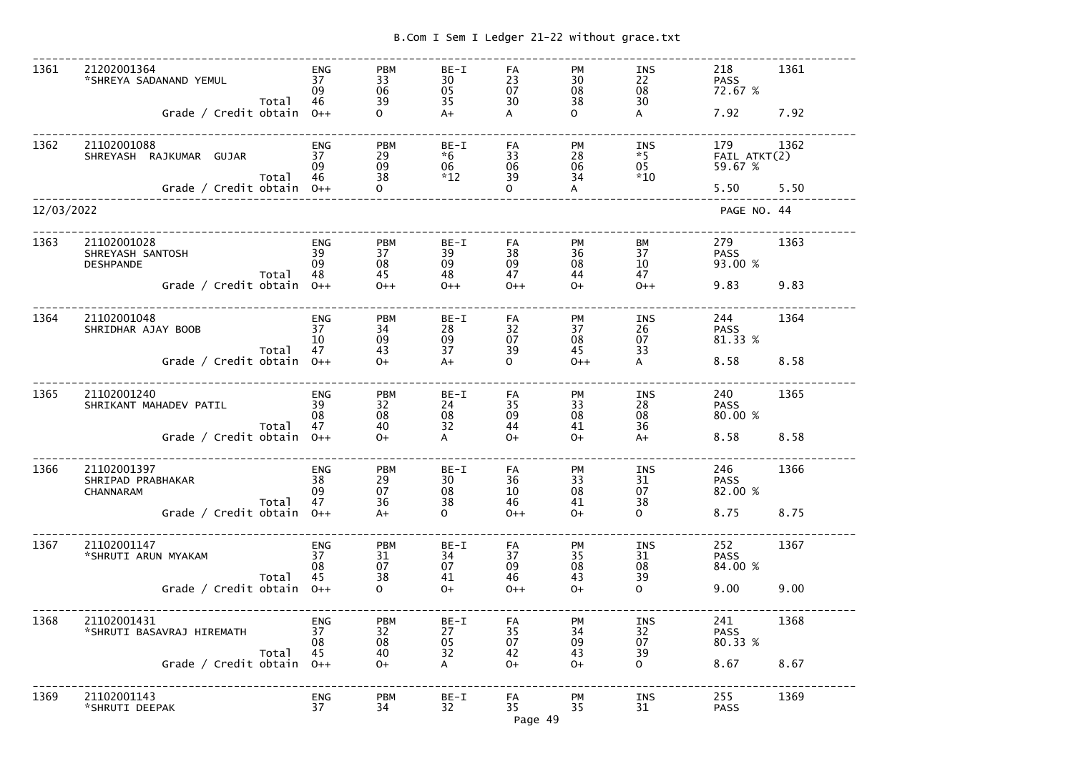|  |  |  |  | B.Com I Sem I Ledger 21-22 without grace.txt |
|--|--|--|--|----------------------------------------------|

| 1361       | 21202001364<br>*SHREYA SADANAND YEMUL<br>Total                | ENG<br>37<br>09<br>46        | <b>PBM</b><br>33<br>06<br>39 | BE-I<br>30<br>05<br>35      | FA<br>23<br>07<br>30 | <b>PM</b><br>30<br>08<br>38 | <b>INS</b><br>22<br>08<br>30      | 218<br><b>PASS</b><br>72.67 %  | 1361 |
|------------|---------------------------------------------------------------|------------------------------|------------------------------|-----------------------------|----------------------|-----------------------------|-----------------------------------|--------------------------------|------|
|            | Grade / Credit obtain                                         | $O++$                        | $\Omega$                     | $A+$                        | A                    | $\Omega$                    | A                                 | 7.92                           | 7.92 |
| 1362       | 21102001088<br>SHREYASH RAJKUMAR GUJAR<br>Total               | <b>ENG</b><br>37<br>09<br>46 | <b>PBM</b><br>29<br>09<br>38 | BE-I<br>$*6$<br>06<br>$*12$ | FA<br>33<br>06<br>39 | PM<br>28<br>06              | <b>INS</b><br>$*5$<br>05<br>$*10$ | 179<br>FAIL ATKT(2)<br>59.67 % | 1362 |
|            | Grade / Credit obtain $0++$                                   |                              | $\mathbf{O}$                 |                             | $\Omega$             | 34<br>A                     |                                   | 5.50                           | 5.50 |
| 12/03/2022 |                                                               |                              |                              |                             |                      |                             |                                   | PAGE NO. 44                    |      |
| 1363       | 21102001028<br>SHREYASH SANTOSH<br><b>DESHPANDE</b>           | <b>ENG</b><br>39<br>09       | <b>PBM</b><br>37<br>08       | $BE-I$<br>39<br>09          | FA<br>38<br>09       | <b>PM</b><br>36<br>08       | BM<br>37<br>10                    | 279<br><b>PASS</b><br>93.00 %  | 1363 |
|            | Total<br>Grade / Credit obtain $0++$                          | 48                           | 45<br>$0++$                  | 48<br>$0++$                 | 47<br>$0++$          | 44<br>$O+$                  | 47<br>$0++$                       | 9.83                           | 9.83 |
| 1364       | 21102001048<br>SHRIDHAR AJAY BOOB<br>Total                    | <b>ENG</b><br>37<br>10<br>47 | <b>PBM</b><br>34<br>09<br>43 | $BE-I$<br>28<br>09<br>37    | FA<br>32<br>07<br>39 | <b>PM</b><br>37<br>08<br>45 | INS<br>26<br>07<br>33             | 244<br><b>PASS</b><br>81.33 %  | 1364 |
|            | Grade / Credit obtain $0++$                                   |                              | $0+$                         | $A+$                        | $\Omega$             | $0++$                       | A                                 | 8.58                           | 8.58 |
| 1365       | 21102001240<br>SHRIKANT MAHADEV PATIL<br>Total                | <b>ENG</b><br>39<br>08<br>47 | <b>PBM</b><br>32<br>08<br>40 | $BE-I$<br>24<br>08<br>32    | FA<br>35<br>09<br>44 | <b>PM</b><br>33<br>08<br>41 | INS<br>28<br>08<br>36             | 240<br><b>PASS</b><br>80.00 %  | 1365 |
|            | Grade / Credit obtain                                         | $O++$                        | $0+$                         | A                           | $0+$                 | $0+$                        | $A+$                              | 8.58                           | 8.58 |
| 1366       | 21102001397<br>SHRIPAD PRABHAKAR<br><b>CHANNARAM</b><br>Total | <b>ENG</b><br>38<br>09<br>47 | <b>PBM</b><br>29<br>07<br>36 | BE-I<br>30<br>08<br>38      | FA<br>36<br>10<br>46 | PM<br>33<br>08<br>41        | <b>INS</b><br>31<br>07<br>38      | 246<br><b>PASS</b><br>82.00 %  | 1366 |
|            | Grade / Credit obtain                                         | $O++$                        | $A+$                         | $\Omega$                    | $O++$                | $O+$                        | $\mathbf{O}$                      | 8.75                           | 8.75 |
| 1367       | 21102001147<br>*SHRUTI ARUN MYAKAM<br>Total                   | <b>ENG</b><br>37<br>08<br>45 | <b>PBM</b><br>31<br>07<br>38 | BE-I<br>34<br>07<br>41      | FA<br>37<br>09<br>46 | PM<br>35<br>08<br>43        | <b>INS</b><br>31<br>08<br>39      | 252<br><b>PASS</b><br>84.00 %  | 1367 |
|            | Grade / Credit obtain                                         | $O++$                        | $\Omega$                     | $0+$                        | $0++$                | $O+$                        | $\mathbf{O}$                      | 9.00                           | 9.00 |
| 1368       | 21102001431<br>*SHRUTI BASAVRAJ HIREMATH                      | <b>ENG</b><br>37<br>08       | <b>PBM</b><br>32<br>08       | BE-I<br>27<br>05            | FA<br>35<br>07       | PM<br>34<br>09              | <b>INS</b><br>32<br>07            | 241<br><b>PASS</b><br>80.33 %  | 1368 |
|            | Total<br>Grade / Credit obtain                                | 45<br>$0++$                  | 40<br>$O+$                   | 32<br>A                     | 42<br>$O+$           | 43<br>$O+$                  | 39<br>$\mathbf{O}$                | 8.67                           | 8.67 |
| 1369       | 21102001143<br>*SHRUTI DEEPAK                                 | <b>ENG</b><br>37             | <b>PBM</b><br>34             | BE-I<br>32                  | FA<br>35<br>Page 49  | PM<br>35                    | INS<br>31                         | 255<br><b>PASS</b>             | 1369 |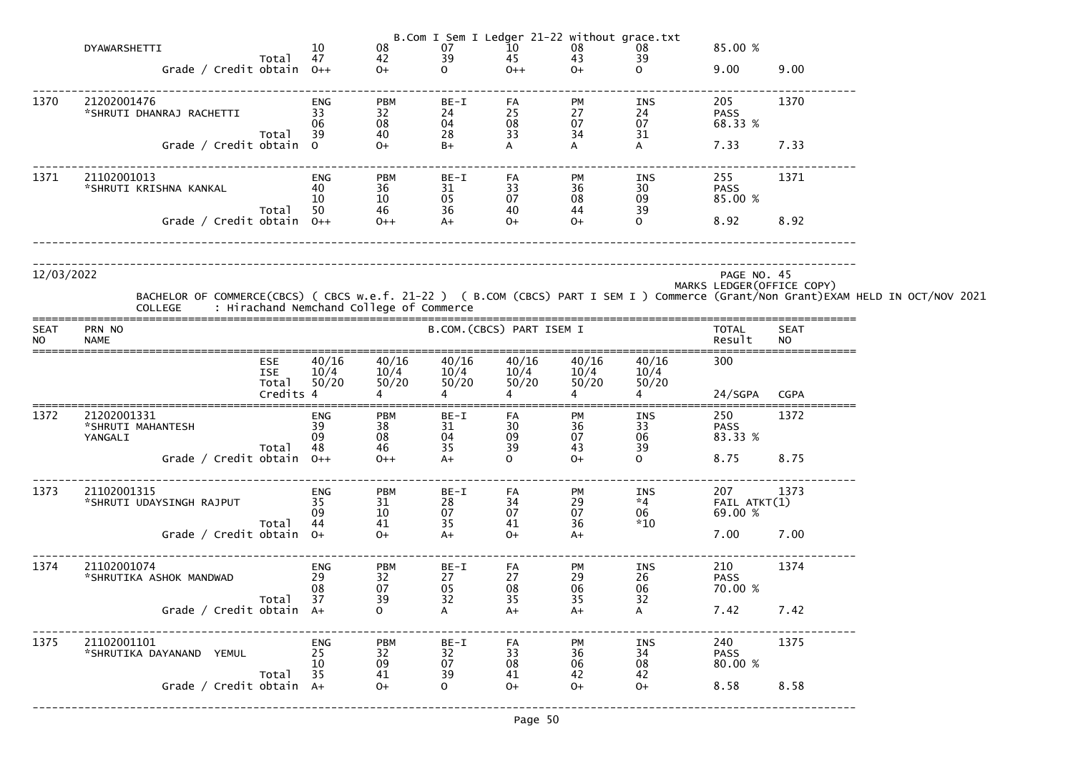|                          |                                                                                                                                                                                            |                    |                              |                              |                                                         |                           | B.Com I Sem I Ledger 21-22 without grace.txt |                            |                                |                            |  |
|--------------------------|--------------------------------------------------------------------------------------------------------------------------------------------------------------------------------------------|--------------------|------------------------------|------------------------------|---------------------------------------------------------|---------------------------|----------------------------------------------|----------------------------|--------------------------------|----------------------------|--|
|                          | DYAWARSHETTI                                                                                                                                                                               |                    | 10                           | 08                           | 07                                                      | 10                        | $\begin{array}{c} 08 \\ 43 \end{array}$      | 08                         | 85.00 %                        |                            |  |
|                          | Grade / Credit obtain $0++$                                                                                                                                                                | Total 47           |                              | 42<br>$O+$                   | 39<br>$\mathbf{O}$                                      | 45<br>$0++$               | $O+$                                         | 39<br>$\Omega$             | 9.00                           | 9.00                       |  |
|                          |                                                                                                                                                                                            |                    |                              |                              |                                                         |                           |                                              |                            |                                |                            |  |
| 1370                     | 21202001476                                                                                                                                                                                |                    | ENG                          | <b>PBM</b>                   | BE-I                                                    | FA                        | PM                                           | INS                        | 205                            | 1370                       |  |
|                          | *SHRUTI DHANRAJ RACHETTI                                                                                                                                                                   |                    | 33                           | 32                           | 24                                                      | 25                        | 27                                           | 24                         | <b>PASS</b>                    |                            |  |
|                          |                                                                                                                                                                                            | Total              | 06<br>-39                    | 08<br>40                     | 04<br>28                                                | 08<br>33                  | 07<br>34                                     | 07<br>31                   | 68.33 %                        |                            |  |
|                          | Grade / Credit obtain 0                                                                                                                                                                    |                    |                              | $0+$                         | $B+$                                                    |                           |                                              | A                          | 7.33                           | 7.33                       |  |
| 1371                     | 21102001013                                                                                                                                                                                |                    | ENG                          | <b>PBM</b>                   | $BE-I$                                                  | FA                        | PM                                           | INS                        | 255                            | 1371                       |  |
|                          | *SHRUTI KRISHNA KANKAL                                                                                                                                                                     |                    | 40<br>-10                    | 36<br>$10\,$                 | 31<br>05                                                | 33<br>07                  | 36<br>08                                     | 30 <sup>°</sup><br>09      | <b>PASS</b><br>85.00 %         |                            |  |
|                          |                                                                                                                                                                                            | Total              | 50                           | 46<br>0++                    | 36                                                      | 40                        | 44                                           | 39                         |                                |                            |  |
|                          | Grade / Credit obtain $0++$                                                                                                                                                                |                    |                              |                              | $A+$                                                    | $0+$                      | $O+$                                         | $\mathbf{O}$               | 8.92                           | 8.92                       |  |
| 12/03/2022               | BACHELOR OF COMMERCE(CBCS) ( CBCS w.e.f. 21-22 ) ( B.COM (CBCS) PART I SEM I ) Commerce (Grant/Non Grant)EXAM HELD IN OCT/NOV 2021<br>COLLEGE     : Hirachand Nemchand College of Commerce |                    |                              |                              |                                                         |                           |                                              |                            | PAGE NO. 45                    | MARKS LEDGER (OFFICE COPY) |  |
| <b>SEAT</b><br><b>NO</b> | PRN NO<br><b>NAME</b>                                                                                                                                                                      |                    |                              |                              |                                                         | B.COM. (CBCS) PART ISEM I |                                              |                            | TOTAL<br>Result                | <b>SEAT</b><br><b>NO</b>   |  |
|                          | ESE                                                                                                                                                                                        |                    | 40/16                        | 40/16                        | 40/16                                                   | 40/16                     | 40/16                                        | 40/16                      | 300                            |                            |  |
|                          | <b>ISE</b>                                                                                                                                                                                 |                    | 10/4                         | 10/4                         | 10/4                                                    | $\frac{10/4}{50/20}$      | 10/4                                         | 10/4                       |                                |                            |  |
|                          |                                                                                                                                                                                            | Total<br>Credits 4 | 50/20                        | 50/20                        | 50/20                                                   | 50/20                     | 50/20                                        | 50/20                      | 24/SGPA CGPA                   |                            |  |
| 1372                     | 21202001331<br>*SHRUTI MAHANTESH<br>YANGALI<br>Total                                                                                                                                       |                    | ENG<br>39<br>09<br>48        | <b>PBM</b><br>38<br>08<br>46 | BE-I<br>31<br>04<br>35                                  | FA<br>30<br>09<br>39      | PM<br>36<br>07<br>43                         | INS<br>33<br>06<br>39      | 250<br><b>PASS</b><br>83.33 %  | 1372                       |  |
|                          | Grade / Credit obtain 0++                                                                                                                                                                  |                    |                              | $0++$                        | $A+$                                                    | $\mathsf{O}$              | $O+$                                         | $\mathbf{O}$               | 8.75                           | 8.75                       |  |
| 1373                     | 21102001315<br>*SHRUTI UDAYSINGH RAJPUT<br>Total                                                                                                                                           |                    | <b>ENG</b><br>35<br>09<br>44 | <b>PBM</b><br>31<br>10<br>41 | BE-I<br>28<br>07<br>35                                  | FA<br>34<br>07<br>41      | PM<br>29<br>07<br>36                         | INS<br>$*4$<br>06<br>$*10$ | 207<br>FAIL ATKT(1)<br>69.00 % | 1373                       |  |
|                          | Grade / Credit obtain 0+                                                                                                                                                                   |                    |                              | $O+$                         | $A+$                                                    | $O+$                      | $A+$                                         |                            | 7.00                           | 7.00                       |  |
| 1374                     | 21102001074<br>*SHRUTIKA ASHOK MANDWAD<br>Total                                                                                                                                            |                    | <b>ENG</b><br>29<br>08<br>37 | <b>PBM</b><br>32<br>07<br>39 | $BE-I$<br>27<br>$\begin{array}{c} 05 \\ 32 \end{array}$ | FA<br>27<br>08<br>35      | PM<br>29<br>06<br>35                         | INS<br>26<br>06<br>32      | 210<br><b>PASS</b><br>70.00 %  | 1374                       |  |
|                          | Grade / Credit obtain A+                                                                                                                                                                   |                    |                              | $\mathbf{O}$                 | A                                                       | $A+$                      | $A+$                                         | A                          | 7.42                           | 7.42                       |  |
| 1375                     | 21102001101<br>*SHRUTIKA DAYANAND YEMUL                                                                                                                                                    |                    | <b>ENG</b><br>25<br>10       | <b>PBM</b><br>32<br>09       | BE-I<br>$\begin{array}{c} 32 \\ 07 \end{array}$         | FA<br>33<br>08            | PM<br>36<br>06                               | <b>INS</b><br>34<br>08     | 240<br><b>PASS</b><br>80.00 %  | 1375                       |  |
|                          | Total<br>Grade / Credit obtain A+                                                                                                                                                          |                    | 35                           | 41<br>$O+$                   | 39<br>$\mathbf 0$                                       | 41<br>$O+$                | 42<br>$O+$                                   | 42<br>$O+$                 | 8.58                           | 8.58                       |  |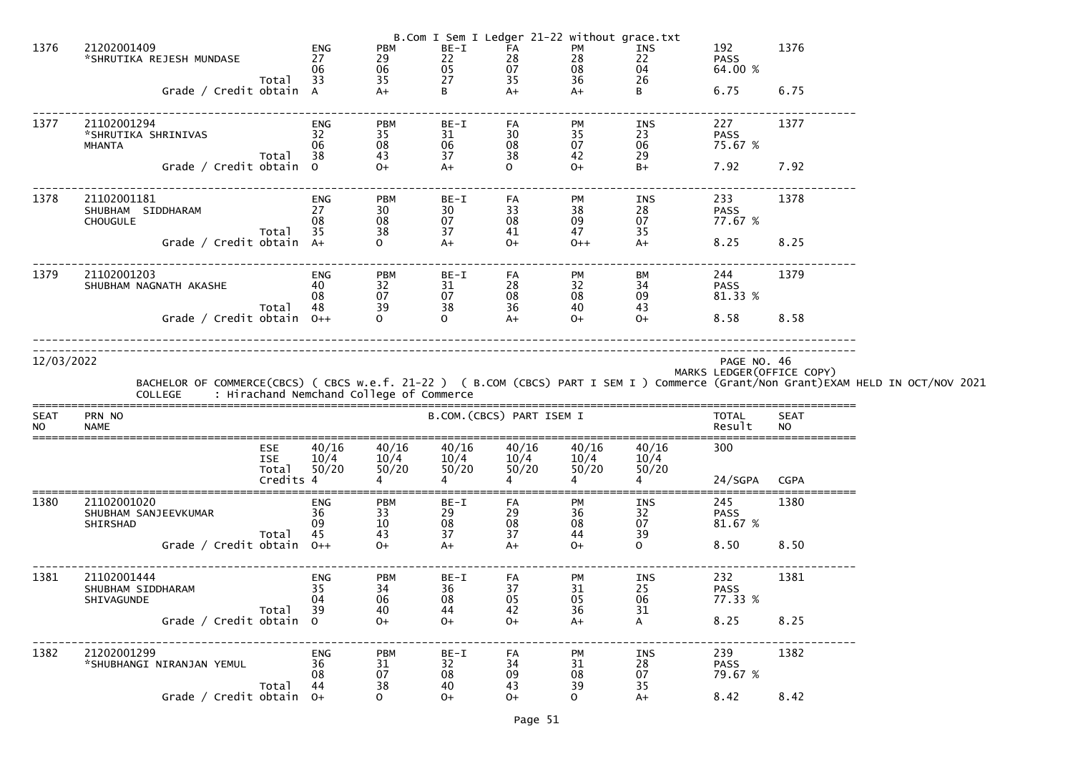| 1376                     | 21202001409                                         |                                                | ENG                          | PBM                                                         | BE-I                      | FA                     | B.Com I Sem I Ledger 21-22 without grace.txt<br>PM |                        | 192                                           | 1376                     |                                                                                                                                                                                            |
|--------------------------|-----------------------------------------------------|------------------------------------------------|------------------------------|-------------------------------------------------------------|---------------------------|------------------------|----------------------------------------------------|------------------------|-----------------------------------------------|--------------------------|--------------------------------------------------------------------------------------------------------------------------------------------------------------------------------------------|
|                          | *SHRUTIKA REJESH MUNDASE                            |                                                | 27<br>06                     | 29<br>06                                                    | 22<br>05                  | 28<br>07               | 28<br>08                                           | INS<br>22<br>04        | <b>PASS</b><br>64.00 %                        |                          |                                                                                                                                                                                            |
|                          | Grade / Credit obtain A                             | Total 33                                       |                              | $\frac{35}{A+}$                                             | 27<br>B                   | 35<br>$A+$             | 36<br>$A+$                                         | 26<br>B                | 6.75                                          | 6.75                     |                                                                                                                                                                                            |
| 1377                     | 21102001294<br>*SHRUTIKA SHRINIVAS<br><b>MHANTA</b> | Total 38                                       | ENG<br>32 <sup>2</sup><br>06 | <b>PBM</b><br>35<br>08<br>43                                | BE-I<br>31<br>06<br>37    | FA<br>30<br>08<br>38   | PM<br>35<br>07<br>42                               | INS<br>23<br>06<br>29  | 227<br><b>PASS</b><br>75.67 %                 | 1377                     |                                                                                                                                                                                            |
|                          | Grade / Credit obtain 0                             |                                                |                              | $O+$                                                        | $A+$                      | $\Omega$               | $O+$                                               | $B+$                   | 7.92                                          | 7.92                     |                                                                                                                                                                                            |
| 1378                     | 21102001181<br>SHUBHAM SIDDHARAM<br><b>CHOUGULE</b> | Total 35                                       | ENG<br>27<br>08              | <b>PBM</b><br>30<br>08<br>38                                | BE-I<br>30<br>07<br>37    | FA<br>33<br>08<br>41   | PM<br>38<br>09<br>47                               | INS<br>28<br>07<br>35  | 233<br><b>PASS</b><br>77.67 %                 | 1378                     |                                                                                                                                                                                            |
|                          | Grade / Credit obtain A+                            |                                                |                              |                                                             | $A+$                      | $O+$                   | $0++$                                              | $A+$                   | 8.25                                          | 8.25                     |                                                                                                                                                                                            |
| 1379                     | 21102001203<br>SHUBHAM NAGNATH AKASHE               | Total 48                                       | ENG<br>40<br>08              | <b>PBM</b><br>32<br>07<br>39                                | BE-I<br>31<br>07<br>38    | FA<br>28<br>08<br>36   | PM<br>32<br>08<br>40                               | BM<br>34<br>09<br>43   | 244<br><b>PASS</b><br>81.33 %                 | 1379                     |                                                                                                                                                                                            |
|                          | Grade / Credit obtain 0++                           |                                                |                              |                                                             | $\overline{O}$            | $A+$                   | $O+$                                               | $O+$                   | 8.58 8.58                                     |                          |                                                                                                                                                                                            |
| 12/03/2022               |                                                     |                                                |                              |                                                             |                           |                        |                                                    |                        | PAGE NO. 46<br>MARKS LEDGER (OFFICE COPY)     |                          | BACHELOR OF COMMERCE(CBCS) ( CBCS w.e.f. 21-22 ) ( B.COM (CBCS) PART I SEM I ) Commerce (Grant/Non Grant)EXAM HELD IN OCT/NOV 2021<br>COLLEGE     : Hirachand Nemchand College of Commerce |
| <b>SEAT</b><br><b>NO</b> | PRN NO<br><b>NAME</b>                               |                                                |                              |                                                             | B.COM. (CBCS) PART ISEM I |                        |                                                    |                        | TOTAL<br>Result                               | <b>SEAT</b><br><b>NO</b> |                                                                                                                                                                                            |
|                          |                                                     | <b>ESE</b><br><b>ISE</b><br>Total<br>Credits 4 | 40/16<br>10/4<br>50/20       | 40/16<br>10/4<br>50/20                                      | 40/16<br>10/4<br>50/20    | 40/16<br>10/4<br>50/20 | 40/16<br>10/4<br>50/20                             | 40/16<br>10/4<br>50/20 | 300                                           |                          |                                                                                                                                                                                            |
| 1380                     | 21102001020<br>SHUBHAM SANJEEVKUMAR<br>SHIRSHAD     | Total                                          | ENG<br>36<br>09<br>45        | <b>PBM</b><br>$\begin{array}{c} 33 \\ 10 \end{array}$<br>43 | $BE-I$<br>29<br>08<br>37  | FA<br>29<br>08<br>37   | PM<br>36<br>08<br>44                               | INS<br>32<br>07<br>39  | 24/SGPA CGPA<br>245<br><b>PASS</b><br>81.67 % | 1380                     |                                                                                                                                                                                            |
|                          | Grade / Credit obtain $0++$                         |                                                |                              | $O+$                                                        | $A+$                      | $A+$                   | $O+$                                               | $\mathsf{O}$           | 8.50                                          | 8.50                     |                                                                                                                                                                                            |
| 1381                     | 21102001444<br>SHUBHAM SIDDHARAM<br>SHIVAGUNDE      | Total                                          | ENG<br>35<br>04<br>39        | <b>PBM</b><br>34<br>06<br>40                                | $BE-I$<br>36<br>08<br>44  | FA<br>37<br>05<br>42   | PM<br>31<br>05<br>36                               | INS<br>25<br>06<br>31  | 232<br><b>PASS</b><br>77.33 %                 | 1381                     |                                                                                                                                                                                            |
|                          | Grade / Credit obtain 0                             |                                                |                              | $O+$                                                        | $O+$                      | $O+$                   | $A+$                                               | $\mathsf{A}$           | 8.25                                          | 8.25                     |                                                                                                                                                                                            |
| 1382                     | 21202001299<br>*SHUBHANGI NIRANJAN YEMUL            | Total                                          | ENG<br>36<br>08<br>44        | <b>PBM</b><br>31<br>07<br>38                                | BE-I<br>32<br>08<br>40    | FA<br>34<br>09<br>43   | PM<br>31<br>08<br>39                               | INS<br>28<br>07<br>35  | 239<br><b>PASS</b><br>79.67 %                 | 1382                     |                                                                                                                                                                                            |
|                          | Grade / Credit obtain 0+                            |                                                |                              | $\overline{O}$                                              | $0+$                      | $O+$                   | $\mathsf{O}$                                       | $A+$                   | 8.42                                          | 8.42                     |                                                                                                                                                                                            |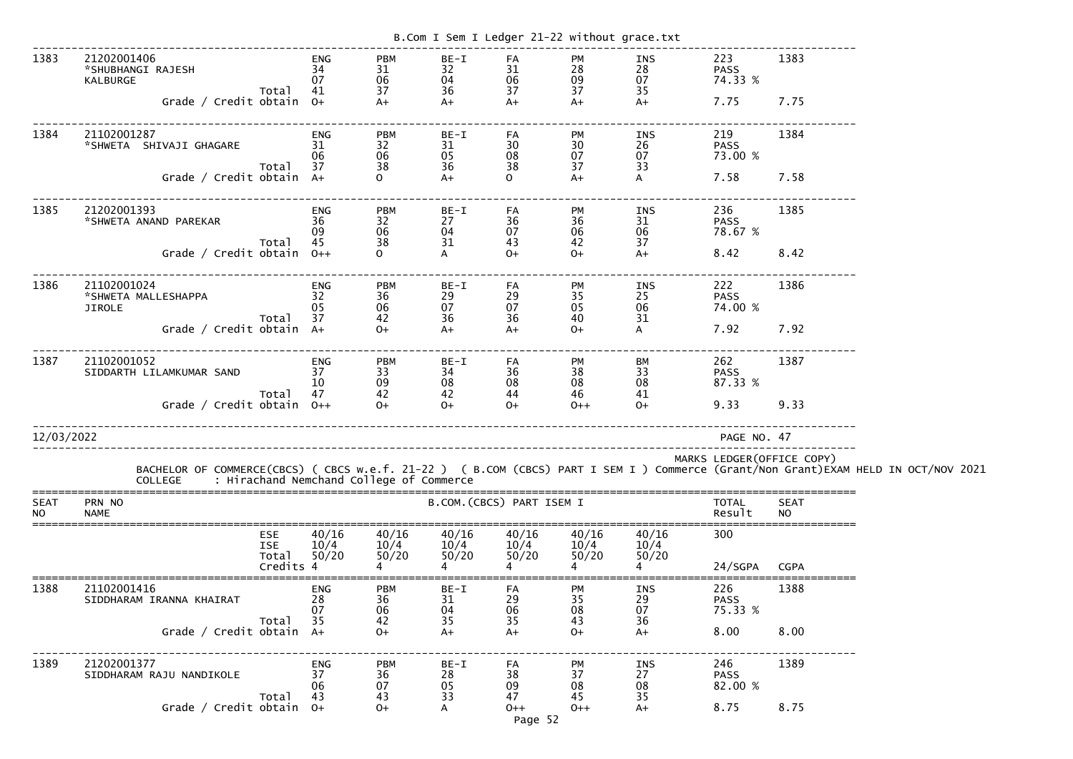|                          |                                                                                                                                                                                            |                    |                        |                                      | B.Com I Sem I Ledger 21-22 without grace.txt |                                        |                              |                               |                                       |                            |  |
|--------------------------|--------------------------------------------------------------------------------------------------------------------------------------------------------------------------------------------|--------------------|------------------------|--------------------------------------|----------------------------------------------|----------------------------------------|------------------------------|-------------------------------|---------------------------------------|----------------------------|--|
| 1383                     | 21202001406<br>*SHUBHANGI RAJESH<br>KALBURGE<br>Grade / Credit obtain $0+$                                                                                                                 | Total              | ENG<br>34<br>07<br>41  | <b>PBM</b><br>31<br>06<br>37<br>$A+$ | BE-I<br>32<br>04<br>36<br>$A+$               | FA<br>31<br>06<br>37<br>$A+$           | PM<br>28<br>09<br>37<br>$A+$ | INS<br>28<br>07<br>35<br>$A+$ | 223<br><b>PASS</b><br>74.33 %<br>7.75 | 1383<br>7.75               |  |
|                          |                                                                                                                                                                                            |                    |                        |                                      |                                              |                                        |                              |                               |                                       |                            |  |
| 1384                     | 21102001287<br>*SHWETA SHIVAJI GHAGARE                                                                                                                                                     | Total              | ENG<br>31<br>06<br>37  | <b>PBM</b><br>32<br>06<br>38         | BE-I<br>31<br>05<br>36                       | FA<br>30<br>08<br>38                   | PM<br>30<br>07<br>37         | INS<br>26<br>07<br>33         | 219<br><b>PASS</b><br>73.00 %         | 1384                       |  |
|                          | Grade / Credit obtain A+                                                                                                                                                                   |                    |                        | $\mathbf{O}$                         | $A+$                                         | $\mathsf{O}$                           | $A+$                         | A                             | 7.58                                  | 7.58                       |  |
| 1385                     | 21202001393<br>*SHWETA ANAND PAREKAR                                                                                                                                                       | Total              | ENG<br>36<br>09<br>45  | <b>PBM</b><br>32<br>06<br>38         | $BE-I$<br>27<br>04<br>31                     | FA<br>36<br>07<br>43                   | PM<br>36<br>06<br>42         | INS<br>31<br>06<br>37         | 236<br><b>PASS</b><br>78.67 %         | 1385                       |  |
|                          | Grade / Credit obtain $0++$                                                                                                                                                                |                    |                        | $\Omega$                             | A                                            | $O+$                                   | $O+$                         | $A+$                          | 8.42                                  | 8.42                       |  |
| 1386                     | 21102001024<br>*SHWETA MALLESHAPPA<br><b>JIROLE</b>                                                                                                                                        |                    | ENG<br>32<br>05        | <b>PBM</b><br>36<br>06               | BE-I<br>29<br>07                             | FA<br>29<br>07                         | PM<br>35<br>05               | INS<br>25<br>06               | 222<br><b>PASS</b><br>74.00 %         | 1386                       |  |
|                          | Grade / Credit obtain A+                                                                                                                                                                   | Total              | 37                     | 42<br>$0+$                           | 36<br>$A+$                                   | 36<br>$A+$                             | 40<br>$O+$                   | 31<br>A                       | 7.92                                  | 7.92                       |  |
| 1387                     | 21102001052<br>SIDDARTH LILAMKUMAR SAND                                                                                                                                                    |                    | ENG<br>37<br>10        | <b>PBM</b><br>33<br>09               | $BE-I$<br>34<br>08                           | FA<br>36<br>08                         | PM<br>38<br>08               | BM<br>33<br>08                | 262<br><b>PASS</b><br>87.33 %         | 1387                       |  |
|                          | Grade / Credit obtain $0++$                                                                                                                                                                | Total              | 47                     | 42<br>$O+$                           | 42<br>$O+$                                   | 44<br>$O+$                             | 46<br>$0++$                  | 41<br>$0+$                    | 9.33                                  | 9.33                       |  |
| 12/03/2022               |                                                                                                                                                                                            |                    |                        |                                      |                                              |                                        |                              |                               | PAGE NO. 47                           |                            |  |
|                          | BACHELOR OF COMMERCE(CBCS) ( CBCS w.e.f. 21-22 ) ( B.COM (CBCS) PART I SEM I ) Commerce (Grant/Non Grant)EXAM HELD IN OCT/NOV 2021<br>COLLEGE     : Hirachand Nemchand College of Commerce |                    |                        |                                      |                                              |                                        |                              |                               |                                       | MARKS LEDGER (OFFICE COPY) |  |
| <b>SEAT</b><br><b>NO</b> | PRN NO<br><b>NAME</b>                                                                                                                                                                      |                    |                        |                                      | B.COM. (CBCS) PART ISEM I                    |                                        |                              |                               | <b>TOTAL</b><br>Result                | <b>SEAT</b><br><b>NO</b>   |  |
|                          | <b>ESE</b><br><b>ISE</b>                                                                                                                                                                   | Total<br>Credits 4 | 40/16<br>10/4<br>50/20 | 40/16<br>10/4<br>50/20               | 40/16<br>10/4<br>50/20                       | 40/16<br>$\frac{10/4}{50/20}$<br>50/20 | 40/16<br>10/4<br>50/20       | 40/16<br>10/4<br>50/20        | 300<br>24/SGPA                        | <b>CGPA</b>                |  |
| 1388                     | 21102001416<br>SIDDHARAM IRANNA KHAIRAT                                                                                                                                                    |                    | ENG<br>28<br>07        | <b>PBM</b><br>36<br>06               | BE-I<br>31<br>04                             | FA<br>29<br>06                         | PM<br>35<br>08               | INS<br>29<br>07               | 226<br><b>PASS</b><br>75.33 %         | 1388                       |  |
|                          | Grade / Credit obtain A+                                                                                                                                                                   | Total              | 35                     | 42<br>$O+$                           | 35<br>$A+$                                   | 35<br>$A+$                             | 43<br>$O+$                   | 36<br>$A+$                    | 8.00                                  | 8.00                       |  |
| 1389                     | 21202001377<br>SIDDHARAM RAJU NANDIKOLE                                                                                                                                                    | Total              | ENG<br>37<br>06<br>43  | <b>PBM</b><br>36<br>07<br>43         | BE-I<br>28<br>05<br>33                       | FA<br>38<br>09<br>47                   | PM<br>37<br>08<br>45         | INS<br>27<br>08<br>35         | 246<br><b>PASS</b><br>82.00 %         | 1389                       |  |
|                          | Grade / Credit obtain $0+$                                                                                                                                                                 |                    |                        | $O+$                                 | A                                            | $0++$<br>Page 52                       | $0++$                        | $A+$                          | 8.75                                  | 8.75                       |  |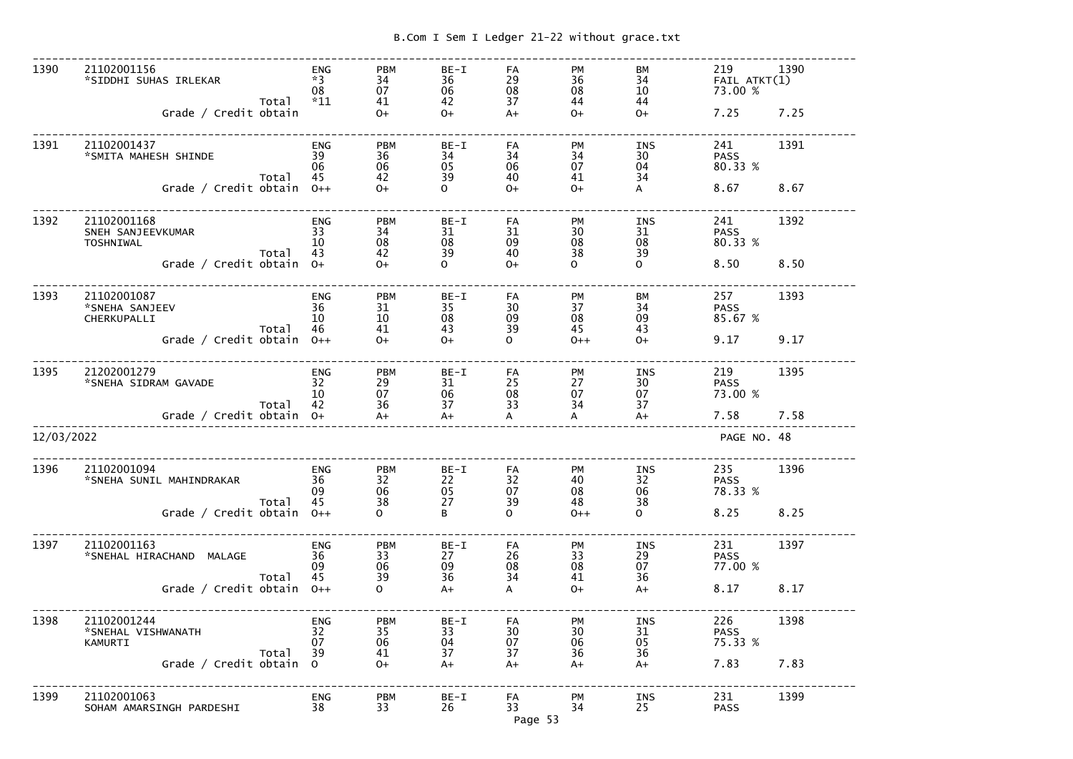------------------------------------------------------------------------------------------------------------------------------- 1390 21102001156 ENG PBM BE-I FA PM BM 219 1390  $^{\ast}$ SIDDHI SUHAS IRLEKAR  $^{\ast}3$   $^{\ast}3$  34  $^{\ast}3$  36  $^{\ast}29$  36  $^{\ast}34$  FAIL ATKT(1)  $08\qquad \quad \ \ \, 07\qquad \quad \ \ \, 06\qquad \quad \ \ \, 08\qquad \quad \ \ \, 10\qquad \quad \quad \ \, 73.00\,\%$  Total \*11 41 42 37 44 44  $0+$ 45 IRLEKAR  $\begin{array}{cccc} *3 & 34 & 36 & 29 & 36 & 34 & 5.00\ 08 & 07 & 06 & 08 & 08 & 10 & 73.00\ \% \end{array}$ <br>Grade / Credit obtain  $\begin{array}{cccc} 04 & 41 & 42 & 37 & 44 & 44 & 4.2 & 7.25 & 7.25 \end{array}$ ------------------------------------------------------------------------------------------------------------------------------- 1391 21102001437 ENG PBM BE-I FA PM INS 241 1391 \*SMITA MAHESH SHINDE 39 36 34 34 34 30 PASS 80.33 %  $06 \hspace{15mm} 06 \hspace{15mm} 05 \hspace{15mm} 06 \hspace{15mm} 07 \hspace{15mm} 04 \hspace{15mm} 80.33 \hspace{1mm} \%$  Total 45 42 39 40 41 34  $\mathsf{A}$ Grade / Credit obtain 0++ 0 + 0 + 0+ 0+ A 8.67 8.67 ------------------------------------------------------------------------------------------------------------------------------- 1392 21102001168 ENG PBM BE-I FA PM INS 241 1392 SNEH SANJEEVKUMAR 33 34 31 31 30 31 PASS 80.33 % TOSHNIWAL 10 08 08 09 08 08 80.33 % Total 43 42 39 40 38 39  $\Omega$ ENG PBM BE-I FA PM INS 241 1392<br>
EEVKUMAR 33 34 31 31 30 31 PASS<br>
Total 43 42 39 40 38 39 80.33 %<br>
Grade / Credit obtain 0+ 0+ 0+ 0 0+ 0 0 0 8.50 8.50 ------------------------------------------------------------------------------------------------------------------------------- 1393 21102001087 ENG PBM BE-I FA PM BM 257 1393 \*SNEHA SANJEEV 36 31 35 30 37 34 PASS 85.67 % CHERKUPALLI 10 10 08 09 08 09 85.67 % Total 46 41 43 39 45 43  $O<sup>+</sup>$  Grade / Credit obtain O++ O+ O+ O O++ O+ 9.17 9.17------------------------------------------------------------------------------------------------------------------------------- 1395 21202001279 ENG PBM BE-I FA PM INS 219 1395 \*SNEHA SIDRAM GAVADE 32 29 31 25 27 30 PASS 73.00 %  $10$   $07$   $06$   $08$   $07$   $07$   $73.00$   $\%$  Total 42 36 37 33 34 37 +A<br>--------------------- Grade / Credit obtain O+ A+ A+ A A A+ 7.58 7.58------------------------------------------------------------------------------------------------------------------------------- 12/03/2022 PAGE NO. 48------------------------------------------------------------------------------------------------------------------------------- 1396 21102001094 ENG PBM BE-I FA PM INS 235 1396 XILOZOUID94<br>
\*SNEHA SUNIL MAHINDRAKAR 36 32 22 32 40 32<br>
Total 45 38 27 39 48 38 PASS<br>78.33 %  $09$   $06$   $05$   $07$   $08$   $06$   $78.33~\%$  Total 45 38 27 39 48 38  $\Omega$ Grade / Credit obtain  $0++$  0 B 0 0++ 0 8.25 8.25 ------------------------------------------------------------------------------------------------------------------------------- 1397 21102001163 ENG PBM BE-I FA PM INS 231 1397 <table>\n<tbody>\n<tr>\n<td>21102001163</td>\n<td>ENG</td>\n<td>PBM</td>\n<td>BE-I</td>\n<td>FA</td>\n<td>PM</td>\n<td>INS</td>\n<td>231</td>\n</tr>\n<tr>\n<td>\*SNEHAL HIRACHAND MALAGE</td>\n<td>36</td>\n<td>33</td>\n<td>27</td>\n<td>26</td>\n<td>33</td>\n<td>29</td>\n<td>PASS</td>\n</tr>\n<tr>\n<td>09</td>\n<td>06</td>\n<td>09</td>\n<td>08</td>\n<td>08</td>\n<td>07</td>\n<td>77.00</td>\ 77.00 %  $\,$  09  $\,$  06  $\,$  09  $\,$  08  $\,$  08  $\,$  07  $\,$  77.00  $\%$  Total 45 39 36 34 41 36  $A+$ Grade / Credit obtain  $0++$  0 a<sup>+</sup> A  $0+$  A+  $8.17$  8.17 -------------------------------------------------------------------------------------------------------------------------------1398 21102001244 ENG PBM BE-I FA PM INS 226 1398<br>
SNEHAL VISHWANATH 32 35 33 30 30 31 PASS<br>
KAMURTI Total 39 41 37 37 36 36 75.33 %<br>
Grade / Credit obtain 0 0+ A+ A+ A+ A+ 7.83 7.83 \*SNEHAL VISHWANATH 32 35 33 30 30 31 PASS 75.33 % KAMURTI 07 06 04 07 06 05 75.33 % Total 39 41 37 37 36 36  $A+$  Grade / Credit obtain O O+ A+ A+ A+ A+ 7.83 7.83------------------------------------------------------------------------------------------------------------------------------- 1399 21102001063 ENG PBM BE-I FA PM INS 231 1399 SOHAM AMARSINGH PARDESHI 38 33 26 33 34 25 PASS

Page 53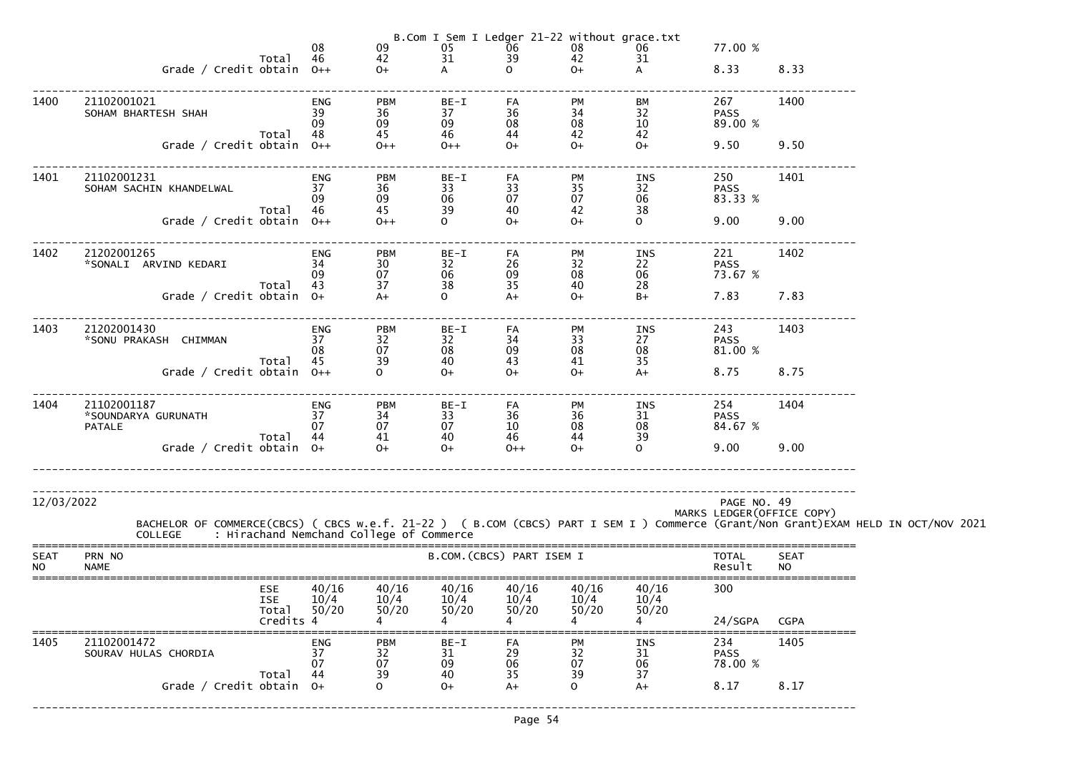|                          |                                                                                                                                                                                            | 08                     | $\begin{array}{c} 09 \\ 42 \end{array}$                     | $\frac{05}{31}$          | $\frac{06}{39}$           | B.Com I Sem I Ledger 21-22 without grace.txt<br>08<br>42 | 06                     | 77.00 %                       |                            |  |
|--------------------------|--------------------------------------------------------------------------------------------------------------------------------------------------------------------------------------------|------------------------|-------------------------------------------------------------|--------------------------|---------------------------|----------------------------------------------------------|------------------------|-------------------------------|----------------------------|--|
|                          | Total<br>Grade / Credit obtain 0++                                                                                                                                                         | 46                     | $O+$                                                        | $\mathsf{A}$             | $\mathsf{O}$              | $O+$                                                     | 31<br>$\mathsf{A}$     | 8.33                          | 8.33                       |  |
| 1400                     | 21102001021<br>SOHAM BHARTESH SHAH                                                                                                                                                         | <b>ENG</b><br>39<br>09 | <b>PBM</b><br>36<br>09                                      | $BE-I$<br>37<br>09       | FA<br>36<br>08            | <b>PM</b><br>34<br>08                                    | ВM<br>32<br>10         | 267<br><b>PASS</b><br>89.00 % | 1400                       |  |
|                          | Total<br>Grade / Credit obtain 0++                                                                                                                                                         | 48                     | 45<br>$0++$                                                 | 46<br>$0++$              | 44<br>$O+$                | 42<br>$0+$                                               | 42<br>$O+$             | 9.50                          | 9.50                       |  |
| 1401                     | 21102001231<br>SOHAM SACHIN KHANDELWAL<br>Total                                                                                                                                            | ENG<br>37<br>09<br>46  | <b>PBM</b><br>36<br>$\begin{array}{c} 09 \\ 45 \end{array}$ | BE-I<br>33<br>06<br>39   | FA<br>33<br>07<br>40      | PM<br>35<br>07<br>42                                     | INS<br>32<br>06<br>38  | 250<br><b>PASS</b><br>83.33 % | 1401                       |  |
|                          | Grade / Credit obtain 0++                                                                                                                                                                  |                        | $0++$                                                       | $\mathsf{O}$             | $O+$                      | $O+$                                                     | $\overline{O}$         | 9.00                          | 9.00                       |  |
| 1402                     | 21202001265<br>*SONALI ARVIND KEDARI<br>Total 43                                                                                                                                           | ENG<br>34<br>09        | <b>PBM</b><br>30<br>07<br>37                                | BE-I<br>32<br>06<br>38   | FA<br>26<br>09<br>35      | PM<br>32<br>08<br>40                                     | INS<br>22<br>06<br>28  | 221<br><b>PASS</b><br>73.67 % | 1402                       |  |
|                          | Grade / Credit obtain 0+                                                                                                                                                                   |                        | $A+$                                                        | $\mathsf{O}$             | $A+$                      | $0+$                                                     | $B+$                   | 7.83                          | 7.83                       |  |
| 1403                     | 21202001430<br>*SONU PRAKASH CHIMMAN<br>Total                                                                                                                                              | ENG<br>37<br>08<br>45  | <b>PBM</b><br>32<br>07<br>39                                | $BE-I$<br>32<br>08<br>40 | FA<br>34<br>09<br>43      | <b>PM</b><br>33<br>08<br>41                              | INS<br>27<br>08<br>35  | 243<br><b>PASS</b><br>81.00 % | 1403                       |  |
|                          | Grade / Credit obtain $0++$                                                                                                                                                                |                        | $\Omega$                                                    | $0+$                     | $O+$                      | $0+$                                                     | $A+$                   | 8.75                          | 8.75                       |  |
| 1404                     | 21102001187<br>*SOUNDARYA GURUNATH<br><b>PATALE</b><br>Total 44                                                                                                                            | ENG<br>37<br>07        | <b>PBM</b><br>34<br>07<br>41                                | $BE-I$<br>33<br>07<br>40 | FA<br>36<br>10<br>46      | PM<br>$\frac{36}{08}$<br>44                              | INS<br>31<br>08<br>39  | 254<br><b>PASS</b><br>84.67 % | 1404                       |  |
|                          | Grade / Credit obtain $0+$                                                                                                                                                                 |                        | $O+$                                                        | $0+$                     | $0++$                     | $O+$                                                     | $\Omega$               | 9.00                          | 9.00                       |  |
| 12/03/2022               | BACHELOR OF COMMERCE(CBCS) ( CBCS w.e.f. 21-22 ) ( B.COM (CBCS) PART I SEM I ) Commerce (Grant/Non Grant)EXAM HELD IN OCT/NOV 2021<br>COLLEGE     : Hirachand Nemchand College of Commerce |                        |                                                             |                          |                           |                                                          |                        | PAGE NO. 49                   | MARKS LEDGER (OFFICE COPY) |  |
| <b>SEAT</b><br><b>NO</b> | PRN NO<br><b>NAME</b>                                                                                                                                                                      |                        |                                                             |                          | B.COM. (CBCS) PART ISEM I |                                                          |                        | <b>TOTAL</b><br>Result        | <b>SEAT</b><br><b>NO</b>   |  |
|                          | <b>ESE</b><br><b>ISE</b><br>Total<br>Credits 4                                                                                                                                             | 40/16<br>10/4<br>50/20 | 40/16<br>10/4<br>50/20                                      | 40/16<br>10/4<br>50/20   | 40/16<br>10/4<br>50/20    | 40/16<br>10/4<br>50/20                                   | 40/16<br>10/4<br>50/20 | 300<br>24/SGPA                | <b>CGPA</b>                |  |
| 1405                     | 21102001472<br>SOURAV HULAS CHORDIA                                                                                                                                                        | ENG<br>37<br>07        | <b>PBM</b><br>$\begin{array}{c} 32 \\ 07 \end{array}$       | BE-I<br>31<br>09         | FA<br>29<br>06            | <b>PM</b><br>32<br>07                                    | INS<br>31<br>06        | 234<br><b>PASS</b><br>78.00 % | 1405                       |  |
|                          | Total<br>Grade / Credit obtain 0+                                                                                                                                                          | 44                     | 39<br>$\Omega$                                              | 40<br>$O+$               | 35<br>$A+$                | 39<br>$\mathsf{O}$                                       | 37<br>$A+$             | 8.17                          | 8.17                       |  |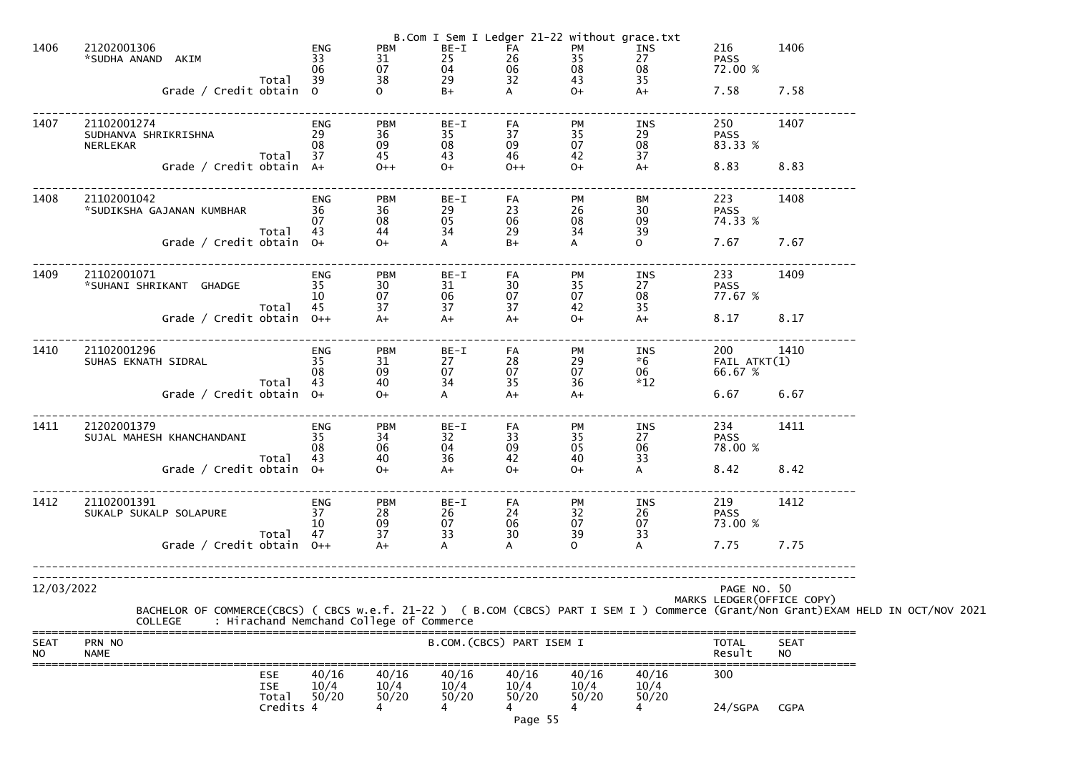| 1406                     | 21202001306<br>*SUDHA ANAND AKIM<br>Total<br>Grade / Credit obtain 0                                                                                                                       | ENG<br>33<br>06<br>39        | <b>PBM</b><br>31<br>07<br>38<br>$\mathbf{O}$                  | $BE-I$<br>25<br>04<br>29<br>$B+$       | FA<br>26<br>06<br>32<br>A                           | B.Com I Sem I Ledger 21-22 without grace.txt<br>PM<br>35<br>08<br>43<br>$O+$ | INS<br>27<br>08<br>35<br>$A+$        | 216<br><b>PASS</b><br>72.00 %<br>7.58      | 1406<br>7.58             |  |
|--------------------------|--------------------------------------------------------------------------------------------------------------------------------------------------------------------------------------------|------------------------------|---------------------------------------------------------------|----------------------------------------|-----------------------------------------------------|------------------------------------------------------------------------------|--------------------------------------|--------------------------------------------|--------------------------|--|
| 1407                     | 21102001274<br>SUDHANVA SHRIKRISHNA<br>NERLEKAR<br>Total<br>Grade / Credit obtain A+                                                                                                       | ENG<br>29<br>08<br>37        | <b>PBM</b><br>36<br>09<br>45<br>$0++$                         | BE-I<br>35<br>08<br>43<br>$O+$         | FA<br>37<br>09<br>46<br>$0++$                       | PM<br>35<br>07<br>42<br>$O+$                                                 | INS<br>29<br>08<br>37<br>$A+$        | 250<br><b>PASS</b><br>83.33 %<br>8.83      | 1407<br>8.83             |  |
| 1408                     | 21102001042<br>*SUDIKSHA GAJANAN KUMBHAR<br>Total<br>Grade / Credit obtain 0+                                                                                                              | <b>ENG</b><br>36<br>07<br>43 | <b>PBM</b><br>36<br>08<br>44<br>$0+$                          | BE-I<br>29<br>05<br>34<br>A            | FA<br>23<br>06<br>29<br>$B+$                        | PM<br>26<br>08<br>34<br>A                                                    | ВM<br>30<br>09<br>39<br>$\mathsf{O}$ | 223<br><b>PASS</b><br>74.33 %<br>7.67      | 1408<br>7.67             |  |
| 1409                     | 21102001071<br>*SUHANI SHRIKANT GHADGE<br>Total<br>Grade / Credit obtain 0++                                                                                                               | <b>ENG</b><br>35<br>10<br>45 | <b>PBM</b><br>30<br>07<br>37<br>$A+$                          | BE-I<br>31<br>06<br>37<br>$A+$         | FA<br>30<br>07<br>37<br>$A+$                        | PM<br>35<br>07<br>42<br>$O+$                                                 | INS<br>27<br>08<br>35<br>$A+$        | 233<br><b>PASS</b><br>77.67 %<br>8.17      | 1409<br>8.17             |  |
| 1410                     | 21102001296<br>SUHAS EKNATH SIDRAL<br>Total<br>Grade / Credit obtain $0+$                                                                                                                  | ENG<br>35<br>08<br>43        | <b>PBM</b><br>31<br>09<br>40<br>$0+$                          | BE-I<br>27<br>07<br>34<br>$\mathsf{A}$ | FA<br>28<br>07<br>35<br>$A+$                        | PM<br>29<br>07<br>36<br>$A+$                                                 | INS<br>$*6$<br>06<br>$*12$           | 200<br>$FAIL$ $ATKT(1)$<br>66.67 %<br>6.67 | 1410<br>6.67             |  |
| 1411                     | 21202001379<br>SUJAL MAHESH KHANCHANDANI<br>Total<br>Grade / Credit obtain 0+                                                                                                              | ENG<br>35<br>08<br>43        | PBM<br>34<br>$\begin{array}{c} 06 \\ 40 \end{array}$<br>$O +$ | $BE-I$<br>32<br>04<br>36<br>$A+$       | FA<br>33<br>$09$<br>42<br>$O+$                      | PM<br>35<br>05<br>40<br>$O+$                                                 | INS<br>27<br>06<br>33<br>A           | 234<br><b>PASS</b><br>78.00 %<br>8.42      | 1411<br>8.42             |  |
| 1412                     | 21102001391<br>SUKALP SUKALP SOLAPURE<br>Total<br>Grade / Credit obtain $0++$                                                                                                              | <b>ENG</b><br>37<br>10<br>47 | <b>PBM</b><br>28<br>09<br>37                                  | $BE-I$<br>26<br>$\frac{0}{3}$<br>A     | FA<br>$\begin{array}{c} 24 \\ 06 \\ 30 \end{array}$ | <b>PM</b><br>$\begin{array}{c} 32 \\ 07 \end{array}$<br>39<br>$\Omega$       | INS<br>26<br>07<br>33                | 219<br><b>PASS</b><br>73.00 %<br>7.75      | 1412<br>7.75             |  |
| 12/03/2022               | BACHELOR OF COMMERCE(CBCS) ( CBCS w.e.f. 21-22 ) ( B.COM (CBCS) PART I SEM I ) Commerce (Grant/Non Grant)EXAM HELD IN OCT/NOV 2021<br>COLLEGE     : Hirachand Nemchand College of Commerce |                              |                                                               |                                        |                                                     |                                                                              |                                      | PAGE NO. 50<br>MARKS LEDGER (OFFICE COPY)  |                          |  |
| <b>SEAT</b><br><b>NO</b> | PRN NO<br><b>NAME</b>                                                                                                                                                                      |                              |                                                               |                                        | B.COM. (CBCS) PART ISEM I                           |                                                                              |                                      | <b>TOTAL</b><br>Result                     | <b>SEAT</b><br><b>NO</b> |  |
|                          | <b>ESE</b><br><b>ISE</b><br>Total<br>Credits 4                                                                                                                                             | 40/16<br>10/4<br>50/20       | 40/16<br>10/4<br>50/20                                        | 40/16<br>10/4<br>50/20<br>4            | 40/16<br>10/4<br>50/20<br>Page 55                   | 40/16<br>10/4<br>50/20<br>$\overline{4}$                                     | 40/16<br>10/4<br>50/20               | 300<br>24/SGPA                             | <b>CGPA</b>              |  |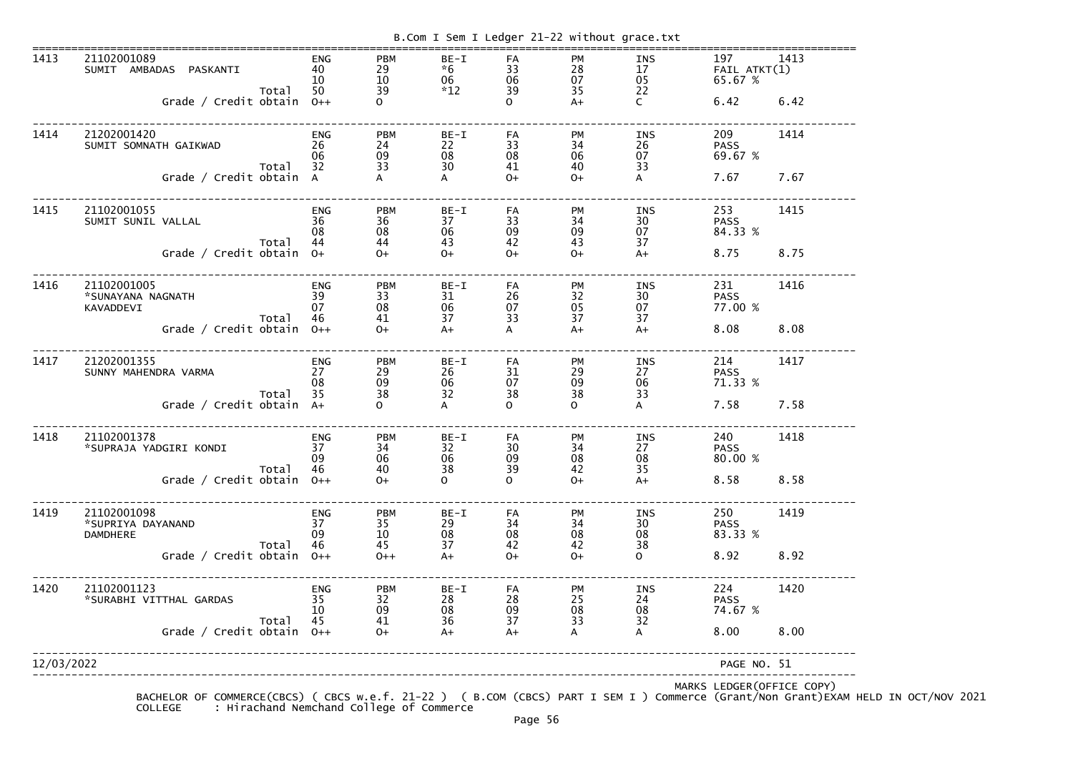| 1413       | 21102001089<br>SUMIT AMBADAS PASKANTI  | <b>ENG</b><br>40 | <b>PBM</b><br>29 | BE-I<br>$*6$                            | FA                                      | <b>PM</b>                                     | <b>INS</b>                                    | 197<br>$FAIL$ $ATKT(1)$ | 1413 |
|------------|----------------------------------------|------------------|------------------|-----------------------------------------|-----------------------------------------|-----------------------------------------------|-----------------------------------------------|-------------------------|------|
|            |                                        | 10               | $\frac{10}{39}$  | 06                                      | 33<br>06<br>39                          | $\begin{array}{c} 28 \\ 07 \\ 35 \end{array}$ | $\begin{array}{c} 17 \\ 05 \\ 22 \end{array}$ | 65.67 %                 |      |
|            | Total<br>Grade / Credit obtain 0++     | 50               |                  | $*12$                                   | $\Omega$                                | $A+$                                          | $\mathsf{C}$                                  | 6.42                    | 6.42 |
|            |                                        |                  |                  |                                         |                                         |                                               |                                               |                         |      |
| 1414       | 21202001420                            | <b>ENG</b>       | <b>PBM</b>       | BE-I                                    | FA                                      | PM                                            | INS                                           | 209                     | 1414 |
|            | SUMIT SOMNATH GAIKWAD                  | 26<br>06         | 24<br>09         | ${\underset{30}{\scriptstyle 22}}$      | 33                                      | 34<br>06<br>40                                | $\frac{26}{07}$                               | <b>PASS</b><br>69.67 %  |      |
|            | Total                                  | 32               | 33               |                                         | $08 \\ 41$                              |                                               | 33                                            |                         |      |
|            | Grade / Credit obtain A                |                  |                  | A                                       | $O+$                                    | $O+$                                          | A                                             | 7.67                    | 7.67 |
| 1415       | 21102001055                            | ENG              | <b>PBM</b>       | BE-I                                    | FA                                      | PM                                            | INS                                           | 253                     | 1415 |
|            | SUMIT SUNIL VALLAL                     | 36               | 36               | 37                                      | 33                                      |                                               | 30 <sub>o</sub>                               | <b>PASS</b>             |      |
|            | Total                                  | 08<br>44         | 08<br>44         | 06<br>43                                | 09<br>42                                | 34<br>09<br>43                                | 07<br>37                                      | 84.33 %                 |      |
|            | Grade / Credit obtain 0+               |                  | $0+$             | $O+$                                    | $O+$                                    | $O+$                                          | $A+$                                          | 8.75                    | 8.75 |
|            |                                        |                  |                  |                                         |                                         |                                               |                                               |                         |      |
| 1416       | 21102001005                            | ENG              | <b>PBM</b>       | BE-I                                    | FA                                      | PM                                            | INS                                           | 231                     | 1416 |
|            | *SUNAYANA NAGNATH                      | 39<br>07         | 33<br>08         | 31<br>06                                |                                         |                                               | $\frac{30}{07}$                               | <b>PASS</b><br>77.00 %  |      |
|            | KAVADDEVI<br>Total                     | 46               | 41               | 37                                      | 26<br>07<br>33                          | $\frac{32}{05}$                               | 37                                            |                         |      |
|            | Grade / Credit obtain 0++              |                  | $0+$             | $A+$                                    | A                                       | $A+$                                          | $A+$                                          | 8.08                    | 8.08 |
| 1417       | 21202001355                            | <b>ENG</b>       | <b>PBM</b>       | BE-I                                    | FA                                      | PM                                            | INS                                           | 214                     | 1417 |
|            | SUNNY MAHENDRA VARMA                   | 27               | 29               |                                         | $\begin{array}{c} 31 \\ 07 \end{array}$ |                                               | 27                                            | <b>PASS</b>             |      |
|            |                                        | 08<br>35         | 09<br>38         | 26<br>06<br>32                          | 38                                      | 29<br>09<br>38                                | 06                                            | 71.33 %                 |      |
|            | Total<br>Grade / Credit obtain A+      |                  | $\mathbf{O}$     | A                                       | $\Omega$                                | $\overline{O}$                                | 33<br>$\boldsymbol{\mathsf{A}}$               | 7.58                    | 7.58 |
|            |                                        |                  |                  |                                         |                                         |                                               |                                               |                         |      |
| 1418       | 21102001378                            | ENG              | <b>PBM</b>       | $BE-I$                                  | FA                                      | PM                                            | INS                                           | 240                     | 1418 |
|            | *SUPRAJA YADGIRI KONDI                 | 37               | 34               | $\begin{array}{c} 32 \\ 06 \end{array}$ | $\begin{array}{c} 30 \\ 09 \end{array}$ | $\begin{array}{c} 34 \\ 08 \end{array}$       | 27                                            | <b>PASS</b>             |      |
|            | Total                                  | 09<br>46         | 06<br>40         | 38                                      | 39                                      | 42                                            | 08<br>35                                      | 80.00 %                 |      |
|            | Grade / Credit obtain 0++              |                  | $0+$             | $\overline{O}$                          | $\Omega$                                | $O+$                                          | $A+$                                          | 8.58                    | 8.58 |
| 1419       | 21102001098                            | ENG              | <b>PBM</b>       | BE-I                                    | FA                                      | PM                                            | INS                                           | 250                     | 1419 |
|            | *SUPRIYA DAYANAND                      | 37               | $\frac{35}{10}$  | 29                                      |                                         | $\begin{array}{c} 34 \\ 08 \end{array}$       | 30                                            | <b>PASS</b>             |      |
|            | <b>DAMDHERE</b>                        | 09               |                  | 08                                      | 34<br>08<br>42                          |                                               | 08                                            | 83.33 %                 |      |
|            | Total<br>Grade / Credit obtain $0++$   | 46               | 45<br>$0++$      | 37<br>$A+$                              | $0+$                                    | 42<br>$O+$                                    | 38<br>$\mathbf{O}$                            | 8.92                    | 8.92 |
|            |                                        |                  |                  |                                         |                                         |                                               |                                               |                         |      |
| 1420       | 21102001123<br>*SURABHI VITTHAL GARDAS | ENG<br>35        | <b>PBM</b><br>32 | BE-I<br>28                              | FA                                      | PM                                            | INS<br>24                                     | 224<br><b>PASS</b>      | 1420 |
|            |                                        | 10               | 09               | 08                                      | 28<br>09<br>37                          | 25<br>08<br>33                                | 08                                            | 74.67 %                 |      |
|            | Total                                  | 45               | 41               | 36                                      |                                         |                                               | 32                                            |                         |      |
|            | Grade / Credit obtain $0++$            |                  | $O+$             | $A+$                                    | $A+$                                    | A                                             | A                                             | 8.00                    | 8.00 |
| 12/03/2022 |                                        |                  |                  |                                         |                                         |                                               |                                               | PAGE NO. 51             |      |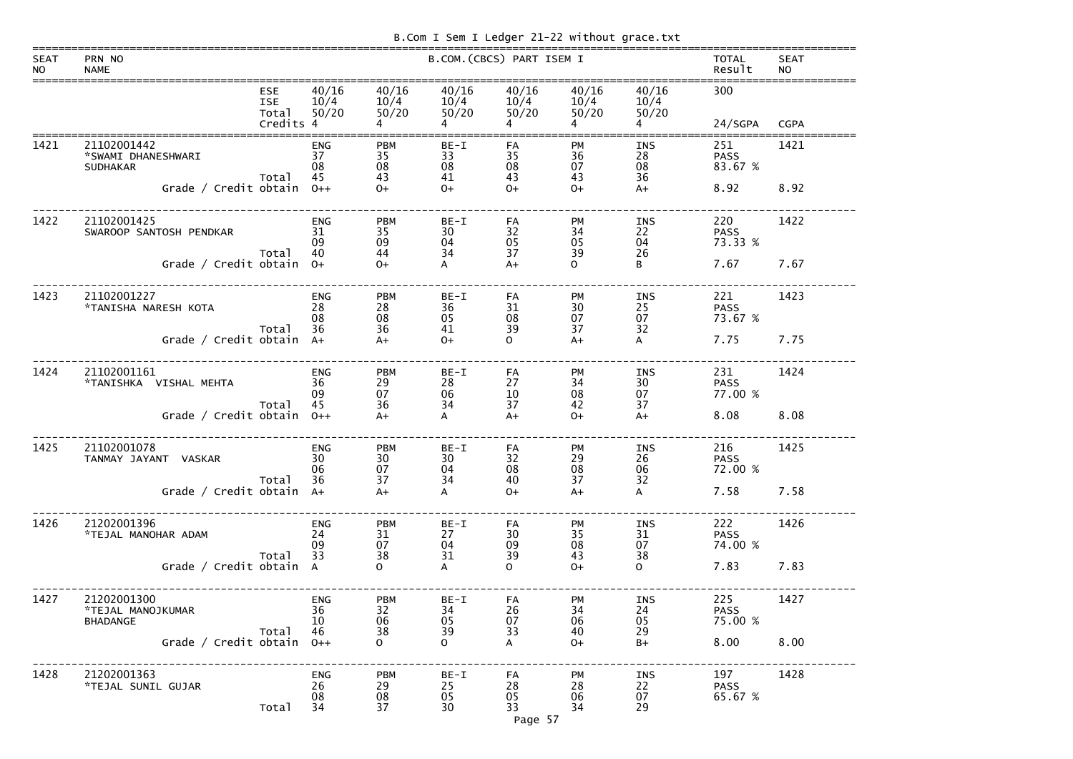|  |  | B.Com I Sem I Ledger 21-22 without grace.txt |
|--|--|----------------------------------------------|

| <b>SEAT</b><br><b>NO</b> | PRN NO<br><b>NAME</b>                                |                                   |                              |                                                  |                          | B.COM. (CBCS) PART ISEM I |                                                            |                              | <b>TOTAL</b><br>Result        | <b>SEAT</b><br><b>NO</b> |
|--------------------------|------------------------------------------------------|-----------------------------------|------------------------------|--------------------------------------------------|--------------------------|---------------------------|------------------------------------------------------------|------------------------------|-------------------------------|--------------------------|
|                          |                                                      | <b>ESE</b><br><b>ISE</b><br>Total | 40/16<br>10/4<br>50/20       | 40/16<br>10/4<br>50/20                           | 40/16<br>10/4<br>50/20   | 40/16<br>10/4<br>50/20    | 40/16<br>10/4<br>50/20                                     | 40/16<br>10/4<br>50/20       | 300                           |                          |
|                          |                                                      | Credits 4                         |                              |                                                  | 4                        |                           |                                                            |                              | 24/SGPA                       | <b>CGPA</b>              |
| 1421                     | 21102001442<br>*SWAMI DHANESHWARI<br><b>SUDHAKAR</b> | Total                             | <b>ENG</b><br>37<br>08<br>45 | <b>PBM</b><br>35<br>08<br>43                     | $BE-I$<br>33<br>08<br>41 | FA<br>35<br>08<br>43      | PM<br>36<br>07<br>43                                       | <b>INS</b><br>28<br>08<br>36 | 251<br><b>PASS</b><br>83.67 % | 1421                     |
|                          | Grade / Credit obtain                                |                                   | $0++$                        | $0+$                                             | $O+$                     | $O+$                      | $O+$                                                       | $A+$                         | 8.92                          | 8.92                     |
| 1422                     | 21102001425<br>SWAROOP SANTOSH PENDKAR               | Total                             | <b>ENG</b><br>31<br>09<br>40 | <b>PBM</b><br>35<br>09<br>44                     | $BE-I$<br>30<br>04<br>34 | FA<br>32<br>05<br>37      | <b>PM</b><br>34<br>05<br>39                                | <b>INS</b><br>22<br>04<br>26 | 220<br><b>PASS</b><br>73.33 % | 1422                     |
|                          | Grade / Credit obtain                                |                                   | $O+$                         | $0+$                                             | A                        | $A+$                      | $\Omega$                                                   | B                            | 7.67                          | 7.67                     |
| 1423                     | 21102001227<br>*TANISHA NARESH KOTA                  |                                   | <b>ENG</b><br>28<br>08       | <b>PBM</b><br>28<br>08                           | $BE-I$<br>36<br>05       | FA<br>31<br>08            | PM<br>30<br>07                                             | <b>INS</b><br>25<br>07       | 221<br><b>PASS</b><br>73.67 % | 1423                     |
|                          | Grade / Credit obtain                                | Total                             | 36<br>$A+$                   | 36<br>$A+$                                       | 41<br>$O+$               | 39<br>$\Omega$            | 37<br>$A+$                                                 | 32<br>A                      | 7.75                          | 7.75                     |
| 1424                     | 21102001161<br>*TANISHKA VISHAL MEHTA                |                                   | <b>ENG</b><br>36<br>09       | <b>PBM</b><br>29<br>07                           | $BE-I$<br>28<br>06       | FA<br>27<br>10            | <b>PM</b><br>34<br>08                                      | <b>INS</b><br>30<br>07       | 231<br><b>PASS</b><br>77.00 % | 1424                     |
|                          | Grade / Credit obtain                                | Total                             | 45<br>$0++$                  | 36<br>$A+$                                       | 34<br>$\mathsf{A}$       | 37<br>$A+$                | 42<br>$O+$                                                 | 37<br>$A+$                   | 8.08                          | 8.08                     |
| 1425                     | 21102001078<br>TANMAY JAYANT VASKAR                  | Total                             | <b>ENG</b><br>30<br>06<br>36 | <b>PBM</b><br>$\frac{30}{07}$<br>$\overline{37}$ | $BE-I$<br>30<br>04<br>34 | FA<br>32<br>08<br>40      | <b>PM</b><br>29<br>$\begin{array}{c} 08 \\ 37 \end{array}$ | INS<br>26<br>06<br>32        | 216<br><b>PASS</b><br>72.00 % | 1425                     |
|                          | Grade / Credit obtain A+                             |                                   |                              | $A+$                                             | A                        | $O+$                      | $A+$                                                       | A                            | 7.58                          | 7.58                     |
| 1426                     | 21202001396<br>*TEJAL MANOHAR ADAM                   |                                   | <b>ENG</b><br>24<br>09<br>33 | <b>PBM</b><br>31<br>07<br>38                     | $BE-I$<br>27<br>04<br>31 | FA<br>30<br>09<br>39      | PM<br>35<br>08<br>43                                       | INS<br>31<br>07<br>38        | 222<br><b>PASS</b><br>74.00 % | 1426                     |
|                          | Grade / Credit obtain A                              | Total                             |                              | O                                                | A                        | O                         | $O+$                                                       | $\mathbf{O}$                 | 7.83                          | 7.83                     |
| 1427                     | 21202001300<br>*TEJAL MANOJKUMAR<br><b>BHADANGE</b>  | Total                             | <b>ENG</b><br>36<br>10<br>46 | <b>PBM</b><br>32<br>06<br>38                     | $BE-I$<br>34<br>05<br>39 | FA<br>26<br>07<br>33      | PM<br>34<br>06<br>40                                       | INS<br>24<br>05<br>29        | 225<br><b>PASS</b><br>75.00 % | 1427                     |
|                          | Grade / Credit obtain                                |                                   | $0++$                        | O.                                               | $\mathbf{O}$             | A                         | $O+$                                                       | $B+$                         | 8.00                          | 8.00                     |
| 1428                     | 21202001363<br>*TEJAL SUNIL GUJAR                    | Total                             | <b>ENG</b><br>26<br>08<br>34 | <b>PBM</b><br>29<br>08<br>37                     | $BE-I$<br>25<br>05<br>30 | FA<br>28<br>05<br>33      | PM<br>28<br>06<br>34                                       | <b>INS</b><br>22<br>07<br>29 | 197<br><b>PASS</b><br>65.67 % | 1428                     |

Page 57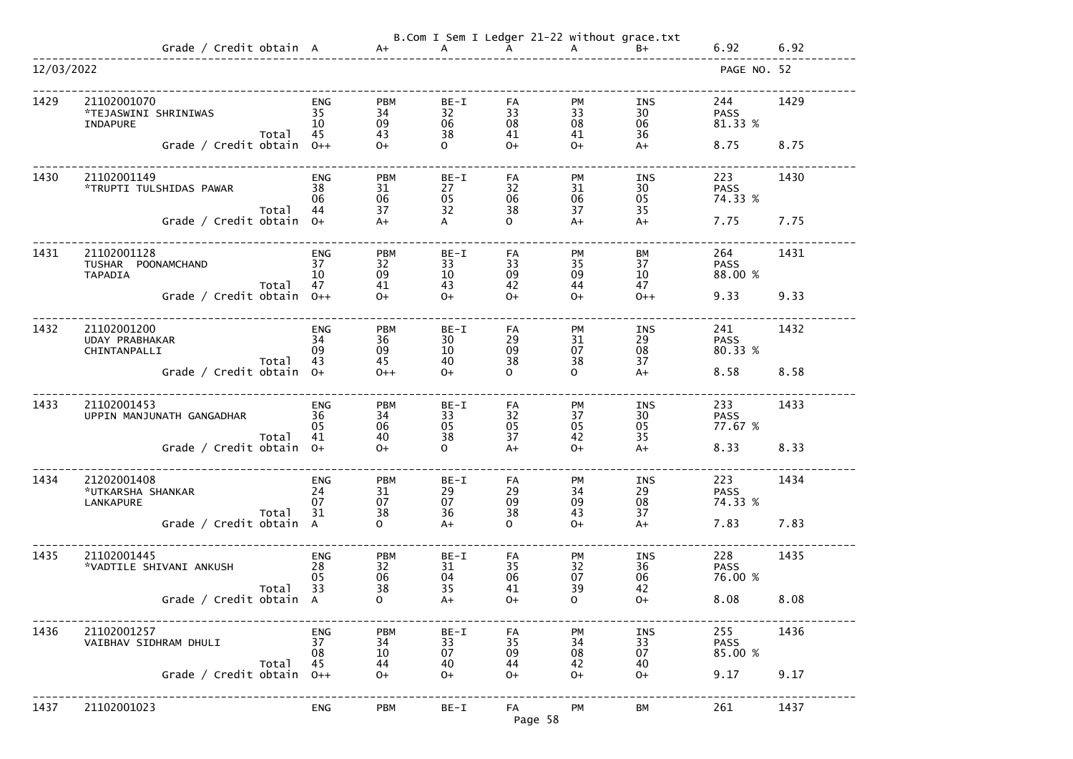|            |                                                                 |                              |                              |                          |                      |                             | B.Com I Sem I Ledger 21-22 without grace.txt |                               |      |
|------------|-----------------------------------------------------------------|------------------------------|------------------------------|--------------------------|----------------------|-----------------------------|----------------------------------------------|-------------------------------|------|
|            | Grade / Credit obtain A a+ A A                                  |                              |                              |                          |                      | $A$ $A$                     | $B+$                                         | 6.92                          | 6.92 |
| 12/03/2022 |                                                                 |                              |                              |                          |                      |                             |                                              | PAGE NO. 52                   |      |
| 1429       | 21102001070<br>*TEJASWINI SHRINIWAS<br><b>INDAPURE</b><br>Total | <b>ENG</b><br>35<br>10<br>45 | <b>PBM</b><br>34<br>09<br>43 | $BE-I$<br>32<br>06<br>38 | FA<br>33<br>08<br>41 | <b>PM</b><br>33<br>08<br>41 | INS<br>30<br>06<br>36                        | 244<br><b>PASS</b><br>81.33 % | 1429 |
|            | Grade / Credit obtain $0++$                                     |                              | $0+$                         | $\overline{O}$           | $O+$                 | $O+$                        | $A+$                                         | 8.75                          | 8.75 |
| 1430       | 21102001149<br>*TRUPTI TULSHIDAS PAWAR<br>Total                 | ENG<br>38<br>06<br>44        | <b>PBM</b><br>31<br>06<br>37 | BE-I<br>27<br>05<br>32   | FA<br>32<br>06<br>38 | <b>PM</b><br>31<br>06<br>37 | INS<br>30<br>05<br>35                        | 223<br><b>PASS</b><br>74.33 % | 1430 |
|            | Grade / Credit obtain 0+                                        |                              | $A+$                         | A                        | $\Omega$             | $A+$                        | $A+$                                         | 7.75                          | 7.75 |
| 1431       | 21102001128<br>TUSHAR POONAMCHAND<br><b>TAPADIA</b><br>Total    | ENG<br>37<br>10<br>47        | <b>PBM</b><br>32<br>09<br>41 | $BE-I$<br>33<br>10<br>43 | FA<br>33<br>09<br>42 | <b>PM</b><br>35<br>09<br>44 | BM<br>37<br>10<br>47                         | 264<br><b>PASS</b><br>88.00 % | 1431 |
|            | Grade / Credit obtain $0++$                                     |                              | $0+$                         | $0+$                     | $O+$                 | $O+$                        | $0++$                                        | 9.33                          | 9.33 |
| 1432       | 21102001200<br>UDAY PRABHAKAR<br>CHINTANPALLI<br>Total          | <b>ENG</b><br>34<br>09<br>43 | <b>PBM</b><br>36<br>09<br>45 | $BE-I$<br>30<br>10<br>40 | FA<br>29<br>09<br>38 | <b>PM</b><br>31<br>07<br>38 | INS<br>29<br>08<br>37                        | 241<br><b>PASS</b><br>80.33 % | 1432 |
|            | Grade / Credit obtain $0+$                                      |                              | $0++$                        | $0+$                     | $\Omega$             | $\mathsf{O}$                | $A+$                                         | 8.58                          | 8.58 |
| 1433       | 21102001453<br>UPPIN MANJUNATH GANGADHAR<br>Total               | <b>ENG</b><br>36<br>05<br>41 | <b>PBM</b><br>34<br>06<br>40 | BE-I<br>33<br>05<br>38   | FA<br>32<br>05<br>37 | PM<br>37<br>05<br>42        | INS<br>30<br>05<br>35                        | 233<br><b>PASS</b><br>77.67 % | 1433 |
|            | Grade / Credit obtain 0+                                        |                              | $0+$                         | $\mathsf{O}$             | $A+$                 | $O+$                        | $A+$                                         | 8.33                          | 8.33 |
| 1434       | 21202001408<br>*UTKARSHA SHANKAR<br><b>LANKAPURE</b><br>Total   | <b>ENG</b><br>24<br>07<br>31 | <b>PBM</b><br>31<br>07<br>38 | $BE-I$<br>29<br>07<br>36 | FA<br>29<br>09<br>38 | <b>PM</b><br>34<br>09<br>43 | <b>INS</b><br>$\mathop{29}_{08}$<br>37       | 223<br><b>PASS</b><br>74.33 % | 1434 |
|            | Grade / Credit obtain A                                         |                              | $\mathbf{O}$                 | $A+$                     | $\mathbf{O}$         | $O+$                        | $A+$                                         | 7.83                          | 7.83 |
| 1435       | 21102001445<br>*VADTILE SHIVANI ANKUSH<br>Total                 | <b>ENG</b><br>28<br>05<br>33 | <b>PBM</b><br>32<br>06<br>38 | $BE-I$<br>31<br>04<br>35 | FA<br>35<br>06<br>41 | PM<br>32<br>07<br>39        | <b>INS</b><br>36<br>06<br>42                 | 228<br><b>PASS</b><br>76.00 % | 1435 |
|            | Grade / Credit obtain A                                         |                              | $\mathbf{O}$                 | $A+$                     | $O+$                 | $\mathsf{O}$                | $O+$                                         | 8.08                          | 8.08 |
| 1436       | 21102001257<br>VAIBHAV SIDHRAM DHULI<br>Total                   | <b>ENG</b><br>37<br>08<br>45 | <b>PBM</b><br>34<br>10<br>44 | $BE-I$<br>33<br>07<br>40 | FA<br>35<br>09<br>44 | PM<br>34<br>08<br>42        | <b>INS</b><br>33<br>07<br>40                 | 255<br><b>PASS</b><br>85.00 % | 1436 |
|            | Grade / Credit obtain $0++$                                     |                              | $O+$                         | $O+$                     | $O+$                 | $O+$                        | $O+$                                         | 9.17                          | 9.17 |
| 1437       | 21102001023                                                     | <b>ENG</b>                   | <b>PBM</b>                   | $BE-I$                   | FA<br>Page 58        | PM                          | <b>BM</b>                                    | 261                           | 1437 |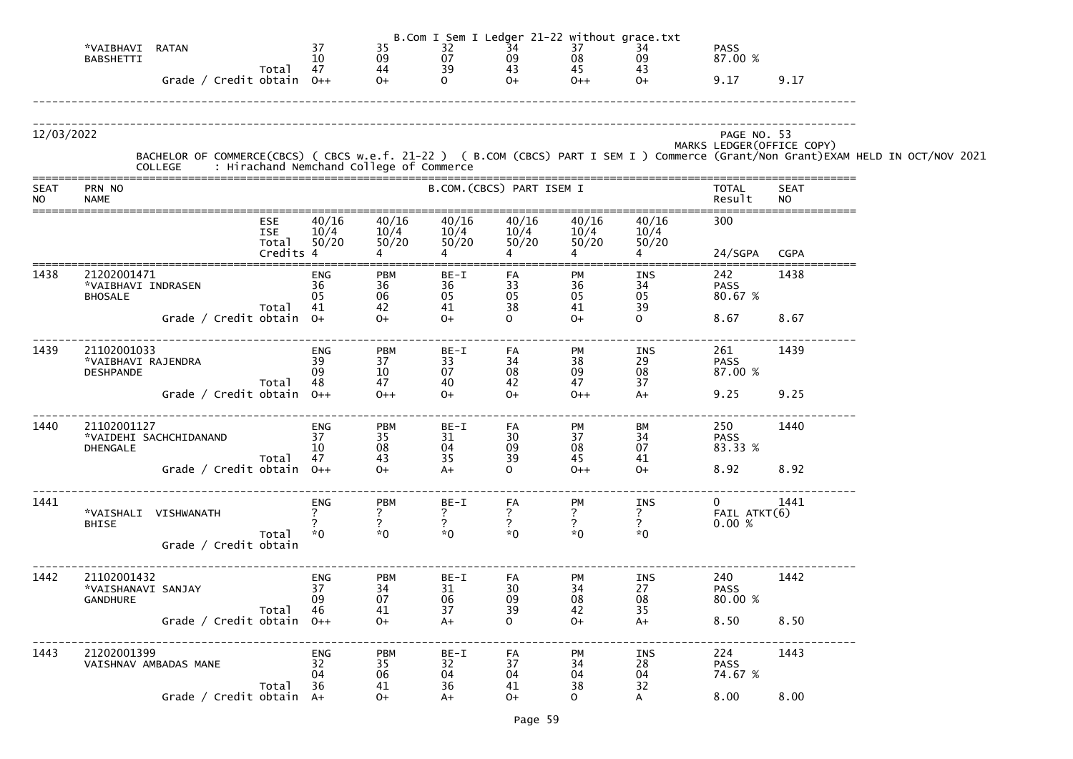|                          |                                                               |                                                |                                    |                                                             |                                     |                                                     | B.Com I Sem I Ledger 21-22 without grace.txt        |                                                      |                                           |                          |                                                                                                                                                                                            |
|--------------------------|---------------------------------------------------------------|------------------------------------------------|------------------------------------|-------------------------------------------------------------|-------------------------------------|-----------------------------------------------------|-----------------------------------------------------|------------------------------------------------------|-------------------------------------------|--------------------------|--------------------------------------------------------------------------------------------------------------------------------------------------------------------------------------------|
|                          | *VAIBHAVI<br>RATAN<br><b>BABSHETTI</b>                        |                                                | 37<br>10                           | 35                                                          | 32<br>07                            | 34                                                  | 37<br>08                                            | 34<br>09                                             | <b>PASS</b><br>87.00 %                    |                          |                                                                                                                                                                                            |
|                          | Grade / Credit obtain $0++$                                   | Total                                          | 47                                 | 09<br>44<br>$O+$                                            | 39<br>$\Omega$                      | $\frac{09}{43}$<br>$O+$                             | 45<br>$0++$                                         | 43<br>$O+$                                           | 9.17                                      | 9.17                     |                                                                                                                                                                                            |
| 12/03/2022               |                                                               |                                                |                                    |                                                             |                                     |                                                     |                                                     |                                                      | PAGE NO. 53<br>MARKS LEDGER (OFFICE COPY) |                          | BACHELOR OF COMMERCE(CBCS) ( CBCS w.e.f. 21-22 ) ( B.COM (CBCS) PART I SEM I ) Commerce (Grant/Non Grant)EXAM HELD IN OCT/NOV 2021<br>COLLEGE     : Hirachand Nemchand College of Commerce |
| <b>SEAT</b><br><b>NO</b> | PRN NO<br><b>NAME</b>                                         |                                                |                                    |                                                             |                                     | B.COM. (CBCS) PART ISEM I                           |                                                     |                                                      | <b>TOTAL</b><br>Result                    | <b>SEAT</b><br><b>NO</b> |                                                                                                                                                                                            |
|                          |                                                               | <b>ESE</b><br><b>ISE</b><br>Total<br>Credits 4 | 40/16<br>10/4<br>50/20             | 40/16<br>10/4<br>50/20                                      | 40/16<br>10/4<br>50/20              | 40/16<br>10/4<br>50/20                              | 40/16<br>10/4<br>50/20                              | 40/16<br>10/4<br>50/20                               | 300<br>24/SGPA                            | <b>CGPA</b>              |                                                                                                                                                                                            |
| 1438                     | 21202001471<br>*VAIBHAVI INDRASEN<br><b>BHOSALE</b>           | Total                                          | ENG<br>36<br>05<br>41              | PBM<br>36<br>06<br>42                                       | BE-I<br>36<br>$05$<br>41            | FA<br>33<br>05<br>38                                | PM<br>36<br>05<br>05<br>41                          | INS<br>$\begin{array}{c} 34 \\ 05 \end{array}$<br>39 | 242<br><b>PASS</b><br>80.67 %             | 1438                     |                                                                                                                                                                                            |
|                          | Grade / Credit obtain 0+                                      |                                                |                                    | $0+$                                                        | $O+$                                | $\Omega$                                            | $O+$                                                | $\Omega$                                             | 8.67                                      | 8.67                     |                                                                                                                                                                                            |
| 1439                     | 21102001033<br>*VAIBHAVI RAJENDRA<br><b>DESHPANDE</b>         | Total                                          | <b>ENG</b><br>39<br>09<br>48       | <b>PBM</b><br>37<br>10<br>47                                | BE-I<br>33<br>07<br>40              | FA<br>$\begin{array}{c} 34 \\ 08 \end{array}$<br>42 | PM<br>38<br>09<br>47                                | INS<br>$\mathop{29}_{08}$<br>37                      | 261<br><b>PASS</b><br>87.00 %             | 1439                     |                                                                                                                                                                                            |
|                          | Grade / Credit obtain $0++$                                   |                                                |                                    | $0++$                                                       | $0+$                                | $O+$                                                | $0++$                                               | $A+$                                                 | 9.25                                      | 9.25                     |                                                                                                                                                                                            |
| 1440                     | 21102001127<br>*VAIDEHI SACHCHIDANAND<br><b>DHENGALE</b>      | Total                                          | <b>ENG</b><br>37<br>10<br>47       | <b>PBM</b><br>35<br>$\frac{08}{43}$                         | BE-I<br>31<br>04<br>$\overline{35}$ | FA<br>30<br>09<br>39                                | <b>PM</b><br>37<br>08<br>45                         | BM<br>34<br>07<br>41                                 | 250<br><b>PASS</b><br>83.33 %             | 1440                     |                                                                                                                                                                                            |
|                          | Grade / Credit obtain $0++$                                   |                                                |                                    | $O+$                                                        | $A+$                                | $\Omega$                                            | $0++$                                               | $O+$                                                 | 8.92                                      | 8.92                     |                                                                                                                                                                                            |
| 1441                     | *VAISHALI VISHWANATH<br><b>BHISE</b><br>Grade / Credit obtain | Total                                          | <b>ENG</b><br>$*0$                 | <b>PBM</b><br>$*0$                                          | $BE-I$<br>$\overline{?}$<br>$*0$    | FA<br>$\frac{7}{2}$<br>$*0$                         | PM<br>$\frac{7}{?}$<br>$*0$                         | INS<br>$\frac{7}{2}$<br>$*0$                         | $\overline{0}$<br>FAIL ATKT(6)<br>0.00%   | 1441                     |                                                                                                                                                                                            |
| 1442                     | 21102001432<br>*VAISHANAVI SANJAY<br><b>GANDHURE</b>          | Total                                          | ENG<br>37<br>09<br>46              | <b>PBM</b><br>$\begin{array}{c} 34 \\ 07 \end{array}$<br>41 | BE-I<br>31<br>06<br>37              | FA<br>30<br>09<br>39                                | PM<br>$\begin{array}{c} 34 \\ 08 \end{array}$<br>42 | INS<br>27<br>08<br>35                                | 240<br><b>PASS</b><br>80.00 %             | 1442                     |                                                                                                                                                                                            |
|                          | Grade / Credit obtain $0++$                                   |                                                |                                    | $0+$                                                        | $A+$                                | $\Omega$                                            | $O+$                                                | $A+$                                                 | 8.50                                      | 8.50                     |                                                                                                                                                                                            |
| 1443                     | 21202001399<br>VAISHNAV AMBADAS MANE                          | Total                                          | ENG<br>32 <sup>2</sup><br>04<br>36 | <b>PBM</b><br>35<br>06<br>41                                | BE-I<br>32<br>04<br>36              | FA<br>37<br>04<br>41                                | PM<br>$\begin{array}{c} 34 \\ 04 \end{array}$<br>38 | INS<br>28<br>04<br>32                                | 224<br><b>PASS</b><br>74.67 %             | 1443                     |                                                                                                                                                                                            |
|                          | Grade / Credit obtain A+                                      |                                                |                                    | $O+$                                                        | $A+$                                | $0+$                                                | $\mathsf{O}$                                        |                                                      | 8.00                                      | 8.00                     |                                                                                                                                                                                            |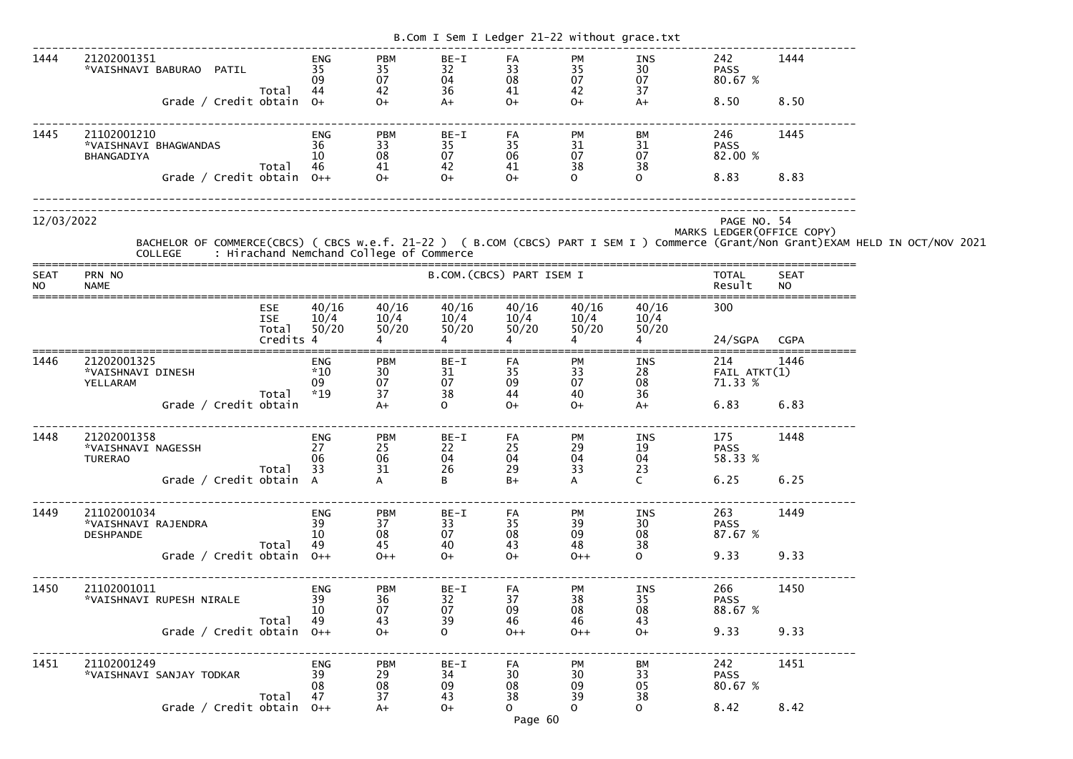|                          |                                                                     |                                   |                                    |                                      |                                |                                                                                                   | B.Com I Sem I Ledger 21-22 without grace.txt |                               |                                       |                            |                                                                                                                                                                                            |
|--------------------------|---------------------------------------------------------------------|-----------------------------------|------------------------------------|--------------------------------------|--------------------------------|---------------------------------------------------------------------------------------------------|----------------------------------------------|-------------------------------|---------------------------------------|----------------------------|--------------------------------------------------------------------------------------------------------------------------------------------------------------------------------------------|
| 1444                     | 21202001351<br>*VAISHNAVI BABURAO PATIL<br>Grade / Credit obtain 0+ | Total                             | <b>ENG</b><br>35<br>09<br>44       | <b>PBM</b><br>35<br>07<br>42<br>$O+$ | BE-I<br>32<br>04<br>36<br>$A+$ | FA<br>33<br>08<br>41<br>$O+$                                                                      | PM<br>35<br>07<br>42<br>$O+$                 | INS<br>30<br>07<br>37<br>$A+$ | 242<br><b>PASS</b><br>80.67 %<br>8.50 | 1444<br>8.50               |                                                                                                                                                                                            |
| 1445                     | 21102001210<br>*VAISHNAVI BHAGWANDAS<br>BHANGADIYA                  | Total                             | <b>ENG</b><br>36<br>10<br>46       | <b>PBM</b><br>33<br>08<br>41         | BE-I<br>35<br>07<br>42         | FA<br>35<br>06<br>41                                                                              | PM<br>31<br>07<br>38                         | BM<br>31<br>07<br>38          | 246<br><b>PASS</b><br>82.00 %         | 1445                       |                                                                                                                                                                                            |
|                          | Grade / Credit obtain $0++$                                         |                                   |                                    | $O+$                                 | $O+$                           | $O+$                                                                                              | $\mathsf{O}$                                 | $\mathbf{O}$                  | 8.83                                  | 8.83                       |                                                                                                                                                                                            |
| 12/03/2022               |                                                                     |                                   |                                    |                                      |                                |                                                                                                   |                                              |                               | PAGE NO. 54                           | MARKS LEDGER (OFFICE COPY) | BACHELOR OF COMMERCE(CBCS) ( CBCS w.e.f. 21-22 ) ( B.COM (CBCS) PART I SEM I ) Commerce (Grant/Non Grant)EXAM HELD IN OCT/NOV 2021<br>COLLEGE     : Hirachand Nemchand College of Commerce |
| <b>SEAT</b><br><b>NO</b> | PRN NO<br><b>NAME</b>                                               |                                   |                                    |                                      | B.COM. (CBCS) PART ISEM I      |                                                                                                   |                                              |                               | <b>TOTAL</b><br>Result                | <b>SEAT</b><br><b>NO</b>   |                                                                                                                                                                                            |
|                          |                                                                     | <b>ESE</b><br><b>ISE</b><br>Total | 40/16<br>10/4<br>50/20             | 40/16<br>10/4<br>50/20               | 40/16<br>10/4<br>50/20         | 40/16<br>10/4<br>50/20                                                                            | 40/16<br>10/4<br>50/20                       | 40/16<br>10/4<br>50/20        | 300                                   |                            |                                                                                                                                                                                            |
|                          |                                                                     | Credits 4                         |                                    |                                      |                                |                                                                                                   |                                              |                               | 24/SGPA                               | <b>CGPA</b>                |                                                                                                                                                                                            |
| 1446                     | 21202001325<br>*VAISHNAVI DINESH<br>YELLARAM                        | Total                             | <b>ENG</b><br>$*10$<br>09<br>$*19$ | <b>PBM</b><br>30<br>07<br>37         | $BE-I$<br>31<br>07<br>38       | FA<br>35<br>09<br>44                                                                              | PM<br>33<br>07<br>40                         | INS<br>28<br>08<br>36         | 214<br>$FAIL$ $ATKT(1)$<br>71.33 %    | 1446                       |                                                                                                                                                                                            |
|                          | Grade / Credit obtain                                               |                                   |                                    | $A+$                                 | $\mathsf{O}$                   | $O+$                                                                                              | $O+$                                         | $A+$                          | 6.83                                  | 6.83                       |                                                                                                                                                                                            |
| 1448                     | 21202001358<br>*VAISHNAVI NAGESSH<br><b>TURERAO</b>                 |                                   | ENG<br>$\frac{27}{27}$<br>06       | <b>PBM</b><br>25<br>06               | $BE-I$<br>22<br>04             | FA<br>25<br>04                                                                                    | PM<br>29<br>04                               | INS<br>19<br>04               | 175<br><b>PASS</b><br>58.33 %         | 1448                       |                                                                                                                                                                                            |
|                          | Total 33 31<br>Grade / Credit obtain A A                            |                                   |                                    |                                      | 26<br>B <sub>a</sub>           | 29<br>$B+$                                                                                        | 33<br>$\mathsf{A}$                           | 23<br>$\mathsf{C}$            | 6.25 6.25                             |                            |                                                                                                                                                                                            |
| 1449                     |                                                                     | Total 49                          |                                    | <b>PBM</b><br>37<br>08               | $BE-I$<br>33<br>07             | FA<br>35<br>08<br>43                                                                              | PM<br>39<br>09                               | INS<br>30<br>08<br>38         | 263 1449<br>PASS<br>87.67 %           |                            |                                                                                                                                                                                            |
|                          | $Total$ 49 $45$<br>Grade / Credit obtain 0++ $0++$                  |                                   |                                    |                                      | 40<br>$O+$                     | $O+$                                                                                              | 48<br>$O++$                                  | $\overline{0}$                | 9.33 9.33                             |                            |                                                                                                                                                                                            |
| 1450                     | 21102001011<br>x1102001011<br>"VAISHNAVI RUPESH NIRALE" 39<br>10    |                                   | <b>ENG</b>                         | <b>PBM</b><br>36<br>07               | BE-I<br>32<br>07               | FA<br>37<br>09                                                                                    | PM<br>38<br>08<br>46                         | <b>INS</b><br>35<br>08        | 266 1450<br>PASS<br>PASS<br>88.67 %   |                            |                                                                                                                                                                                            |
|                          | Grade / Credit obtain $0++$                                         | Total 49                          |                                    | $\frac{43}{0+}$                      | 39<br>$\overline{O}$           | 46<br>$0++$                                                                                       | 46<br>$0++$                                  | 43<br>$O+$                    | 9.33 9.33                             |                            |                                                                                                                                                                                            |
| 1451                     | 21102001249                                                         | Total 47                          | <b>ENG</b><br>08                   | PBM<br>29<br>08                      | BE-I<br>34<br>09<br>43         | $\begin{array}{ccc} 1 & -1 & -1 \\ -1 & -1 & -1 \\ 30 & 30 & -1 \\ 20 & 0 & -1 \end{array}$<br>38 | <b>PM</b><br>39                              | BM<br>33<br>05<br>38          | 242 1451<br><b>PASS</b><br>80.67 %    |                            |                                                                                                                                                                                            |
|                          | Grade / Credit obtain $0++$                                         |                                   |                                    | $\frac{37}{4}$                       | $O+$                           | $\Omega$<br>Page 60                                                                               | $\mathbf{O}$                                 | $\overline{O}$                | 8.42 8.42                             |                            |                                                                                                                                                                                            |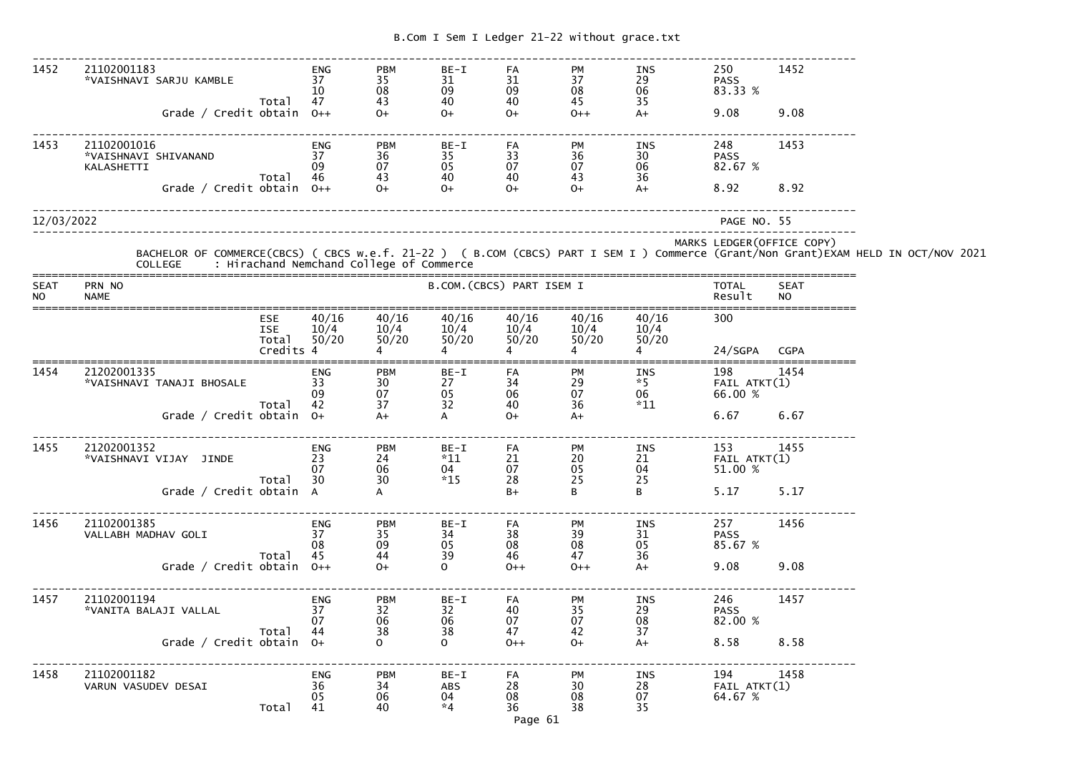| 1452                     | 21102001183<br>*VAISHNAVI SARJU KAMBLE            | Total                             | ENG<br>37<br>10<br>47        | <b>PBM</b><br>35<br>08<br>43                   | BE-I<br>31<br>09<br>40           | FA<br>31<br>09<br>40            | <b>PM</b><br>37<br>08<br>45 | INS<br>29<br>06<br>35        | 250<br><b>PASS</b><br>83.33 %      | 1452               |                                                                                                                                    |
|--------------------------|---------------------------------------------------|-----------------------------------|------------------------------|------------------------------------------------|----------------------------------|---------------------------------|-----------------------------|------------------------------|------------------------------------|--------------------|------------------------------------------------------------------------------------------------------------------------------------|
|                          | Grade / Credit obtain $0++$                       |                                   |                              | $O+$                                           | $0+$                             | $0+$                            | $0++$                       | $A+$                         | 9.08                               | 9.08               |                                                                                                                                    |
| 1453                     | 21102001016<br>*VAISHNAVI SHIVANAND<br>KALASHETTI | Total                             | ENG<br>37<br>09<br>-46       | <b>PBM</b><br>36<br>07                         | BE-I<br>35<br>05                 | FA<br>33<br>07                  | <b>PM</b><br>36<br>07       | INS<br>30<br>06<br>36        | 248<br><b>PASS</b><br>82.67 %      | 1453               |                                                                                                                                    |
|                          | Grade / Credit obtain $0++$                       |                                   |                              | $\begin{array}{c} 43 \\ \text{O+} \end{array}$ | 40<br>$O+$                       | 40<br>$O+$                      | 43<br>$0+$                  | $A+$                         | 8.92                               | 8.92               |                                                                                                                                    |
| 12/03/2022               |                                                   |                                   |                              |                                                |                                  |                                 |                             |                              | PAGE NO. 55                        |                    |                                                                                                                                    |
|                          | COLLEGE : Hirachand Nemchand College of Commerce  |                                   |                              |                                                |                                  |                                 |                             |                              | MARKS LEDGER (OFFICE COPY)         |                    | BACHELOR OF COMMERCE(CBCS) ( CBCS w.e.f. 21-22 ) ( B.COM (CBCS) PART I SEM I ) Commerce (Grant/Non Grant)EXAM HELD IN OCT/NOV 2021 |
| <b>SEAT</b><br><b>NO</b> | PRN NO<br><b>NAME</b>                             |                                   |                              |                                                | B.COM. (CBCS) PART ISEM I        |                                 |                             |                              | TOTAL<br>Result                    | <b>SEAT</b><br>NO. |                                                                                                                                    |
|                          |                                                   | <b>ESE</b><br><b>ISE</b><br>Total | 40/16<br>10/4<br>50/20       | 40/16<br>10/4<br>50/20                         | 40/16<br>10/4<br>50/20           | 40/16<br>10/4<br>50/20          | 40/16<br>10/4<br>50/20      | 40/16<br>10/4<br>50/20       | 300                                |                    |                                                                                                                                    |
|                          |                                                   | Credits 4                         |                              |                                                |                                  |                                 |                             |                              | 24/SGPA CGPA                       |                    |                                                                                                                                    |
| 1454                     | 21202001335<br>*VAISHNAVI TANAJI BHOSALE          |                                   | ENG<br>33<br>09<br>42        | <b>PBM</b><br>30<br>07<br>37                   | $BE-I$<br>27<br>05               | FA<br>34<br>06                  | PM<br>29<br>07              | INS<br>$*5$<br>06            | 198<br>FAIL ATKT(1)<br>66.00 %     | 1454               |                                                                                                                                    |
|                          | Grade / Credit obtain $0+$                        | Total                             |                              | $A+$                                           | 32<br>$\mathsf{A}$               | 40<br>$O+$                      | 36<br>$A+$                  | $*11$                        | 6.67                               | 6.67               |                                                                                                                                    |
| 1455                     | 21202001352                                       |                                   | ENG<br>07                    | <b>PBM</b><br>24<br>06                         | BE-I<br>$*11$<br>04              | FA<br>21<br>07                  | <b>PM</b><br>20<br>05       | INS<br>21 FAIL ATKT(1)<br>04 | 153<br>51.00 %                     | 1455               |                                                                                                                                    |
|                          | Grade / Credit obtain A                           | Total                             | 30                           | 30                                             | $*15$                            | 28<br>$B+$                      | 25<br>B                     | 25<br>B                      | 5.17                               | 5.17               |                                                                                                                                    |
| 1456                     | 21102001385<br>VALLABH MADHAV GOLI                |                                   | <b>ENG</b><br>37<br>08       | <b>PBM</b><br>35<br>09                         | BE-I<br>34<br>05                 | FA<br>38<br>08                  | PM<br>39<br>08              | <b>INS</b><br>31<br>05       | 257<br><b>PASS</b><br>85.67 %      | 1456               |                                                                                                                                    |
|                          | Grade / Credit obtain $0++$                       | Total                             | 45                           | 44<br>$0+$                                     | 39<br>0                          | 46<br>$0++$                     | 47<br>$0++$                 | 36<br>$A+$                   | 9.08                               | 9.08               |                                                                                                                                    |
| 1457                     | 21102001194<br>*VANITA BALAJI VALLAL              |                                   | <b>ENG</b><br>37<br>07       | <b>PBM</b><br>32<br>06                         | BE-I<br>32<br>06                 | FA<br>40<br>07                  | PM<br>35<br>07              | INS<br>29<br>08              | 246<br><b>PASS</b><br>82.00 %      | 1457               |                                                                                                                                    |
|                          | Grade / Credit obtain 0+                          | Total                             | 44                           | 38<br>0                                        | 38<br>$\mathsf{O}$               | 47<br>$0++$                     | 42<br>$0+$                  | 37<br>$A+$                   | 8.58                               | 8.58               |                                                                                                                                    |
| 1458                     | 21102001182<br>VARUN VASUDEV DESAI                | Total                             | <b>ENG</b><br>36<br>05<br>41 | <b>PBM</b><br>34<br>06<br>40                   | BE-I<br><b>ABS</b><br>04<br>$*4$ | FA<br>28<br>08<br>36<br>Page 61 | PM<br>30<br>08<br>38        | INS<br>28<br>07<br>35        | 194<br>$FAIL$ $ATKT(1)$<br>64.67 % | 1458               |                                                                                                                                    |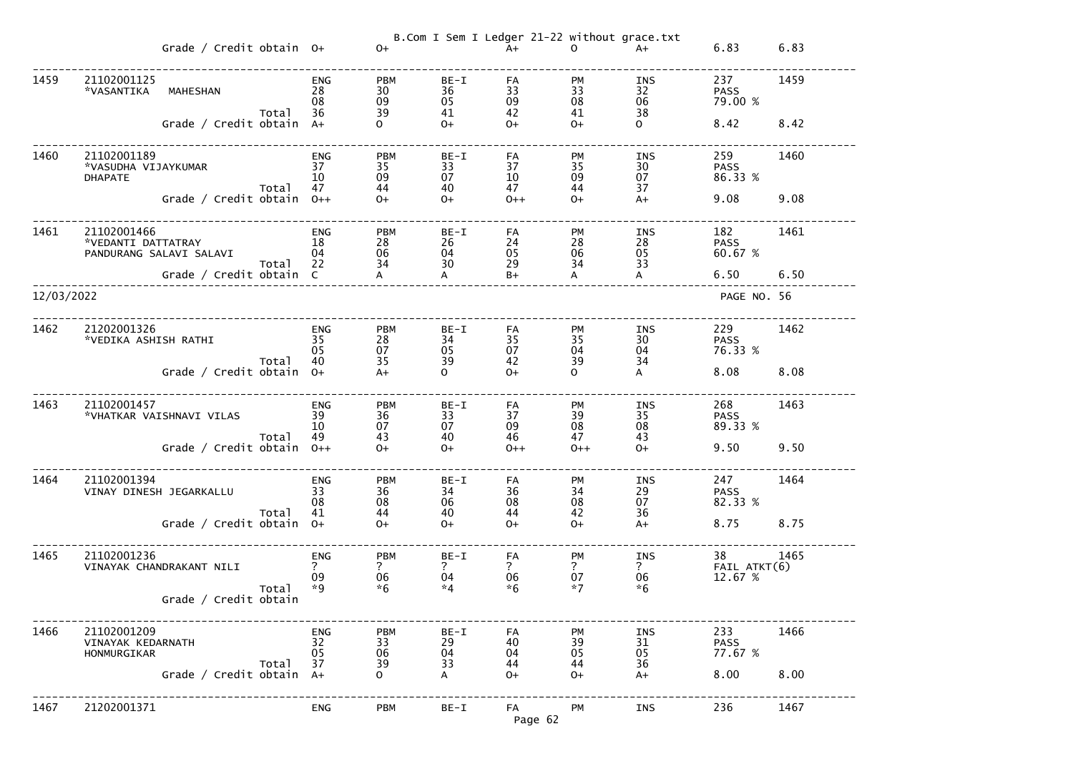|            |                                                              | Grade / Credit obtain $0+$  |       |                               | $O+$                                     |                                        | B.Com I Sem I Ledger 21-22 without grace.txt<br>$A+$ | $\mathbf{O}$                       | $A+$                                  | 6.83                          | 6.83 |
|------------|--------------------------------------------------------------|-----------------------------|-------|-------------------------------|------------------------------------------|----------------------------------------|------------------------------------------------------|------------------------------------|---------------------------------------|-------------------------------|------|
| 1459       | 21102001125<br>*VASANTIKA                                    | <b>MAHESHAN</b>             | Total | <b>ENG</b><br>28<br>08<br>36  | <b>PBM</b><br>30<br>09<br>39             | $BE-I$<br>36<br>05<br>41               | FA<br>33<br>09<br>42                                 | PM<br>33<br>08<br>41               | INS<br>32<br>06<br>38                 | 237<br><b>PASS</b><br>79.00 % | 1459 |
|            |                                                              | Grade / Credit obtain A+    |       |                               | $\Omega$                                 | $O+$                                   | $O+$                                                 | $O+$                               | $\mathsf{O}$                          | 8.42                          | 8.42 |
| 1460       | 21102001189<br>*VASUDHA VIJAYKUMAR<br><b>DHAPATE</b>         |                             | Total | <b>ENG</b><br>37<br>10<br>47  | <b>PBM</b><br>35<br>09<br>44             | BE-I<br>33<br>07<br>40                 | FA<br>37<br>10<br>47                                 | <b>PM</b><br>35<br>09<br>44        | INS<br>30<br>07<br>37                 | 259<br><b>PASS</b><br>86.33 % | 1460 |
|            |                                                              | Grade / Credit obtain $0++$ |       |                               | $O+$                                     | $O+$                                   | $0++$                                                | $O+$                               | $A+$                                  | 9.08                          | 9.08 |
| 1461       | 21102001466<br>*VEDANTI DATTATRAY<br>PANDURANG SALAVI SALAVI |                             | Total | <b>ENG</b><br>18<br>04<br>22  | <b>PBM</b><br>28<br>06<br>34             | $BE-I$<br>26<br>04<br>30               | FA<br>24<br>05<br>29                                 | <b>PM</b><br>28<br>06<br>34        | INS<br>28<br>05<br>33<br>$\mathsf{A}$ | 182<br><b>PASS</b><br>60.67 % | 1461 |
| 12/03/2022 |                                                              | Grade / Credit obtain C     |       |                               | $\mathsf{A}$                             | $\mathsf{A}$                           | $B+$                                                 | $\mathsf{A}$                       |                                       | 6.50<br>PAGE NO. 56           | 6.50 |
|            |                                                              |                             |       |                               |                                          |                                        |                                                      |                                    |                                       |                               |      |
| 1462       | 21202001326<br>*VEDIKA ASHISH RATHI                          |                             | Total | <b>ENG</b><br>35<br>05<br>40  | <b>PBM</b><br>28<br>07<br>35             | $BE-I$<br>34<br>05<br>39               | FA<br>35<br>07<br>42                                 | <b>PM</b><br>35<br>04<br>39        | INS<br>30<br>04<br>34                 | 229<br><b>PASS</b><br>76.33 % | 1462 |
|            |                                                              | Grade / Credit obtain $0+$  |       |                               | $A+$                                     | $\Omega$                               | $O+$                                                 | $\mathbf{O}$                       | $\overline{A}$                        | 8.08                          | 8.08 |
| 1463       | 21102001457<br>*VHATKAR VAISHNAVI VILAS                      |                             | Total | <b>ENG</b><br>39<br>10<br>49  | <b>PBM</b><br>36<br>07<br>43             | BE-I<br>33<br>07<br>40                 | FA<br>37<br>09<br>46                                 | <b>PM</b><br>39<br>08<br>47        | INS<br>35<br>08<br>43                 | 268<br><b>PASS</b><br>89.33 % | 1463 |
|            |                                                              | Grade / Credit obtain $0++$ |       |                               | $O+$                                     | $O+$                                   | $0++$                                                | $0++$                              | $0+$                                  | 9.50                          | 9.50 |
| 1464       | 21102001394<br>VINAY DINESH JEGARKALLU                       |                             | Total | <b>ENG</b><br>33<br>08<br>41  | <b>PBM</b><br>36<br>08<br>44             | $BE-I$<br>34<br>06<br>40               | FA<br>36<br>08<br>44                                 | <b>PM</b><br>34<br>08<br>42        | INS<br>29<br>07<br>36                 | 247<br><b>PASS</b><br>82.33 % | 1464 |
|            |                                                              | Grade / Credit obtain 0+    |       |                               | $O+$                                     | $O+$                                   | $O+$                                                 | $O+$                               | $A+$                                  | 8.75                          | 8.75 |
| 1465       | 21102001236<br>VINAYAK CHANDRAKANT NILI                      |                             | Total | <b>ENG</b><br>?<br>09<br>$*9$ | <b>PBM</b><br>$\mathsf{?}$<br>06<br>$*6$ | $BE-I$<br>$\overline{?}$<br>04<br>$*4$ | FA<br>$\overline{?}$<br>06<br>$*6$                   | PM<br>$\overline{?}$<br>07<br>$*7$ | INS<br>$\overline{?}$<br>06<br>$*6$   | 38<br>FAIL ATKT(6)<br>12.67 % | 1465 |
|            |                                                              | Grade / Credit obtain       |       |                               |                                          |                                        |                                                      |                                    |                                       |                               |      |
| 1466       | 21102001209<br>VINAYAK KEDARNATH<br>HONMURGIKAR              |                             |       | <b>ENG</b><br>32<br>05        | <b>PBM</b><br>33<br>06                   | BE-I<br>29<br>04                       | FA<br>40<br>04                                       | PM<br>39<br>05                     | <b>INS</b><br>31<br>05                | 233<br><b>PASS</b><br>77.67 % | 1466 |
|            |                                                              | Grade / Credit obtain $A+$  | Total | 37                            | 39<br>$\overline{O}$                     | 33<br>A                                | 44<br>$O+$                                           | 44<br>$0+$                         | 36<br>$A+$                            | 8.00                          | 8.00 |
| 1467       | 21202001371                                                  |                             |       | <b>ENG</b>                    | <b>PBM</b>                               | $BE-I$                                 | FA<br>Page 62                                        | PM                                 | <b>INS</b>                            | 236                           | 1467 |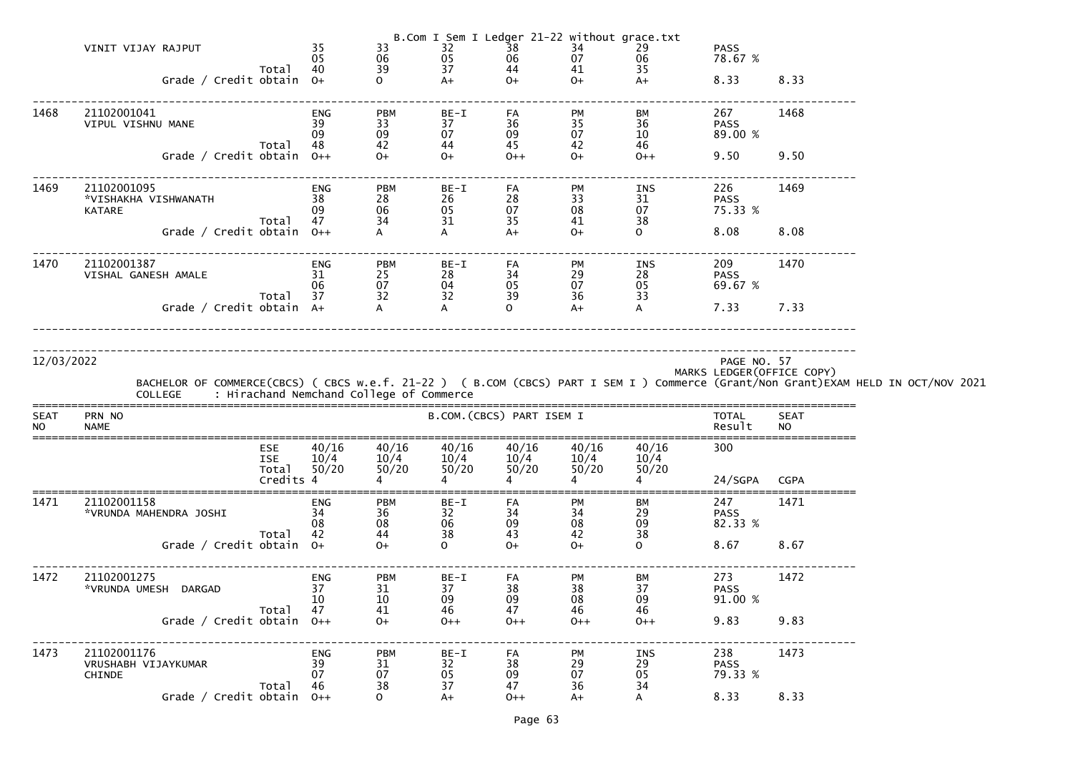|                          | VINIT VIJAY RAJPUT<br>Grade / Credit obtain 0+       | Total 40                                       | 35<br>05                     | 33<br>06<br>39                                                                 | 32<br>05<br>37<br>$A+$    | $\overline{38}$<br>06<br>44<br>$O+$ | B.Com I Sem I Ledger 21-22 without grace.txt<br>34<br>07<br>41<br>$O+$ | 29<br>06<br>35<br>$A+$   | <b>PASS</b><br>78.67 %<br>8.33            | 8.33                     |                                                                                                                                                                                            |
|--------------------------|------------------------------------------------------|------------------------------------------------|------------------------------|--------------------------------------------------------------------------------|---------------------------|-------------------------------------|------------------------------------------------------------------------|--------------------------|-------------------------------------------|--------------------------|--------------------------------------------------------------------------------------------------------------------------------------------------------------------------------------------|
| 1468                     | 21102001041<br>VIPUL VISHNU MANE                     | Total 48                                       | ENG<br>39<br>09              | <b>PBM</b><br>33<br>09<br>42<br>$\begin{array}{c} 42 \\ \text{O+} \end{array}$ | BE-I<br>37<br>07<br>44    | FA<br>36<br>09<br>45                | PM<br>35<br>07<br>42                                                   | BM<br>36<br>$10\,$<br>46 | 267<br><b>PASS</b><br>89.00 %             | 1468                     |                                                                                                                                                                                            |
|                          | Grade / Credit obtain 0++                            |                                                |                              |                                                                                | $O+$                      | $0++$                               | $O+$                                                                   | $0++$                    | 9.50                                      | 9.50                     |                                                                                                                                                                                            |
| 1469                     | 21102001095<br>*VISHAKHA VISHWANATH<br><b>KATARE</b> | Total 47                                       | ENG<br>38<br>09              | <b>PBM</b><br>28<br>06                                                         | BE-I<br>26<br>05<br>31    | FA<br>28<br>07<br>35                | PM<br>33<br>08<br>41                                                   | INS<br>31<br>07<br>38    | 226<br><b>PASS</b><br>75.33 %             | 1469                     |                                                                                                                                                                                            |
|                          | Grade / Credit obtain 0++                            |                                                |                              | $\frac{34}{4}$                                                                 | A                         | $A+$                                | $O+$                                                                   | $\overline{O}$           | 8.08                                      | 8.08                     |                                                                                                                                                                                            |
| 1470                     | 21102001387<br>VISHAL GANESH AMALE                   | Total 37                                       | ENG<br>31<br>06              | <b>PBM</b><br>25<br>07                                                         | BE-I<br>28<br>04<br>32    | FA<br>34<br>05<br>39                | PM<br>29<br>07<br>36                                                   | INS<br>28<br>05<br>33    | 209<br><b>PASS</b><br>69.67 %             | 1470                     |                                                                                                                                                                                            |
|                          | Grade / Credit obtain A+                             |                                                |                              | $\frac{52}{4}$                                                                 |                           | $\Omega$                            | $A+$                                                                   | $\mathsf{A}$             | 7.33 7.33                                 |                          |                                                                                                                                                                                            |
| 12/03/2022               |                                                      |                                                |                              |                                                                                |                           |                                     |                                                                        |                          | PAGE NO. 57<br>MARKS LEDGER (OFFICE COPY) |                          | BACHELOR OF COMMERCE(CBCS) ( CBCS w.e.f. 21-22 ) ( B.COM (CBCS) PART I SEM I ) Commerce (Grant/Non Grant)EXAM HELD IN OCT/NOV 2021<br>COLLEGE     : Hirachand Nemchand College of Commerce |
| <b>SEAT</b><br><b>NO</b> | PRN NO<br><b>NAME</b>                                |                                                |                              |                                                                                | B.COM. (CBCS) PART ISEM I |                                     |                                                                        |                          | TOTAL<br>Result                           | <b>SEAT</b><br><b>NO</b> |                                                                                                                                                                                            |
|                          |                                                      | <b>ESE</b><br><b>ISE</b><br>Total<br>Credits 4 | 40/16<br>10/4<br>50/20       | 40/16<br>10/4<br>50/20                                                         | 40/16<br>10/4<br>50/20    | 40/16<br>10/4<br>50/20              | 40/16<br>10/4<br>50/20                                                 | 40/16<br>10/4<br>50/20   | 300<br>24/SGPA CGPA                       |                          |                                                                                                                                                                                            |
| 1471                     | 21102001158<br>*VRUNDA MAHENDRA JOSHI                | Total                                          | <b>ENG</b><br>34<br>08<br>42 | <b>PBM</b><br>36<br>08<br>44                                                   | $BE-I$<br>32<br>06<br>38  | FA<br>34<br>09<br>43                | PM<br>34<br>08<br>42                                                   | BM<br>29<br>09<br>38     | 247<br><b>PASS</b><br>82.33 %             | 1471                     |                                                                                                                                                                                            |
|                          | Grade / Credit obtain $0+$                           |                                                |                              | $O+$                                                                           | $\mathsf{O}$              | $O+$                                | $O+$                                                                   | $\mathsf{O}$             | 8.67                                      | 8.67                     |                                                                                                                                                                                            |
| 1472                     | 21102001275<br>*VRUNDA UMESH DARGAD                  | Total                                          | ENG<br>37<br>10<br>47        | <b>PBM</b><br>31<br>10<br>41                                                   | BE-I<br>37<br>09<br>46    | FA<br>38<br>09<br>47                | PM<br>38<br>08<br>46                                                   | ВM<br>37<br>09<br>46     | 273<br><b>PASS</b><br>91.00 %             | 1472                     |                                                                                                                                                                                            |
|                          | Grade / Credit obtain $0++$                          |                                                |                              | $O+$                                                                           | $0++$                     | $0++$                               | $0++$                                                                  | $0++$                    | 9.83                                      | 9.83                     |                                                                                                                                                                                            |
| 1473                     | 21102001176<br>VRUSHABH VIJAYKUMAR<br><b>CHINDE</b>  | Total                                          | ENG<br>39<br>07<br>46        | <b>PBM</b><br>31<br>07<br>38                                                   | BE-I<br>32<br>05<br>37    | FA<br>38<br>09<br>47                | PM<br>29<br>07<br>36                                                   | INS<br>29<br>05<br>34    | 238<br><b>PASS</b><br>79.33 %             | 1473                     |                                                                                                                                                                                            |
|                          | Grade / Credit obtain $0++$                          |                                                |                              | $\overline{O}$                                                                 | $A+$                      | $0++$                               | $A+$                                                                   |                          | 8.33                                      | 8.33                     |                                                                                                                                                                                            |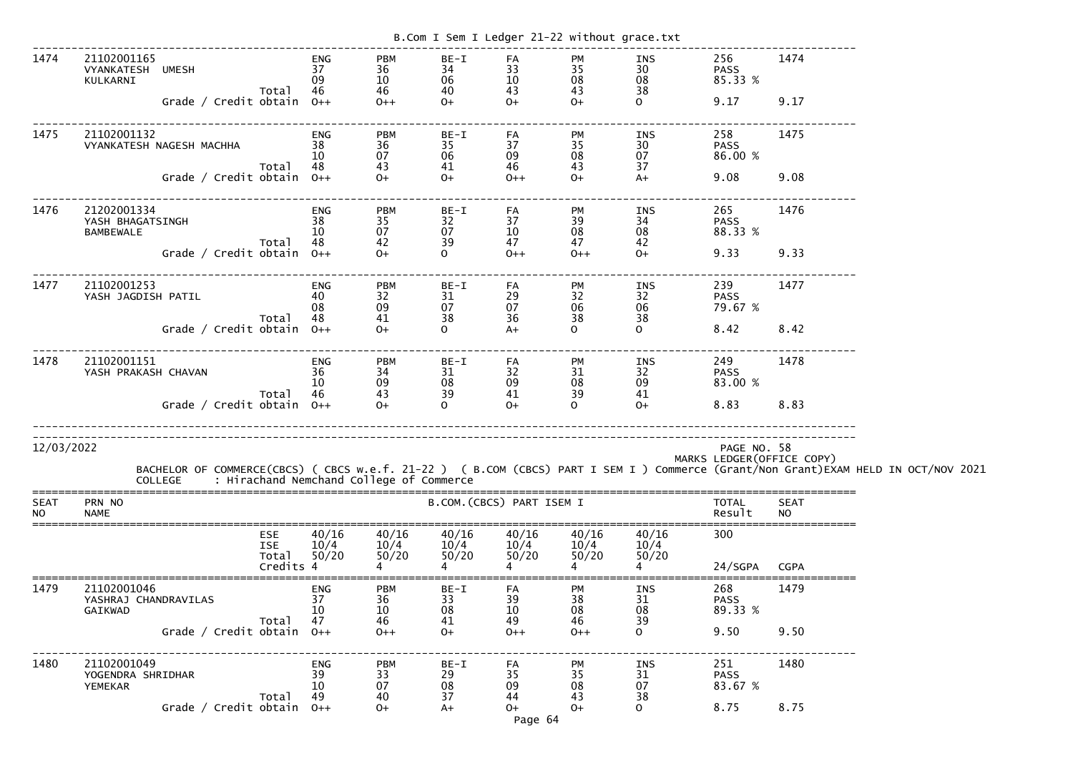| B.Com I Sem I Ledger 21-22 without grace.txt |                                                                                                                                                                                            |                                                |                              |                                       |                                |                              |                              |                                   |                                       |                            |  |
|----------------------------------------------|--------------------------------------------------------------------------------------------------------------------------------------------------------------------------------------------|------------------------------------------------|------------------------------|---------------------------------------|--------------------------------|------------------------------|------------------------------|-----------------------------------|---------------------------------------|----------------------------|--|
| 1474                                         | 21102001165<br>VYANKATESH UMESH<br>KULKARNI<br>Grade / Credit obtain $0++$                                                                                                                 | Total                                          | <b>ENG</b><br>37<br>09<br>46 | <b>PBM</b><br>36<br>10<br>46<br>$0++$ | BE-I<br>34<br>06<br>40<br>$O+$ | FA<br>33<br>10<br>43<br>$0+$ | PM<br>35<br>08<br>43<br>$O+$ | INS<br>30<br>08<br>38<br>$\Omega$ | 256<br><b>PASS</b><br>85.33 %<br>9.17 | 1474<br>9.17               |  |
| 1475                                         | 21102001132<br>VYANKATESH NAGESH MACHHA                                                                                                                                                    | Total                                          | <b>ENG</b><br>38<br>10<br>48 | <b>PBM</b><br>36<br>07<br>43          | $BE-I$<br>35<br>06<br>41       | FA<br>37<br>09<br>46         | PM<br>35<br>08<br>43         | INS<br>30<br>07<br>37             | 258<br><b>PASS</b><br>86.00 %         | 1475                       |  |
|                                              | Grade / Credit obtain $0++$                                                                                                                                                                |                                                |                              | $O+$                                  | $0+$                           | $0++$                        | $O+$                         | $A+$                              | 9.08                                  | 9.08                       |  |
| 1476                                         | 21202001334<br>YASH BHAGATSINGH<br><b>BAMBEWALE</b>                                                                                                                                        | Total                                          | <b>ENG</b><br>38<br>10<br>48 | <b>PBM</b><br>35<br>07<br>42          | BE-I<br>32<br>07<br>39         | FA<br>37<br>10<br>47         | PM<br>$\frac{39}{08}$<br>47  | INS<br>34<br>08<br>42             | 265<br><b>PASS</b><br>88.33 %         | 1476                       |  |
|                                              | Grade / Credit obtain                                                                                                                                                                      |                                                | $0++$                        | $O+$                                  | $\mathsf{O}$                   | $0++$                        | $0++$                        | $O+$                              | 9.33                                  | 9.33                       |  |
| 1477                                         | 21102001253<br>YASH JAGDISH PATIL                                                                                                                                                          | Total                                          | <b>ENG</b><br>08<br>48       | <b>PBM</b><br>32<br>09<br>41          | BE-I<br>31<br>07<br>38         | FA<br>29<br>07<br>36         | <b>PM</b><br>32<br>06<br>38  | INS<br>32<br>06<br>38             | 239<br><b>PASS</b><br>79.67 %         | 1477                       |  |
|                                              | Grade / Credit obtain                                                                                                                                                                      |                                                | $0++$                        | $0+$                                  | $\overline{O}$                 | $A+$                         | $\mathsf{O}$                 | $\mathbf{O}$                      | 8.42                                  | 8.42                       |  |
| 1478                                         | 21102001151<br>YASH PRAKASH CHAVAN                                                                                                                                                         |                                                | <b>ENG</b><br>36<br>10       | <b>PBM</b><br>34<br>09                | BE-I<br>31<br>08               | FA<br>32<br>09               | <b>PM</b><br>31<br>08        | INS<br>32<br>09                   | 249<br><b>PASS</b><br>83.00 %         | 1478                       |  |
|                                              | Grade / Credit obtain                                                                                                                                                                      | Total                                          | 46<br>$O++$                  | 43<br>$0+$                            | 39<br>$\overline{O}$           | 41<br>$O+$                   | 39<br>$\mathsf{O}$           | 41<br>$O+$                        | 8.83                                  | 8.83                       |  |
| 12/03/2022                                   | BACHELOR OF COMMERCE(CBCS) ( CBCS w.e.f. 21-22 ) ( B.COM (CBCS) PART I SEM I ) Commerce (Grant/Non Grant)EXAM HELD IN OCT/NOV 2021<br>COLLEGE     : Hirachand Nemchand College of Commerce |                                                |                              |                                       |                                |                              |                              |                                   | PAGE NO. 58                           | MARKS LEDGER (OFFICE COPY) |  |
| <b>SEAT</b><br><b>NO</b>                     | PRN NO<br><b>NAME</b>                                                                                                                                                                      |                                                |                              |                                       | B.COM. (CBCS) PART ISEM I      |                              |                              |                                   | <b>TOTAL</b><br>Result                | <b>SEAT</b><br><b>NO</b>   |  |
|                                              |                                                                                                                                                                                            | <b>ESE</b><br><b>ISE</b><br>Total<br>Credits 4 | 40/16<br>10/4<br>50/20       | 40/16<br>10/4<br>50/20                | 40/16<br>10/4<br>50/20         | 40/16<br>10/4<br>50/20       | 40/16<br>10/4<br>50/20       | 40/16<br>10/4<br>50/20            | 300<br>24/SGPA                        | <b>CGPA</b>                |  |
| 1479                                         | 21102001046<br>YASHRAJ CHANDRAVILAS<br><b>GAIKWAD</b>                                                                                                                                      | Total                                          | ENG<br>37<br>10<br>47        | <b>PBM</b><br>36<br>10<br>46          | BE-I<br>33<br>08<br>41         | FA<br>39<br>10<br>49         | PM<br>38<br>08<br>46         | INS<br>31<br>08<br>39             | 268<br><b>PASS</b><br>89.33 %         | 1479                       |  |
|                                              | Grade / Credit obtain $0++$                                                                                                                                                                |                                                |                              | $0++$                                 | $0+$                           | $0++$                        | $0++$                        | $\Omega$                          | 9.50                                  | 9.50                       |  |
| 1480                                         | 21102001049<br>YOGENDRA SHRIDHAR<br>YEMEKAR                                                                                                                                                | Total                                          | <b>ENG</b><br>39<br>10<br>49 | <b>PBM</b><br>33<br>07<br>40          | $BE-I$<br>29<br>08<br>37       | FA<br>35<br>09<br>44         | PM<br>35<br>08<br>43         | INS<br>31<br>07<br>38             | 251<br><b>PASS</b><br>83.67 %         | 1480                       |  |
|                                              | Grade / Credit obtain 0++                                                                                                                                                                  |                                                |                              | $0+$                                  | $A+$                           | $0+$<br>Page 64              | $O+$                         | $\Omega$                          | 8.75                                  | 8.75                       |  |